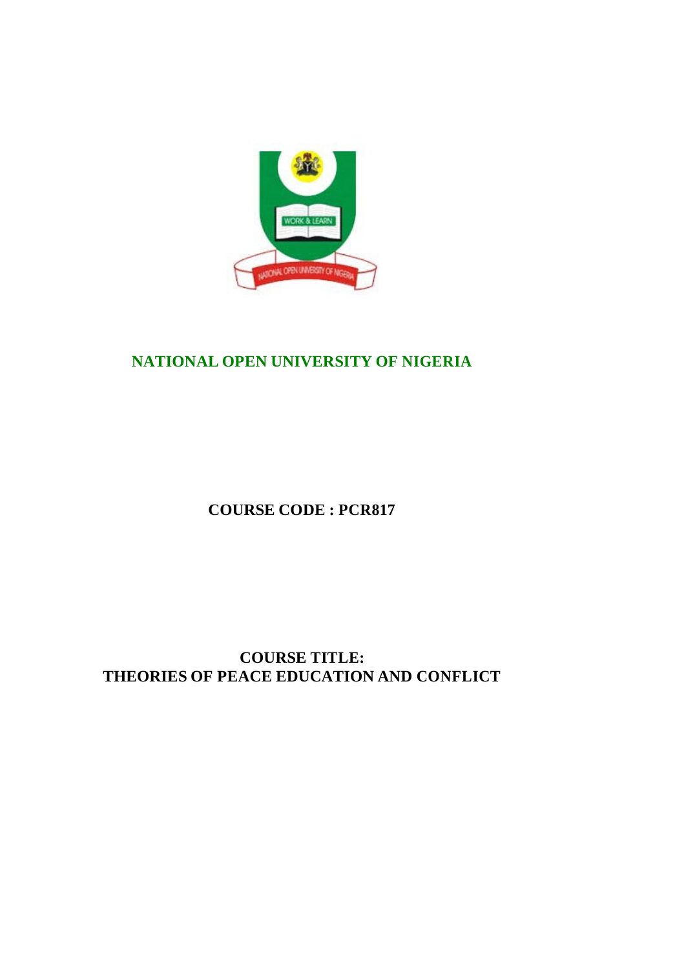

# **NATIONAL OPEN UNIVERSITY OF NIGERIA**

# **COURSE CODE : PCR817**

**COURSE TITLE: THEORIES OF PEACE EDUCATION AND CONFLICT**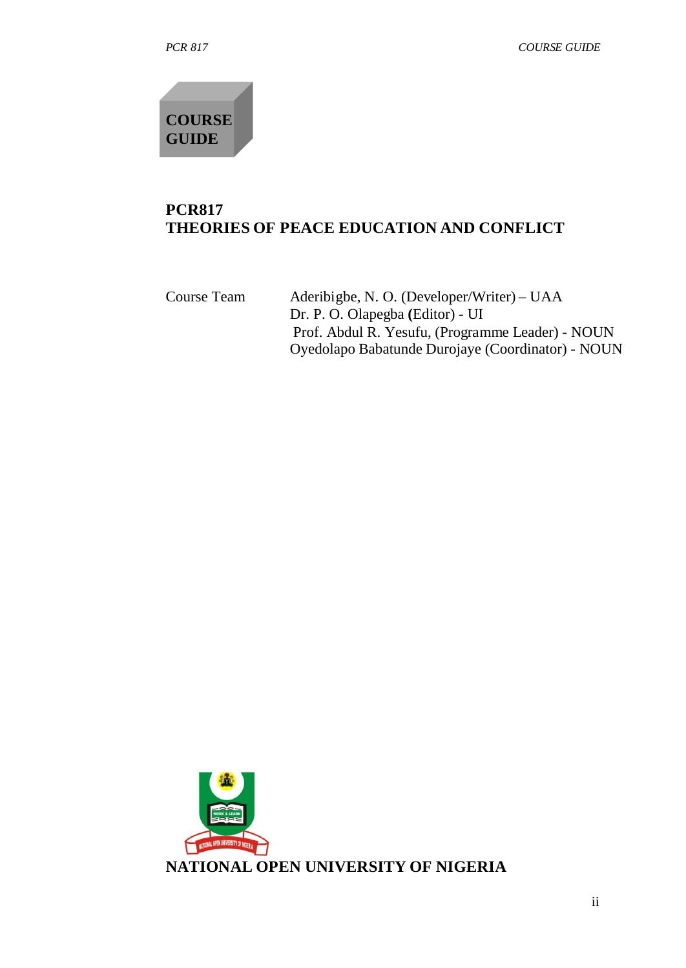**COURSE GUIDE**

## **PCR817 THEORIES OF PEACE EDUCATION AND CONFLICT**

| Course Team | Aderibigbe, N. O. (Developer/Writer) – UAA        |
|-------------|---------------------------------------------------|
|             | Dr. P. O. Olapegba (Editor) - UI                  |
|             | Prof. Abdul R. Yesufu, (Programme Leader) - NOUN  |
|             | Oyedolapo Babatunde Durojaye (Coordinator) - NOUN |

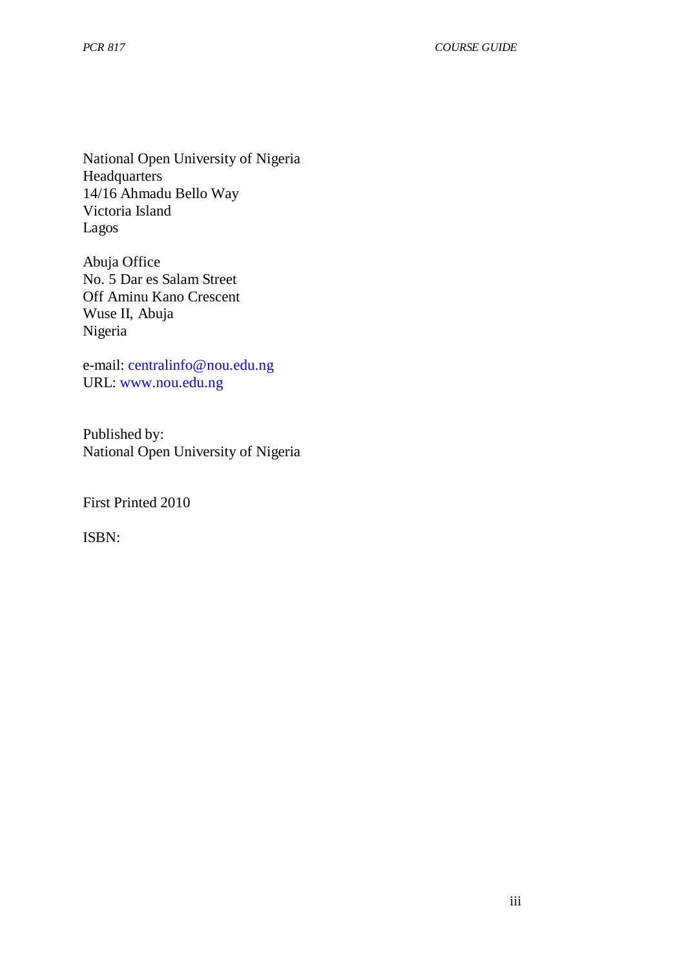National Open University of Nigeria **Headquarters** 14/16 Ahmadu Bello Way Victoria Island Lagos

Abuja Office No. 5 Dar es Salam Street Off Aminu Kano Crescent Wuse II, Abuja Nigeria

e-mail: [centralinfo@nou.edu.ng](mailto:centralinfo@nou.edu.ng) URL: [www.nou.edu.ng](http://www.nou.edu.ng/)

Published by: National Open University of Nigeria

First Printed 2010

ISBN: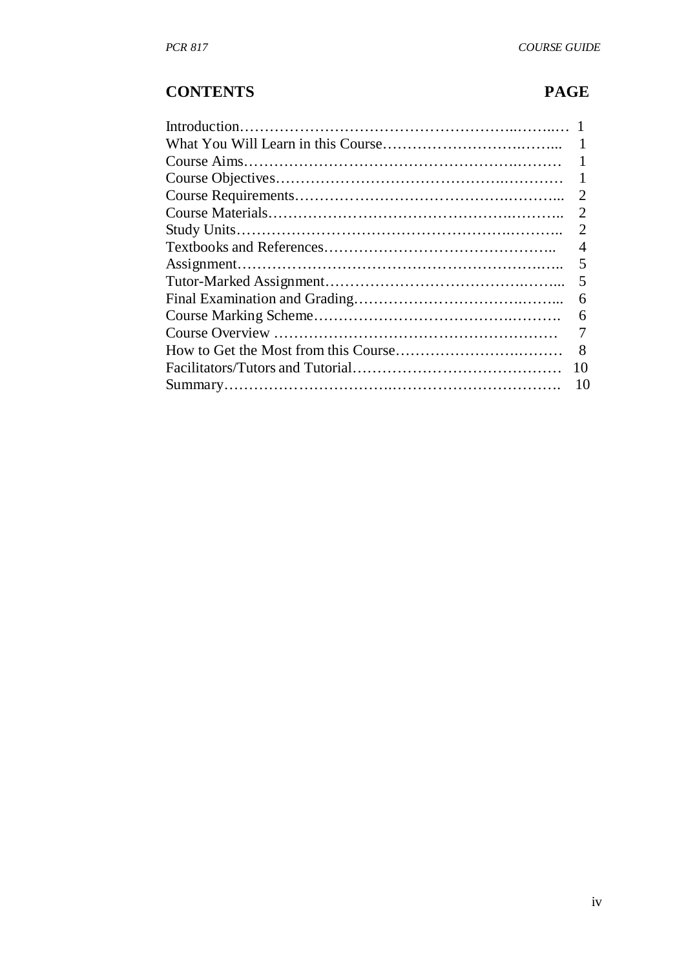# **CONTENTS PAGE**

| 2                           |
|-----------------------------|
| $\mathcal{D}_{\mathcal{L}}$ |
| 2                           |
| 4                           |
| 5                           |
| 5                           |
| 6                           |
| 6                           |
| 7                           |
| 8                           |
| 10                          |
| 10                          |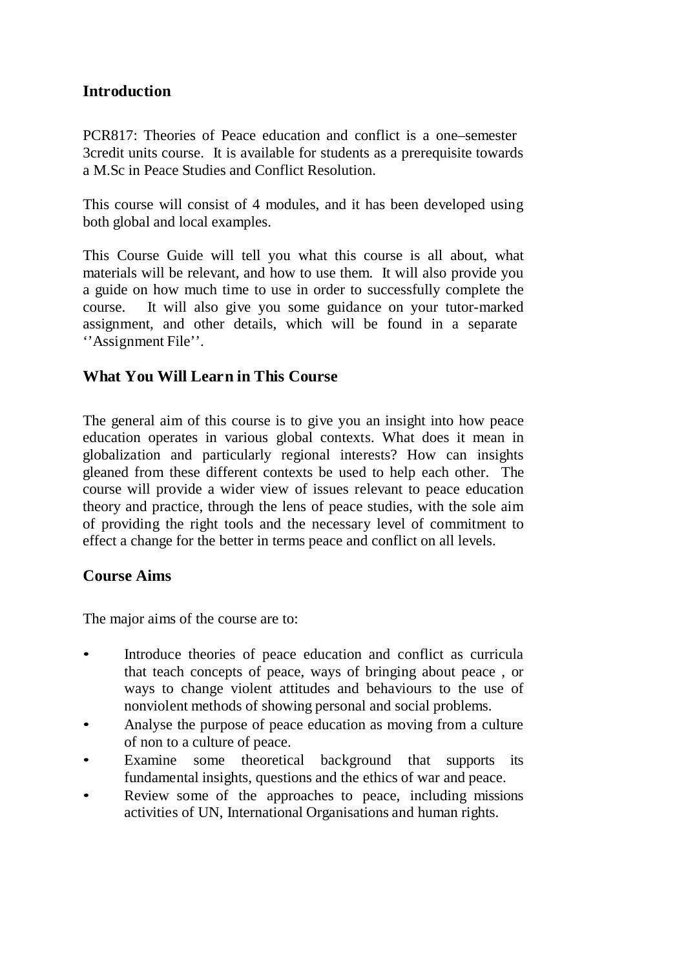## **Introduction**

PCR817: Theories of Peace education and conflict is a one–semester 3credit units course. It is available for students as a prerequisite towards a M.Sc in Peace Studies and Conflict Resolution.

This course will consist of 4 modules, and it has been developed using both global and local examples.

This Course Guide will tell you what this course is all about, what materials will be relevant, and how to use them. It will also provide you a guide on how much time to use in order to successfully complete the course. It will also give you some guidance on your tutor-marked assignment, and other details, which will be found in a separate ''Assignment File''.

## **What You Will Learn in This Course**

The general aim of this course is to give you an insight into how peace education operates in various global contexts. What does it mean in globalization and particularly regional interests? How can insights gleaned from these different contexts be used to help each other. The course will provide a wider view of issues relevant to peace education theory and practice, through the lens of peace studies, with the sole aim of providing the right tools and the necessary level of commitment to effect a change for the better in terms peace and conflict on all levels.

#### **Course Aims**

The major aims of the course are to:

- Introduce theories of peace education and conflict as curricula that teach concepts of peace, ways of bringing about peace , or ways to change violent attitudes and behaviours to the use of nonviolent methods of showing personal and social problems.
- Analyse the purpose of peace education as moving from a culture of non to a culture of peace.
- Examine some theoretical background that supports its fundamental insights, questions and the ethics of war and peace.
- Review some of the approaches to peace, including missions activities of UN, International Organisations and human rights.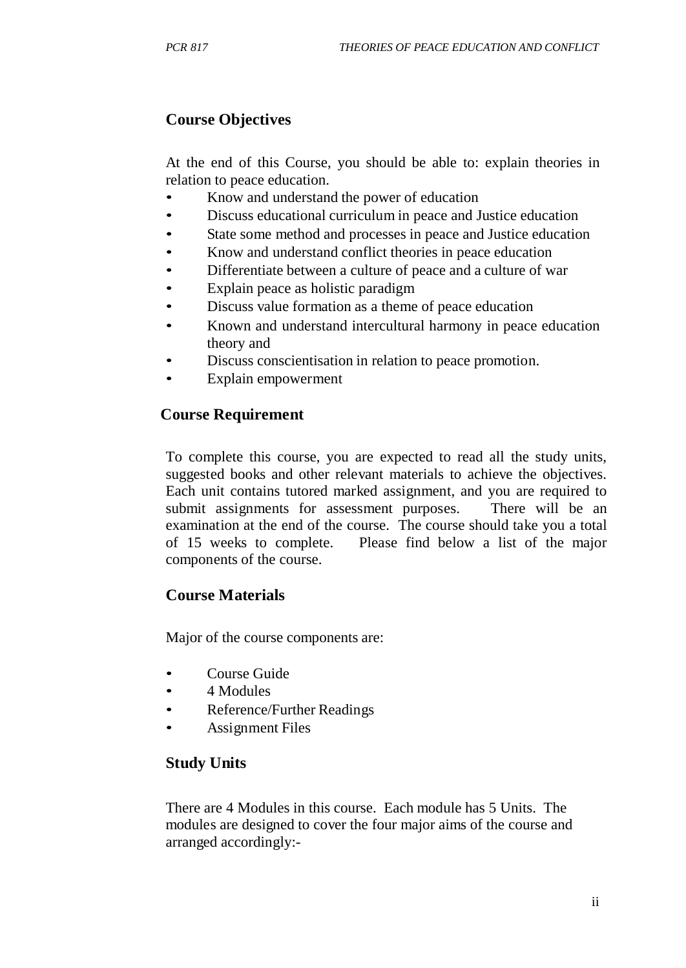# **Course Objectives**

At the end of this Course, you should be able to: explain theories in relation to peace education.

- Know and understand the power of education
- Discuss educational curriculum in peace and Justice education
- State some method and processes in peace and Justice education
- Know and understand conflict theories in peace education
- Differentiate between a culture of peace and a culture of war
- Explain peace as holistic paradigm
- Discuss value formation as a theme of peace education
- Known and understand intercultural harmony in peace education theory and
- Discuss conscientisation in relation to peace promotion.
- Explain empowerment

## **Course Requirement**

To complete this course, you are expected to read all the study units, suggested books and other relevant materials to achieve the objectives. Each unit contains tutored marked assignment, and you are required to submit assignments for assessment purposes. There will be an examination at the end of the course. The course should take you a total of 15 weeks to complete. Please find below a list of the major components of the course.

## **Course Materials**

Major of the course components are:

- Course Guide
- 4 Modules
- Reference/Further Readings
- Assignment Files

## **Study Units**

There are 4 Modules in this course. Each module has 5 Units. The modules are designed to cover the four major aims of the course and arranged accordingly:-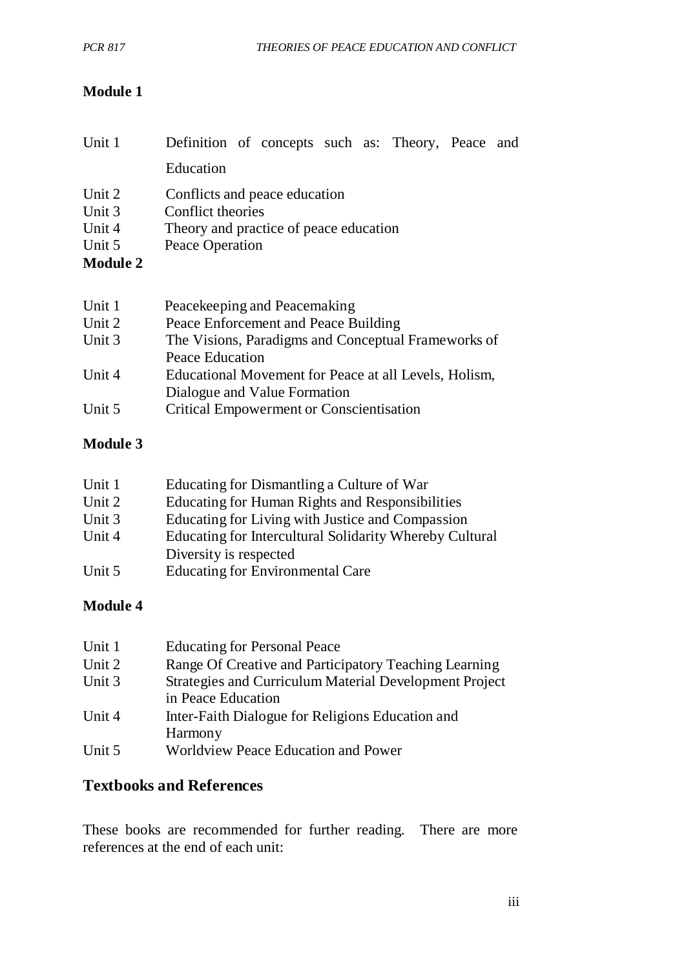## **Module 1**

| Unit 1                                                  | Definition of concepts such as: Theory, Peace and                                                               |
|---------------------------------------------------------|-----------------------------------------------------------------------------------------------------------------|
|                                                         | Education                                                                                                       |
| Unit 2<br>Unit 3<br>Unit 4<br>Unit 5<br><b>Module 2</b> | Conflicts and peace education<br>Conflict theories<br>Theory and practice of peace education<br>Peace Operation |
| Unit 1                                                  | Peacekeeping and Peacemaking                                                                                    |
| Unit 2                                                  | Peace Enforcement and Peace Building                                                                            |
| Unit 3                                                  | The Visions, Paradigms and Conceptual Frameworks of                                                             |

| ັບ 111 ບ | The vibroing, I drawighted and Conceptual Frame worked of |
|----------|-----------------------------------------------------------|
|          | Peace Education                                           |
| Unit 4   | Educational Movement for Peace at all Levels, Holism,     |
|          | Dialogue and Value Formation                              |
|          |                                                           |

Unit 5 Critical Empowerment or Conscientisation

## **Module 3**

| Unit 1 | Educating for Dismantling a Culture of War              |
|--------|---------------------------------------------------------|
| Unit 2 | Educating for Human Rights and Responsibilities         |
| Unit 3 | Educating for Living with Justice and Compassion        |
| Unit 4 | Educating for Intercultural Solidarity Whereby Cultural |
|        | Diversity is respected                                  |
| Unit 5 | <b>Educating for Environmental Care</b>                 |

## **Module 4**

| Unit 1 | <b>Educating for Personal Peace</b>                                          |
|--------|------------------------------------------------------------------------------|
| Unit 2 | Range Of Creative and Participatory Teaching Learning                        |
| Unit 3 | Strategies and Curriculum Material Development Project<br>in Peace Education |
| Unit 4 | Inter-Faith Dialogue for Religions Education and<br><b>Harmony</b>           |
| Unit 5 | <b>Worldview Peace Education and Power</b>                                   |

# **Textbooks and References**

These books are recommended for further reading. There are more references at the end of each unit: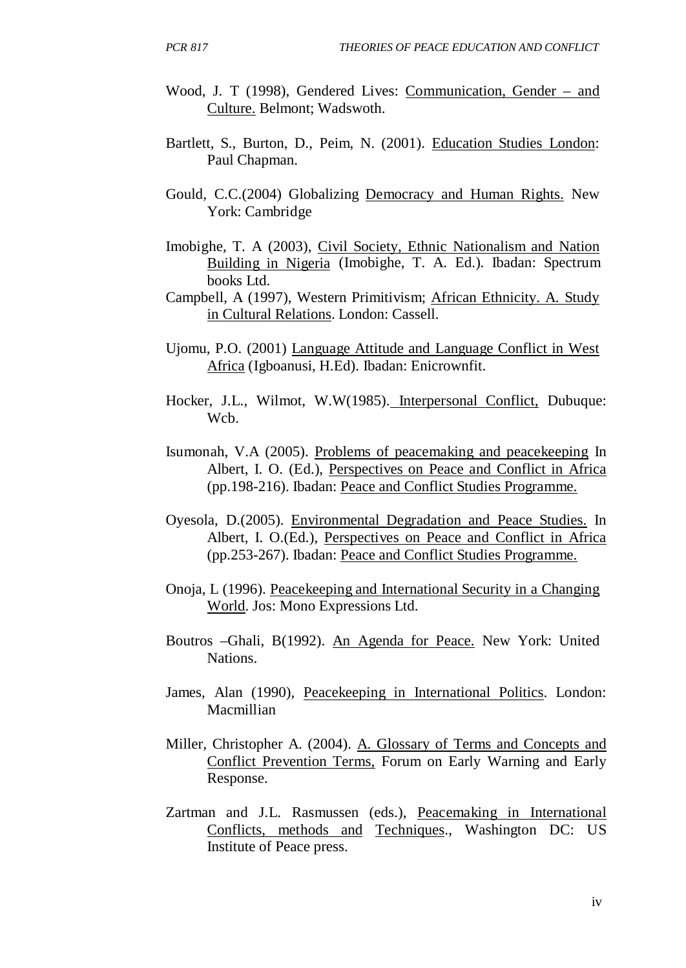- Wood, J. T (1998), Gendered Lives: Communication, Gender and Culture. Belmont; Wadswoth.
- Bartlett, S., Burton, D., Peim, N. (2001). Education Studies London: Paul Chapman.
- Gould, C.C.(2004) Globalizing Democracy and Human Rights. New York: Cambridge
- Imobighe, T. A (2003), Civil Society, Ethnic Nationalism and Nation Building in Nigeria (Imobighe, T. A. Ed.). Ibadan: Spectrum books Ltd.
- Campbell, A (1997), Western Primitivism; African Ethnicity. A. Study in Cultural Relations. London: Cassell.
- Ujomu, P.O. (2001) Language Attitude and Language Conflict in West Africa (Igboanusi, H.Ed). Ibadan: Enicrownfit.
- Hocker, J.L., Wilmot, W.W(1985). Interpersonal Conflict, Dubuque: Wcb.
- Isumonah, V.A (2005). Problems of peacemaking and peacekeeping In Albert, I. O. (Ed.), Perspectives on Peace and Conflict in Africa (pp.198-216). Ibadan: Peace and Conflict Studies Programme.
- Oyesola, D.(2005). Environmental Degradation and Peace Studies. In Albert, I. O.(Ed.), Perspectives on Peace and Conflict in Africa (pp.253-267). Ibadan: Peace and Conflict Studies Programme.
- Onoja, L (1996). Peacekeeping and International Security in a Changing World. Jos: Mono Expressions Ltd.
- Boutros –Ghali, B(1992). An Agenda for Peace. New York: United Nations.
- James, Alan (1990), Peacekeeping in International Politics. London: Macmillian
- Miller, Christopher A. (2004). A. Glossary of Terms and Concepts and Conflict Prevention Terms, Forum on Early Warning and Early Response.
- Zartman and J.L. Rasmussen (eds.), Peacemaking in International Conflicts, methods and Techniques., Washington DC: US Institute of Peace press.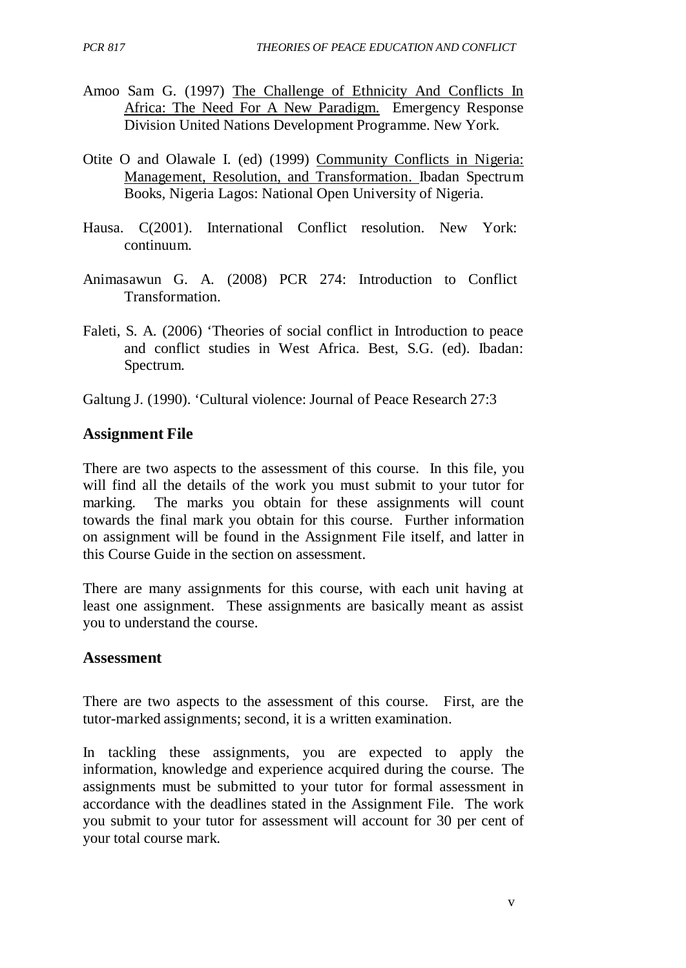- Amoo Sam G. (1997) The Challenge of Ethnicity And Conflicts In Africa: The Need For A New Paradigm. Emergency Response Division United Nations Development Programme. New York.
- Otite O and Olawale I. (ed) (1999) Community Conflicts in Nigeria: Management, Resolution, and Transformation. Ibadan Spectrum Books, Nigeria Lagos: National Open University of Nigeria.
- Hausa. C(2001). International Conflict resolution. New York: continuum.
- Animasawun G. A. (2008) PCR 274: Introduction to Conflict Transformation.
- Faleti, S. A. (2006) 'Theories of social conflict in Introduction to peace and conflict studies in West Africa. Best, S.G. (ed). Ibadan: Spectrum.

Galtung J. (1990). 'Cultural violence: Journal of Peace Research 27:3

#### **Assignment File**

There are two aspects to the assessment of this course. In this file, you will find all the details of the work you must submit to your tutor for marking. The marks you obtain for these assignments will count towards the final mark you obtain for this course. Further information on assignment will be found in the Assignment File itself, and latter in this Course Guide in the section on assessment.

There are many assignments for this course, with each unit having at least one assignment. These assignments are basically meant as assist you to understand the course.

#### **Assessment**

There are two aspects to the assessment of this course. First, are the tutor-marked assignments; second, it is a written examination.

In tackling these assignments, you are expected to apply the information, knowledge and experience acquired during the course. The assignments must be submitted to your tutor for formal assessment in accordance with the deadlines stated in the Assignment File. The work you submit to your tutor for assessment will account for 30 per cent of your total course mark.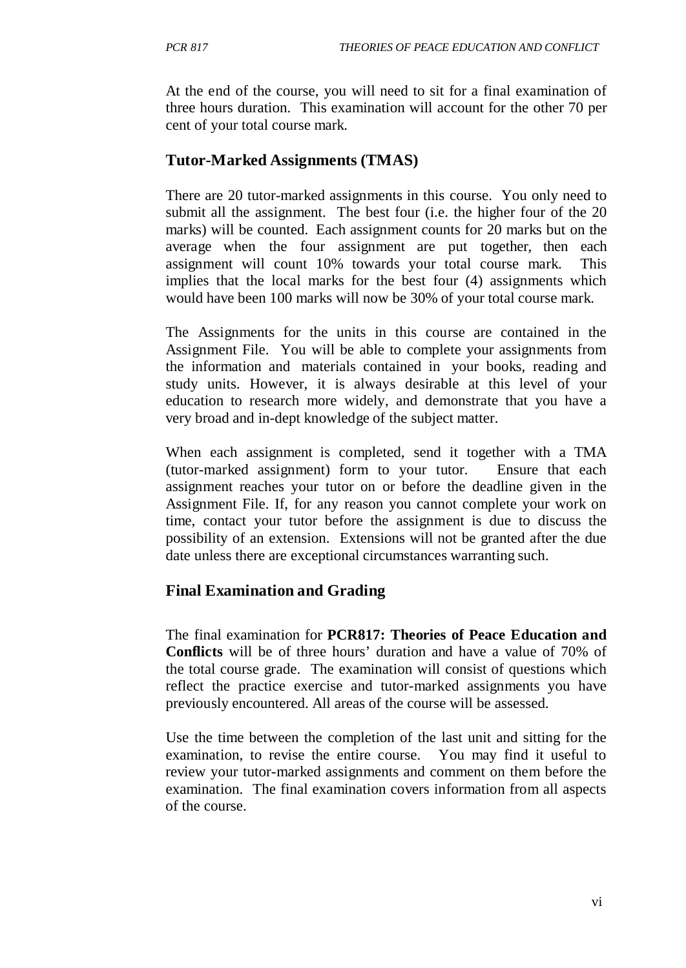At the end of the course, you will need to sit for a final examination of three hours duration. This examination will account for the other 70 per cent of your total course mark.

## **Tutor-Marked Assignments (TMAS)**

There are 20 tutor-marked assignments in this course. You only need to submit all the assignment. The best four (i.e. the higher four of the 20 marks) will be counted. Each assignment counts for 20 marks but on the average when the four assignment are put together, then each assignment will count 10% towards your total course mark. This implies that the local marks for the best four (4) assignments which would have been 100 marks will now be 30% of your total course mark.

The Assignments for the units in this course are contained in the Assignment File. You will be able to complete your assignments from the information and materials contained in your books, reading and study units. However, it is always desirable at this level of your education to research more widely, and demonstrate that you have a very broad and in-dept knowledge of the subject matter.

When each assignment is completed, send it together with a TMA (tutor-marked assignment) form to your tutor. Ensure that each assignment reaches your tutor on or before the deadline given in the Assignment File. If, for any reason you cannot complete your work on time, contact your tutor before the assignment is due to discuss the possibility of an extension. Extensions will not be granted after the due date unless there are exceptional circumstances warranting such.

## **Final Examination and Grading**

The final examination for **PCR817: Theories of Peace Education and Conflicts** will be of three hours' duration and have a value of 70% of the total course grade. The examination will consist of questions which reflect the practice exercise and tutor-marked assignments you have previously encountered. All areas of the course will be assessed.

Use the time between the completion of the last unit and sitting for the examination, to revise the entire course. You may find it useful to review your tutor-marked assignments and comment on them before the examination. The final examination covers information from all aspects of the course.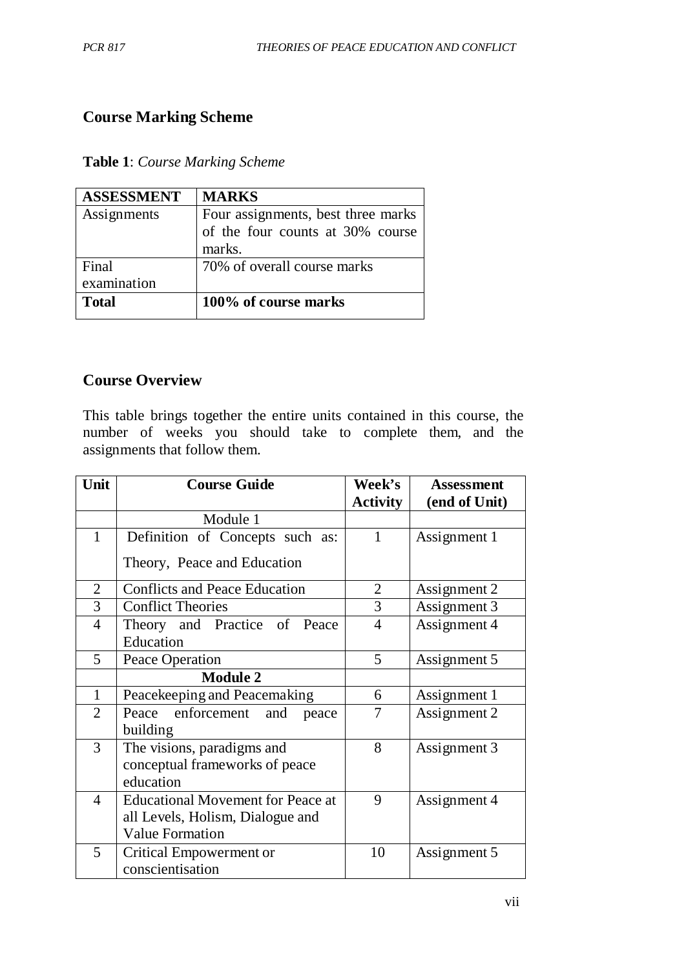## **Course Marking Scheme**

**Table 1**: *Course Marking Scheme*

| <b>ASSESSMENT</b> | <b>MARKS</b>                       |
|-------------------|------------------------------------|
| Assignments       | Four assignments, best three marks |
|                   | of the four counts at 30% course   |
|                   | marks.                             |
| Final             | 70% of overall course marks        |
| examination       |                                    |
| <b>Total</b>      | 100% of course marks               |

## **Course Overview**

This table brings together the entire units contained in this course, the number of weeks you should take to complete them, and the assignments that follow them.

| Unit           | <b>Course Guide</b>                      | Week's          | <b>Assessment</b> |
|----------------|------------------------------------------|-----------------|-------------------|
|                |                                          | <b>Activity</b> | (end of Unit)     |
|                | Module 1                                 |                 |                   |
| $\mathbf{1}$   | Definition of Concepts such as:          | 1               | Assignment 1      |
|                | Theory, Peace and Education              |                 |                   |
| $\overline{2}$ | <b>Conflicts and Peace Education</b>     | $\overline{2}$  | Assignment 2      |
| $\overline{3}$ | <b>Conflict Theories</b>                 | 3               | Assignment 3      |
| $\overline{4}$ | Theory and Practice of Peace             | $\overline{4}$  | Assignment 4      |
|                | Education                                |                 |                   |
| 5              | Peace Operation                          | 5               | Assignment 5      |
|                | <b>Module 2</b>                          |                 |                   |
| $\mathbf{1}$   | Peacekeeping and Peacemaking             | 6               | Assignment 1      |
| $\overline{2}$ | enforcement<br>Peace<br>and<br>peace     | 7               | Assignment 2      |
|                | building                                 |                 |                   |
| 3              | The visions, paradigms and               | 8               | Assignment 3      |
|                | conceptual frameworks of peace           |                 |                   |
|                | education                                |                 |                   |
| $\overline{4}$ | <b>Educational Movement for Peace at</b> | 9               | Assignment 4      |
|                | all Levels, Holism, Dialogue and         |                 |                   |
|                | <b>Value Formation</b>                   |                 |                   |
| 5              | <b>Critical Empowerment or</b>           | 10              | Assignment 5      |
|                | conscientisation                         |                 |                   |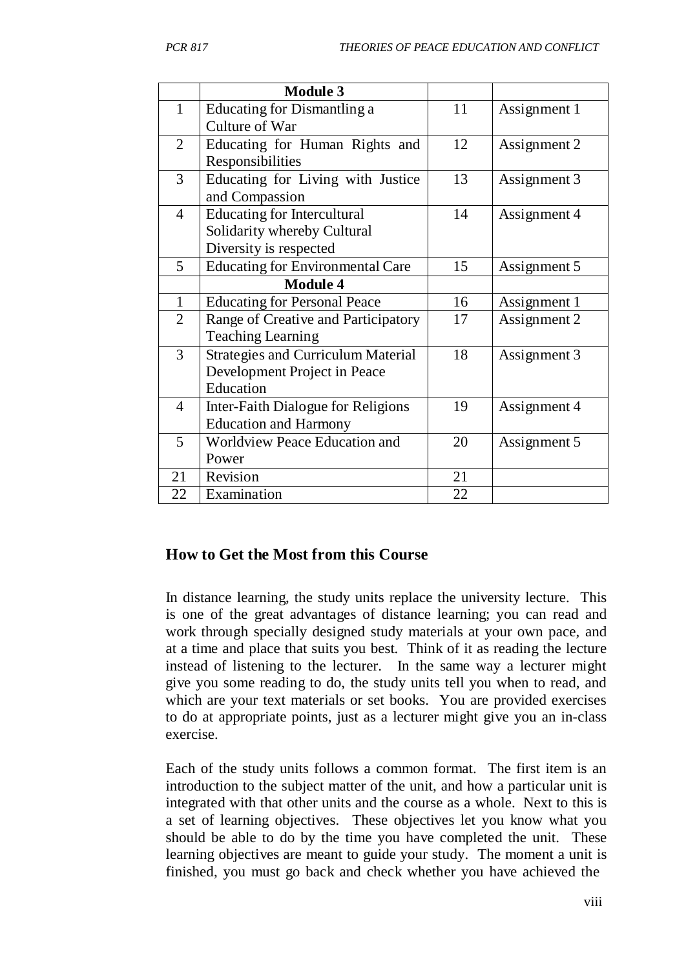|                | <b>Module 3</b>                           |    |              |
|----------------|-------------------------------------------|----|--------------|
| $\mathbf{1}$   | Educating for Dismantling a               | 11 | Assignment 1 |
|                | Culture of War                            |    |              |
| $\overline{2}$ | Educating for Human Rights and            | 12 | Assignment 2 |
|                | Responsibilities                          |    |              |
| $\overline{3}$ | Educating for Living with Justice         | 13 | Assignment 3 |
|                | and Compassion                            |    |              |
| $\overline{4}$ | <b>Educating for Intercultural</b>        | 14 | Assignment 4 |
|                | Solidarity whereby Cultural               |    |              |
|                | Diversity is respected                    |    |              |
| 5              | <b>Educating for Environmental Care</b>   | 15 | Assignment 5 |
|                | <b>Module 4</b>                           |    |              |
| $\mathbf{1}$   | <b>Educating for Personal Peace</b>       | 16 | Assignment 1 |
| $\overline{2}$ | Range of Creative and Participatory       | 17 | Assignment 2 |
|                | <b>Teaching Learning</b>                  |    |              |
| $\overline{3}$ | <b>Strategies and Curriculum Material</b> | 18 | Assignment 3 |
|                | Development Project in Peace              |    |              |
|                | Education                                 |    |              |
| $\overline{4}$ | Inter-Faith Dialogue for Religions        | 19 | Assignment 4 |
|                | <b>Education and Harmony</b>              |    |              |
| 5              | <b>Worldview Peace Education and</b>      | 20 | Assignment 5 |
|                | Power                                     |    |              |
| 21             | Revision                                  | 21 |              |
| 22             | Examination                               | 22 |              |

#### **How to Get the Most from this Course**

In distance learning, the study units replace the university lecture. This is one of the great advantages of distance learning; you can read and work through specially designed study materials at your own pace, and at a time and place that suits you best. Think of it as reading the lecture instead of listening to the lecturer. In the same way a lecturer might give you some reading to do, the study units tell you when to read, and which are your text materials or set books. You are provided exercises to do at appropriate points, just as a lecturer might give you an in-class exercise.

Each of the study units follows a common format. The first item is an introduction to the subject matter of the unit, and how a particular unit is integrated with that other units and the course as a whole. Next to this is a set of learning objectives. These objectives let you know what you should be able to do by the time you have completed the unit. These learning objectives are meant to guide your study. The moment a unit is finished, you must go back and check whether you have achieved the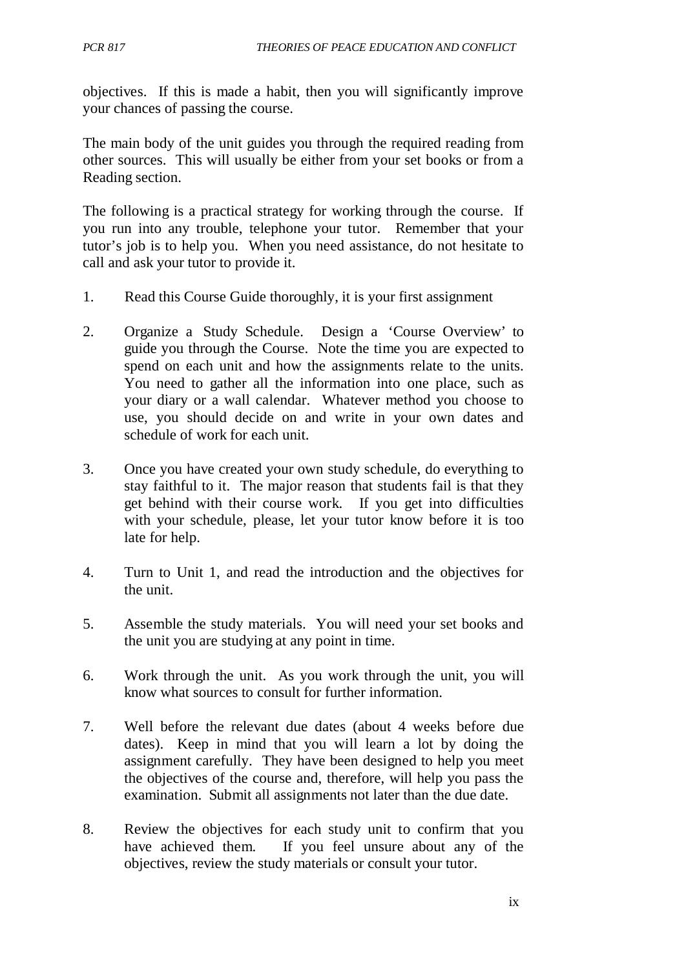objectives. If this is made a habit, then you will significantly improve your chances of passing the course.

The main body of the unit guides you through the required reading from other sources. This will usually be either from your set books or from a Reading section.

The following is a practical strategy for working through the course. If you run into any trouble, telephone your tutor. Remember that your tutor's job is to help you. When you need assistance, do not hesitate to call and ask your tutor to provide it.

- 1. Read this Course Guide thoroughly, it is your first assignment
- 2. Organize a Study Schedule. Design a 'Course Overview' to guide you through the Course. Note the time you are expected to spend on each unit and how the assignments relate to the units. You need to gather all the information into one place, such as your diary or a wall calendar. Whatever method you choose to use, you should decide on and write in your own dates and schedule of work for each unit.
- 3. Once you have created your own study schedule, do everything to stay faithful to it. The major reason that students fail is that they get behind with their course work. If you get into difficulties with your schedule, please, let your tutor know before it is too late for help.
- 4. Turn to Unit 1, and read the introduction and the objectives for the unit.
- 5. Assemble the study materials. You will need your set books and the unit you are studying at any point in time.
- 6. Work through the unit. As you work through the unit, you will know what sources to consult for further information.
- 7. Well before the relevant due dates (about 4 weeks before due dates). Keep in mind that you will learn a lot by doing the assignment carefully. They have been designed to help you meet the objectives of the course and, therefore, will help you pass the examination. Submit all assignments not later than the due date.
- 8. Review the objectives for each study unit to confirm that you have achieved them. If you feel unsure about any of the objectives, review the study materials or consult your tutor.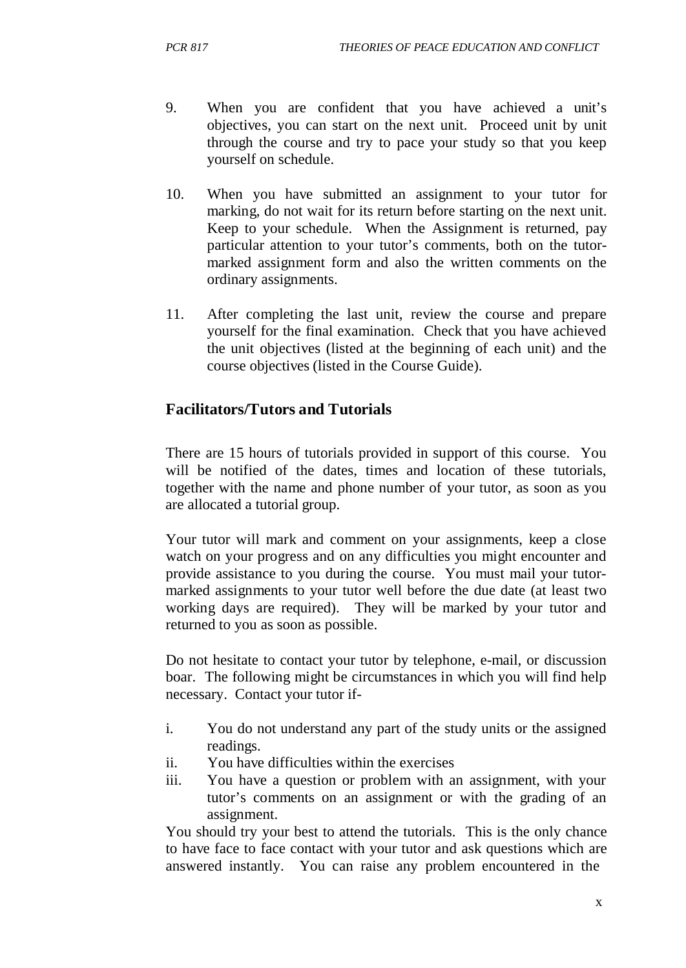- 9. When you are confident that you have achieved a unit's objectives, you can start on the next unit. Proceed unit by unit through the course and try to pace your study so that you keep yourself on schedule.
- 10. When you have submitted an assignment to your tutor for marking, do not wait for its return before starting on the next unit. Keep to your schedule. When the Assignment is returned, pay particular attention to your tutor's comments, both on the tutormarked assignment form and also the written comments on the ordinary assignments.
- 11. After completing the last unit, review the course and prepare yourself for the final examination. Check that you have achieved the unit objectives (listed at the beginning of each unit) and the course objectives (listed in the Course Guide).

### **Facilitators/Tutors and Tutorials**

There are 15 hours of tutorials provided in support of this course. You will be notified of the dates, times and location of these tutorials, together with the name and phone number of your tutor, as soon as you are allocated a tutorial group.

Your tutor will mark and comment on your assignments, keep a close watch on your progress and on any difficulties you might encounter and provide assistance to you during the course. You must mail your tutormarked assignments to your tutor well before the due date (at least two working days are required). They will be marked by your tutor and returned to you as soon as possible.

Do not hesitate to contact your tutor by telephone, e-mail, or discussion boar. The following might be circumstances in which you will find help necessary. Contact your tutor if-

- i. You do not understand any part of the study units or the assigned readings.
- ii. You have difficulties within the exercises
- iii. You have a question or problem with an assignment, with your tutor's comments on an assignment or with the grading of an assignment.

You should try your best to attend the tutorials. This is the only chance to have face to face contact with your tutor and ask questions which are answered instantly. You can raise any problem encountered in the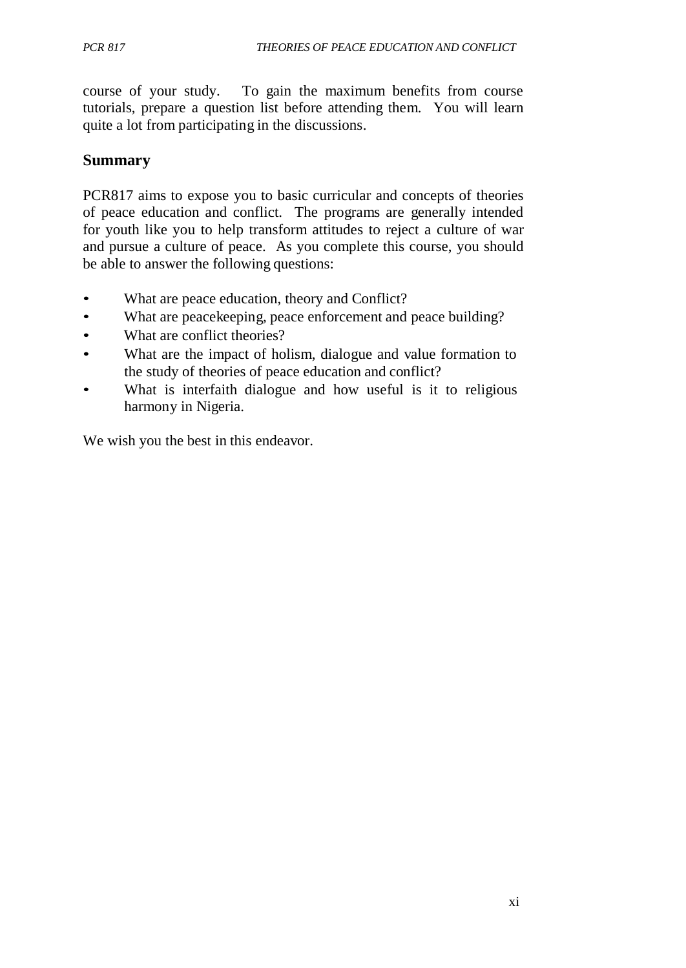course of your study. To gain the maximum benefits from course tutorials, prepare a question list before attending them. You will learn quite a lot from participating in the discussions.

## **Summary**

PCR817 aims to expose you to basic curricular and concepts of theories of peace education and conflict. The programs are generally intended for youth like you to help transform attitudes to reject a culture of war and pursue a culture of peace. As you complete this course, you should be able to answer the following questions:

- What are peace education, theory and Conflict?
- What are peacekeeping, peace enforcement and peace building?
- What are conflict theories?
- What are the impact of holism, dialogue and value formation to the study of theories of peace education and conflict?
- What is interfaith dialogue and how useful is it to religious harmony in Nigeria.

We wish you the best in this endeavor.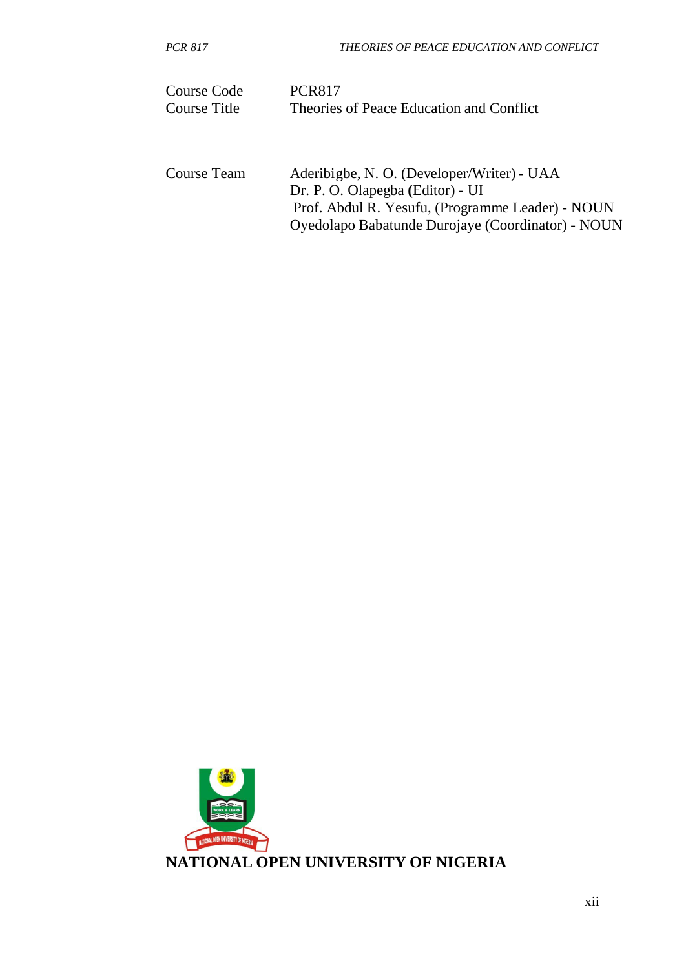| Course Code<br>Course Title | <b>PCR817</b><br>Theories of Peace Education and Conflict |  |  |
|-----------------------------|-----------------------------------------------------------|--|--|
|                             |                                                           |  |  |
| Course Team                 | Aderibigbe, N. O. (Developer/Writer) - UAA                |  |  |

| Aderibigbe, N. O. (Developer/Writer) - UAA        |
|---------------------------------------------------|
| Dr. P. O. Olapegba (Editor) - UI                  |
| Prof. Abdul R. Yesufu, (Programme Leader) - NOUN  |
| Oyedolapo Babatunde Durojaye (Coordinator) - NOUN |
|                                                   |

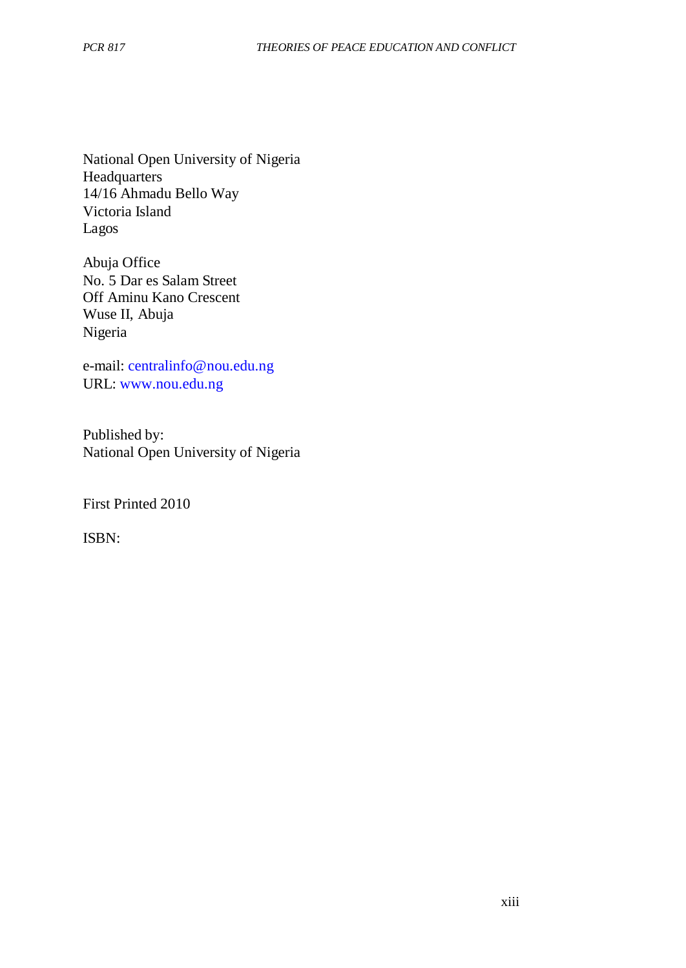National Open University of Nigeria **Headquarters** 14/16 Ahmadu Bello Way Victoria Island Lagos

Abuja Office No. 5 Dar es Salam Street Off Aminu Kano Crescent Wuse II, Abuja Nigeria

e-mail: [centralinfo@nou.edu.ng](mailto:centralinfo@nou.edu.ng) URL: [www.nou.edu.ng](http://www.nou.edu.ng/)

Published by: National Open University of Nigeria

First Printed 2010

ISBN: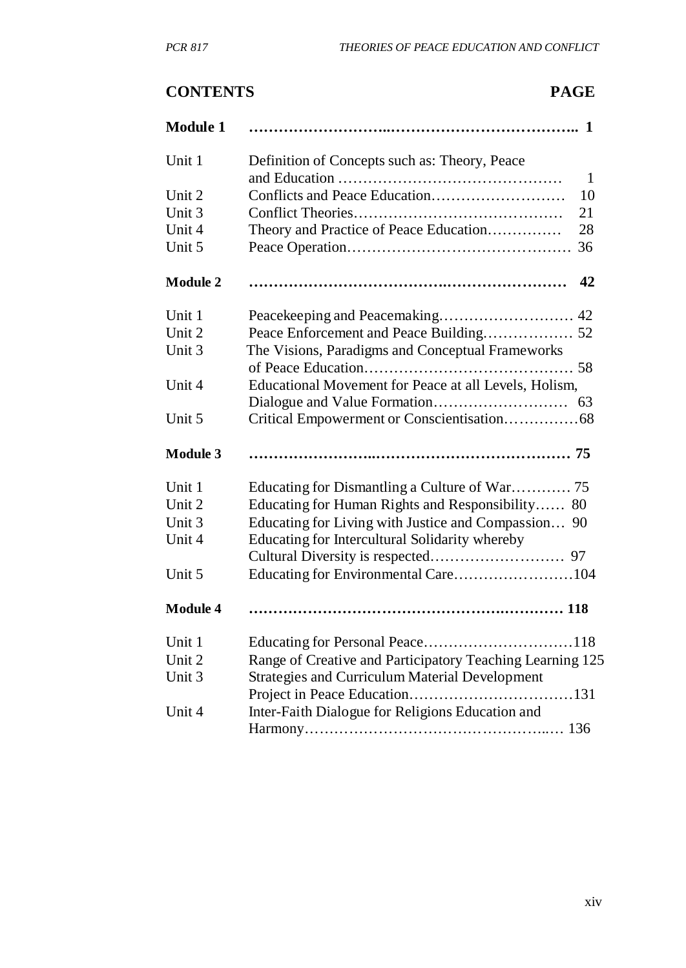# **CONTENTS PAGE**

| <b>Module 1</b> |                                                               |
|-----------------|---------------------------------------------------------------|
| Unit 1          | Definition of Concepts such as: Theory, Peace<br>$\mathbf{1}$ |
| Unit 2          | 10                                                            |
| Unit 3          | 21                                                            |
| Unit 4          | Theory and Practice of Peace Education<br>28                  |
| Unit 5          | 36                                                            |
| <b>Module 2</b> | 42                                                            |
| Unit 1          | 42                                                            |
| Unit 2          |                                                               |
| Unit 3          | The Visions, Paradigms and Conceptual Frameworks              |
| Unit 4          | Educational Movement for Peace at all Levels, Holism,         |
|                 | 63                                                            |
| Unit 5          |                                                               |
| <b>Module 3</b> |                                                               |
| Unit 1          | Educating for Dismantling a Culture of War 75                 |
| Unit 2          | Educating for Human Rights and Responsibility 80              |
| Unit 3          | Educating for Living with Justice and Compassion 90           |
| Unit 4          | Educating for Intercultural Solidarity whereby                |
|                 |                                                               |
| Unit 5          | Educating for Environmental Care104                           |
| <b>Module 4</b> |                                                               |
| Unit 1          |                                                               |
| Unit 2          | Range of Creative and Participatory Teaching Learning 125     |
| Unit 3          | <b>Strategies and Curriculum Material Development</b>         |
|                 |                                                               |
| Unit 4          | Inter-Faith Dialogue for Religions Education and              |
|                 |                                                               |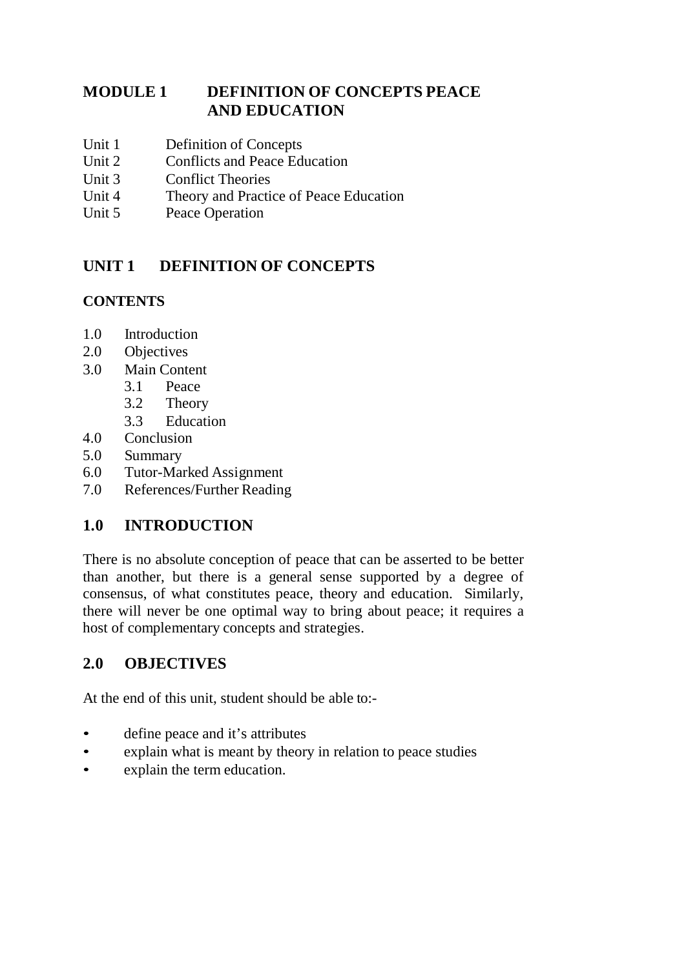## **MODULE 1 DEFINITION OF CONCEPTS PEACE AND EDUCATION**

- Unit 1 Definition of Concepts<br>
Unit 2 Conflicts and Peace Ed
- Conflicts and Peace Education
- Unit 3 Conflict Theories
- Unit 4 Theory and Practice of Peace Education
- Unit 5 Peace Operation

## **UNIT 1 DEFINITION OF CONCEPTS**

## **CONTENTS**

- 1.0 Introduction
- 2.0 Objectives
- 3.0 Main Content
	- 3.1 Peace
	- 3.2 Theory
	- 3.3 Education
- 4.0 Conclusion
- 5.0 Summary
- 6.0 Tutor-Marked Assignment
- 7.0 References/Further Reading

## **1.0 INTRODUCTION**

There is no absolute conception of peace that can be asserted to be better than another, but there is a general sense supported by a degree of consensus, of what constitutes peace, theory and education. Similarly, there will never be one optimal way to bring about peace; it requires a host of complementary concepts and strategies.

## **2.0 OBJECTIVES**

At the end of this unit, student should be able to:-

- define peace and it's attributes
- explain what is meant by theory in relation to peace studies
- explain the term education.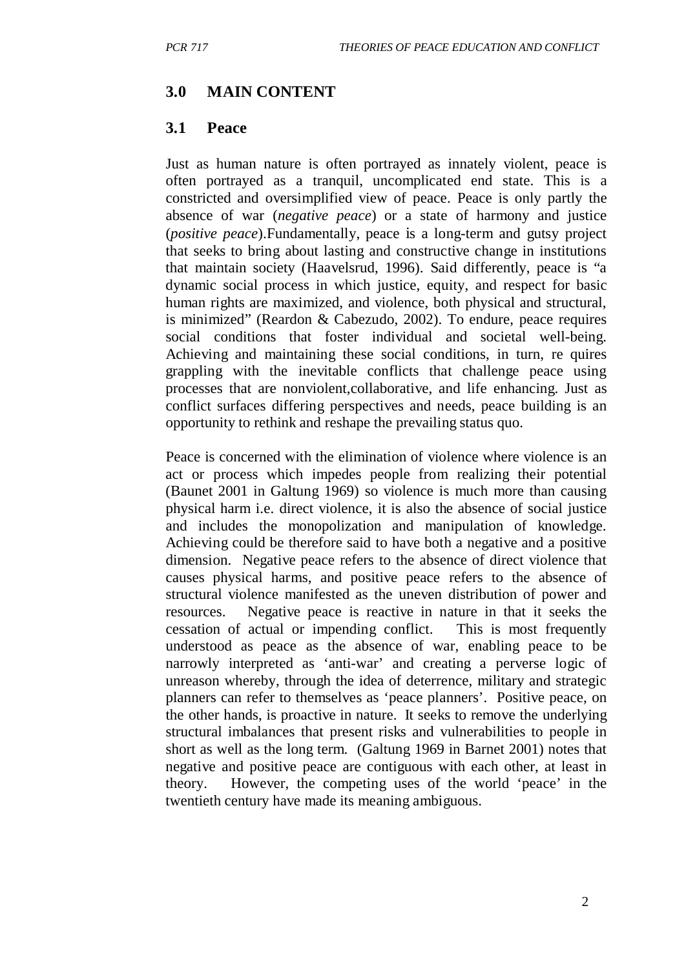#### **3.0 MAIN CONTENT**

#### **3.1 Peace**

Just as human nature is often portrayed as innately violent, peace is often portrayed as a tranquil, uncomplicated end state. This is a constricted and oversimplified view of peace. Peace is only partly the absence of war (*negative peace*) or a state of harmony and justice (*positive peace*).Fundamentally, peace is a long-term and gutsy project that seeks to bring about lasting and constructive change in institutions that maintain society (Haavelsrud, 1996). Said differently, peace is "a dynamic social process in which justice, equity, and respect for basic human rights are maximized, and violence, both physical and structural, is minimized" (Reardon & Cabezudo, 2002). To endure, peace requires social conditions that foster individual and societal well-being. Achieving and maintaining these social conditions, in turn, re quires grappling with the inevitable conflicts that challenge peace using processes that are nonviolent,collaborative, and life enhancing. Just as conflict surfaces differing perspectives and needs, peace building is an opportunity to rethink and reshape the prevailing status quo.

Peace is concerned with the elimination of violence where violence is an act or process which impedes people from realizing their potential (Baunet 2001 in Galtung 1969) so violence is much more than causing physical harm i.e. direct violence, it is also the absence of social justice and includes the monopolization and manipulation of knowledge. Achieving could be therefore said to have both a negative and a positive dimension. Negative peace refers to the absence of direct violence that causes physical harms, and positive peace refers to the absence of structural violence manifested as the uneven distribution of power and resources. Negative peace is reactive in nature in that it seeks the cessation of actual or impending conflict. This is most frequently understood as peace as the absence of war, enabling peace to be narrowly interpreted as 'anti-war' and creating a perverse logic of unreason whereby, through the idea of deterrence, military and strategic planners can refer to themselves as 'peace planners'. Positive peace, on the other hands, is proactive in nature. It seeks to remove the underlying structural imbalances that present risks and vulnerabilities to people in short as well as the long term. (Galtung 1969 in Barnet 2001) notes that negative and positive peace are contiguous with each other, at least in theory. However, the competing uses of the world 'peace' in the twentieth century have made its meaning ambiguous.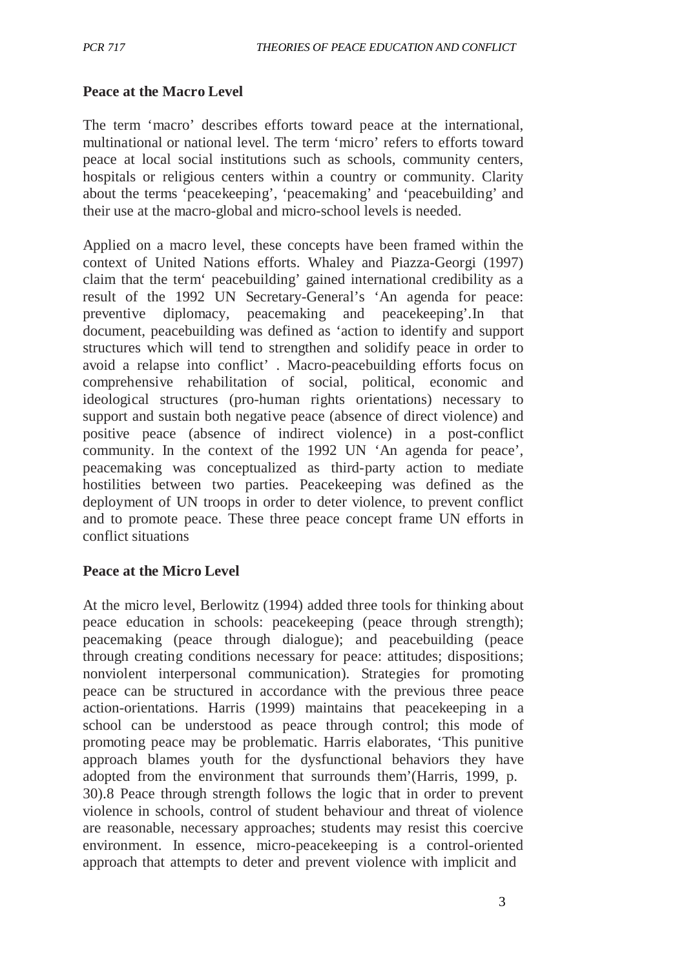### **Peace at the Macro Level**

The term 'macro' describes efforts toward peace at the international, multinational or national level. The term 'micro' refers to efforts toward peace at local social institutions such as schools, community centers, hospitals or religious centers within a country or community. Clarity about the terms 'peacekeeping', 'peacemaking' and 'peacebuilding' and their use at the macro-global and micro-school levels is needed.

Applied on a macro level, these concepts have been framed within the context of United Nations efforts. Whaley and Piazza-Georgi (1997) claim that the term' peacebuilding' gained international credibility as a result of the 1992 UN Secretary-General's 'An agenda for peace: preventive diplomacy, peacemaking and peacekeeping'.In that document, peacebuilding was defined as 'action to identify and support structures which will tend to strengthen and solidify peace in order to avoid a relapse into conflict' . Macro-peacebuilding efforts focus on comprehensive rehabilitation of social, political, economic and ideological structures (pro-human rights orientations) necessary to support and sustain both negative peace (absence of direct violence) and positive peace (absence of indirect violence) in a post-conflict community. In the context of the 1992 UN 'An agenda for peace', peacemaking was conceptualized as third-party action to mediate hostilities between two parties. Peacekeeping was defined as the deployment of UN troops in order to deter violence, to prevent conflict and to promote peace. These three peace concept frame UN efforts in conflict situations

#### **Peace at the Micro Level**

At the micro level, Berlowitz (1994) added three tools for thinking about peace education in schools: peacekeeping (peace through strength); peacemaking (peace through dialogue); and peacebuilding (peace through creating conditions necessary for peace: attitudes; dispositions; nonviolent interpersonal communication). Strategies for promoting peace can be structured in accordance with the previous three peace action-orientations. Harris (1999) maintains that peacekeeping in a school can be understood as peace through control; this mode of promoting peace may be problematic. Harris elaborates, 'This punitive approach blames youth for the dysfunctional behaviors they have adopted from the environment that surrounds them'(Harris, 1999, p. 30).8 Peace through strength follows the logic that in order to prevent violence in schools, control of student behaviour and threat of violence are reasonable, necessary approaches; students may resist this coercive environment. In essence, micro-peacekeeping is a control-oriented approach that attempts to deter and prevent violence with implicit and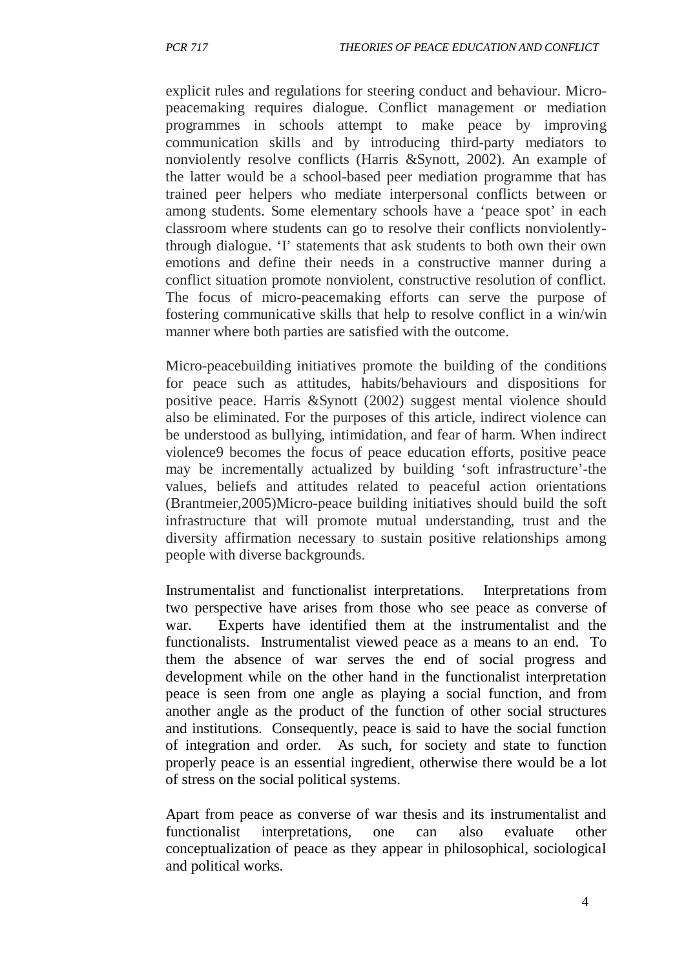explicit rules and regulations for steering conduct and behaviour. Micropeacemaking requires dialogue. Conflict management or mediation programmes in schools attempt to make peace by improving communication skills and by introducing third-party mediators to nonviolently resolve conflicts (Harris &Synott, 2002). An example of the latter would be a school-based peer mediation programme that has trained peer helpers who mediate interpersonal conflicts between or among students. Some elementary schools have a 'peace spot' in each classroom where students can go to resolve their conflicts nonviolentlythrough dialogue. 'I' statements that ask students to both own their own emotions and define their needs in a constructive manner during a conflict situation promote nonviolent, constructive resolution of conflict. The focus of micro-peacemaking efforts can serve the purpose of fostering communicative skills that help to resolve conflict in a win/win manner where both parties are satisfied with the outcome.

Micro-peacebuilding initiatives promote the building of the conditions for peace such as attitudes, habits/behaviours and dispositions for positive peace. Harris &Synott (2002) suggest mental violence should also be eliminated. For the purposes of this article, indirect violence can be understood as bullying, intimidation, and fear of harm. When indirect violence9 becomes the focus of peace education efforts, positive peace may be incrementally actualized by building 'soft infrastructure'-the values, beliefs and attitudes related to peaceful action orientations (Brantmeier,2005)Micro-peace building initiatives should build the soft infrastructure that will promote mutual understanding, trust and the diversity affirmation necessary to sustain positive relationships among people with diverse backgrounds.

Instrumentalist and functionalist interpretations. Interpretations from two perspective have arises from those who see peace as converse of war. Experts have identified them at the instrumentalist and the functionalists. Instrumentalist viewed peace as a means to an end. To them the absence of war serves the end of social progress and development while on the other hand in the functionalist interpretation peace is seen from one angle as playing a social function, and from another angle as the product of the function of other social structures and institutions. Consequently, peace is said to have the social function of integration and order. As such, for society and state to function properly peace is an essential ingredient, otherwise there would be a lot of stress on the social political systems.

Apart from peace as converse of war thesis and its instrumentalist and functionalist interpretations, one can also evaluate other conceptualization of peace as they appear in philosophical, sociological and political works.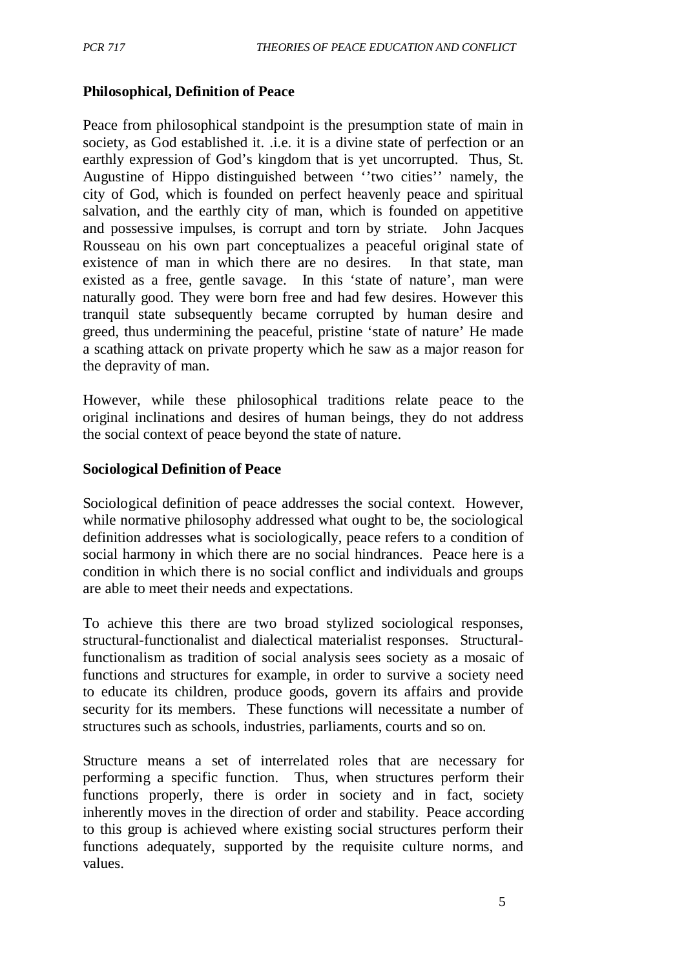#### **Philosophical, Definition of Peace**

Peace from philosophical standpoint is the presumption state of main in society, as God established it. .i.e. it is a divine state of perfection or an earthly expression of God's kingdom that is yet uncorrupted. Thus, St. Augustine of Hippo distinguished between ''two cities'' namely, the city of God, which is founded on perfect heavenly peace and spiritual salvation, and the earthly city of man, which is founded on appetitive and possessive impulses, is corrupt and torn by striate. John Jacques Rousseau on his own part conceptualizes a peaceful original state of existence of man in which there are no desires. In that state, man existed as a free, gentle savage. In this 'state of nature', man were naturally good. They were born free and had few desires. However this tranquil state subsequently became corrupted by human desire and greed, thus undermining the peaceful, pristine 'state of nature' He made a scathing attack on private property which he saw as a major reason for the depravity of man.

However, while these philosophical traditions relate peace to the original inclinations and desires of human beings, they do not address the social context of peace beyond the state of nature.

#### **Sociological Definition of Peace**

Sociological definition of peace addresses the social context. However, while normative philosophy addressed what ought to be, the sociological definition addresses what is sociologically, peace refers to a condition of social harmony in which there are no social hindrances. Peace here is a condition in which there is no social conflict and individuals and groups are able to meet their needs and expectations.

To achieve this there are two broad stylized sociological responses, structural-functionalist and dialectical materialist responses. Structuralfunctionalism as tradition of social analysis sees society as a mosaic of functions and structures for example, in order to survive a society need to educate its children, produce goods, govern its affairs and provide security for its members. These functions will necessitate a number of structures such as schools, industries, parliaments, courts and so on.

Structure means a set of interrelated roles that are necessary for performing a specific function. Thus, when structures perform their functions properly, there is order in society and in fact, society inherently moves in the direction of order and stability. Peace according to this group is achieved where existing social structures perform their functions adequately, supported by the requisite culture norms, and values.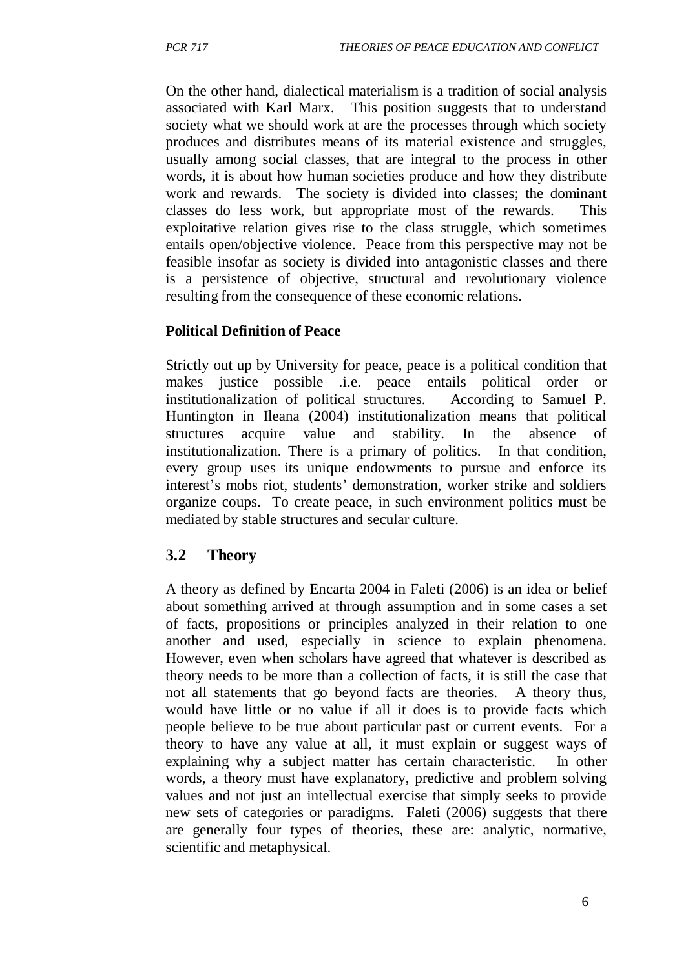On the other hand, dialectical materialism is a tradition of social analysis associated with Karl Marx. This position suggests that to understand society what we should work at are the processes through which society produces and distributes means of its material existence and struggles, usually among social classes, that are integral to the process in other words, it is about how human societies produce and how they distribute work and rewards. The society is divided into classes; the dominant classes do less work, but appropriate most of the rewards. This exploitative relation gives rise to the class struggle, which sometimes entails open/objective violence. Peace from this perspective may not be feasible insofar as society is divided into antagonistic classes and there is a persistence of objective, structural and revolutionary violence resulting from the consequence of these economic relations.

### **Political Definition of Peace**

Strictly out up by University for peace, peace is a political condition that makes justice possible .i.e. peace entails political order or institutionalization of political structures. According to Samuel P. Huntington in Ileana (2004) institutionalization means that political structures acquire value and stability. In the absence of institutionalization. There is a primary of politics. In that condition, every group uses its unique endowments to pursue and enforce its interest's mobs riot, students' demonstration, worker strike and soldiers organize coups. To create peace, in such environment politics must be mediated by stable structures and secular culture.

## **3.2 Theory**

A theory as defined by Encarta 2004 in Faleti (2006) is an idea or belief about something arrived at through assumption and in some cases a set of facts, propositions or principles analyzed in their relation to one another and used, especially in science to explain phenomena. However, even when scholars have agreed that whatever is described as theory needs to be more than a collection of facts, it is still the case that not all statements that go beyond facts are theories. A theory thus, would have little or no value if all it does is to provide facts which people believe to be true about particular past or current events. For a theory to have any value at all, it must explain or suggest ways of explaining why a subject matter has certain characteristic. In other words, a theory must have explanatory, predictive and problem solving values and not just an intellectual exercise that simply seeks to provide new sets of categories or paradigms. Faleti (2006) suggests that there are generally four types of theories, these are: analytic, normative, scientific and metaphysical.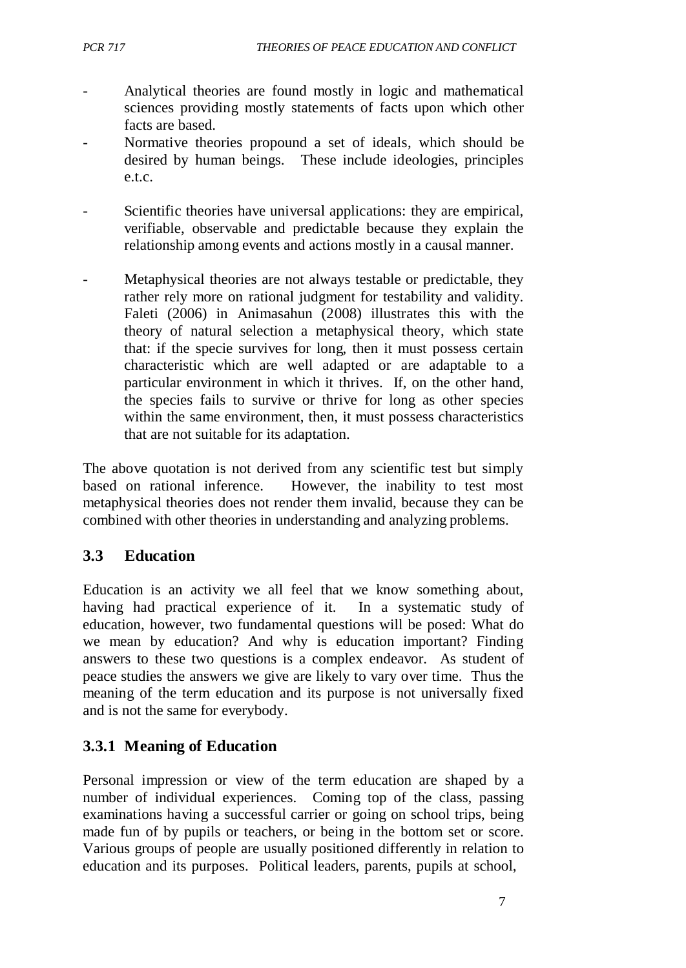- Analytical theories are found mostly in logic and mathematical sciences providing mostly statements of facts upon which other facts are based.
- Normative theories propound a set of ideals, which should be desired by human beings. These include ideologies, principles e.t.c.
- Scientific theories have universal applications: they are empirical, verifiable, observable and predictable because they explain the relationship among events and actions mostly in a causal manner.
- Metaphysical theories are not always testable or predictable, they rather rely more on rational judgment for testability and validity. Faleti (2006) in Animasahun (2008) illustrates this with the theory of natural selection a metaphysical theory, which state that: if the specie survives for long, then it must possess certain characteristic which are well adapted or are adaptable to a particular environment in which it thrives. If, on the other hand, the species fails to survive or thrive for long as other species within the same environment, then, it must possess characteristics that are not suitable for its adaptation.

The above quotation is not derived from any scientific test but simply based on rational inference. However, the inability to test most metaphysical theories does not render them invalid, because they can be combined with other theories in understanding and analyzing problems.

## **3.3 Education**

Education is an activity we all feel that we know something about, having had practical experience of it. In a systematic study of education, however, two fundamental questions will be posed: What do we mean by education? And why is education important? Finding answers to these two questions is a complex endeavor. As student of peace studies the answers we give are likely to vary over time. Thus the meaning of the term education and its purpose is not universally fixed and is not the same for everybody.

## **3.3.1 Meaning of Education**

Personal impression or view of the term education are shaped by a number of individual experiences. Coming top of the class, passing examinations having a successful carrier or going on school trips, being made fun of by pupils or teachers, or being in the bottom set or score. Various groups of people are usually positioned differently in relation to education and its purposes. Political leaders, parents, pupils at school,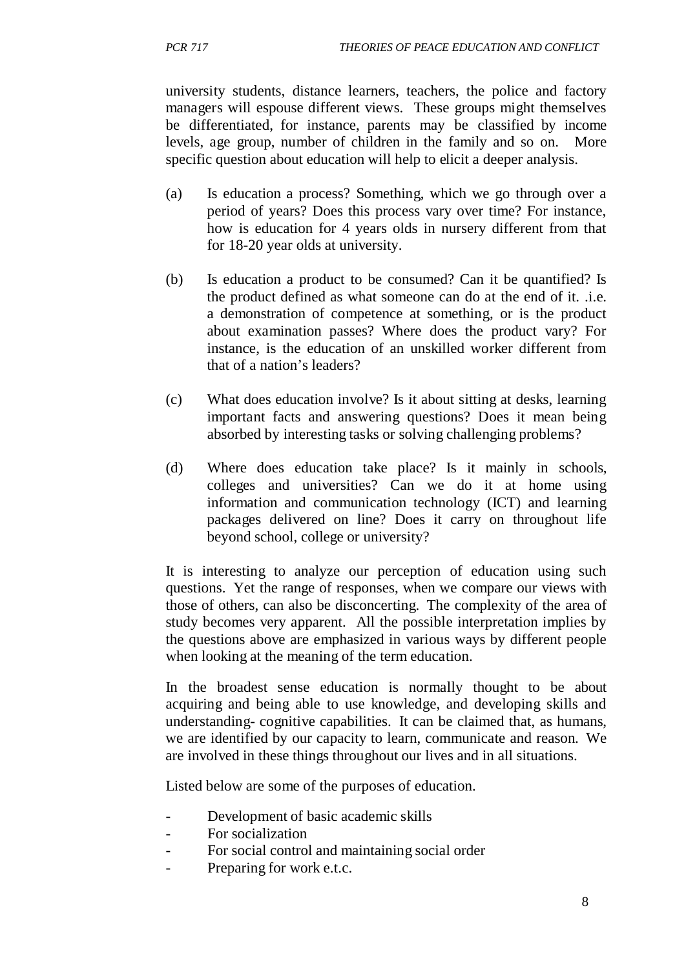university students, distance learners, teachers, the police and factory managers will espouse different views. These groups might themselves be differentiated, for instance, parents may be classified by income levels, age group, number of children in the family and so on. More specific question about education will help to elicit a deeper analysis.

- (a) Is education a process? Something, which we go through over a period of years? Does this process vary over time? For instance, how is education for 4 years olds in nursery different from that for 18-20 year olds at university.
- (b) Is education a product to be consumed? Can it be quantified? Is the product defined as what someone can do at the end of it. .i.e. a demonstration of competence at something, or is the product about examination passes? Where does the product vary? For instance, is the education of an unskilled worker different from that of a nation's leaders?
- (c) What does education involve? Is it about sitting at desks, learning important facts and answering questions? Does it mean being absorbed by interesting tasks or solving challenging problems?
- (d) Where does education take place? Is it mainly in schools, colleges and universities? Can we do it at home using information and communication technology (ICT) and learning packages delivered on line? Does it carry on throughout life beyond school, college or university?

It is interesting to analyze our perception of education using such questions. Yet the range of responses, when we compare our views with those of others, can also be disconcerting. The complexity of the area of study becomes very apparent. All the possible interpretation implies by the questions above are emphasized in various ways by different people when looking at the meaning of the term education.

In the broadest sense education is normally thought to be about acquiring and being able to use knowledge, and developing skills and understanding- cognitive capabilities. It can be claimed that, as humans, we are identified by our capacity to learn, communicate and reason. We are involved in these things throughout our lives and in all situations.

Listed below are some of the purposes of education.

- Development of basic academic skills
- For socialization
- For social control and maintaining social order
- Preparing for work e.t.c.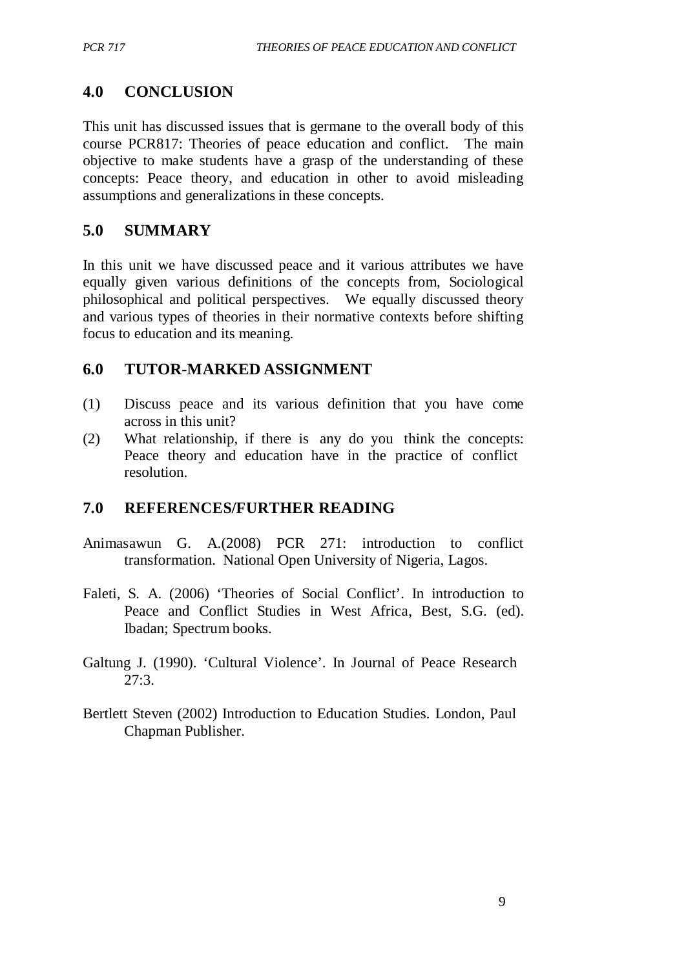## **4.0 CONCLUSION**

This unit has discussed issues that is germane to the overall body of this course PCR817: Theories of peace education and conflict. The main objective to make students have a grasp of the understanding of these concepts: Peace theory, and education in other to avoid misleading assumptions and generalizations in these concepts.

## **5.0 SUMMARY**

In this unit we have discussed peace and it various attributes we have equally given various definitions of the concepts from, Sociological philosophical and political perspectives. We equally discussed theory and various types of theories in their normative contexts before shifting focus to education and its meaning.

## **6.0 TUTOR-MARKED ASSIGNMENT**

- (1) Discuss peace and its various definition that you have come across in this unit?
- (2) What relationship, if there is any do you think the concepts: Peace theory and education have in the practice of conflict resolution.

## **7.0 REFERENCES/FURTHER READING**

- Animasawun G. A.(2008) PCR 271: introduction to conflict transformation. National Open University of Nigeria, Lagos.
- Faleti, S. A. (2006) 'Theories of Social Conflict'. In introduction to Peace and Conflict Studies in West Africa, Best, S.G. (ed). Ibadan; Spectrum books.
- Galtung J. (1990). 'Cultural Violence'. In Journal of Peace Research 27:3.
- Bertlett Steven (2002) Introduction to Education Studies. London, Paul Chapman Publisher.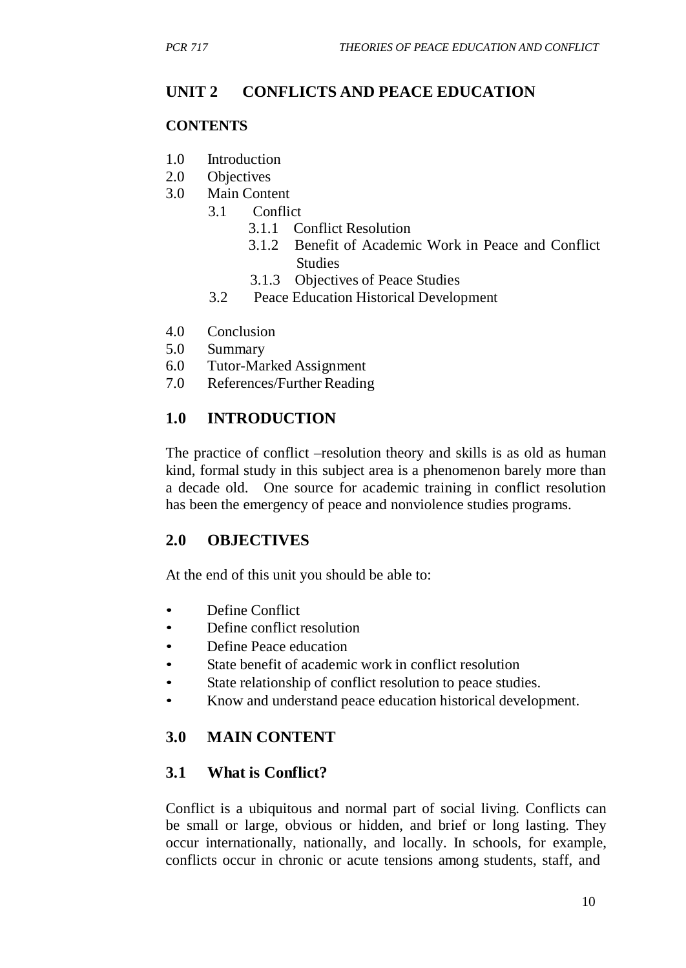## **UNIT 2 CONFLICTS AND PEACE EDUCATION**

#### **CONTENTS**

- 1.0 Introduction
- 2.0 Objectives
- 3.0 Main Content
	- 3.1 Conflict
		- 3.1.1 Conflict Resolution
		- 3.1.2 Benefit of Academic Work in Peace and Conflict Studies
		- 3.1.3 Objectives of Peace Studies
		- 3.2 Peace Education Historical Development
- 4.0 Conclusion
- 5.0 Summary
- 6.0 Tutor-Marked Assignment
- 7.0 References/Further Reading

## **1.0 INTRODUCTION**

The practice of conflict –resolution theory and skills is as old as human kind, formal study in this subject area is a phenomenon barely more than a decade old. One source for academic training in conflict resolution has been the emergency of peace and nonviolence studies programs.

#### **2.0 OBJECTIVES**

At the end of this unit you should be able to:

- Define Conflict
- Define conflict resolution
- Define Peace education
- State benefit of academic work in conflict resolution
- State relationship of conflict resolution to peace studies.
- Know and understand peace education historical development.

## **3.0 MAIN CONTENT**

#### **3.1 What is Conflict?**

Conflict is a ubiquitous and normal part of social living. Conflicts can be small or large, obvious or hidden, and brief or long lasting. They occur internationally, nationally, and locally. In schools, for example, conflicts occur in chronic or acute tensions among students, staff, and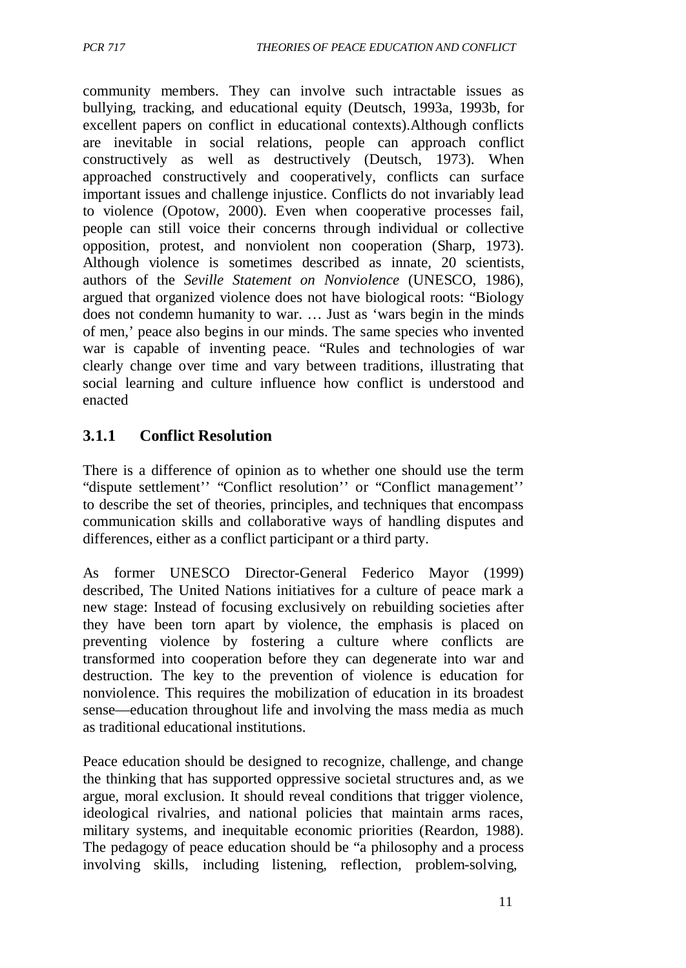community members. They can involve such intractable issues as bullying, tracking, and educational equity (Deutsch, 1993a, 1993b, for excellent papers on conflict in educational contexts).Although conflicts are inevitable in social relations, people can approach conflict constructively as well as destructively (Deutsch, 1973). When approached constructively and cooperatively, conflicts can surface important issues and challenge injustice. Conflicts do not invariably lead to violence (Opotow, 2000). Even when cooperative processes fail, people can still voice their concerns through individual or collective opposition, protest, and nonviolent non cooperation (Sharp, 1973). Although violence is sometimes described as innate, 20 scientists, authors of the *Seville Statement on Nonviolence* (UNESCO, 1986), argued that organized violence does not have biological roots: "Biology does not condemn humanity to war. … Just as 'wars begin in the minds of men,' peace also begins in our minds. The same species who invented war is capable of inventing peace. "Rules and technologies of war clearly change over time and vary between traditions, illustrating that social learning and culture influence how conflict is understood and enacted

## **3.1.1 Conflict Resolution**

There is a difference of opinion as to whether one should use the term "dispute settlement'' "Conflict resolution'' or "Conflict management'' to describe the set of theories, principles, and techniques that encompass communication skills and collaborative ways of handling disputes and differences, either as a conflict participant or a third party.

As former UNESCO Director-General Federico Mayor (1999) described, The United Nations initiatives for a culture of peace mark a new stage: Instead of focusing exclusively on rebuilding societies after they have been torn apart by violence, the emphasis is placed on preventing violence by fostering a culture where conflicts are transformed into cooperation before they can degenerate into war and destruction. The key to the prevention of violence is education for nonviolence. This requires the mobilization of education in its broadest sense—education throughout life and involving the mass media as much as traditional educational institutions.

Peace education should be designed to recognize, challenge, and change the thinking that has supported oppressive societal structures and, as we argue, moral exclusion. It should reveal conditions that trigger violence, ideological rivalries, and national policies that maintain arms races, military systems, and inequitable economic priorities (Reardon, 1988). The pedagogy of peace education should be "a philosophy and a process involving skills, including listening, reflection, problem-solving,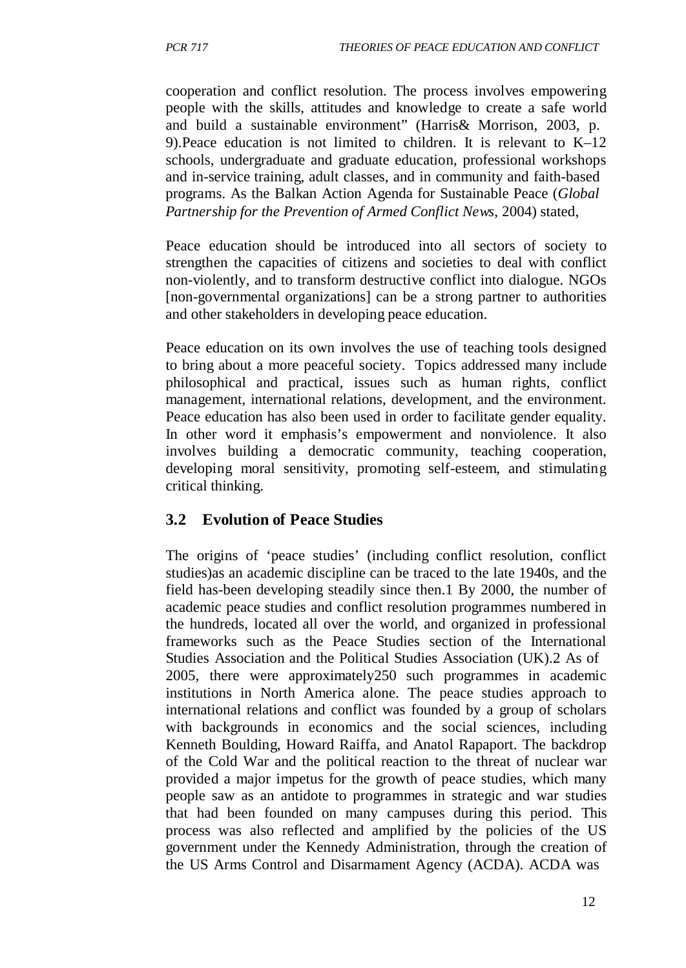cooperation and conflict resolution. The process involves empowering people with the skills, attitudes and knowledge to create a safe world and build a sustainable environment" (Harris& Morrison, 2003, p. 9).Peace education is not limited to children. It is relevant to K–12 schools, undergraduate and graduate education, professional workshops and in-service training, adult classes, and in community and faith-based programs. As the Balkan Action Agenda for Sustainable Peace (*Global Partnership for the Prevention of Armed Conflict News*, 2004) stated,

Peace education should be introduced into all sectors of society to strengthen the capacities of citizens and societies to deal with conflict non-violently, and to transform destructive conflict into dialogue. NGOs [non-governmental organizations] can be a strong partner to authorities and other stakeholders in developing peace education.

Peace education on its own involves the use of teaching tools designed to bring about a more peaceful society. Topics addressed many include philosophical and practical, issues such as human rights, conflict management, international relations, development, and the environment. Peace education has also been used in order to facilitate gender equality. In other word it emphasis's empowerment and nonviolence. It also involves building a democratic community, teaching cooperation, developing moral sensitivity, promoting self-esteem, and stimulating critical thinking.

## **3.2 Evolution of Peace Studies**

The origins of 'peace studies' (including conflict resolution, conflict studies)as an academic discipline can be traced to the late 1940s, and the field has-been developing steadily since then.1 By 2000, the number of academic peace studies and conflict resolution programmes numbered in the hundreds, located all over the world, and organized in professional frameworks such as the Peace Studies section of the International Studies Association and the Political Studies Association (UK).2 As of 2005, there were approximately250 such programmes in academic institutions in North America alone. The peace studies approach to international relations and conflict was founded by a group of scholars with backgrounds in economics and the social sciences, including Kenneth Boulding, Howard Raiffa, and Anatol Rapaport. The backdrop of the Cold War and the political reaction to the threat of nuclear war provided a major impetus for the growth of peace studies, which many people saw as an antidote to programmes in strategic and war studies that had been founded on many campuses during this period. This process was also reflected and amplified by the policies of the US government under the Kennedy Administration, through the creation of the US Arms Control and Disarmament Agency (ACDA). ACDA was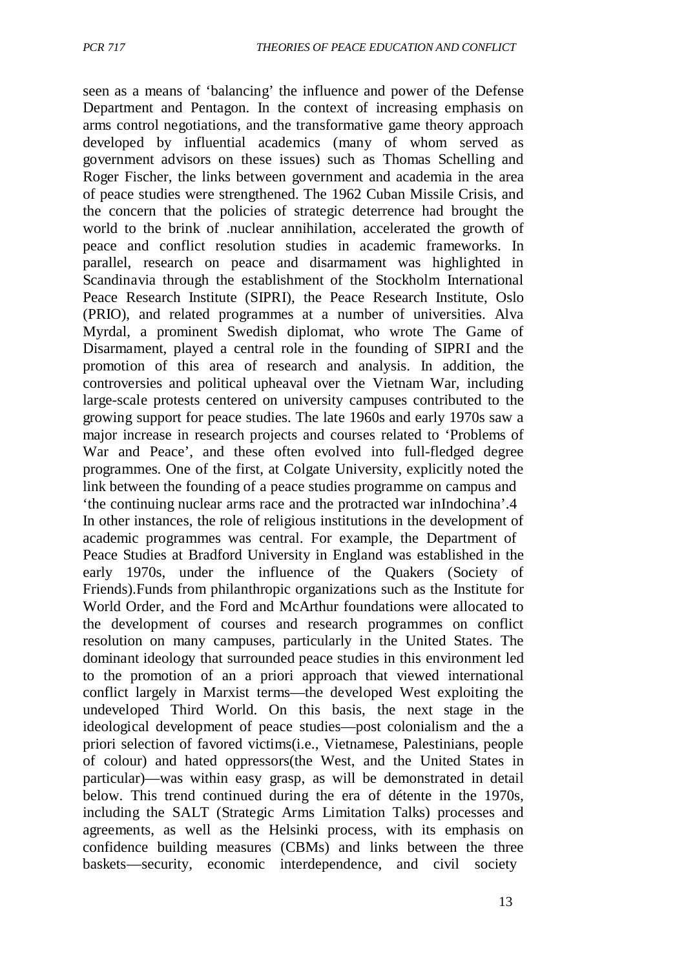seen as a means of 'balancing' the influence and power of the Defense Department and Pentagon. In the context of increasing emphasis on arms control negotiations, and the transformative game theory approach developed by influential academics (many of whom served as government advisors on these issues) such as Thomas Schelling and Roger Fischer, the links between government and academia in the area of peace studies were strengthened. The 1962 Cuban Missile Crisis, and the concern that the policies of strategic deterrence had brought the world to the brink of .nuclear annihilation, accelerated the growth of peace and conflict resolution studies in academic frameworks. In parallel, research on peace and disarmament was highlighted in Scandinavia through the establishment of the Stockholm International Peace Research Institute (SIPRI), the Peace Research Institute, Oslo (PRIO), and related programmes at a number of universities. Alva Myrdal, a prominent Swedish diplomat, who wrote The Game of Disarmament, played a central role in the founding of SIPRI and the promotion of this area of research and analysis. In addition, the controversies and political upheaval over the Vietnam War, including large-scale protests centered on university campuses contributed to the growing support for peace studies. The late 1960s and early 1970s saw a major increase in research projects and courses related to 'Problems of War and Peace', and these often evolved into full-fledged degree programmes. One of the first, at Colgate University, explicitly noted the link between the founding of a peace studies programme on campus and 'the continuing nuclear arms race and the protracted war inIndochina'.4 In other instances, the role of religious institutions in the development of academic programmes was central. For example, the Department of Peace Studies at Bradford University in England was established in the early 1970s, under the influence of the Quakers (Society of Friends).Funds from philanthropic organizations such as the Institute for World Order, and the Ford and McArthur foundations were allocated to the development of courses and research programmes on conflict resolution on many campuses, particularly in the United States. The dominant ideology that surrounded peace studies in this environment led to the promotion of an a priori approach that viewed international conflict largely in Marxist terms—the developed West exploiting the undeveloped Third World. On this basis, the next stage in the ideological development of peace studies—post colonialism and the a priori selection of favored victims(i.e., Vietnamese, Palestinians, people of colour) and hated oppressors(the West, and the United States in particular)—was within easy grasp, as will be demonstrated in detail below. This trend continued during the era of détente in the 1970s, including the SALT (Strategic Arms Limitation Talks) processes and agreements, as well as the Helsinki process, with its emphasis on confidence building measures (CBMs) and links between the three baskets—security, economic interdependence, and civil society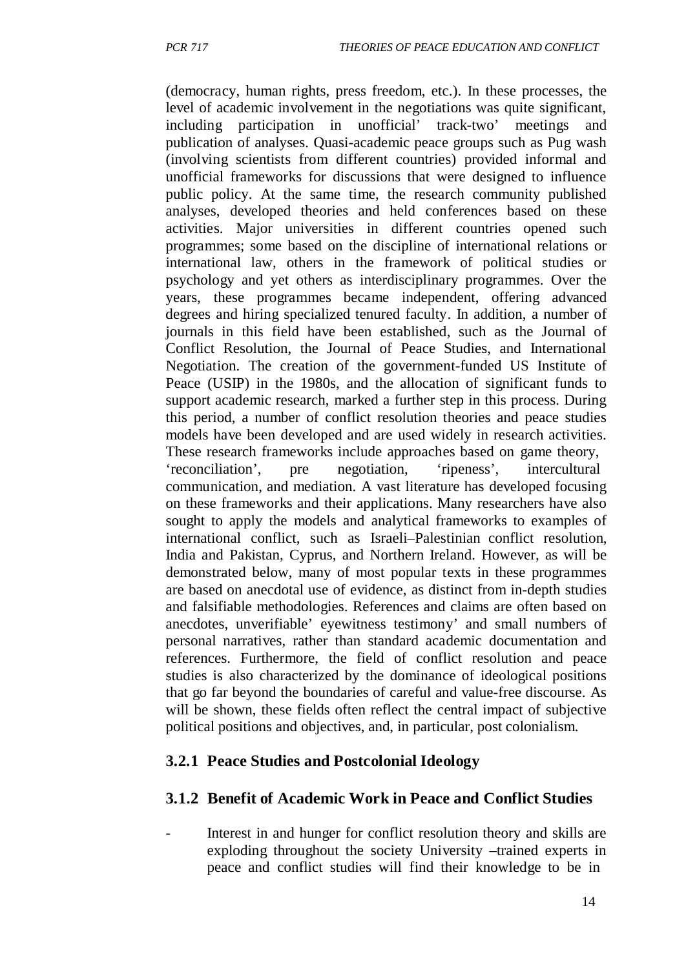(democracy, human rights, press freedom, etc.). In these processes, the level of academic involvement in the negotiations was quite significant, including participation in unofficial' track-two' meetings and publication of analyses. Quasi-academic peace groups such as Pug wash (involving scientists from different countries) provided informal and unofficial frameworks for discussions that were designed to influence public policy. At the same time, the research community published analyses, developed theories and held conferences based on these activities. Major universities in different countries opened such programmes; some based on the discipline of international relations or international law, others in the framework of political studies or psychology and yet others as interdisciplinary programmes. Over the years, these programmes became independent, offering advanced degrees and hiring specialized tenured faculty. In addition, a number of journals in this field have been established, such as the Journal of Conflict Resolution, the Journal of Peace Studies, and International Negotiation. The creation of the government-funded US Institute of Peace (USIP) in the 1980s, and the allocation of significant funds to support academic research, marked a further step in this process. During this period, a number of conflict resolution theories and peace studies models have been developed and are used widely in research activities. These research frameworks include approaches based on game theory, 'reconciliation', pre negotiation, 'ripeness', intercultural communication, and mediation. A vast literature has developed focusing on these frameworks and their applications. Many researchers have also sought to apply the models and analytical frameworks to examples of international conflict, such as Israeli–Palestinian conflict resolution, India and Pakistan, Cyprus, and Northern Ireland. However, as will be demonstrated below, many of most popular texts in these programmes are based on anecdotal use of evidence, as distinct from in-depth studies and falsifiable methodologies. References and claims are often based on anecdotes, unverifiable' eyewitness testimony' and small numbers of personal narratives, rather than standard academic documentation and references. Furthermore, the field of conflict resolution and peace studies is also characterized by the dominance of ideological positions that go far beyond the boundaries of careful and value-free discourse. As will be shown, these fields often reflect the central impact of subjective political positions and objectives, and, in particular, post colonialism.

#### **3.2.1 Peace Studies and Postcolonial Ideology**

#### **3.1.2 Benefit of Academic Work in Peace and Conflict Studies**

Interest in and hunger for conflict resolution theory and skills are exploding throughout the society University –trained experts in peace and conflict studies will find their knowledge to be in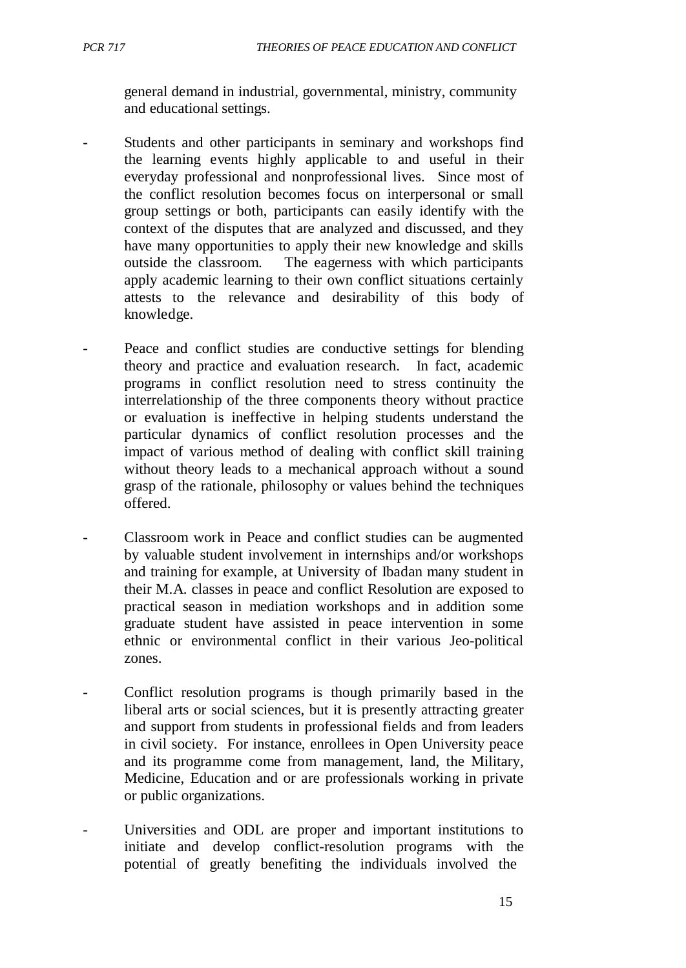general demand in industrial, governmental, ministry, community and educational settings.

- Students and other participants in seminary and workshops find the learning events highly applicable to and useful in their everyday professional and nonprofessional lives. Since most of the conflict resolution becomes focus on interpersonal or small group settings or both, participants can easily identify with the context of the disputes that are analyzed and discussed, and they have many opportunities to apply their new knowledge and skills outside the classroom. The eagerness with which participants apply academic learning to their own conflict situations certainly attests to the relevance and desirability of this body of knowledge.
- Peace and conflict studies are conductive settings for blending theory and practice and evaluation research. In fact, academic programs in conflict resolution need to stress continuity the interrelationship of the three components theory without practice or evaluation is ineffective in helping students understand the particular dynamics of conflict resolution processes and the impact of various method of dealing with conflict skill training without theory leads to a mechanical approach without a sound grasp of the rationale, philosophy or values behind the techniques offered.
- Classroom work in Peace and conflict studies can be augmented by valuable student involvement in internships and/or workshops and training for example, at University of Ibadan many student in their M.A. classes in peace and conflict Resolution are exposed to practical season in mediation workshops and in addition some graduate student have assisted in peace intervention in some ethnic or environmental conflict in their various Jeo-political zones.
- Conflict resolution programs is though primarily based in the liberal arts or social sciences, but it is presently attracting greater and support from students in professional fields and from leaders in civil society. For instance, enrollees in Open University peace and its programme come from management, land, the Military, Medicine, Education and or are professionals working in private or public organizations.
- Universities and ODL are proper and important institutions to initiate and develop conflict-resolution programs with the potential of greatly benefiting the individuals involved the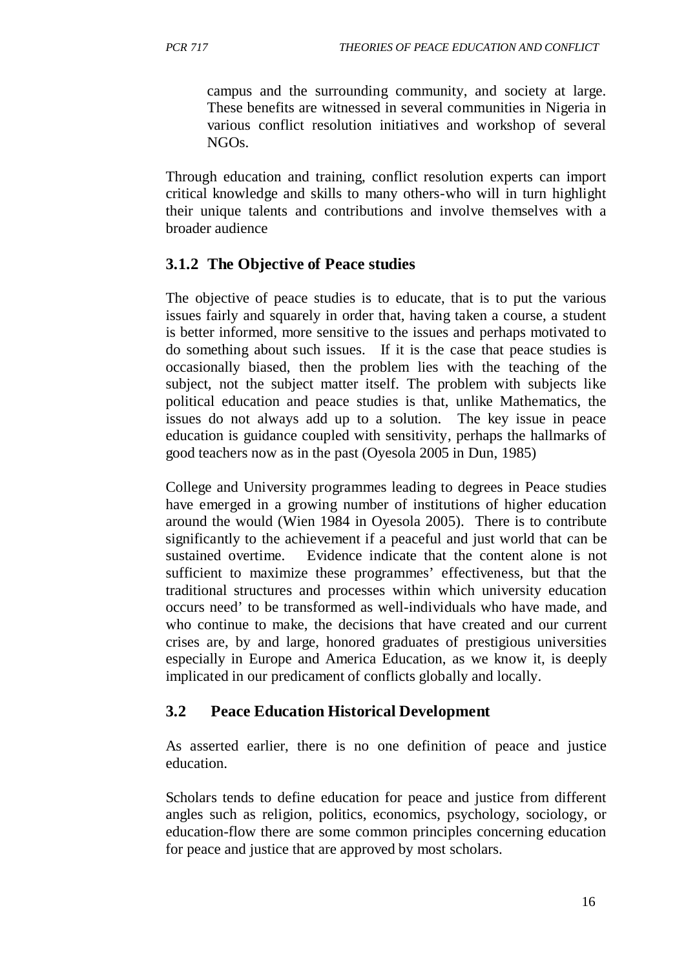campus and the surrounding community, and society at large. These benefits are witnessed in several communities in Nigeria in various conflict resolution initiatives and workshop of several NGOs.

Through education and training, conflict resolution experts can import critical knowledge and skills to many others-who will in turn highlight their unique talents and contributions and involve themselves with a broader audience

## **3.1.2 The Objective of Peace studies**

The objective of peace studies is to educate, that is to put the various issues fairly and squarely in order that, having taken a course, a student is better informed, more sensitive to the issues and perhaps motivated to do something about such issues. If it is the case that peace studies is occasionally biased, then the problem lies with the teaching of the subject, not the subject matter itself. The problem with subjects like political education and peace studies is that, unlike Mathematics, the issues do not always add up to a solution. The key issue in peace education is guidance coupled with sensitivity, perhaps the hallmarks of good teachers now as in the past (Oyesola 2005 in Dun, 1985)

College and University programmes leading to degrees in Peace studies have emerged in a growing number of institutions of higher education around the would (Wien 1984 in Oyesola 2005). There is to contribute significantly to the achievement if a peaceful and just world that can be sustained overtime. Evidence indicate that the content alone is not sufficient to maximize these programmes' effectiveness, but that the traditional structures and processes within which university education occurs need' to be transformed as well-individuals who have made, and who continue to make, the decisions that have created and our current crises are, by and large, honored graduates of prestigious universities especially in Europe and America Education, as we know it, is deeply implicated in our predicament of conflicts globally and locally.

## **3.2 Peace Education Historical Development**

As asserted earlier, there is no one definition of peace and justice education.

Scholars tends to define education for peace and justice from different angles such as religion, politics, economics, psychology, sociology, or education-flow there are some common principles concerning education for peace and justice that are approved by most scholars.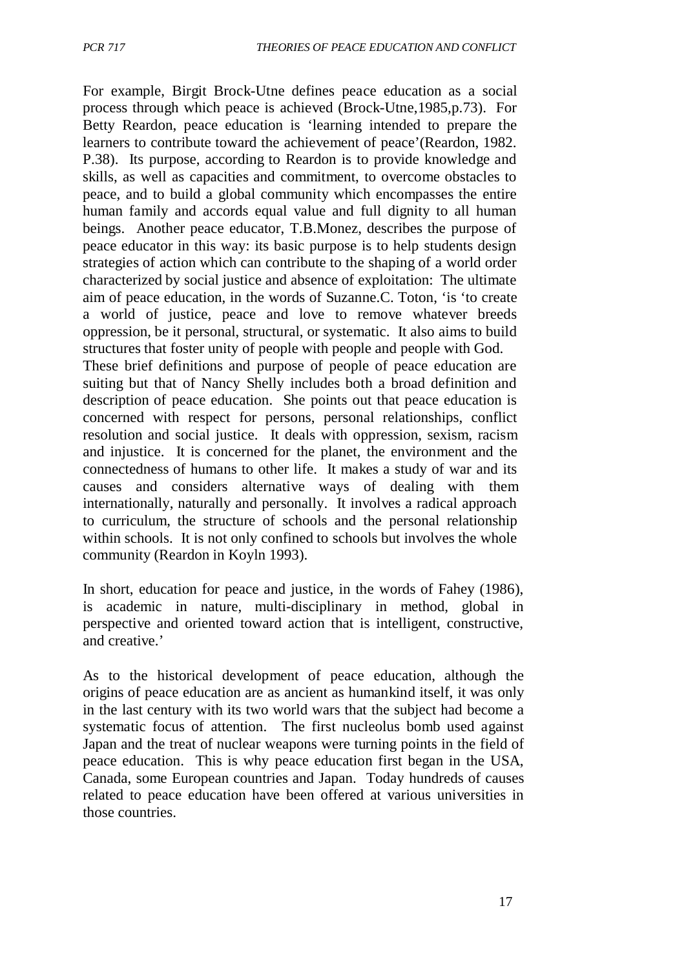For example, Birgit Brock-Utne defines peace education as a social process through which peace is achieved (Brock-Utne,1985,p.73). For Betty Reardon, peace education is 'learning intended to prepare the learners to contribute toward the achievement of peace'(Reardon, 1982. P.38). Its purpose, according to Reardon is to provide knowledge and skills, as well as capacities and commitment, to overcome obstacles to peace, and to build a global community which encompasses the entire human family and accords equal value and full dignity to all human beings. Another peace educator, T.B.Monez, describes the purpose of peace educator in this way: its basic purpose is to help students design strategies of action which can contribute to the shaping of a world order characterized by social justice and absence of exploitation: The ultimate aim of peace education, in the words of Suzanne.C. Toton, 'is 'to create a world of justice, peace and love to remove whatever breeds oppression, be it personal, structural, or systematic. It also aims to build structures that foster unity of people with people and people with God. These brief definitions and purpose of people of peace education are suiting but that of Nancy Shelly includes both a broad definition and description of peace education. She points out that peace education is concerned with respect for persons, personal relationships, conflict

resolution and social justice. It deals with oppression, sexism, racism and injustice. It is concerned for the planet, the environment and the connectedness of humans to other life. It makes a study of war and its causes and considers alternative ways of dealing with them internationally, naturally and personally. It involves a radical approach to curriculum, the structure of schools and the personal relationship within schools. It is not only confined to schools but involves the whole community (Reardon in Koyln 1993).

In short, education for peace and justice, in the words of Fahey (1986), is academic in nature, multi-disciplinary in method, global in perspective and oriented toward action that is intelligent, constructive, and creative.'

As to the historical development of peace education, although the origins of peace education are as ancient as humankind itself, it was only in the last century with its two world wars that the subject had become a systematic focus of attention. The first nucleolus bomb used against Japan and the treat of nuclear weapons were turning points in the field of peace education. This is why peace education first began in the USA, Canada, some European countries and Japan. Today hundreds of causes related to peace education have been offered at various universities in those countries.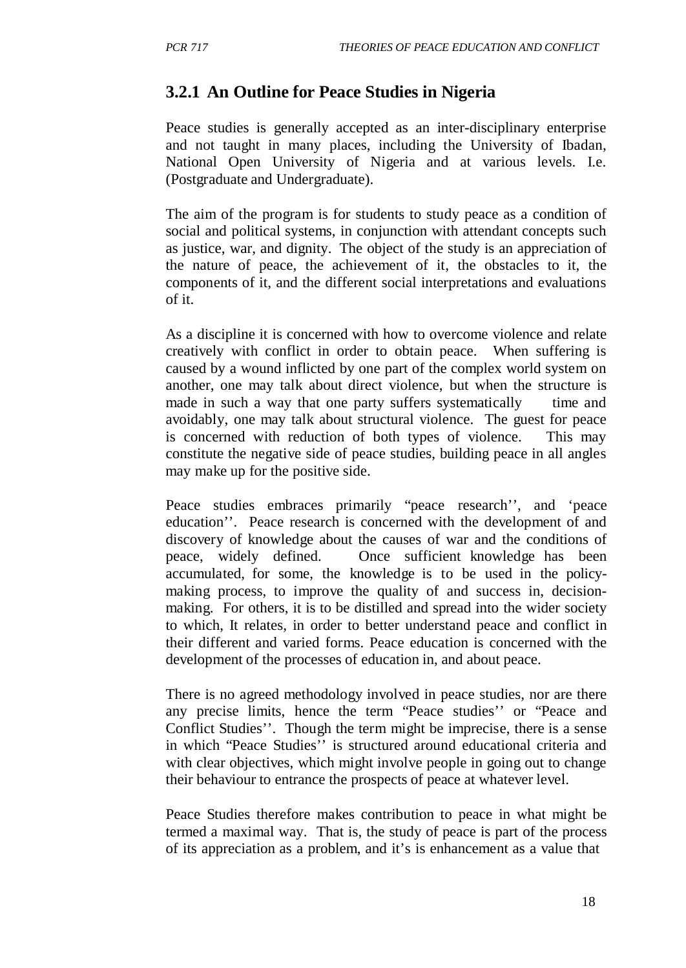# **3.2.1 An Outline for Peace Studies in Nigeria**

Peace studies is generally accepted as an inter-disciplinary enterprise and not taught in many places, including the University of Ibadan, National Open University of Nigeria and at various levels. I.e. (Postgraduate and Undergraduate).

The aim of the program is for students to study peace as a condition of social and political systems, in conjunction with attendant concepts such as justice, war, and dignity. The object of the study is an appreciation of the nature of peace, the achievement of it, the obstacles to it, the components of it, and the different social interpretations and evaluations of it.

As a discipline it is concerned with how to overcome violence and relate creatively with conflict in order to obtain peace. When suffering is caused by a wound inflicted by one part of the complex world system on another, one may talk about direct violence, but when the structure is made in such a way that one party suffers systematically time and avoidably, one may talk about structural violence. The guest for peace is concerned with reduction of both types of violence. This may constitute the negative side of peace studies, building peace in all angles may make up for the positive side.

Peace studies embraces primarily "peace research'', and 'peace education''. Peace research is concerned with the development of and discovery of knowledge about the causes of war and the conditions of peace, widely defined. Once sufficient knowledge has been accumulated, for some, the knowledge is to be used in the policymaking process, to improve the quality of and success in, decisionmaking. For others, it is to be distilled and spread into the wider society to which, It relates, in order to better understand peace and conflict in their different and varied forms. Peace education is concerned with the development of the processes of education in, and about peace.

There is no agreed methodology involved in peace studies, nor are there any precise limits, hence the term "Peace studies'' or "Peace and Conflict Studies''. Though the term might be imprecise, there is a sense in which "Peace Studies'' is structured around educational criteria and with clear objectives, which might involve people in going out to change their behaviour to entrance the prospects of peace at whatever level.

Peace Studies therefore makes contribution to peace in what might be termed a maximal way. That is, the study of peace is part of the process of its appreciation as a problem, and it's is enhancement as a value that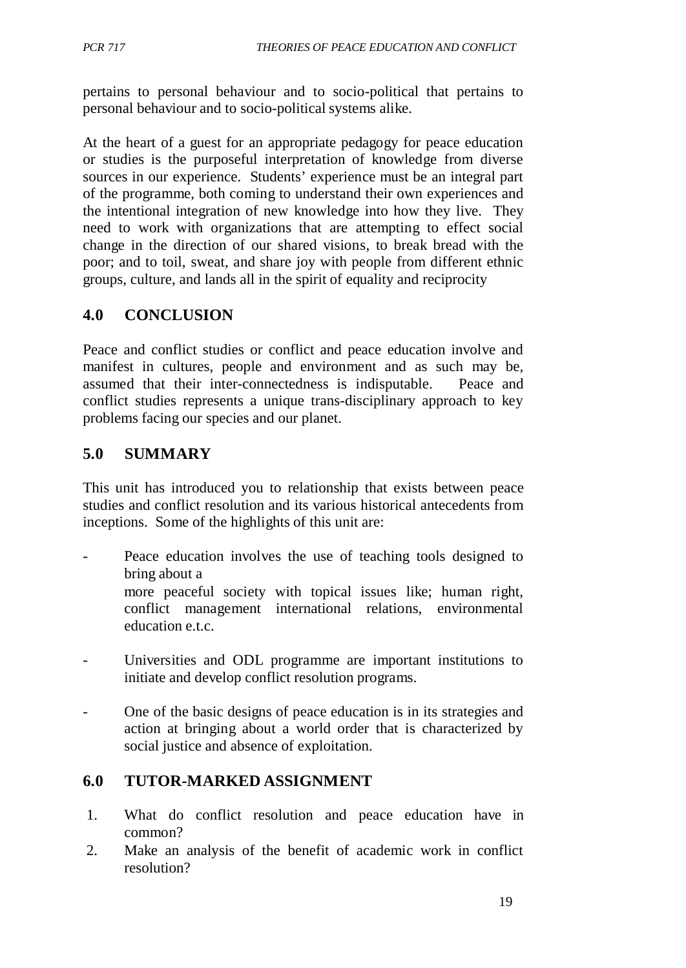pertains to personal behaviour and to socio-political that pertains to personal behaviour and to socio-political systems alike.

At the heart of a guest for an appropriate pedagogy for peace education or studies is the purposeful interpretation of knowledge from diverse sources in our experience. Students' experience must be an integral part of the programme, both coming to understand their own experiences and the intentional integration of new knowledge into how they live. They need to work with organizations that are attempting to effect social change in the direction of our shared visions, to break bread with the poor; and to toil, sweat, and share joy with people from different ethnic groups, culture, and lands all in the spirit of equality and reciprocity

# **4.0 CONCLUSION**

Peace and conflict studies or conflict and peace education involve and manifest in cultures, people and environment and as such may be, assumed that their inter-connectedness is indisputable. Peace and conflict studies represents a unique trans-disciplinary approach to key problems facing our species and our planet.

# **5.0 SUMMARY**

This unit has introduced you to relationship that exists between peace studies and conflict resolution and its various historical antecedents from inceptions. Some of the highlights of this unit are:

Peace education involves the use of teaching tools designed to bring about a

more peaceful society with topical issues like; human right, conflict management international relations, environmental education e.t.c.

- Universities and ODL programme are important institutions to initiate and develop conflict resolution programs.
- One of the basic designs of peace education is in its strategies and action at bringing about a world order that is characterized by social justice and absence of exploitation.

# **6.0 TUTOR-MARKED ASSIGNMENT**

- 1. What do conflict resolution and peace education have in common?
- 2. Make an analysis of the benefit of academic work in conflict resolution?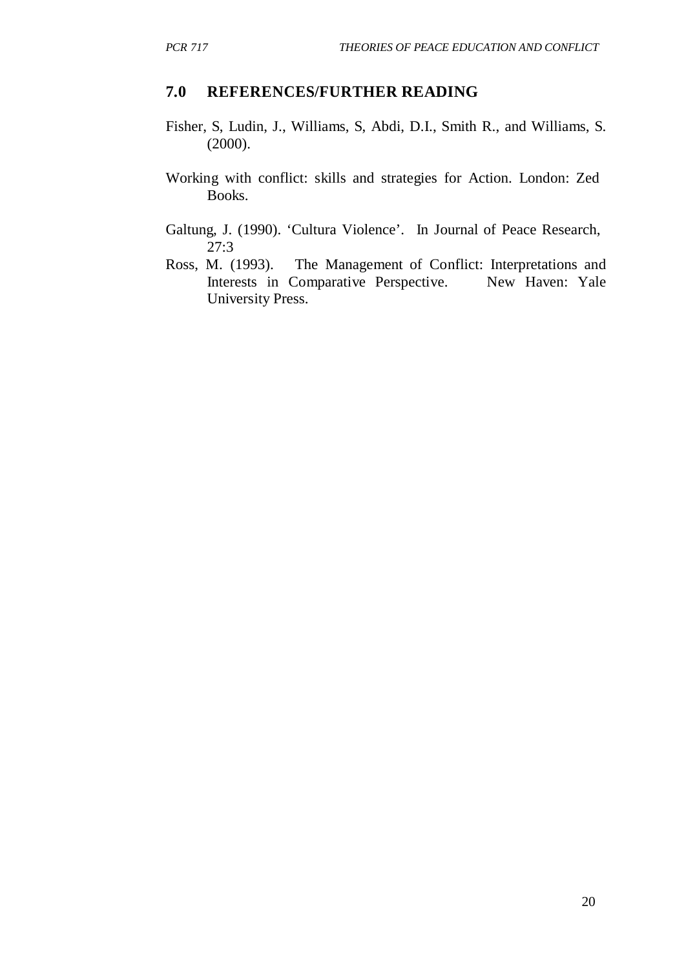#### **7.0 REFERENCES/FURTHER READING**

- Fisher, S, Ludin, J., Williams, S, Abdi, D.I., Smith R., and Williams, S. (2000).
- Working with conflict: skills and strategies for Action. London: Zed Books.
- Galtung, J. (1990). 'Cultura Violence'. In Journal of Peace Research, 27:3
- Ross, M. (1993). The Management of Conflict: Interpretations and Interests in Comparative Perspective. New Haven: Yale University Press.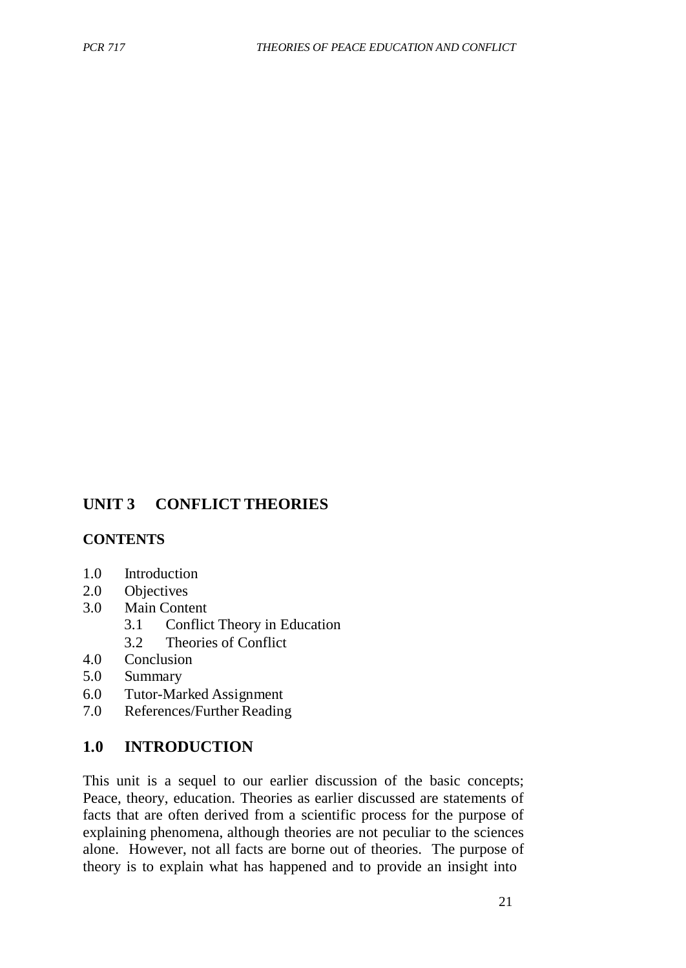## **UNIT 3 CONFLICT THEORIES**

#### **CONTENTS**

- 1.0 Introduction
- 2.0 Objectives
- 3.0 Main Content
	- 3.1 Conflict Theory in Education
	- 3.2 Theories of Conflict
- 4.0 Conclusion
- 5.0 Summary
- 6.0 Tutor-Marked Assignment
- 7.0 References/Further Reading

## **1.0 INTRODUCTION**

This unit is a sequel to our earlier discussion of the basic concepts; Peace, theory, education. Theories as earlier discussed are statements of facts that are often derived from a scientific process for the purpose of explaining phenomena, although theories are not peculiar to the sciences alone. However, not all facts are borne out of theories. The purpose of theory is to explain what has happened and to provide an insight into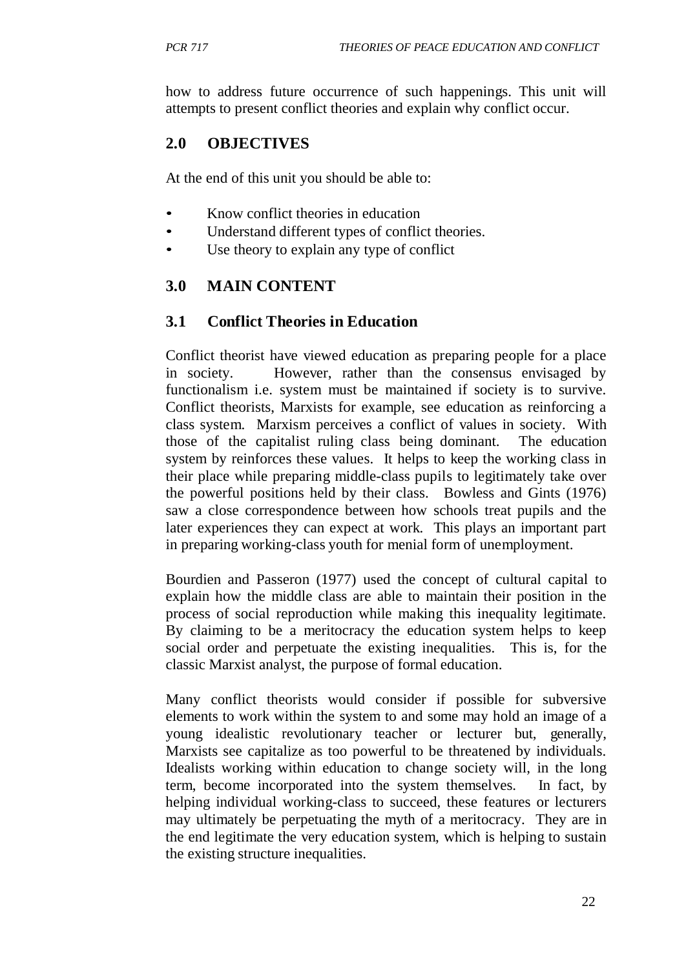how to address future occurrence of such happenings. This unit will attempts to present conflict theories and explain why conflict occur.

# **2.0 OBJECTIVES**

At the end of this unit you should be able to:

- Know conflict theories in education
- Understand different types of conflict theories.
- Use theory to explain any type of conflict

## **3.0 MAIN CONTENT**

### **3.1 Conflict Theories in Education**

Conflict theorist have viewed education as preparing people for a place in society. However, rather than the consensus envisaged by functionalism i.e. system must be maintained if society is to survive. Conflict theorists, Marxists for example, see education as reinforcing a class system. Marxism perceives a conflict of values in society. With those of the capitalist ruling class being dominant. The education system by reinforces these values. It helps to keep the working class in their place while preparing middle-class pupils to legitimately take over the powerful positions held by their class. Bowless and Gints (1976) saw a close correspondence between how schools treat pupils and the later experiences they can expect at work. This plays an important part in preparing working-class youth for menial form of unemployment.

Bourdien and Passeron (1977) used the concept of cultural capital to explain how the middle class are able to maintain their position in the process of social reproduction while making this inequality legitimate. By claiming to be a meritocracy the education system helps to keep social order and perpetuate the existing inequalities. This is, for the classic Marxist analyst, the purpose of formal education.

Many conflict theorists would consider if possible for subversive elements to work within the system to and some may hold an image of a young idealistic revolutionary teacher or lecturer but, generally, Marxists see capitalize as too powerful to be threatened by individuals. Idealists working within education to change society will, in the long term, become incorporated into the system themselves. In fact, by helping individual working-class to succeed, these features or lecturers may ultimately be perpetuating the myth of a meritocracy. They are in the end legitimate the very education system, which is helping to sustain the existing structure inequalities.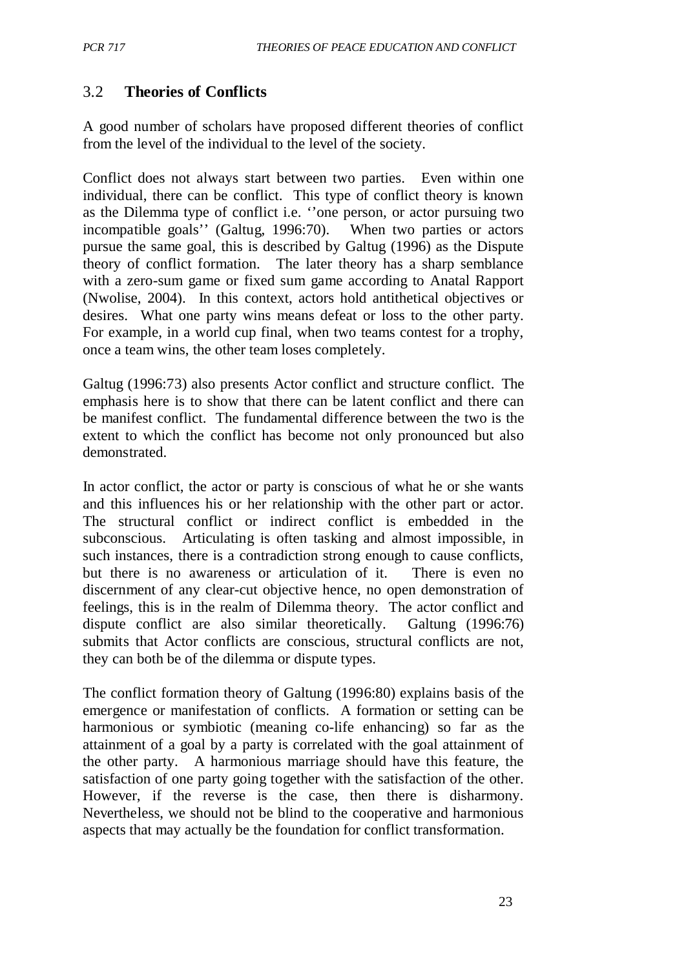## 3.2 **Theories of Conflicts**

A good number of scholars have proposed different theories of conflict from the level of the individual to the level of the society.

Conflict does not always start between two parties. Even within one individual, there can be conflict. This type of conflict theory is known as the Dilemma type of conflict i.e. ''one person, or actor pursuing two incompatible goals'' (Galtug, 1996:70). When two parties or actors pursue the same goal, this is described by Galtug (1996) as the Dispute theory of conflict formation. The later theory has a sharp semblance with a zero-sum game or fixed sum game according to Anatal Rapport (Nwolise, 2004). In this context, actors hold antithetical objectives or desires. What one party wins means defeat or loss to the other party. For example, in a world cup final, when two teams contest for a trophy, once a team wins, the other team loses completely.

Galtug (1996:73) also presents Actor conflict and structure conflict. The emphasis here is to show that there can be latent conflict and there can be manifest conflict. The fundamental difference between the two is the extent to which the conflict has become not only pronounced but also demonstrated.

In actor conflict, the actor or party is conscious of what he or she wants and this influences his or her relationship with the other part or actor. The structural conflict or indirect conflict is embedded in the subconscious. Articulating is often tasking and almost impossible, in such instances, there is a contradiction strong enough to cause conflicts, but there is no awareness or articulation of it. There is even no discernment of any clear-cut objective hence, no open demonstration of feelings, this is in the realm of Dilemma theory. The actor conflict and dispute conflict are also similar theoretically. Galtung (1996:76) submits that Actor conflicts are conscious, structural conflicts are not, they can both be of the dilemma or dispute types.

The conflict formation theory of Galtung (1996:80) explains basis of the emergence or manifestation of conflicts. A formation or setting can be harmonious or symbiotic (meaning co-life enhancing) so far as the attainment of a goal by a party is correlated with the goal attainment of the other party. A harmonious marriage should have this feature, the satisfaction of one party going together with the satisfaction of the other. However, if the reverse is the case, then there is disharmony. Nevertheless, we should not be blind to the cooperative and harmonious aspects that may actually be the foundation for conflict transformation.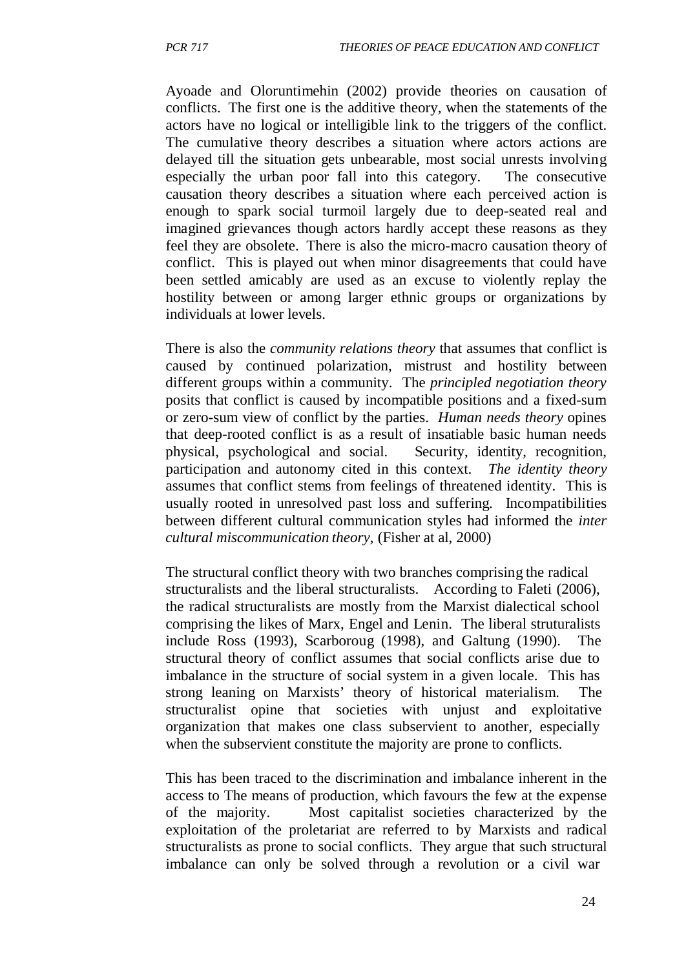Ayoade and Oloruntimehin (2002) provide theories on causation of conflicts. The first one is the additive theory, when the statements of the actors have no logical or intelligible link to the triggers of the conflict. The cumulative theory describes a situation where actors actions are delayed till the situation gets unbearable, most social unrests involving especially the urban poor fall into this category. The consecutive causation theory describes a situation where each perceived action is enough to spark social turmoil largely due to deep-seated real and imagined grievances though actors hardly accept these reasons as they feel they are obsolete. There is also the micro-macro causation theory of conflict. This is played out when minor disagreements that could have been settled amicably are used as an excuse to violently replay the hostility between or among larger ethnic groups or organizations by individuals at lower levels.

There is also the *community relations theory* that assumes that conflict is caused by continued polarization, mistrust and hostility between different groups within a community. The *principled negotiation theory*  posits that conflict is caused by incompatible positions and a fixed-sum or zero-sum view of conflict by the parties. *Human needs theory* opines that deep-rooted conflict is as a result of insatiable basic human needs physical, psychological and social. Security, identity, recognition, participation and autonomy cited in this context. *The identity theory*  assumes that conflict stems from feelings of threatened identity. This is usually rooted in unresolved past loss and suffering. Incompatibilities between different cultural communication styles had informed the *inter cultural miscommunication theory,* (Fisher at al, 2000)

The structural conflict theory with two branches comprising the radical structuralists and the liberal structuralists. According to Faleti (2006), the radical structuralists are mostly from the Marxist dialectical school comprising the likes of Marx, Engel and Lenin. The liberal struturalists include Ross (1993), Scarboroug (1998), and Galtung (1990). The structural theory of conflict assumes that social conflicts arise due to imbalance in the structure of social system in a given locale. This has strong leaning on Marxists' theory of historical materialism. The structuralist opine that societies with unjust and exploitative organization that makes one class subservient to another, especially when the subservient constitute the majority are prone to conflicts.

This has been traced to the discrimination and imbalance inherent in the access to The means of production, which favours the few at the expense of the majority. Most capitalist societies characterized by the exploitation of the proletariat are referred to by Marxists and radical structuralists as prone to social conflicts. They argue that such structural imbalance can only be solved through a revolution or a civil war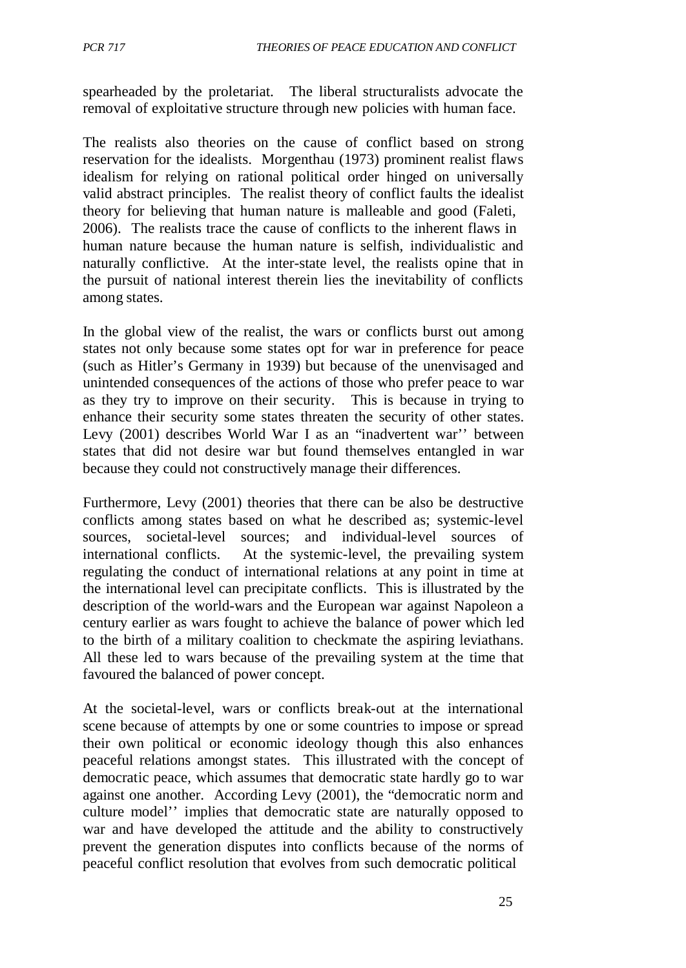spearheaded by the proletariat. The liberal structuralists advocate the removal of exploitative structure through new policies with human face.

The realists also theories on the cause of conflict based on strong reservation for the idealists. Morgenthau (1973) prominent realist flaws idealism for relying on rational political order hinged on universally valid abstract principles. The realist theory of conflict faults the idealist theory for believing that human nature is malleable and good (Faleti, 2006). The realists trace the cause of conflicts to the inherent flaws in human nature because the human nature is selfish, individualistic and naturally conflictive. At the inter-state level, the realists opine that in the pursuit of national interest therein lies the inevitability of conflicts among states.

In the global view of the realist, the wars or conflicts burst out among states not only because some states opt for war in preference for peace (such as Hitler's Germany in 1939) but because of the unenvisaged and unintended consequences of the actions of those who prefer peace to war as they try to improve on their security. This is because in trying to enhance their security some states threaten the security of other states. Levy (2001) describes World War I as an "inadvertent war'' between states that did not desire war but found themselves entangled in war because they could not constructively manage their differences.

Furthermore, Levy (2001) theories that there can be also be destructive conflicts among states based on what he described as; systemic-level sources, societal-level sources; and individual-level sources of international conflicts. At the systemic-level, the prevailing system regulating the conduct of international relations at any point in time at the international level can precipitate conflicts. This is illustrated by the description of the world-wars and the European war against Napoleon a century earlier as wars fought to achieve the balance of power which led to the birth of a military coalition to checkmate the aspiring leviathans. All these led to wars because of the prevailing system at the time that favoured the balanced of power concept.

At the societal-level, wars or conflicts break-out at the international scene because of attempts by one or some countries to impose or spread their own political or economic ideology though this also enhances peaceful relations amongst states. This illustrated with the concept of democratic peace, which assumes that democratic state hardly go to war against one another. According Levy (2001), the "democratic norm and culture model'' implies that democratic state are naturally opposed to war and have developed the attitude and the ability to constructively prevent the generation disputes into conflicts because of the norms of peaceful conflict resolution that evolves from such democratic political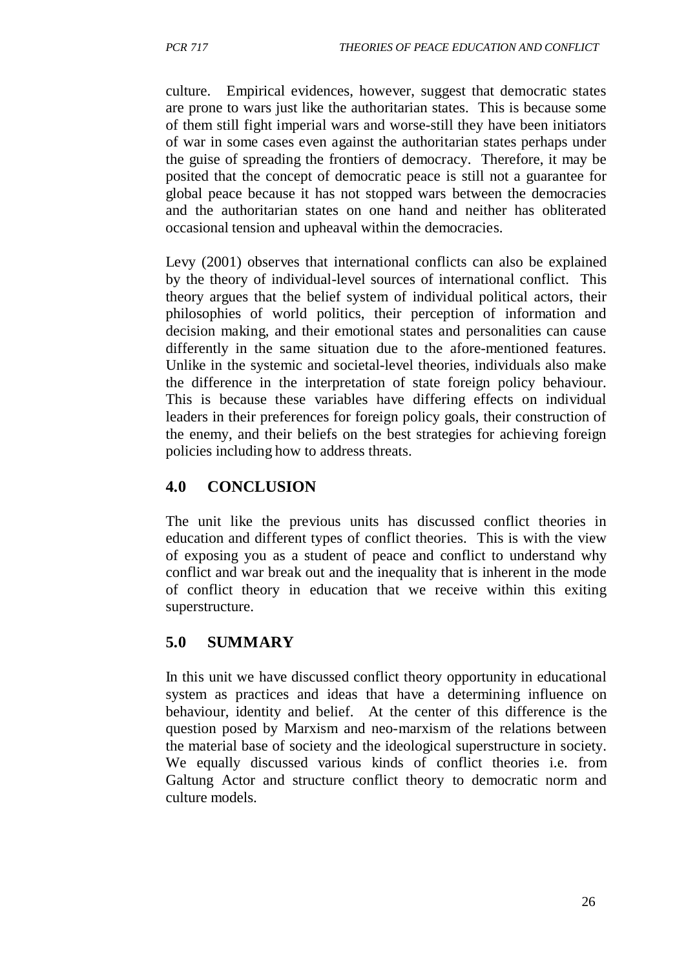culture. Empirical evidences, however, suggest that democratic states are prone to wars just like the authoritarian states. This is because some of them still fight imperial wars and worse-still they have been initiators of war in some cases even against the authoritarian states perhaps under the guise of spreading the frontiers of democracy. Therefore, it may be posited that the concept of democratic peace is still not a guarantee for global peace because it has not stopped wars between the democracies and the authoritarian states on one hand and neither has obliterated occasional tension and upheaval within the democracies.

Levy (2001) observes that international conflicts can also be explained by the theory of individual-level sources of international conflict. This theory argues that the belief system of individual political actors, their philosophies of world politics, their perception of information and decision making, and their emotional states and personalities can cause differently in the same situation due to the afore-mentioned features. Unlike in the systemic and societal-level theories, individuals also make the difference in the interpretation of state foreign policy behaviour. This is because these variables have differing effects on individual leaders in their preferences for foreign policy goals, their construction of the enemy, and their beliefs on the best strategies for achieving foreign policies including how to address threats.

# **4.0 CONCLUSION**

The unit like the previous units has discussed conflict theories in education and different types of conflict theories. This is with the view of exposing you as a student of peace and conflict to understand why conflict and war break out and the inequality that is inherent in the mode of conflict theory in education that we receive within this exiting superstructure.

# **5.0 SUMMARY**

In this unit we have discussed conflict theory opportunity in educational system as practices and ideas that have a determining influence on behaviour, identity and belief. At the center of this difference is the question posed by Marxism and neo-marxism of the relations between the material base of society and the ideological superstructure in society. We equally discussed various kinds of conflict theories i.e. from Galtung Actor and structure conflict theory to democratic norm and culture models.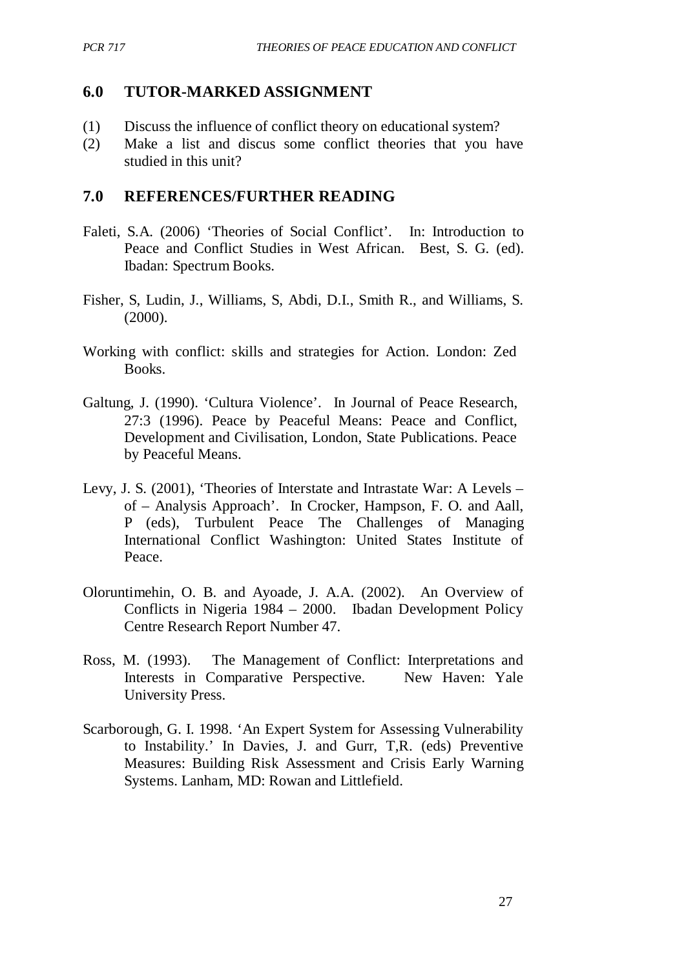### **6.0 TUTOR-MARKED ASSIGNMENT**

- (1) Discuss the influence of conflict theory on educational system?
- (2) Make a list and discus some conflict theories that you have studied in this unit?

### **7.0 REFERENCES/FURTHER READING**

- Faleti, S.A. (2006) 'Theories of Social Conflict'. In: Introduction to Peace and Conflict Studies in West African. Best, S. G. (ed). Ibadan: Spectrum Books.
- Fisher, S, Ludin, J., Williams, S, Abdi, D.I., Smith R., and Williams, S. (2000).
- Working with conflict: skills and strategies for Action. London: Zed Books.
- Galtung, J. (1990). 'Cultura Violence'. In Journal of Peace Research, 27:3 (1996). Peace by Peaceful Means: Peace and Conflict, Development and Civilisation, London, State Publications. Peace by Peaceful Means.
- Levy, J. S. (2001), 'Theories of Interstate and Intrastate War: A Levels of – Analysis Approach'. In Crocker, Hampson, F. O. and Aall, P (eds), Turbulent Peace The Challenges of Managing International Conflict Washington: United States Institute of Peace.
- Oloruntimehin, O. B. and Ayoade, J. A.A. (2002). An Overview of Conflicts in Nigeria 1984 – 2000. Ibadan Development Policy Centre Research Report Number 47.
- Ross, M. (1993). The Management of Conflict: Interpretations and Interests in Comparative Perspective. New Haven: Yale University Press.
- Scarborough, G. I. 1998. 'An Expert System for Assessing Vulnerability to Instability.' In Davies, J. and Gurr, T,R. (eds) Preventive Measures: Building Risk Assessment and Crisis Early Warning Systems. Lanham, MD: Rowan and Littlefield.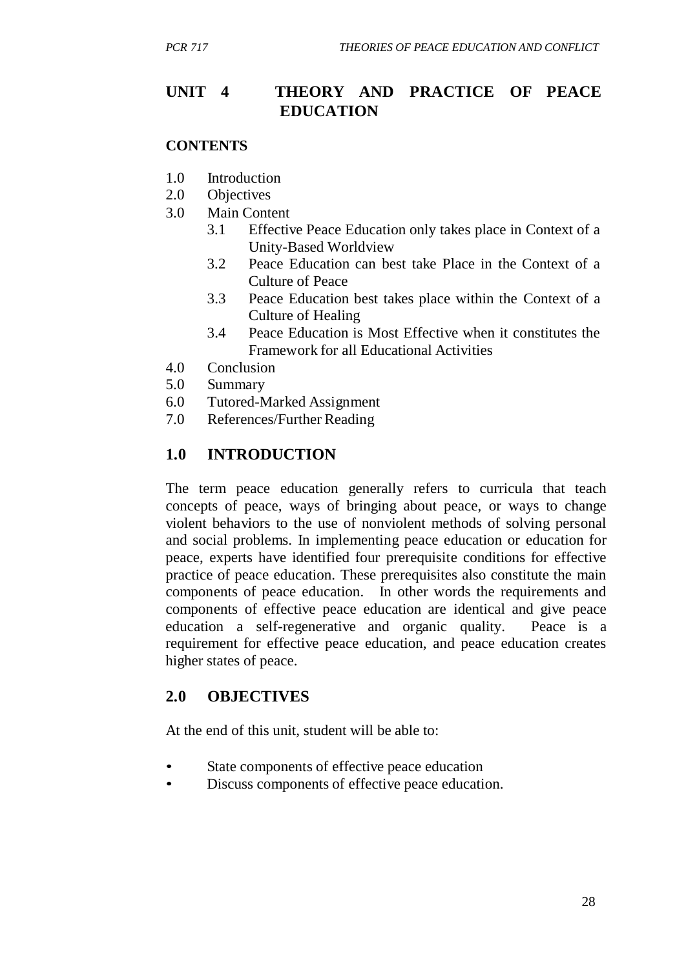# **UNIT 4 THEORY AND PRACTICE OF PEACE EDUCATION**

#### **CONTENTS**

- 1.0 Introduction
- 2.0 Objectives
- 3.0 Main Content
	- 3.1 Effective Peace Education only takes place in Context of a Unity-Based Worldview
	- 3.2 Peace Education can best take Place in the Context of a Culture of Peace
	- 3.3 Peace Education best takes place within the Context of a Culture of Healing
	- 3.4 Peace Education is Most Effective when it constitutes the Framework for all Educational Activities
- 4.0 Conclusion
- 5.0 Summary
- 6.0 Tutored-Marked Assignment
- 7.0 References/Further Reading

# **1.0 INTRODUCTION**

The term peace education generally refers to curricula that teach concepts of peace, ways of bringing about peace, or ways to change violent behaviors to the use of nonviolent methods of solving personal and social problems. In implementing peace education or education for peace, experts have identified four prerequisite conditions for effective practice of peace education. These prerequisites also constitute the main components of peace education. In other words the requirements and components of effective peace education are identical and give peace education a self-regenerative and organic quality. Peace is a requirement for effective peace education, and peace education creates higher states of peace.

## **2.0 OBJECTIVES**

At the end of this unit, student will be able to:

- State components of effective peace education
- Discuss components of effective peace education.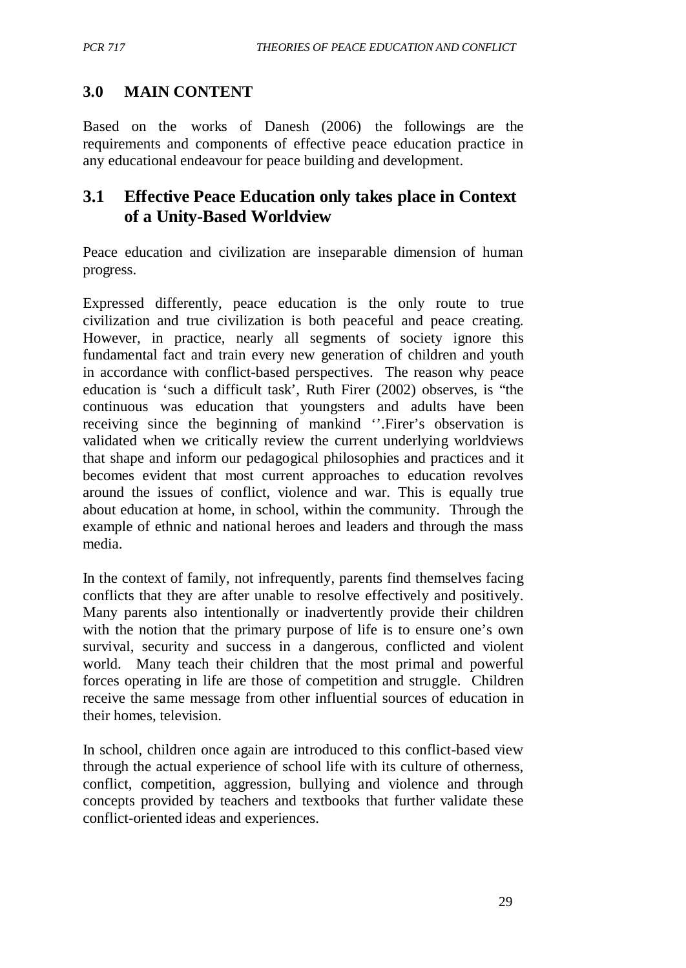# **3.0 MAIN CONTENT**

Based on the works of Danesh (2006) the followings are the requirements and components of effective peace education practice in any educational endeavour for peace building and development.

# **3.1 Effective Peace Education only takes place in Context of a Unity-Based Worldview**

Peace education and civilization are inseparable dimension of human progress.

Expressed differently, peace education is the only route to true civilization and true civilization is both peaceful and peace creating. However, in practice, nearly all segments of society ignore this fundamental fact and train every new generation of children and youth in accordance with conflict-based perspectives. The reason why peace education is 'such a difficult task', Ruth Firer (2002) observes, is "the continuous was education that youngsters and adults have been receiving since the beginning of mankind ''.Firer's observation is validated when we critically review the current underlying worldviews that shape and inform our pedagogical philosophies and practices and it becomes evident that most current approaches to education revolves around the issues of conflict, violence and war. This is equally true about education at home, in school, within the community. Through the example of ethnic and national heroes and leaders and through the mass media.

In the context of family, not infrequently, parents find themselves facing conflicts that they are after unable to resolve effectively and positively. Many parents also intentionally or inadvertently provide their children with the notion that the primary purpose of life is to ensure one's own survival, security and success in a dangerous, conflicted and violent world. Many teach their children that the most primal and powerful forces operating in life are those of competition and struggle. Children receive the same message from other influential sources of education in their homes, television.

In school, children once again are introduced to this conflict-based view through the actual experience of school life with its culture of otherness, conflict, competition, aggression, bullying and violence and through concepts provided by teachers and textbooks that further validate these conflict-oriented ideas and experiences.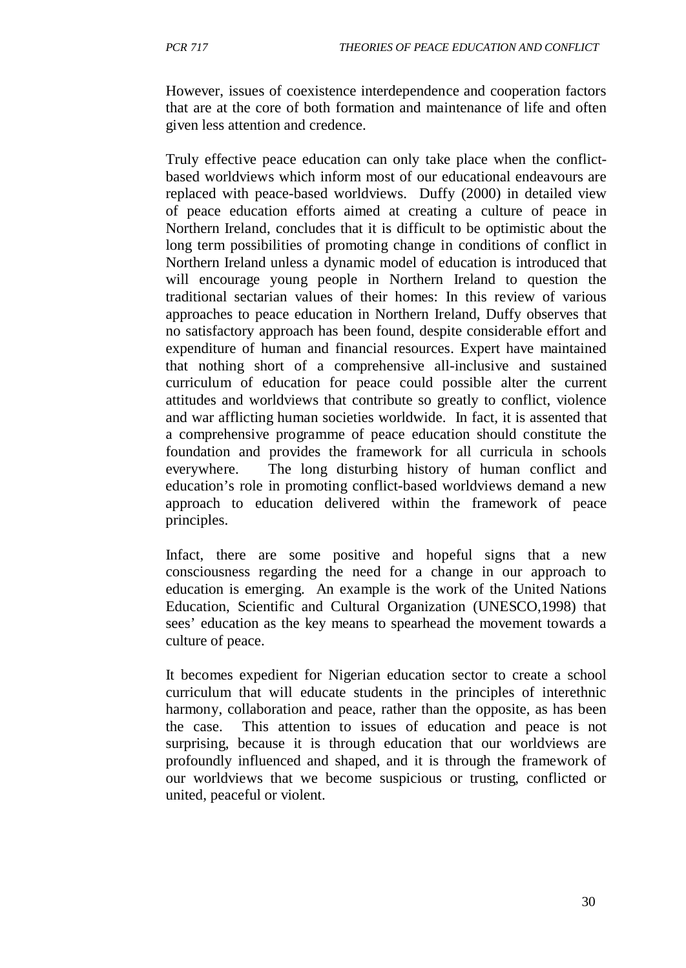However, issues of coexistence interdependence and cooperation factors that are at the core of both formation and maintenance of life and often given less attention and credence.

Truly effective peace education can only take place when the conflictbased worldviews which inform most of our educational endeavours are replaced with peace-based worldviews. Duffy (2000) in detailed view of peace education efforts aimed at creating a culture of peace in Northern Ireland, concludes that it is difficult to be optimistic about the long term possibilities of promoting change in conditions of conflict in Northern Ireland unless a dynamic model of education is introduced that will encourage young people in Northern Ireland to question the traditional sectarian values of their homes: In this review of various approaches to peace education in Northern Ireland, Duffy observes that no satisfactory approach has been found, despite considerable effort and expenditure of human and financial resources. Expert have maintained that nothing short of a comprehensive all-inclusive and sustained curriculum of education for peace could possible alter the current attitudes and worldviews that contribute so greatly to conflict, violence and war afflicting human societies worldwide. In fact, it is assented that a comprehensive programme of peace education should constitute the foundation and provides the framework for all curricula in schools everywhere. The long disturbing history of human conflict and education's role in promoting conflict-based worldviews demand a new approach to education delivered within the framework of peace principles.

Infact, there are some positive and hopeful signs that a new consciousness regarding the need for a change in our approach to education is emerging. An example is the work of the United Nations Education, Scientific and Cultural Organization (UNESCO,1998) that sees' education as the key means to spearhead the movement towards a culture of peace.

It becomes expedient for Nigerian education sector to create a school curriculum that will educate students in the principles of interethnic harmony, collaboration and peace, rather than the opposite, as has been the case. This attention to issues of education and peace is not surprising, because it is through education that our worldviews are profoundly influenced and shaped, and it is through the framework of our worldviews that we become suspicious or trusting, conflicted or united, peaceful or violent.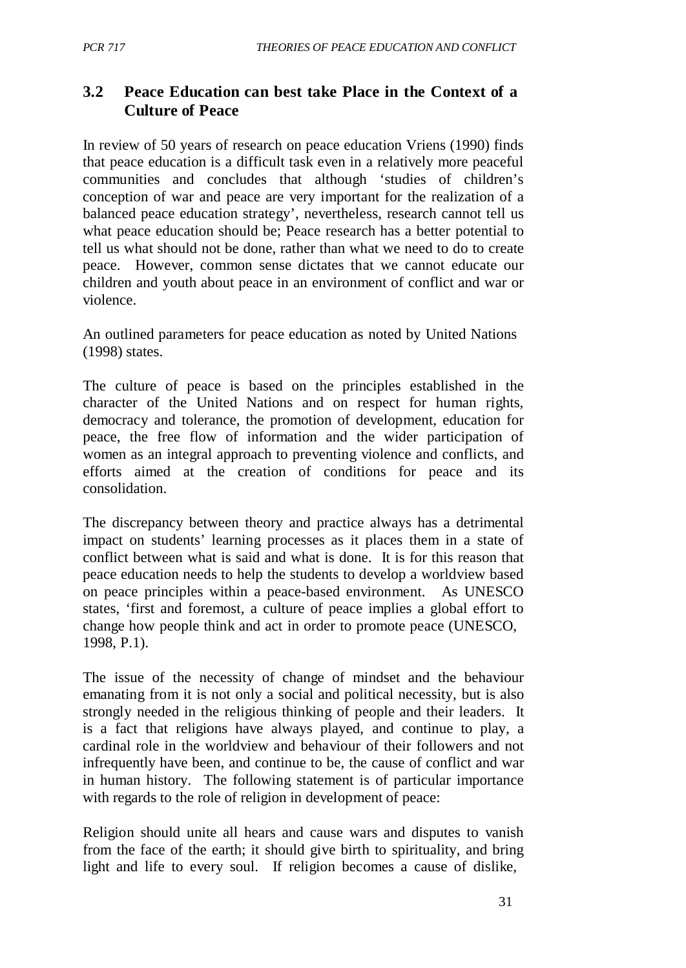# **3.2 Peace Education can best take Place in the Context of a Culture of Peace**

In review of 50 years of research on peace education Vriens (1990) finds that peace education is a difficult task even in a relatively more peaceful communities and concludes that although 'studies of children's conception of war and peace are very important for the realization of a balanced peace education strategy', nevertheless, research cannot tell us what peace education should be; Peace research has a better potential to tell us what should not be done, rather than what we need to do to create peace. However, common sense dictates that we cannot educate our children and youth about peace in an environment of conflict and war or violence.

An outlined parameters for peace education as noted by United Nations (1998) states.

The culture of peace is based on the principles established in the character of the United Nations and on respect for human rights, democracy and tolerance, the promotion of development, education for peace, the free flow of information and the wider participation of women as an integral approach to preventing violence and conflicts, and efforts aimed at the creation of conditions for peace and its consolidation.

The discrepancy between theory and practice always has a detrimental impact on students' learning processes as it places them in a state of conflict between what is said and what is done. It is for this reason that peace education needs to help the students to develop a worldview based on peace principles within a peace-based environment. As UNESCO states, 'first and foremost, a culture of peace implies a global effort to change how people think and act in order to promote peace (UNESCO, 1998, P.1).

The issue of the necessity of change of mindset and the behaviour emanating from it is not only a social and political necessity, but is also strongly needed in the religious thinking of people and their leaders. It is a fact that religions have always played, and continue to play, a cardinal role in the worldview and behaviour of their followers and not infrequently have been, and continue to be, the cause of conflict and war in human history. The following statement is of particular importance with regards to the role of religion in development of peace:

Religion should unite all hears and cause wars and disputes to vanish from the face of the earth; it should give birth to spirituality, and bring light and life to every soul. If religion becomes a cause of dislike,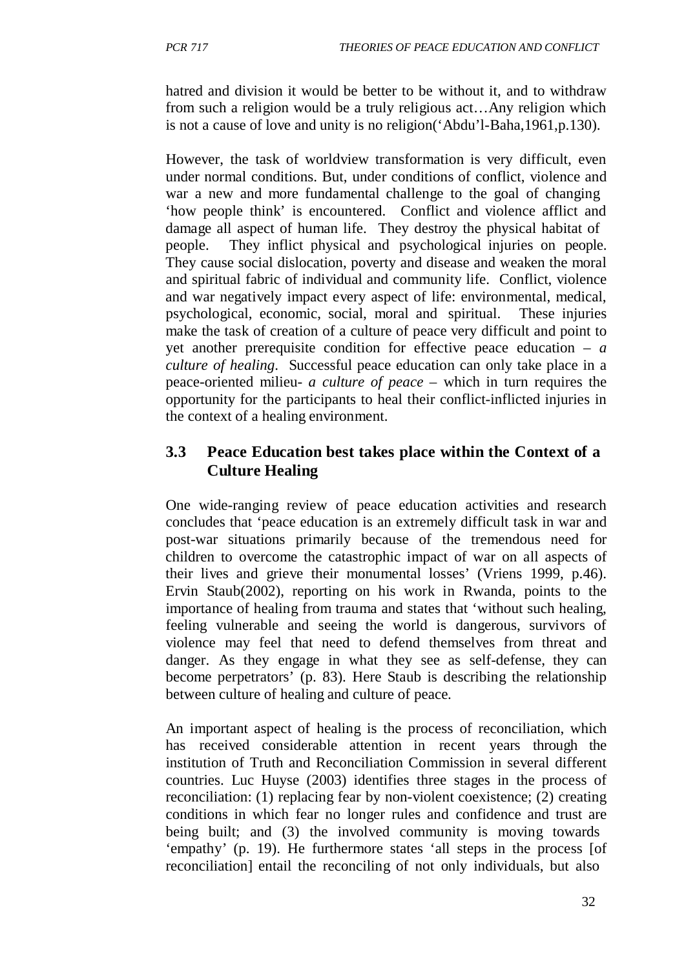hatred and division it would be better to be without it, and to withdraw from such a religion would be a truly religious act…Any religion which is not a cause of love and unity is no religion('Abdu'l-Baha,1961,p.130).

However, the task of worldview transformation is very difficult, even under normal conditions. But, under conditions of conflict, violence and war a new and more fundamental challenge to the goal of changing 'how people think' is encountered. Conflict and violence afflict and damage all aspect of human life. They destroy the physical habitat of people. They inflict physical and psychological injuries on people. They cause social dislocation, poverty and disease and weaken the moral and spiritual fabric of individual and community life. Conflict, violence and war negatively impact every aspect of life: environmental, medical, psychological, economic, social, moral and spiritual. These injuries make the task of creation of a culture of peace very difficult and point to yet another prerequisite condition for effective peace education – *a culture of healing*. Successful peace education can only take place in a peace-oriented milieu- *a culture of peace –* which in turn requires the opportunity for the participants to heal their conflict-inflicted injuries in the context of a healing environment.

## **3.3 Peace Education best takes place within the Context of a Culture Healing**

One wide-ranging review of peace education activities and research concludes that 'peace education is an extremely difficult task in war and post-war situations primarily because of the tremendous need for children to overcome the catastrophic impact of war on all aspects of their lives and grieve their monumental losses' (Vriens 1999, p.46). Ervin Staub(2002), reporting on his work in Rwanda, points to the importance of healing from trauma and states that 'without such healing, feeling vulnerable and seeing the world is dangerous, survivors of violence may feel that need to defend themselves from threat and danger. As they engage in what they see as self-defense, they can become perpetrators' (p. 83). Here Staub is describing the relationship between culture of healing and culture of peace.

An important aspect of healing is the process of reconciliation, which has received considerable attention in recent years through the institution of Truth and Reconciliation Commission in several different countries. Luc Huyse (2003) identifies three stages in the process of reconciliation: (1) replacing fear by non-violent coexistence; (2) creating conditions in which fear no longer rules and confidence and trust are being built; and (3) the involved community is moving towards 'empathy' (p. 19). He furthermore states 'all steps in the process [of reconciliation] entail the reconciling of not only individuals, but also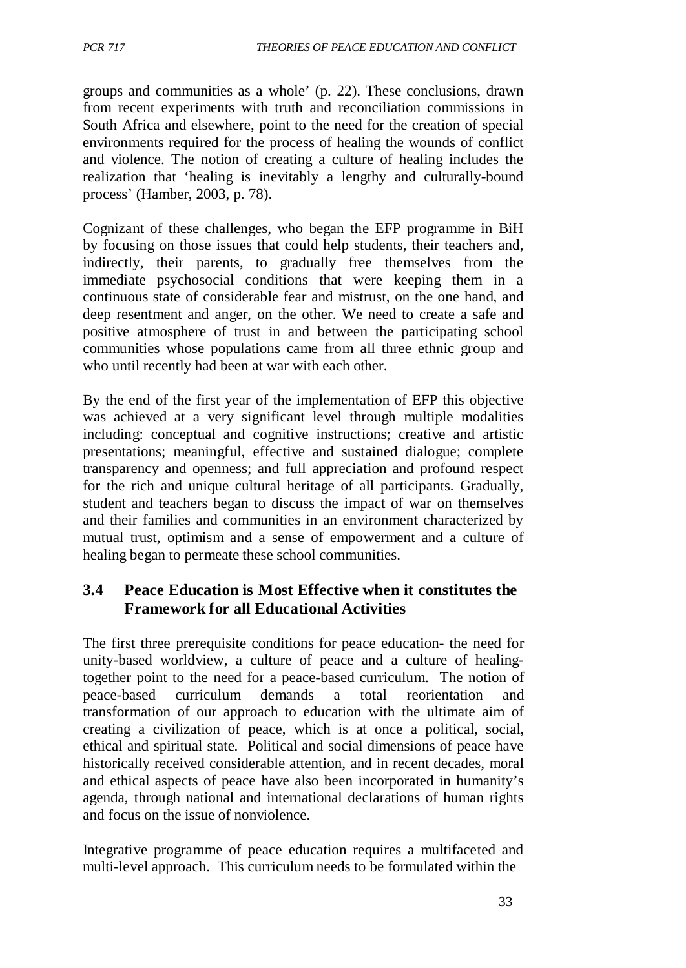groups and communities as a whole' (p. 22). These conclusions, drawn from recent experiments with truth and reconciliation commissions in South Africa and elsewhere, point to the need for the creation of special environments required for the process of healing the wounds of conflict and violence. The notion of creating a culture of healing includes the realization that 'healing is inevitably a lengthy and culturally-bound process' (Hamber, 2003, p. 78).

Cognizant of these challenges, who began the EFP programme in BiH by focusing on those issues that could help students, their teachers and, indirectly, their parents, to gradually free themselves from the immediate psychosocial conditions that were keeping them in a continuous state of considerable fear and mistrust, on the one hand, and deep resentment and anger, on the other. We need to create a safe and positive atmosphere of trust in and between the participating school communities whose populations came from all three ethnic group and who until recently had been at war with each other.

By the end of the first year of the implementation of EFP this objective was achieved at a very significant level through multiple modalities including: conceptual and cognitive instructions; creative and artistic presentations; meaningful, effective and sustained dialogue; complete transparency and openness; and full appreciation and profound respect for the rich and unique cultural heritage of all participants. Gradually, student and teachers began to discuss the impact of war on themselves and their families and communities in an environment characterized by mutual trust, optimism and a sense of empowerment and a culture of healing began to permeate these school communities.

# **3.4 Peace Education is Most Effective when it constitutes the Framework for all Educational Activities**

The first three prerequisite conditions for peace education- the need for unity-based worldview, a culture of peace and a culture of healingtogether point to the need for a peace-based curriculum. The notion of peace-based curriculum demands a total reorientation and transformation of our approach to education with the ultimate aim of creating a civilization of peace, which is at once a political, social, ethical and spiritual state. Political and social dimensions of peace have historically received considerable attention, and in recent decades, moral and ethical aspects of peace have also been incorporated in humanity's agenda, through national and international declarations of human rights and focus on the issue of nonviolence.

Integrative programme of peace education requires a multifaceted and multi-level approach. This curriculum needs to be formulated within the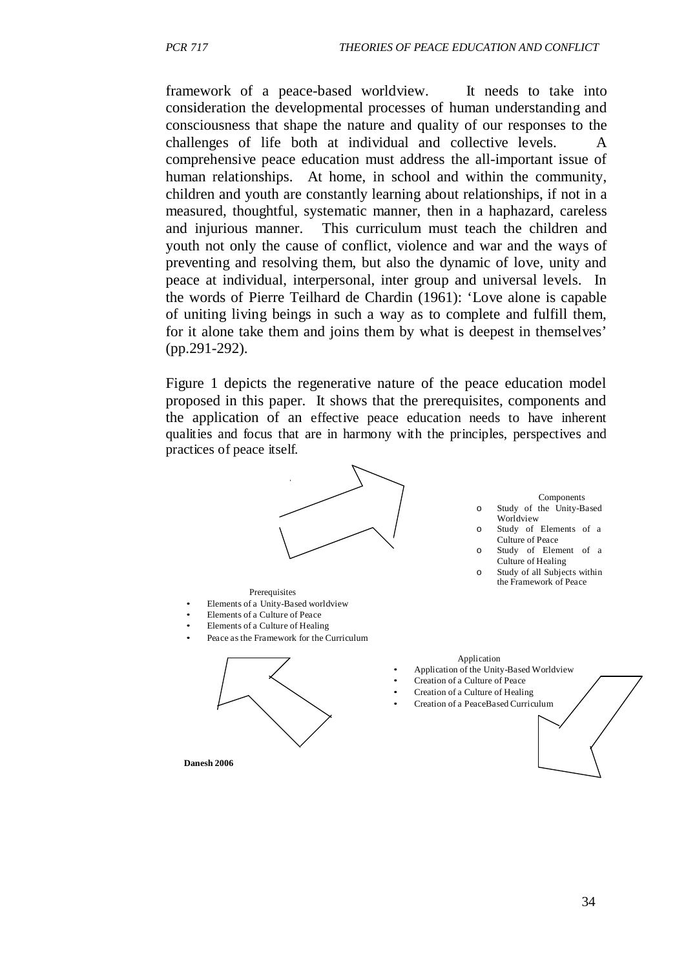framework of a peace-based worldview. It needs to take into consideration the developmental processes of human understanding and consciousness that shape the nature and quality of our responses to the challenges of life both at individual and collective levels. A comprehensive peace education must address the all-important issue of human relationships. At home, in school and within the community, children and youth are constantly learning about relationships, if not in a measured, thoughtful, systematic manner, then in a haphazard, careless and injurious manner. This curriculum must teach the children and youth not only the cause of conflict, violence and war and the ways of preventing and resolving them, but also the dynamic of love, unity and peace at individual, interpersonal, inter group and universal levels. In the words of Pierre Teilhard de Chardin (1961): 'Love alone is capable of uniting living beings in such a way as to complete and fulfill them, for it alone take them and joins them by what is deepest in themselves' (pp.291-292).

Figure 1 depicts the regenerative nature of the peace education model proposed in this paper. It shows that the prerequisites, components and the application of an effective peace education needs to have inherent qualities and focus that are in harmony with the principles, perspectives and practices of peace itself.

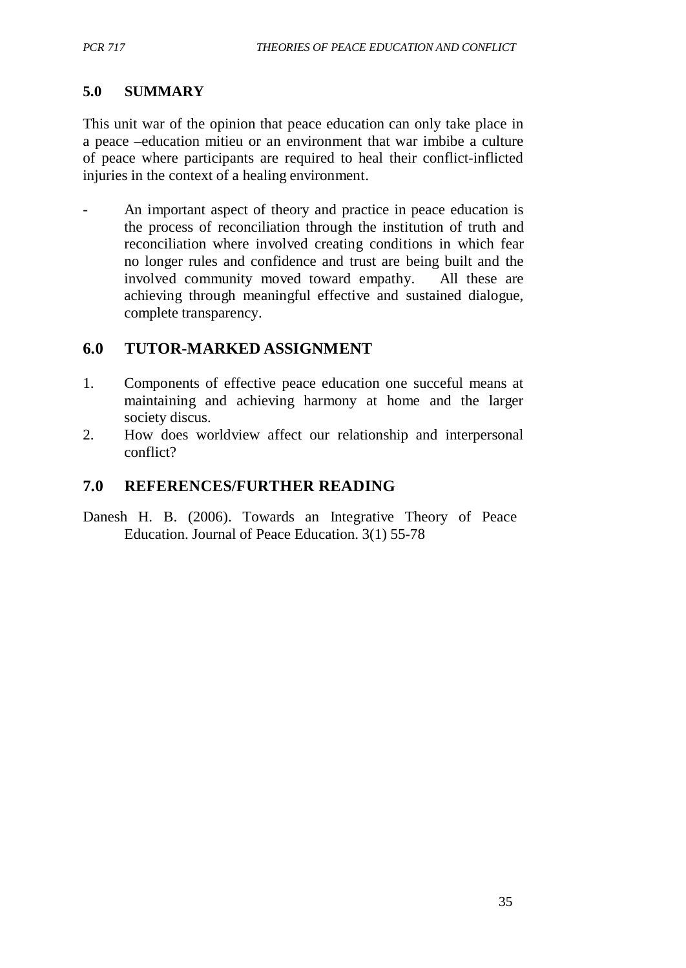#### **5.0 SUMMARY**

This unit war of the opinion that peace education can only take place in a peace –education mitieu or an environment that war imbibe a culture of peace where participants are required to heal their conflict-inflicted injuries in the context of a healing environment.

- An important aspect of theory and practice in peace education is the process of reconciliation through the institution of truth and reconciliation where involved creating conditions in which fear no longer rules and confidence and trust are being built and the involved community moved toward empathy. All these are achieving through meaningful effective and sustained dialogue, complete transparency.

### **6.0 TUTOR-MARKED ASSIGNMENT**

- 1. Components of effective peace education one succeful means at maintaining and achieving harmony at home and the larger society discus.
- 2. How does worldview affect our relationship and interpersonal conflict?

### **7.0 REFERENCES/FURTHER READING**

Danesh H. B. (2006). Towards an Integrative Theory of Peace Education. Journal of Peace Education. 3(1) 55-78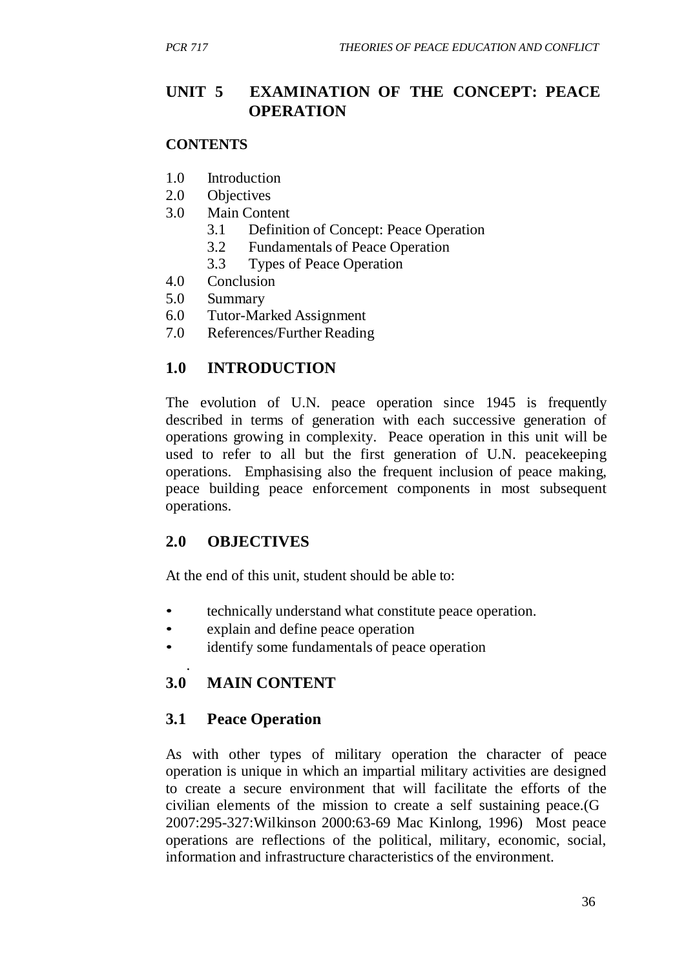# **UNIT 5 EXAMINATION OF THE CONCEPT: PEACE OPERATION**

#### **CONTENTS**

- 1.0 Introduction
- 2.0 Objectives
- 3.0 Main Content
	- 3.1 Definition of Concept: Peace Operation
	- 3.2 Fundamentals of Peace Operation
	- 3.3 Types of Peace Operation
- 4.0 Conclusion
- 5.0 Summary
- 6.0 Tutor-Marked Assignment
- 7.0 References/Further Reading

### **1.0 INTRODUCTION**

The evolution of U.N. peace operation since 1945 is frequently described in terms of generation with each successive generation of operations growing in complexity. Peace operation in this unit will be used to refer to all but the first generation of U.N. peacekeeping operations. Emphasising also the frequent inclusion of peace making, peace building peace enforcement components in most subsequent operations.

#### **2.0 OBJECTIVES**

At the end of this unit, student should be able to:

- technically understand what constitute peace operation.
- explain and define peace operation
- identify some fundamentals of peace operation

## **3.0 MAIN CONTENT**

#### **3.1 Peace Operation**

.

As with other types of military operation the character of peace operation is unique in which an impartial military activities are designed to create a secure environment that will facilitate the efforts of the civilian elements of the mission to create a self sustaining peace.(G 2007:295-327:Wilkinson 2000:63-69 Mac Kinlong, 1996) Most peace operations are reflections of the political, military, economic, social, information and infrastructure characteristics of the environment.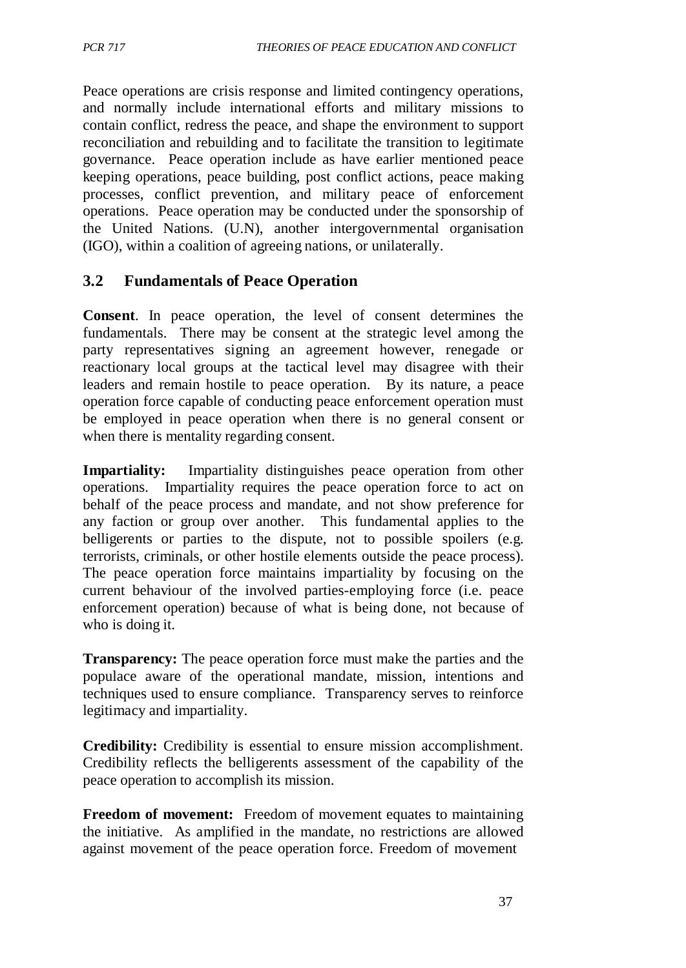Peace operations are crisis response and limited contingency operations, and normally include international efforts and military missions to contain conflict, redress the peace, and shape the environment to support reconciliation and rebuilding and to facilitate the transition to legitimate governance. Peace operation include as have earlier mentioned peace keeping operations, peace building, post conflict actions, peace making processes, conflict prevention, and military peace of enforcement operations. Peace operation may be conducted under the sponsorship of the United Nations. (U.N), another intergovernmental organisation (IGO), within a coalition of agreeing nations, or unilaterally.

# **3.2 Fundamentals of Peace Operation**

**Consent**. In peace operation, the level of consent determines the fundamentals. There may be consent at the strategic level among the party representatives signing an agreement however, renegade or reactionary local groups at the tactical level may disagree with their leaders and remain hostile to peace operation. By its nature, a peace operation force capable of conducting peace enforcement operation must be employed in peace operation when there is no general consent or when there is mentality regarding consent.

**Impartiality:** Impartiality distinguishes peace operation from other operations. Impartiality requires the peace operation force to act on behalf of the peace process and mandate, and not show preference for any faction or group over another. This fundamental applies to the belligerents or parties to the dispute, not to possible spoilers (e.g. terrorists, criminals, or other hostile elements outside the peace process). The peace operation force maintains impartiality by focusing on the current behaviour of the involved parties-employing force (i.e. peace enforcement operation) because of what is being done, not because of who is doing it.

**Transparency:** The peace operation force must make the parties and the populace aware of the operational mandate, mission, intentions and techniques used to ensure compliance. Transparency serves to reinforce legitimacy and impartiality.

**Credibility:** Credibility is essential to ensure mission accomplishment. Credibility reflects the belligerents assessment of the capability of the peace operation to accomplish its mission.

**Freedom of movement:** Freedom of movement equates to maintaining the initiative. As amplified in the mandate, no restrictions are allowed against movement of the peace operation force. Freedom of movement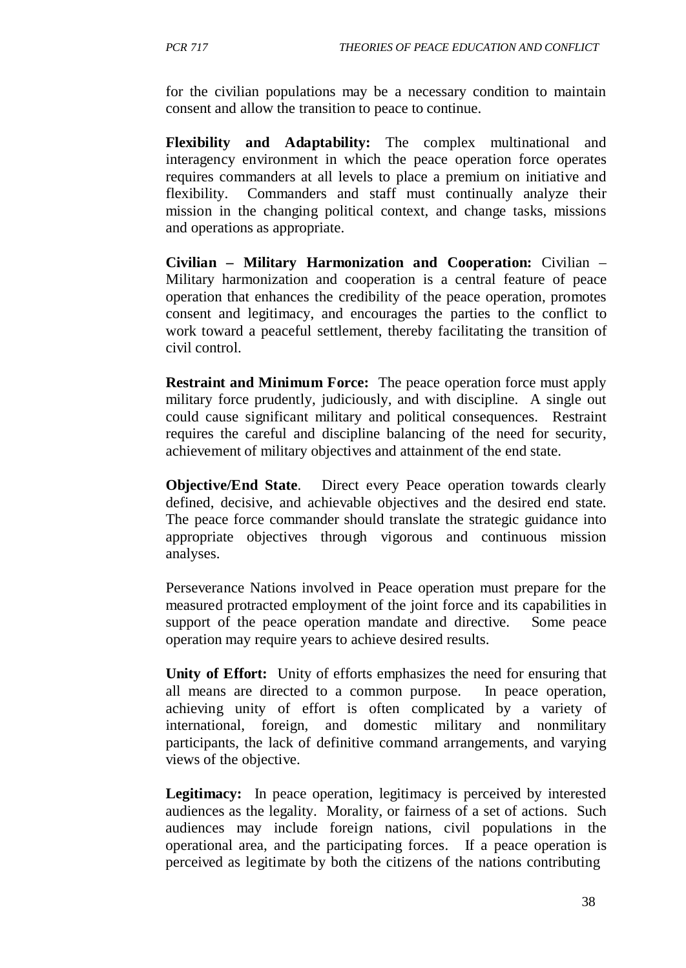for the civilian populations may be a necessary condition to maintain consent and allow the transition to peace to continue.

**Flexibility and Adaptability:** The complex multinational and interagency environment in which the peace operation force operates requires commanders at all levels to place a premium on initiative and flexibility. Commanders and staff must continually analyze their mission in the changing political context, and change tasks, missions and operations as appropriate.

**Civilian – Military Harmonization and Cooperation:** Civilian – Military harmonization and cooperation is a central feature of peace operation that enhances the credibility of the peace operation, promotes consent and legitimacy, and encourages the parties to the conflict to work toward a peaceful settlement, thereby facilitating the transition of civil control.

**Restraint and Minimum Force:** The peace operation force must apply military force prudently, judiciously, and with discipline. A single out could cause significant military and political consequences. Restraint requires the careful and discipline balancing of the need for security, achievement of military objectives and attainment of the end state.

**Objective/End State.** Direct every Peace operation towards clearly defined, decisive, and achievable objectives and the desired end state. The peace force commander should translate the strategic guidance into appropriate objectives through vigorous and continuous mission analyses.

Perseverance Nations involved in Peace operation must prepare for the measured protracted employment of the joint force and its capabilities in support of the peace operation mandate and directive. Some peace operation may require years to achieve desired results.

**Unity of Effort:** Unity of efforts emphasizes the need for ensuring that all means are directed to a common purpose. In peace operation, achieving unity of effort is often complicated by a variety of international, foreign, and domestic military and nonmilitary participants, the lack of definitive command arrangements, and varying views of the objective.

Legitimacy: In peace operation, legitimacy is perceived by interested audiences as the legality. Morality, or fairness of a set of actions. Such audiences may include foreign nations, civil populations in the operational area, and the participating forces. If a peace operation is perceived as legitimate by both the citizens of the nations contributing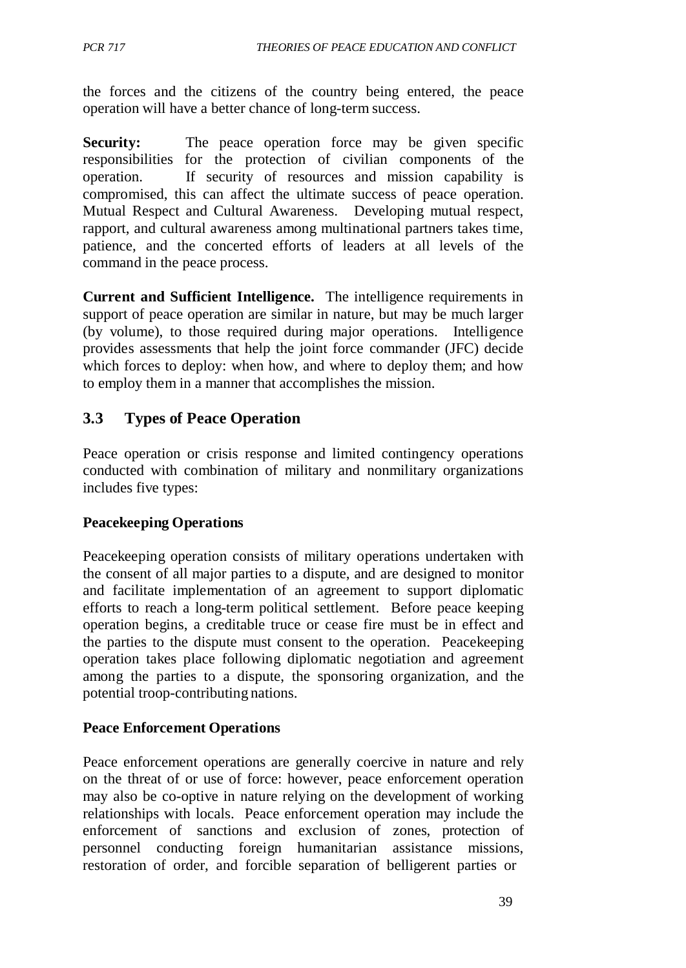the forces and the citizens of the country being entered, the peace operation will have a better chance of long-term success.

**Security:** The peace operation force may be given specific responsibilities for the protection of civilian components of the operation. If security of resources and mission capability is compromised, this can affect the ultimate success of peace operation. Mutual Respect and Cultural Awareness. Developing mutual respect, rapport, and cultural awareness among multinational partners takes time, patience, and the concerted efforts of leaders at all levels of the command in the peace process.

**Current and Sufficient Intelligence.** The intelligence requirements in support of peace operation are similar in nature, but may be much larger (by volume), to those required during major operations. Intelligence provides assessments that help the joint force commander (JFC) decide which forces to deploy: when how, and where to deploy them; and how to employ them in a manner that accomplishes the mission.

# **3.3 Types of Peace Operation**

Peace operation or crisis response and limited contingency operations conducted with combination of military and nonmilitary organizations includes five types:

#### **Peacekeeping Operations**

Peacekeeping operation consists of military operations undertaken with the consent of all major parties to a dispute, and are designed to monitor and facilitate implementation of an agreement to support diplomatic efforts to reach a long-term political settlement. Before peace keeping operation begins, a creditable truce or cease fire must be in effect and the parties to the dispute must consent to the operation. Peacekeeping operation takes place following diplomatic negotiation and agreement among the parties to a dispute, the sponsoring organization, and the potential troop-contributing nations.

#### **Peace Enforcement Operations**

Peace enforcement operations are generally coercive in nature and rely on the threat of or use of force: however, peace enforcement operation may also be co-optive in nature relying on the development of working relationships with locals. Peace enforcement operation may include the enforcement of sanctions and exclusion of zones, protection of personnel conducting foreign humanitarian assistance missions, restoration of order, and forcible separation of belligerent parties or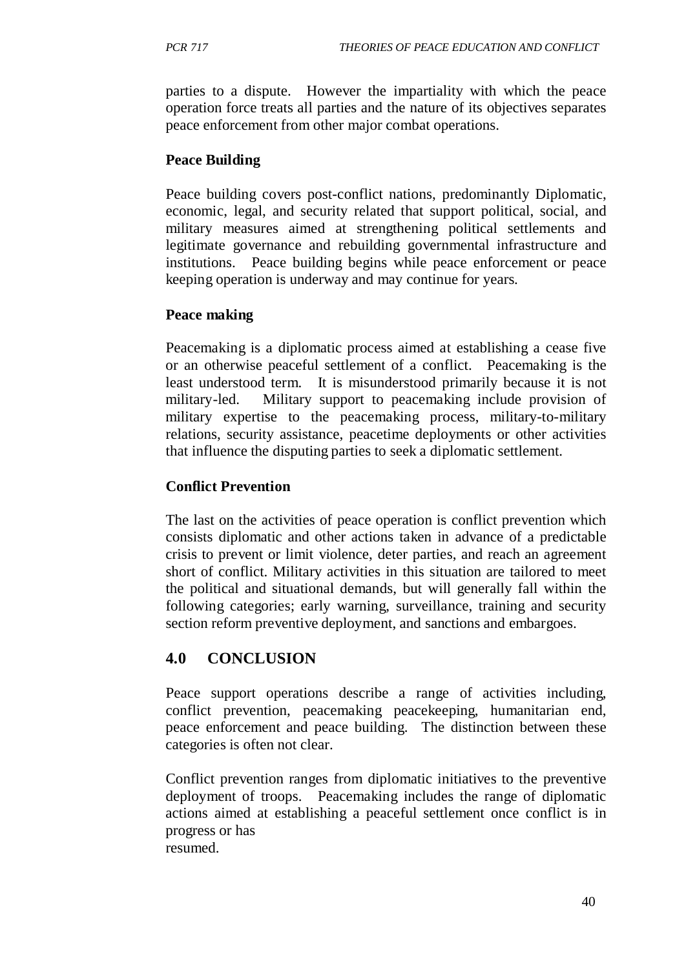parties to a dispute. However the impartiality with which the peace operation force treats all parties and the nature of its objectives separates peace enforcement from other major combat operations.

### **Peace Building**

Peace building covers post-conflict nations, predominantly Diplomatic, economic, legal, and security related that support political, social, and military measures aimed at strengthening political settlements and legitimate governance and rebuilding governmental infrastructure and institutions. Peace building begins while peace enforcement or peace keeping operation is underway and may continue for years.

### **Peace making**

Peacemaking is a diplomatic process aimed at establishing a cease five or an otherwise peaceful settlement of a conflict. Peacemaking is the least understood term. It is misunderstood primarily because it is not military-led. Military support to peacemaking include provision of military expertise to the peacemaking process, military-to-military relations, security assistance, peacetime deployments or other activities that influence the disputing parties to seek a diplomatic settlement.

### **Conflict Prevention**

The last on the activities of peace operation is conflict prevention which consists diplomatic and other actions taken in advance of a predictable crisis to prevent or limit violence, deter parties, and reach an agreement short of conflict. Military activities in this situation are tailored to meet the political and situational demands, but will generally fall within the following categories; early warning, surveillance, training and security section reform preventive deployment, and sanctions and embargoes.

## **4.0 CONCLUSION**

Peace support operations describe a range of activities including, conflict prevention, peacemaking peacekeeping, humanitarian end, peace enforcement and peace building. The distinction between these categories is often not clear.

Conflict prevention ranges from diplomatic initiatives to the preventive deployment of troops. Peacemaking includes the range of diplomatic actions aimed at establishing a peaceful settlement once conflict is in progress or has resumed.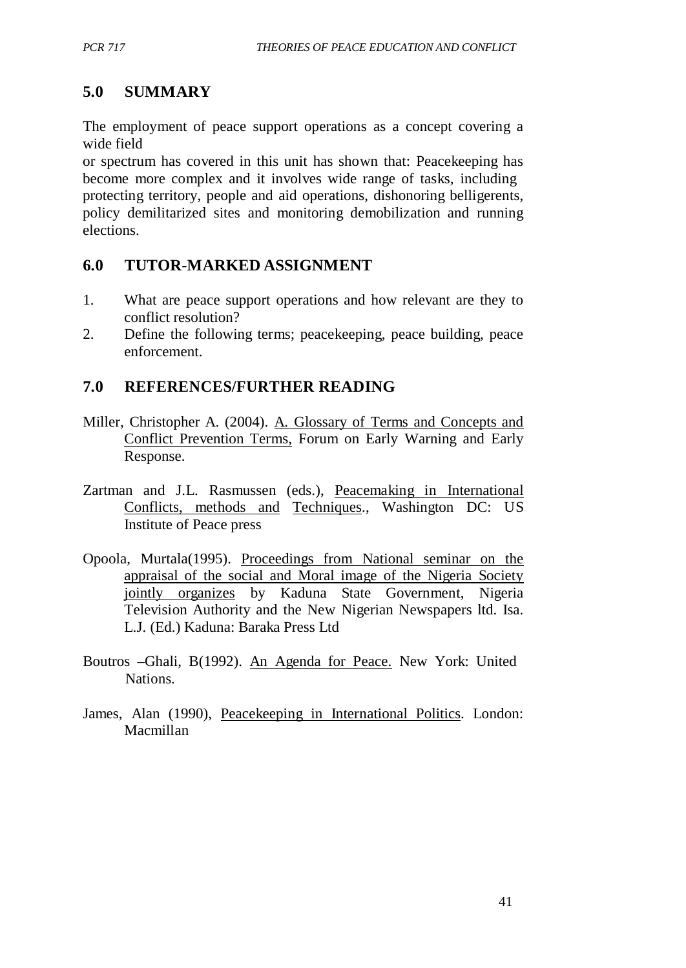# **5.0 SUMMARY**

The employment of peace support operations as a concept covering a wide field

or spectrum has covered in this unit has shown that: Peacekeeping has become more complex and it involves wide range of tasks, including protecting territory, people and aid operations, dishonoring belligerents, policy demilitarized sites and monitoring demobilization and running elections.

# **6.0 TUTOR-MARKED ASSIGNMENT**

- 1. What are peace support operations and how relevant are they to conflict resolution?
- 2. Define the following terms; peacekeeping, peace building, peace enforcement.

# **7.0 REFERENCES/FURTHER READING**

- Miller, Christopher A. (2004). A. Glossary of Terms and Concepts and Conflict Prevention Terms, Forum on Early Warning and Early Response.
- Zartman and J.L. Rasmussen (eds.), Peacemaking in International Conflicts, methods and Techniques., Washington DC: US Institute of Peace press
- Opoola, Murtala(1995). Proceedings from National seminar on the appraisal of the social and Moral image of the Nigeria Society jointly organizes by Kaduna State Government, Nigeria Television Authority and the New Nigerian Newspapers ltd. Isa. L.J. (Ed.) Kaduna: Baraka Press Ltd
- Boutros –Ghali, B(1992). An Agenda for Peace. New York: United **Nations**
- James, Alan (1990), Peacekeeping in International Politics. London: Macmillan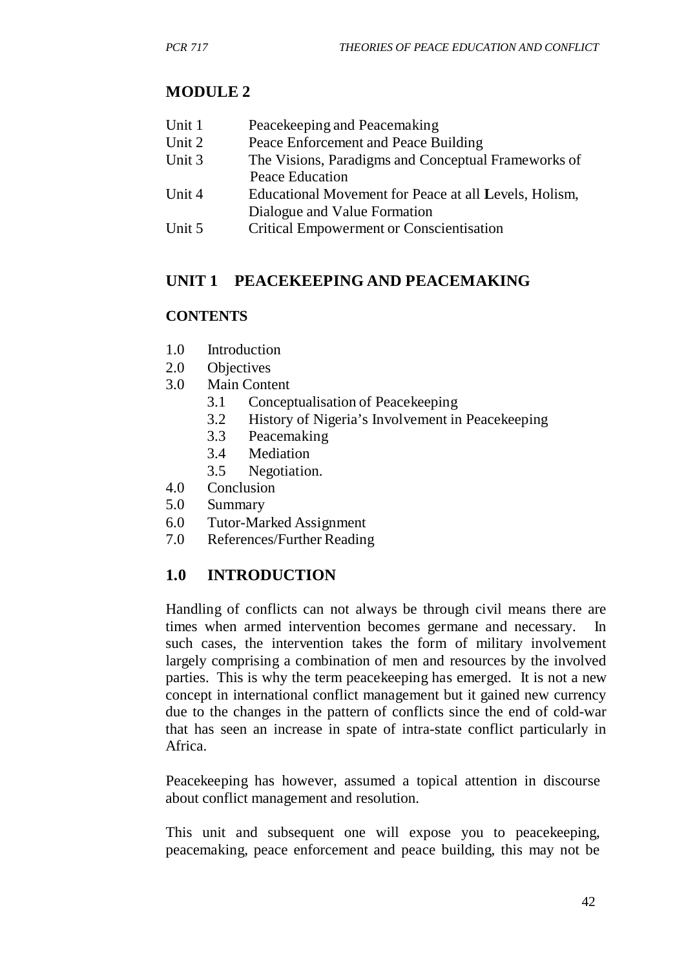# **MODULE 2**

| Unit 1 | Peacekeeping and Peacemaking                          |
|--------|-------------------------------------------------------|
|        |                                                       |
| Unit 2 | Peace Enforcement and Peace Building                  |
| Unit 3 | The Visions, Paradigms and Conceptual Frameworks of   |
|        | Peace Education                                       |
| Unit 4 | Educational Movement for Peace at all Levels, Holism, |
|        | Dialogue and Value Formation                          |
| Unit 5 | <b>Critical Empowerment or Conscientisation</b>       |
|        |                                                       |

# **UNIT 1 PEACEKEEPING AND PEACEMAKING**

### **CONTENTS**

- 1.0 Introduction
- 2.0 Objectives
- 3.0 Main Content
	- 3.1 Conceptualisation of Peacekeeping
	- 3.2 History of Nigeria's Involvement in Peacekeeping
	- 3.3 Peacemaking
	- 3.4 Mediation
	- 3.5 Negotiation.
- 4.0 Conclusion
- 5.0 Summary
- 6.0 Tutor-Marked Assignment
- 7.0 References/Further Reading

# **1.0 INTRODUCTION**

Handling of conflicts can not always be through civil means there are times when armed intervention becomes germane and necessary. In such cases, the intervention takes the form of military involvement largely comprising a combination of men and resources by the involved parties. This is why the term peacekeeping has emerged. It is not a new concept in international conflict management but it gained new currency due to the changes in the pattern of conflicts since the end of cold-war that has seen an increase in spate of intra-state conflict particularly in Africa.

Peacekeeping has however, assumed a topical attention in discourse about conflict management and resolution.

This unit and subsequent one will expose you to peacekeeping, peacemaking, peace enforcement and peace building, this may not be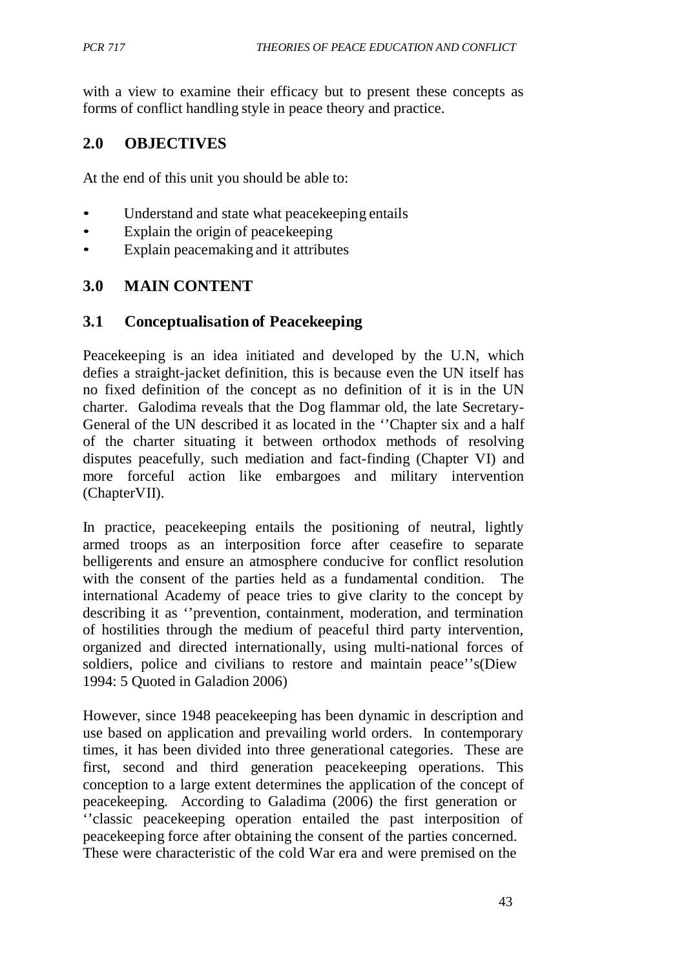with a view to examine their efficacy but to present these concepts as forms of conflict handling style in peace theory and practice.

# **2.0 OBJECTIVES**

At the end of this unit you should be able to:

- Understand and state what peacekeeping entails
- Explain the origin of peacekeeping
- Explain peacemaking and it attributes

## **3.0 MAIN CONTENT**

### **3.1 Conceptualisation of Peacekeeping**

Peacekeeping is an idea initiated and developed by the U.N, which defies a straight-jacket definition, this is because even the UN itself has no fixed definition of the concept as no definition of it is in the UN charter. Galodima reveals that the Dog flammar old, the late Secretary-General of the UN described it as located in the ''Chapter six and a half of the charter situating it between orthodox methods of resolving disputes peacefully, such mediation and fact-finding (Chapter VI) and more forceful action like embargoes and military intervention (ChapterVII).

In practice, peacekeeping entails the positioning of neutral, lightly armed troops as an interposition force after ceasefire to separate belligerents and ensure an atmosphere conducive for conflict resolution with the consent of the parties held as a fundamental condition. The international Academy of peace tries to give clarity to the concept by describing it as ''prevention, containment, moderation, and termination of hostilities through the medium of peaceful third party intervention, organized and directed internationally, using multi-national forces of soldiers, police and civilians to restore and maintain peace''s(Diew 1994: 5 Quoted in Galadion 2006)

However, since 1948 peacekeeping has been dynamic in description and use based on application and prevailing world orders. In contemporary times, it has been divided into three generational categories. These are first, second and third generation peacekeeping operations. This conception to a large extent determines the application of the concept of peacekeeping. According to Galadima (2006) the first generation or ''classic peacekeeping operation entailed the past interposition of peacekeeping force after obtaining the consent of the parties concerned. These were characteristic of the cold War era and were premised on the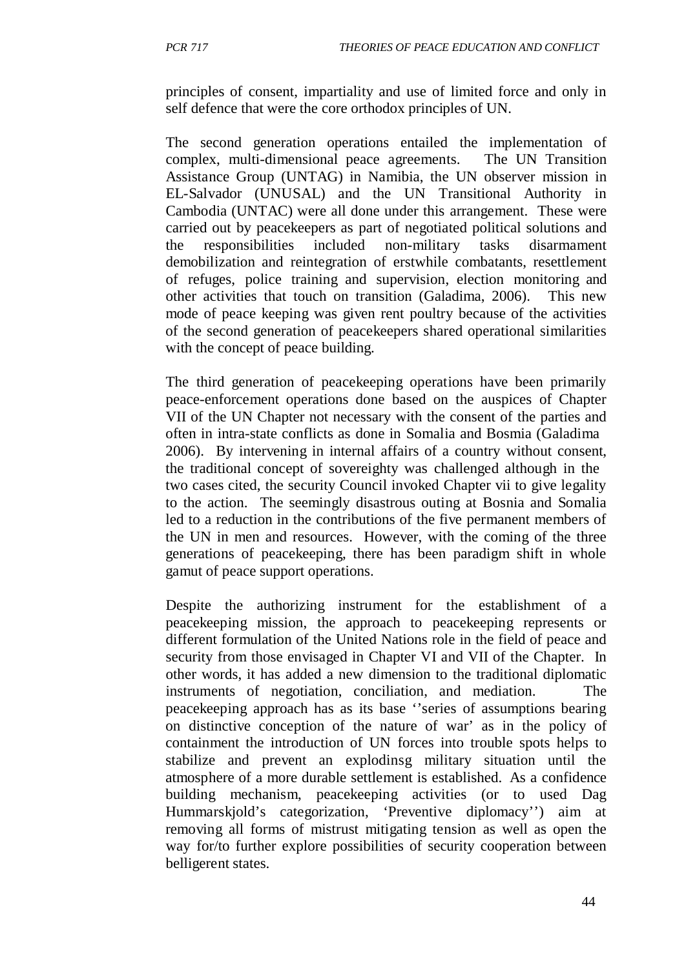principles of consent, impartiality and use of limited force and only in self defence that were the core orthodox principles of UN.

The second generation operations entailed the implementation of complex, multi-dimensional peace agreements. The UN Transition Assistance Group (UNTAG) in Namibia, the UN observer mission in EL-Salvador (UNUSAL) and the UN Transitional Authority in Cambodia (UNTAC) were all done under this arrangement. These were carried out by peacekeepers as part of negotiated political solutions and the responsibilities included non-military tasks disarmament demobilization and reintegration of erstwhile combatants, resettlement of refuges, police training and supervision, election monitoring and other activities that touch on transition (Galadima, 2006). This new mode of peace keeping was given rent poultry because of the activities of the second generation of peacekeepers shared operational similarities with the concept of peace building.

The third generation of peacekeeping operations have been primarily peace-enforcement operations done based on the auspices of Chapter VII of the UN Chapter not necessary with the consent of the parties and often in intra-state conflicts as done in Somalia and Bosmia (Galadima 2006). By intervening in internal affairs of a country without consent, the traditional concept of sovereighty was challenged although in the two cases cited, the security Council invoked Chapter vii to give legality to the action. The seemingly disastrous outing at Bosnia and Somalia led to a reduction in the contributions of the five permanent members of the UN in men and resources. However, with the coming of the three generations of peacekeeping, there has been paradigm shift in whole gamut of peace support operations.

Despite the authorizing instrument for the establishment of a peacekeeping mission, the approach to peacekeeping represents or different formulation of the United Nations role in the field of peace and security from those envisaged in Chapter VI and VII of the Chapter. In other words, it has added a new dimension to the traditional diplomatic instruments of negotiation, conciliation, and mediation. The peacekeeping approach has as its base ''series of assumptions bearing on distinctive conception of the nature of war' as in the policy of containment the introduction of UN forces into trouble spots helps to stabilize and prevent an explodinsg military situation until the atmosphere of a more durable settlement is established. As a confidence building mechanism, peacekeeping activities (or to used Dag Hummarskjold's categorization, 'Preventive diplomacy'') aim at removing all forms of mistrust mitigating tension as well as open the way for/to further explore possibilities of security cooperation between belligerent states.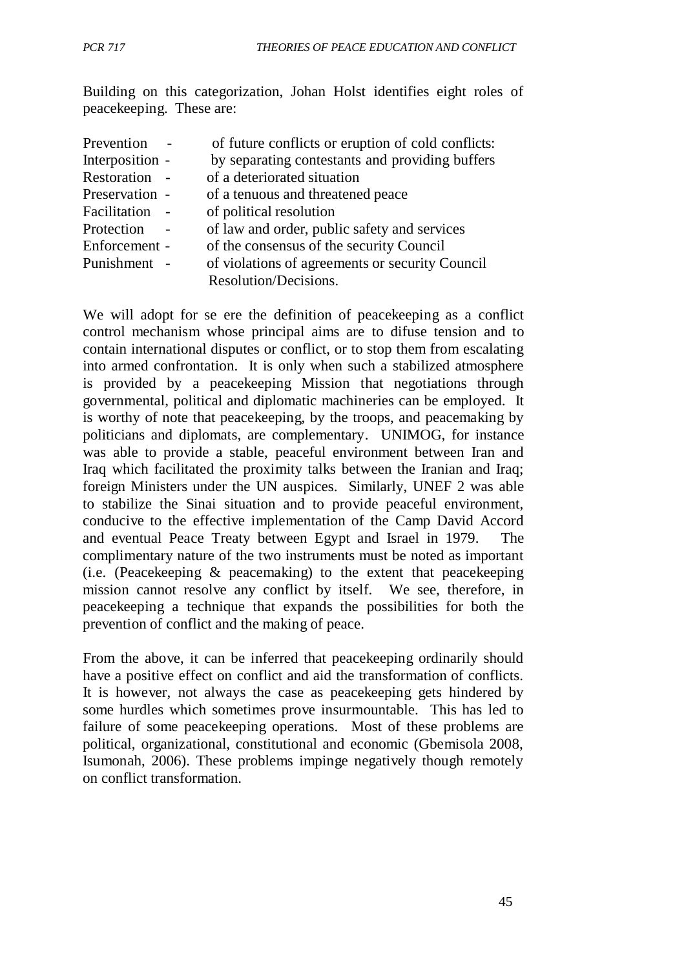Building on this categorization, Johan Holst identifies eight roles of peacekeeping. These are:

| Prevention      | of future conflicts or eruption of cold conflicts: |
|-----------------|----------------------------------------------------|
| Interposition - | by separating contestants and providing buffers    |
| Restoration -   | of a deteriorated situation                        |
| Preservation -  | of a tenuous and threatened peace                  |
| Facilitation    | of political resolution                            |
| Protection      | of law and order, public safety and services       |
| Enforcement -   | of the consensus of the security Council           |
| Punishment -    | of violations of agreements or security Council    |
|                 | Resolution/Decisions.                              |

We will adopt for se ere the definition of peacekeeping as a conflict control mechanism whose principal aims are to difuse tension and to contain international disputes or conflict, or to stop them from escalating into armed confrontation. It is only when such a stabilized atmosphere is provided by a peacekeeping Mission that negotiations through governmental, political and diplomatic machineries can be employed. It is worthy of note that peacekeeping, by the troops, and peacemaking by politicians and diplomats, are complementary. UNIMOG, for instance was able to provide a stable, peaceful environment between Iran and Iraq which facilitated the proximity talks between the Iranian and Iraq; foreign Ministers under the UN auspices. Similarly, UNEF 2 was able to stabilize the Sinai situation and to provide peaceful environment, conducive to the effective implementation of the Camp David Accord and eventual Peace Treaty between Egypt and Israel in 1979. The complimentary nature of the two instruments must be noted as important (i.e. (Peacekeeping & peacemaking) to the extent that peacekeeping mission cannot resolve any conflict by itself. We see, therefore, in peacekeeping a technique that expands the possibilities for both the prevention of conflict and the making of peace.

From the above, it can be inferred that peacekeeping ordinarily should have a positive effect on conflict and aid the transformation of conflicts. It is however, not always the case as peacekeeping gets hindered by some hurdles which sometimes prove insurmountable. This has led to failure of some peacekeeping operations. Most of these problems are political, organizational, constitutional and economic (Gbemisola 2008, Isumonah, 2006). These problems impinge negatively though remotely on conflict transformation.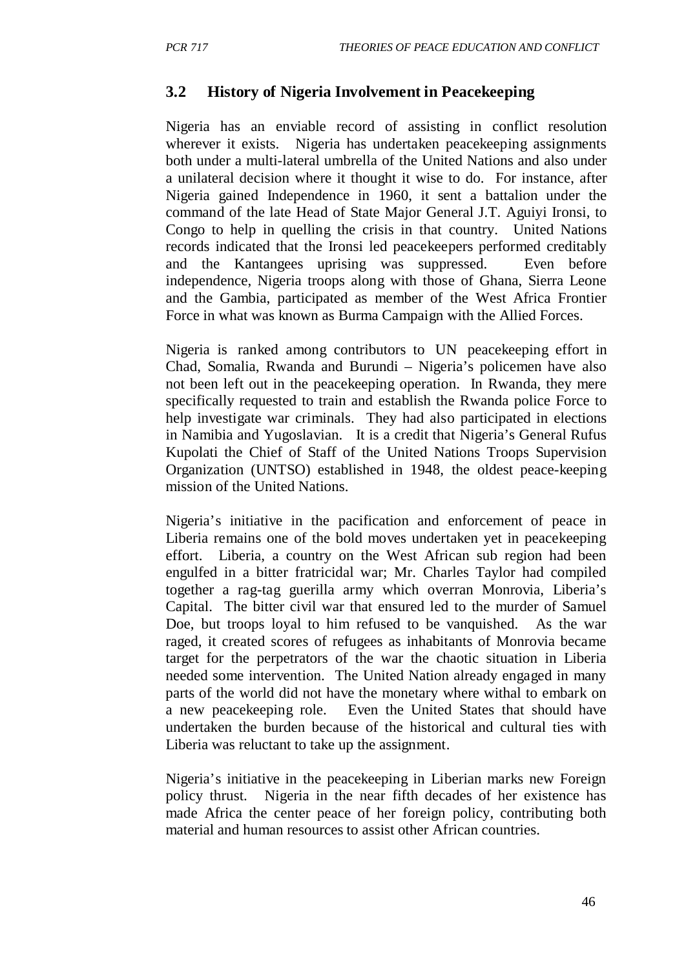# **3.2 History of Nigeria Involvement in Peacekeeping**

Nigeria has an enviable record of assisting in conflict resolution wherever it exists. Nigeria has undertaken peacekeeping assignments both under a multi-lateral umbrella of the United Nations and also under a unilateral decision where it thought it wise to do. For instance, after Nigeria gained Independence in 1960, it sent a battalion under the command of the late Head of State Major General J.T. Aguiyi Ironsi, to Congo to help in quelling the crisis in that country. United Nations records indicated that the Ironsi led peacekeepers performed creditably and the Kantangees uprising was suppressed. Even before independence, Nigeria troops along with those of Ghana, Sierra Leone and the Gambia, participated as member of the West Africa Frontier Force in what was known as Burma Campaign with the Allied Forces.

Nigeria is ranked among contributors to UN peacekeeping effort in Chad, Somalia, Rwanda and Burundi – Nigeria's policemen have also not been left out in the peacekeeping operation. In Rwanda, they mere specifically requested to train and establish the Rwanda police Force to help investigate war criminals. They had also participated in elections in Namibia and Yugoslavian. It is a credit that Nigeria's General Rufus Kupolati the Chief of Staff of the United Nations Troops Supervision Organization (UNTSO) established in 1948, the oldest peace-keeping mission of the United Nations.

Nigeria's initiative in the pacification and enforcement of peace in Liberia remains one of the bold moves undertaken yet in peacekeeping effort. Liberia, a country on the West African sub region had been engulfed in a bitter fratricidal war; Mr. Charles Taylor had compiled together a rag-tag guerilla army which overran Monrovia, Liberia's Capital. The bitter civil war that ensured led to the murder of Samuel Doe, but troops loyal to him refused to be vanquished. As the war raged, it created scores of refugees as inhabitants of Monrovia became target for the perpetrators of the war the chaotic situation in Liberia needed some intervention. The United Nation already engaged in many parts of the world did not have the monetary where withal to embark on a new peacekeeping role. Even the United States that should have undertaken the burden because of the historical and cultural ties with Liberia was reluctant to take up the assignment.

Nigeria's initiative in the peacekeeping in Liberian marks new Foreign policy thrust. Nigeria in the near fifth decades of her existence has made Africa the center peace of her foreign policy, contributing both material and human resources to assist other African countries.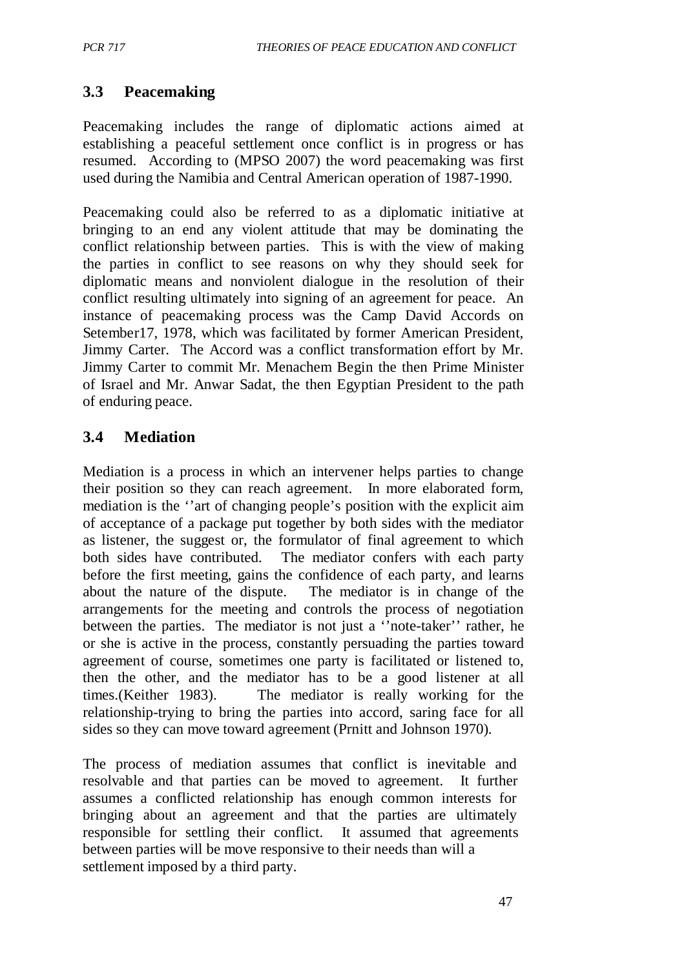# **3.3 Peacemaking**

Peacemaking includes the range of diplomatic actions aimed at establishing a peaceful settlement once conflict is in progress or has resumed. According to (MPSO 2007) the word peacemaking was first used during the Namibia and Central American operation of 1987-1990.

Peacemaking could also be referred to as a diplomatic initiative at bringing to an end any violent attitude that may be dominating the conflict relationship between parties. This is with the view of making the parties in conflict to see reasons on why they should seek for diplomatic means and nonviolent dialogue in the resolution of their conflict resulting ultimately into signing of an agreement for peace. An instance of peacemaking process was the Camp David Accords on Setember17, 1978, which was facilitated by former American President, Jimmy Carter. The Accord was a conflict transformation effort by Mr. Jimmy Carter to commit Mr. Menachem Begin the then Prime Minister of Israel and Mr. Anwar Sadat, the then Egyptian President to the path of enduring peace.

# **3.4 Mediation**

Mediation is a process in which an intervener helps parties to change their position so they can reach agreement. In more elaborated form, mediation is the ''art of changing people's position with the explicit aim of acceptance of a package put together by both sides with the mediator as listener, the suggest or, the formulator of final agreement to which both sides have contributed. The mediator confers with each party before the first meeting, gains the confidence of each party, and learns about the nature of the dispute. The mediator is in change of the arrangements for the meeting and controls the process of negotiation between the parties. The mediator is not just a ''note-taker'' rather, he or she is active in the process, constantly persuading the parties toward agreement of course, sometimes one party is facilitated or listened to, then the other, and the mediator has to be a good listener at all times.(Keither 1983). The mediator is really working for the relationship-trying to bring the parties into accord, saring face for all sides so they can move toward agreement (Prnitt and Johnson 1970).

The process of mediation assumes that conflict is inevitable and resolvable and that parties can be moved to agreement. It further assumes a conflicted relationship has enough common interests for bringing about an agreement and that the parties are ultimately responsible for settling their conflict. It assumed that agreements between parties will be move responsive to their needs than will a settlement imposed by a third party.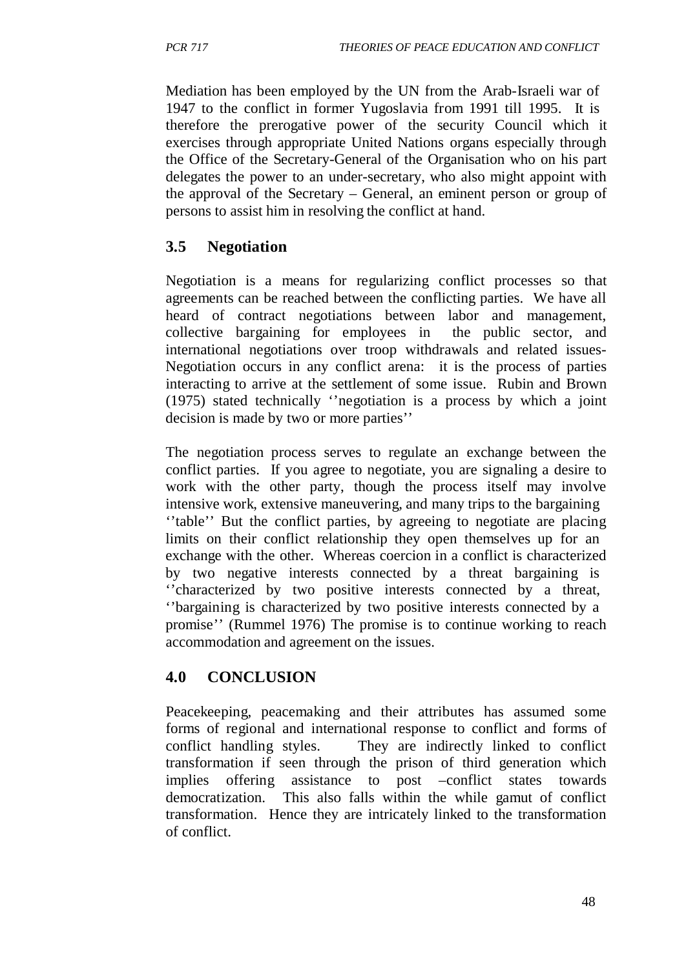Mediation has been employed by the UN from the Arab-Israeli war of 1947 to the conflict in former Yugoslavia from 1991 till 1995. It is therefore the prerogative power of the security Council which it exercises through appropriate United Nations organs especially through the Office of the Secretary-General of the Organisation who on his part delegates the power to an under-secretary, who also might appoint with the approval of the Secretary – General, an eminent person or group of persons to assist him in resolving the conflict at hand.

### **3.5 Negotiation**

Negotiation is a means for regularizing conflict processes so that agreements can be reached between the conflicting parties. We have all heard of contract negotiations between labor and management, collective bargaining for employees in the public sector, and international negotiations over troop withdrawals and related issues-Negotiation occurs in any conflict arena: it is the process of parties interacting to arrive at the settlement of some issue. Rubin and Brown (1975) stated technically ''negotiation is a process by which a joint decision is made by two or more parties''

The negotiation process serves to regulate an exchange between the conflict parties. If you agree to negotiate, you are signaling a desire to work with the other party, though the process itself may involve intensive work, extensive maneuvering, and many trips to the bargaining ''table'' But the conflict parties, by agreeing to negotiate are placing limits on their conflict relationship they open themselves up for an exchange with the other. Whereas coercion in a conflict is characterized by two negative interests connected by a threat bargaining is ''characterized by two positive interests connected by a threat, ''bargaining is characterized by two positive interests connected by a promise'' (Rummel 1976) The promise is to continue working to reach accommodation and agreement on the issues.

## **4.0 CONCLUSION**

Peacekeeping, peacemaking and their attributes has assumed some forms of regional and international response to conflict and forms of conflict handling styles. They are indirectly linked to conflict transformation if seen through the prison of third generation which implies offering assistance to post –conflict states towards democratization. This also falls within the while gamut of conflict transformation. Hence they are intricately linked to the transformation of conflict.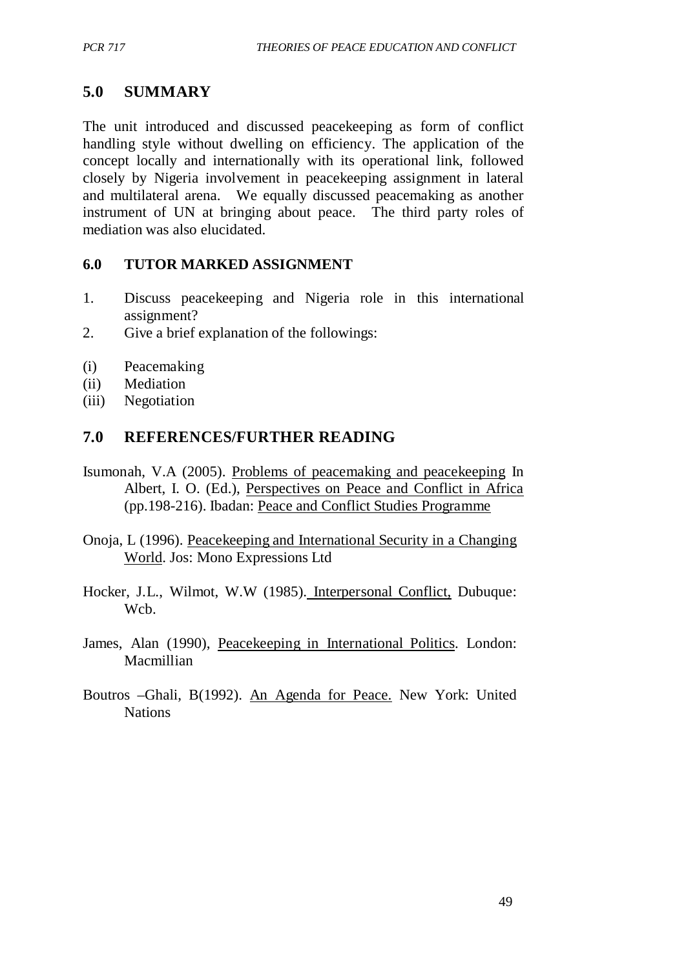### **5.0 SUMMARY**

The unit introduced and discussed peacekeeping as form of conflict handling style without dwelling on efficiency. The application of the concept locally and internationally with its operational link, followed closely by Nigeria involvement in peacekeeping assignment in lateral and multilateral arena. We equally discussed peacemaking as another instrument of UN at bringing about peace. The third party roles of mediation was also elucidated.

#### **6.0 TUTOR MARKED ASSIGNMENT**

- 1. Discuss peacekeeping and Nigeria role in this international assignment?
- 2. Give a brief explanation of the followings:
- (i) Peacemaking
- (ii) Mediation
- (iii) Negotiation

### **7.0 REFERENCES/FURTHER READING**

- Isumonah, V.A (2005). Problems of peacemaking and peacekeeping In Albert, I. O. (Ed.), Perspectives on Peace and Conflict in Africa (pp.198-216). Ibadan: Peace and Conflict Studies Programme
- Onoja, L (1996). Peacekeeping and International Security in a Changing World. Jos: Mono Expressions Ltd
- Hocker, J.L., Wilmot, W.W (1985). Interpersonal Conflict, Dubuque: W<sub>c</sub>h.
- James, Alan (1990), Peacekeeping in International Politics. London: Macmillian
- Boutros –Ghali, B(1992). An Agenda for Peace. New York: United **Nations**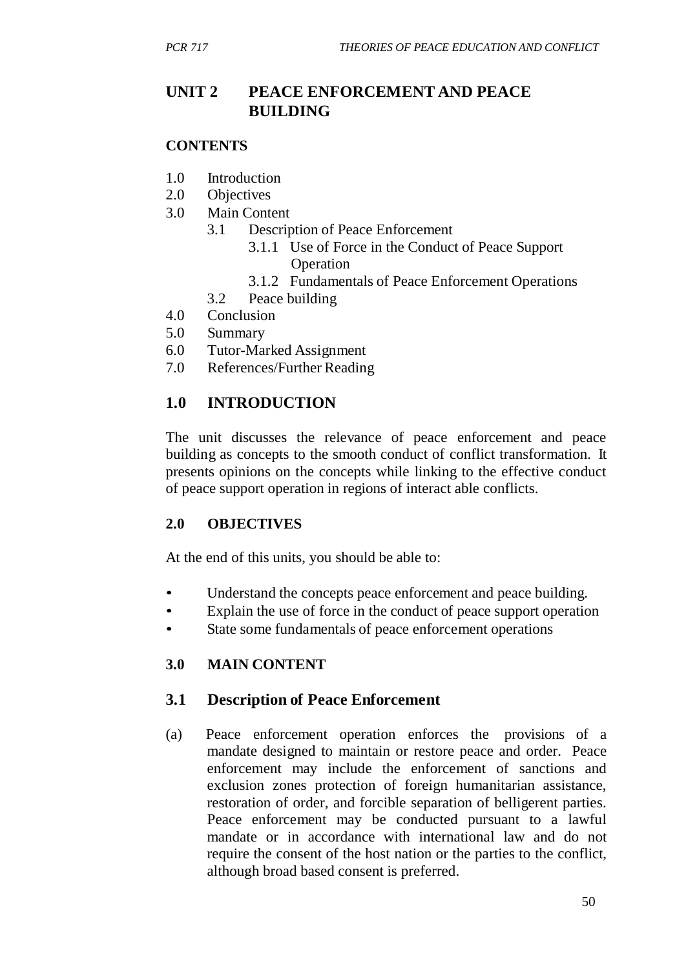# **UNIT 2 PEACE ENFORCEMENT AND PEACE BUILDING**

#### **CONTENTS**

- 1.0 Introduction
- 2.0 Objectives
- 3.0 Main Content
	- 3.1 Description of Peace Enforcement
		- 3.1.1 Use of Force in the Conduct of Peace Support Operation
		- 3.1.2 Fundamentals of Peace Enforcement Operations
	- 3.2 Peace building
- 4.0 Conclusion
- 5.0 Summary
- 6.0 Tutor-Marked Assignment
- 7.0 References/Further Reading

# **1.0 INTRODUCTION**

The unit discusses the relevance of peace enforcement and peace building as concepts to the smooth conduct of conflict transformation. It presents opinions on the concepts while linking to the effective conduct of peace support operation in regions of interact able conflicts.

#### **2.0 OBJECTIVES**

At the end of this units, you should be able to:

- Understand the concepts peace enforcement and peace building.
- Explain the use of force in the conduct of peace support operation
- State some fundamentals of peace enforcement operations

## **3.0 MAIN CONTENT**

## **3.1 Description of Peace Enforcement**

(a) Peace enforcement operation enforces the provisions of a mandate designed to maintain or restore peace and order. Peace enforcement may include the enforcement of sanctions and exclusion zones protection of foreign humanitarian assistance, restoration of order, and forcible separation of belligerent parties. Peace enforcement may be conducted pursuant to a lawful mandate or in accordance with international law and do not require the consent of the host nation or the parties to the conflict, although broad based consent is preferred.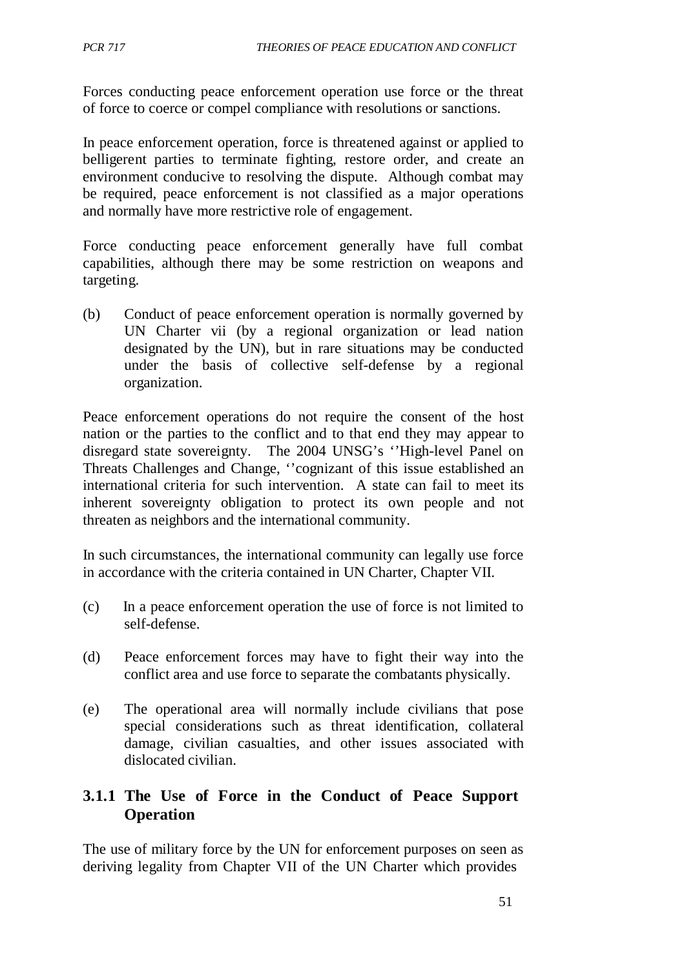Forces conducting peace enforcement operation use force or the threat of force to coerce or compel compliance with resolutions or sanctions.

In peace enforcement operation, force is threatened against or applied to belligerent parties to terminate fighting, restore order, and create an environment conducive to resolving the dispute. Although combat may be required, peace enforcement is not classified as a major operations and normally have more restrictive role of engagement.

Force conducting peace enforcement generally have full combat capabilities, although there may be some restriction on weapons and targeting.

(b) Conduct of peace enforcement operation is normally governed by UN Charter vii (by a regional organization or lead nation designated by the UN), but in rare situations may be conducted under the basis of collective self-defense by a regional organization.

Peace enforcement operations do not require the consent of the host nation or the parties to the conflict and to that end they may appear to disregard state sovereignty. The 2004 UNSG's ''High-level Panel on Threats Challenges and Change, ''cognizant of this issue established an international criteria for such intervention. A state can fail to meet its inherent sovereignty obligation to protect its own people and not threaten as neighbors and the international community.

In such circumstances, the international community can legally use force in accordance with the criteria contained in UN Charter, Chapter VII.

- (c) In a peace enforcement operation the use of force is not limited to self-defense.
- (d) Peace enforcement forces may have to fight their way into the conflict area and use force to separate the combatants physically.
- (e) The operational area will normally include civilians that pose special considerations such as threat identification, collateral damage, civilian casualties, and other issues associated with dislocated civilian.

### **3.1.1 The Use of Force in the Conduct of Peace Support Operation**

The use of military force by the UN for enforcement purposes on seen as deriving legality from Chapter VII of the UN Charter which provides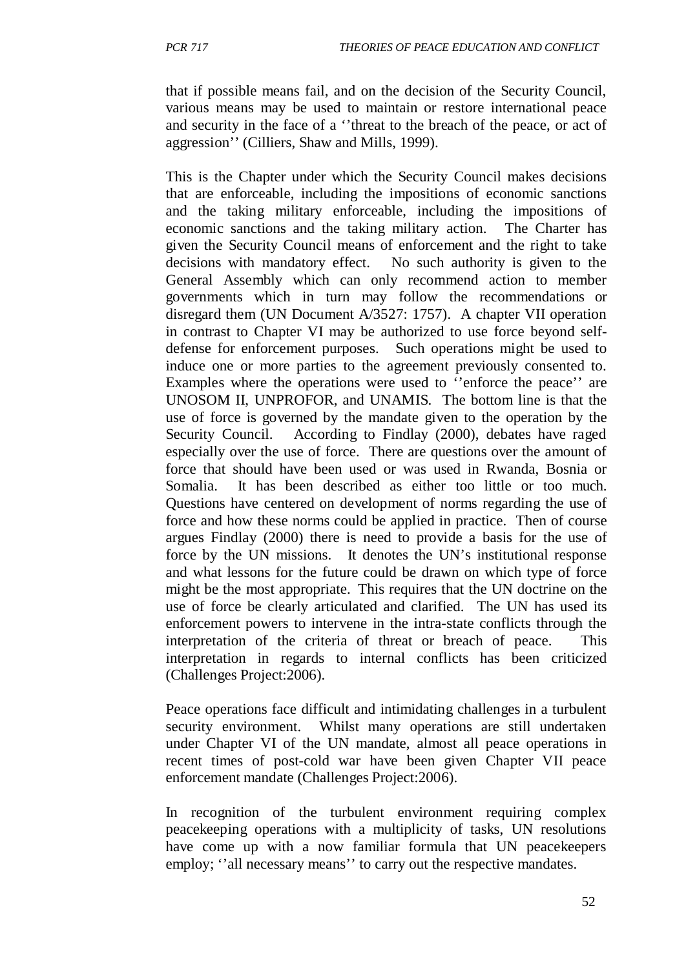that if possible means fail, and on the decision of the Security Council, various means may be used to maintain or restore international peace and security in the face of a ''threat to the breach of the peace, or act of aggression'' (Cilliers, Shaw and Mills, 1999).

This is the Chapter under which the Security Council makes decisions that are enforceable, including the impositions of economic sanctions and the taking military enforceable, including the impositions of economic sanctions and the taking military action. The Charter has given the Security Council means of enforcement and the right to take decisions with mandatory effect. No such authority is given to the General Assembly which can only recommend action to member governments which in turn may follow the recommendations or disregard them (UN Document A/3527: 1757). A chapter VII operation in contrast to Chapter VI may be authorized to use force beyond selfdefense for enforcement purposes. Such operations might be used to induce one or more parties to the agreement previously consented to. Examples where the operations were used to ''enforce the peace'' are UNOSOM II, UNPROFOR, and UNAMIS. The bottom line is that the use of force is governed by the mandate given to the operation by the Security Council. According to Findlay (2000), debates have raged especially over the use of force. There are questions over the amount of force that should have been used or was used in Rwanda, Bosnia or Somalia. It has been described as either too little or too much. Questions have centered on development of norms regarding the use of force and how these norms could be applied in practice. Then of course argues Findlay (2000) there is need to provide a basis for the use of force by the UN missions. It denotes the UN's institutional response and what lessons for the future could be drawn on which type of force might be the most appropriate. This requires that the UN doctrine on the use of force be clearly articulated and clarified. The UN has used its enforcement powers to intervene in the intra-state conflicts through the interpretation of the criteria of threat or breach of peace. This interpretation in regards to internal conflicts has been criticized (Challenges Project:2006).

Peace operations face difficult and intimidating challenges in a turbulent security environment. Whilst many operations are still undertaken under Chapter VI of the UN mandate, almost all peace operations in recent times of post-cold war have been given Chapter VII peace enforcement mandate (Challenges Project:2006).

In recognition of the turbulent environment requiring complex peacekeeping operations with a multiplicity of tasks, UN resolutions have come up with a now familiar formula that UN peacekeepers employ; "all necessary means" to carry out the respective mandates.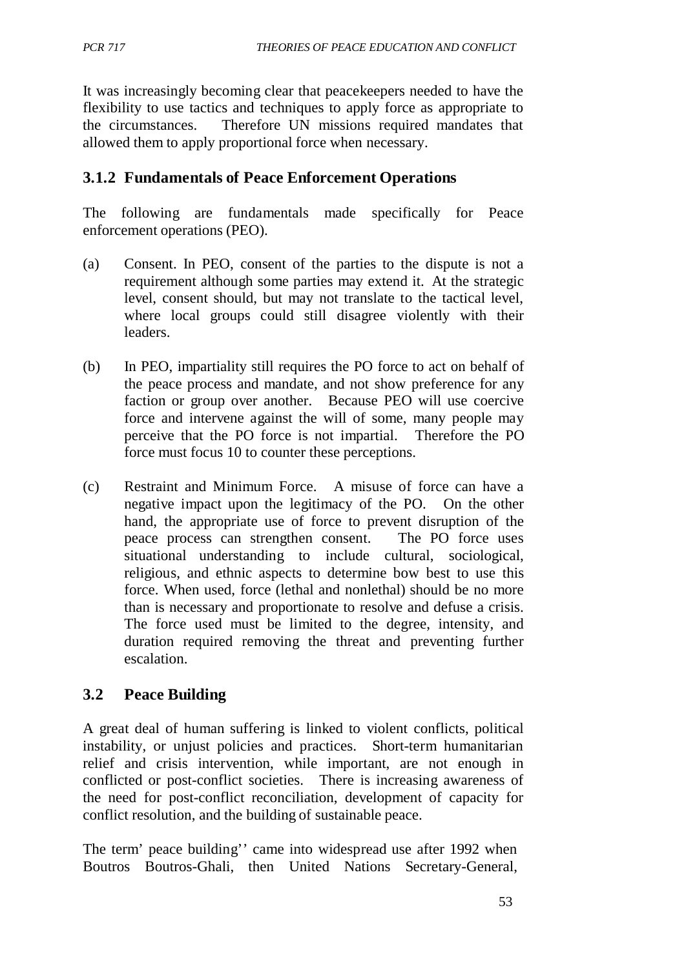It was increasingly becoming clear that peacekeepers needed to have the flexibility to use tactics and techniques to apply force as appropriate to the circumstances. Therefore UN missions required mandates that allowed them to apply proportional force when necessary.

## **3.1.2 Fundamentals of Peace Enforcement Operations**

The following are fundamentals made specifically for Peace enforcement operations (PEO).

- (a) Consent. In PEO, consent of the parties to the dispute is not a requirement although some parties may extend it. At the strategic level, consent should, but may not translate to the tactical level, where local groups could still disagree violently with their leaders.
- (b) In PEO, impartiality still requires the PO force to act on behalf of the peace process and mandate, and not show preference for any faction or group over another. Because PEO will use coercive force and intervene against the will of some, many people may perceive that the PO force is not impartial. Therefore the PO force must focus 10 to counter these perceptions.
- (c) Restraint and Minimum Force. A misuse of force can have a negative impact upon the legitimacy of the PO. On the other hand, the appropriate use of force to prevent disruption of the peace process can strengthen consent. The PO force uses situational understanding to include cultural, sociological, religious, and ethnic aspects to determine bow best to use this force. When used, force (lethal and nonlethal) should be no more than is necessary and proportionate to resolve and defuse a crisis. The force used must be limited to the degree, intensity, and duration required removing the threat and preventing further escalation.

## **3.2 Peace Building**

A great deal of human suffering is linked to violent conflicts, political instability, or unjust policies and practices. Short-term humanitarian relief and crisis intervention, while important, are not enough in conflicted or post-conflict societies. There is increasing awareness of the need for post-conflict reconciliation, development of capacity for conflict resolution, and the building of sustainable peace.

The term' peace building'' came into widespread use after 1992 when Boutros Boutros-Ghali, then United Nations Secretary-General,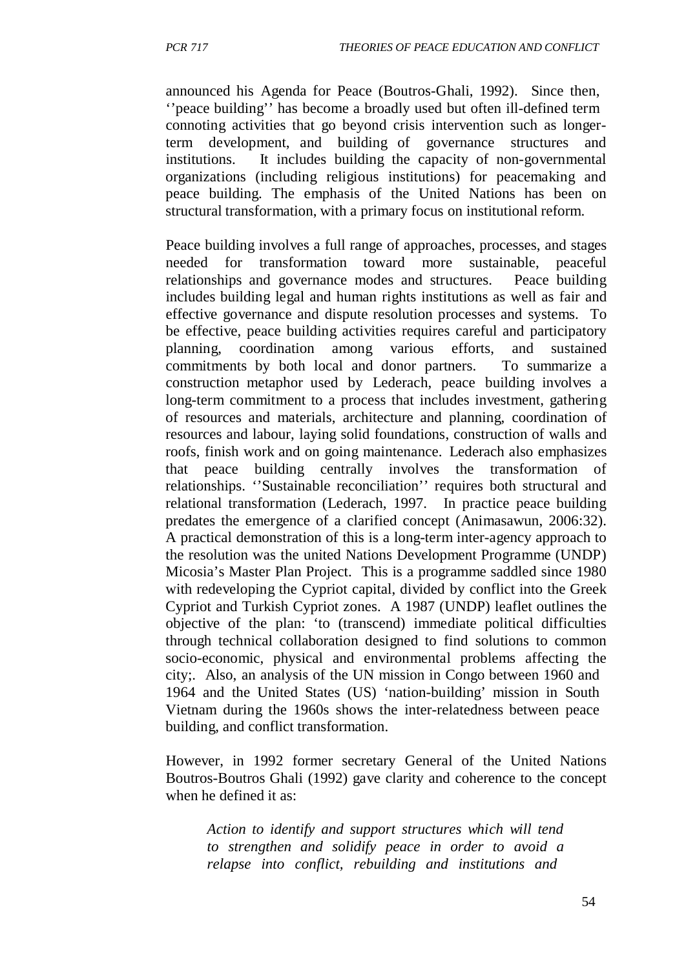announced his Agenda for Peace (Boutros-Ghali, 1992). Since then, ''peace building'' has become a broadly used but often ill-defined term connoting activities that go beyond crisis intervention such as longerterm development, and building of governance structures and institutions. It includes building the capacity of non-governmental organizations (including religious institutions) for peacemaking and peace building. The emphasis of the United Nations has been on structural transformation, with a primary focus on institutional reform.

Peace building involves a full range of approaches, processes, and stages needed for transformation toward more sustainable, peaceful relationships and governance modes and structures. Peace building includes building legal and human rights institutions as well as fair and effective governance and dispute resolution processes and systems. To be effective, peace building activities requires careful and participatory planning, coordination among various efforts, and sustained commitments by both local and donor partners. To summarize a construction metaphor used by Lederach, peace building involves a long-term commitment to a process that includes investment, gathering of resources and materials, architecture and planning, coordination of resources and labour, laying solid foundations, construction of walls and roofs, finish work and on going maintenance. Lederach also emphasizes that peace building centrally involves the transformation of relationships. ''Sustainable reconciliation'' requires both structural and relational transformation (Lederach, 1997. In practice peace building predates the emergence of a clarified concept (Animasawun, 2006:32). A practical demonstration of this is a long-term inter-agency approach to the resolution was the united Nations Development Programme (UNDP) Micosia's Master Plan Project. This is a programme saddled since 1980 with redeveloping the Cypriot capital, divided by conflict into the Greek Cypriot and Turkish Cypriot zones. A 1987 (UNDP) leaflet outlines the objective of the plan: 'to (transcend) immediate political difficulties through technical collaboration designed to find solutions to common socio-economic, physical and environmental problems affecting the city;. Also, an analysis of the UN mission in Congo between 1960 and 1964 and the United States (US) 'nation-building' mission in South Vietnam during the 1960s shows the inter-relatedness between peace building, and conflict transformation.

However, in 1992 former secretary General of the United Nations Boutros-Boutros Ghali (1992) gave clarity and coherence to the concept when he defined it as:

*Action to identify and support structures which will tend to strengthen and solidify peace in order to avoid a relapse into conflict, rebuilding and institutions and*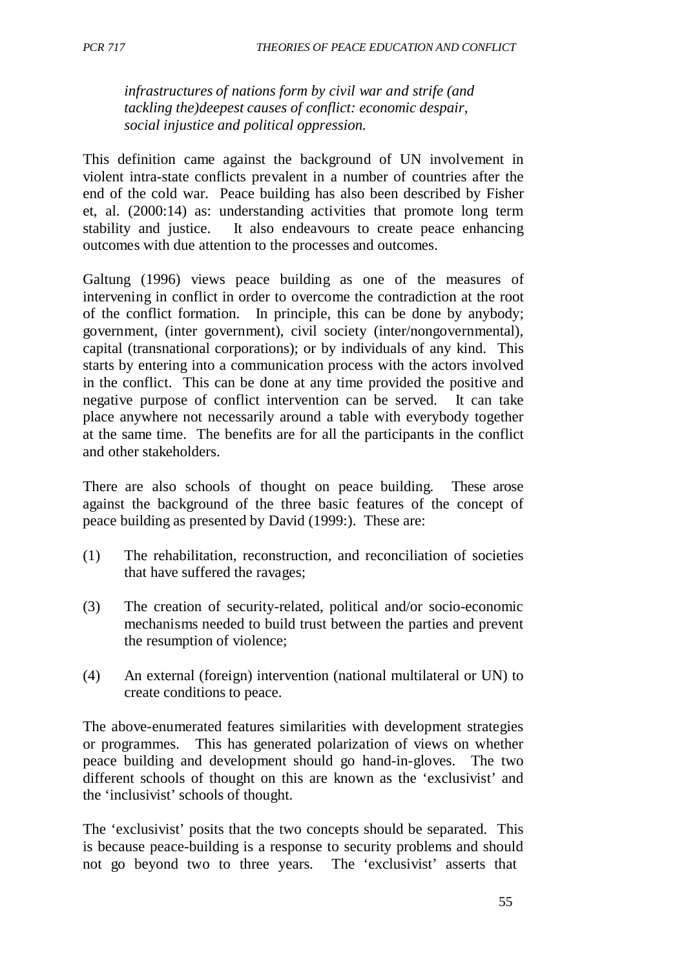*infrastructures of nations form by civil war and strife (and tackling the)deepest causes of conflict: economic despair, social injustice and political oppression.*

This definition came against the background of UN involvement in violent intra-state conflicts prevalent in a number of countries after the end of the cold war. Peace building has also been described by Fisher et, al. (2000:14) as: understanding activities that promote long term stability and justice. It also endeavours to create peace enhancing outcomes with due attention to the processes and outcomes.

Galtung (1996) views peace building as one of the measures of intervening in conflict in order to overcome the contradiction at the root of the conflict formation. In principle, this can be done by anybody; government, (inter government), civil society (inter/nongovernmental), capital (transnational corporations); or by individuals of any kind. This starts by entering into a communication process with the actors involved in the conflict. This can be done at any time provided the positive and negative purpose of conflict intervention can be served. It can take place anywhere not necessarily around a table with everybody together at the same time. The benefits are for all the participants in the conflict and other stakeholders.

There are also schools of thought on peace building. These arose against the background of the three basic features of the concept of peace building as presented by David (1999:). These are:

- (1) The rehabilitation, reconstruction, and reconciliation of societies that have suffered the ravages;
- (3) The creation of security-related, political and/or socio-economic mechanisms needed to build trust between the parties and prevent the resumption of violence;
- (4) An external (foreign) intervention (national multilateral or UN) to create conditions to peace.

The above-enumerated features similarities with development strategies or programmes. This has generated polarization of views on whether peace building and development should go hand-in-gloves. The two different schools of thought on this are known as the 'exclusivist' and the 'inclusivist' schools of thought.

The 'exclusivist' posits that the two concepts should be separated. This is because peace-building is a response to security problems and should not go beyond two to three years. The 'exclusivist' asserts that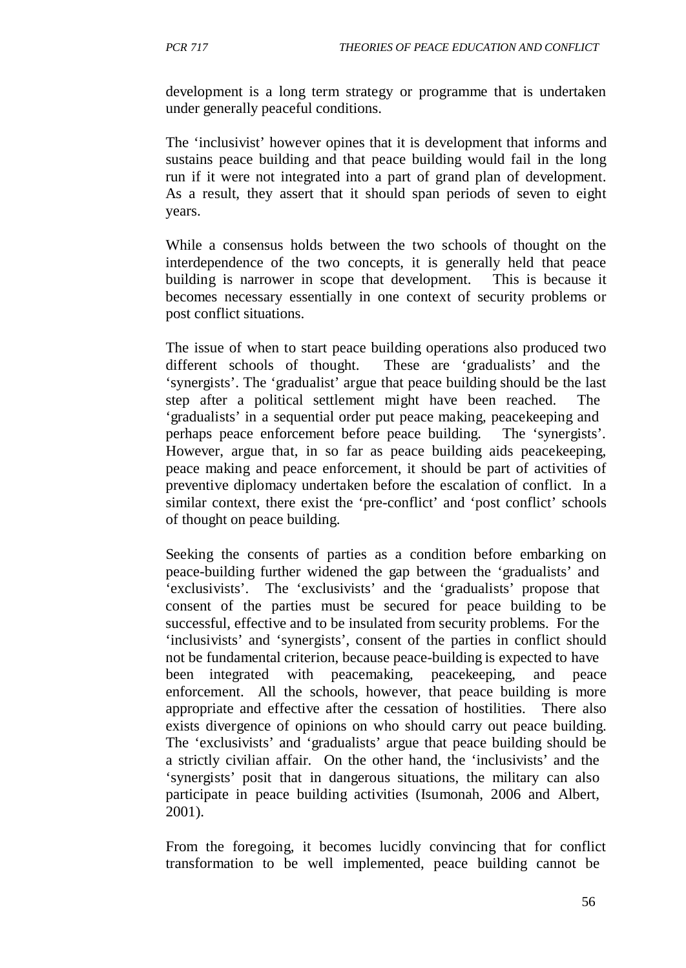development is a long term strategy or programme that is undertaken under generally peaceful conditions.

The 'inclusivist' however opines that it is development that informs and sustains peace building and that peace building would fail in the long run if it were not integrated into a part of grand plan of development. As a result, they assert that it should span periods of seven to eight years.

While a consensus holds between the two schools of thought on the interdependence of the two concepts, it is generally held that peace building is narrower in scope that development. This is because it becomes necessary essentially in one context of security problems or post conflict situations.

The issue of when to start peace building operations also produced two different schools of thought. These are 'gradualists' and the 'synergists'. The 'gradualist' argue that peace building should be the last step after a political settlement might have been reached. The 'gradualists' in a sequential order put peace making, peacekeeping and perhaps peace enforcement before peace building. The 'synergists'. However, argue that, in so far as peace building aids peacekeeping, peace making and peace enforcement, it should be part of activities of preventive diplomacy undertaken before the escalation of conflict. In a similar context, there exist the 'pre-conflict' and 'post conflict' schools of thought on peace building.

Seeking the consents of parties as a condition before embarking on peace-building further widened the gap between the 'gradualists' and 'exclusivists'. The 'exclusivists' and the 'gradualists' propose that consent of the parties must be secured for peace building to be successful, effective and to be insulated from security problems. For the 'inclusivists' and 'synergists', consent of the parties in conflict should not be fundamental criterion, because peace-building is expected to have been integrated with peacemaking, peacekeeping, and peace enforcement. All the schools, however, that peace building is more appropriate and effective after the cessation of hostilities. There also exists divergence of opinions on who should carry out peace building. The 'exclusivists' and 'gradualists' argue that peace building should be a strictly civilian affair. On the other hand, the 'inclusivists' and the 'synergists' posit that in dangerous situations, the military can also participate in peace building activities (Isumonah, 2006 and Albert, 2001).

From the foregoing, it becomes lucidly convincing that for conflict transformation to be well implemented, peace building cannot be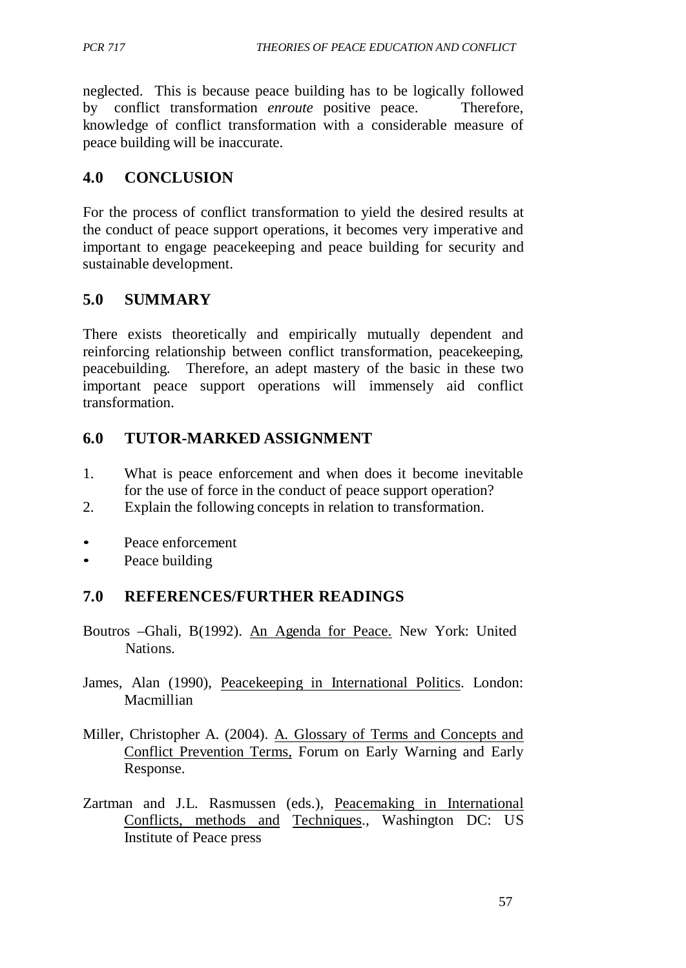neglected. This is because peace building has to be logically followed by conflict transformation *enroute* positive peace. Therefore, knowledge of conflict transformation with a considerable measure of peace building will be inaccurate.

## **4.0 CONCLUSION**

For the process of conflict transformation to yield the desired results at the conduct of peace support operations, it becomes very imperative and important to engage peacekeeping and peace building for security and sustainable development.

## **5.0 SUMMARY**

There exists theoretically and empirically mutually dependent and reinforcing relationship between conflict transformation, peacekeeping, peacebuilding. Therefore, an adept mastery of the basic in these two important peace support operations will immensely aid conflict transformation.

## **6.0 TUTOR-MARKED ASSIGNMENT**

- 1. What is peace enforcement and when does it become inevitable for the use of force in the conduct of peace support operation?
- 2. Explain the following concepts in relation to transformation.
- Peace enforcement
- Peace building

## **7.0 REFERENCES/FURTHER READINGS**

- Boutros –Ghali, B(1992). An Agenda for Peace. New York: United Nations.
- James, Alan (1990), Peacekeeping in International Politics. London: Macmillian
- Miller, Christopher A. (2004). A. Glossary of Terms and Concepts and Conflict Prevention Terms, Forum on Early Warning and Early Response.
- Zartman and J.L. Rasmussen (eds.), Peacemaking in International Conflicts, methods and Techniques., Washington DC: US Institute of Peace press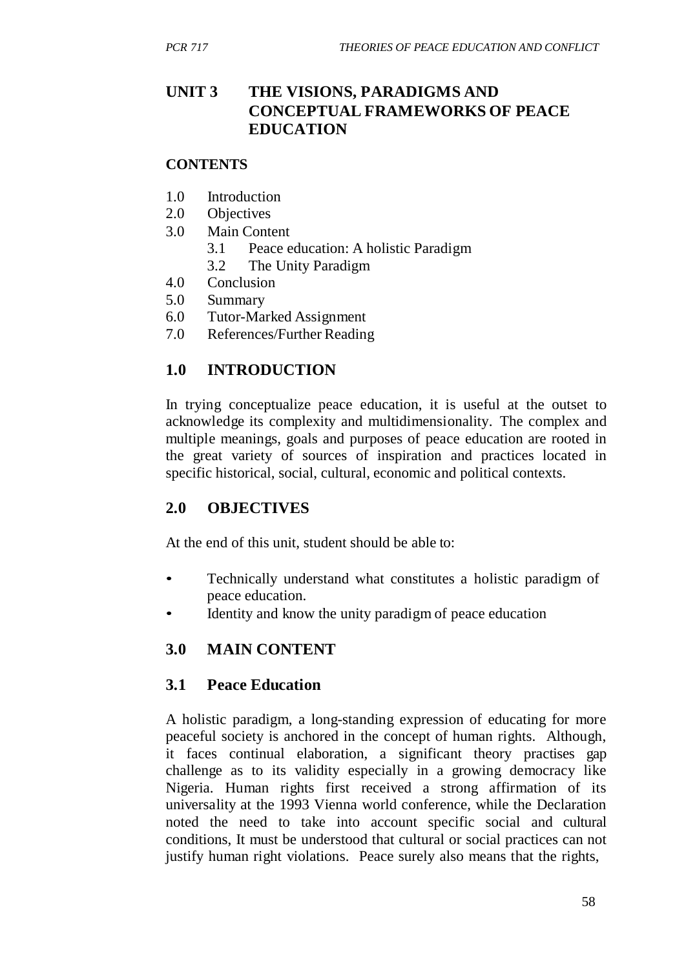## **UNIT 3 THE VISIONS, PARADIGMS AND CONCEPTUAL FRAMEWORKS OF PEACE EDUCATION**

#### **CONTENTS**

- 1.0 Introduction
- 2.0 Objectives
- 3.0 Main Content
	- 3.1 Peace education: A holistic Paradigm
	- 3.2 The Unity Paradigm
- 4.0 Conclusion
- 5.0 Summary
- 6.0 Tutor-Marked Assignment
- 7.0 References/Further Reading

#### **1.0 INTRODUCTION**

In trying conceptualize peace education, it is useful at the outset to acknowledge its complexity and multidimensionality. The complex and multiple meanings, goals and purposes of peace education are rooted in the great variety of sources of inspiration and practices located in specific historical, social, cultural, economic and political contexts.

#### **2.0 OBJECTIVES**

At the end of this unit, student should be able to:

- Technically understand what constitutes a holistic paradigm of peace education.
- Identity and know the unity paradigm of peace education

#### **3.0 MAIN CONTENT**

#### **3.1 Peace Education**

A holistic paradigm, a long-standing expression of educating for more peaceful society is anchored in the concept of human rights. Although, it faces continual elaboration, a significant theory practises gap challenge as to its validity especially in a growing democracy like Nigeria. Human rights first received a strong affirmation of its universality at the 1993 Vienna world conference, while the Declaration noted the need to take into account specific social and cultural conditions, It must be understood that cultural or social practices can not justify human right violations. Peace surely also means that the rights,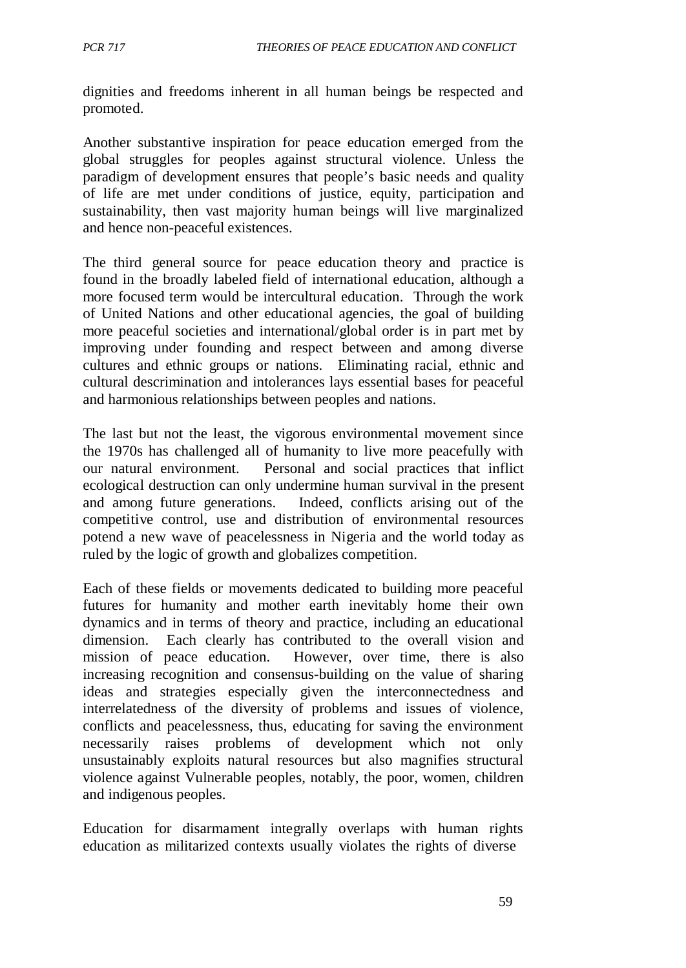dignities and freedoms inherent in all human beings be respected and promoted.

Another substantive inspiration for peace education emerged from the global struggles for peoples against structural violence. Unless the paradigm of development ensures that people's basic needs and quality of life are met under conditions of justice, equity, participation and sustainability, then vast majority human beings will live marginalized and hence non-peaceful existences.

The third general source for peace education theory and practice is found in the broadly labeled field of international education, although a more focused term would be intercultural education. Through the work of United Nations and other educational agencies, the goal of building more peaceful societies and international/global order is in part met by improving under founding and respect between and among diverse cultures and ethnic groups or nations. Eliminating racial, ethnic and cultural descrimination and intolerances lays essential bases for peaceful and harmonious relationships between peoples and nations.

The last but not the least, the vigorous environmental movement since the 1970s has challenged all of humanity to live more peacefully with our natural environment. Personal and social practices that inflict ecological destruction can only undermine human survival in the present and among future generations. Indeed, conflicts arising out of the competitive control, use and distribution of environmental resources potend a new wave of peacelessness in Nigeria and the world today as ruled by the logic of growth and globalizes competition.

Each of these fields or movements dedicated to building more peaceful futures for humanity and mother earth inevitably home their own dynamics and in terms of theory and practice, including an educational dimension. Each clearly has contributed to the overall vision and mission of peace education. However, over time, there is also increasing recognition and consensus-building on the value of sharing ideas and strategies especially given the interconnectedness and interrelatedness of the diversity of problems and issues of violence, conflicts and peacelessness, thus, educating for saving the environment necessarily raises problems of development which not only unsustainably exploits natural resources but also magnifies structural violence against Vulnerable peoples, notably, the poor, women, children and indigenous peoples.

Education for disarmament integrally overlaps with human rights education as militarized contexts usually violates the rights of diverse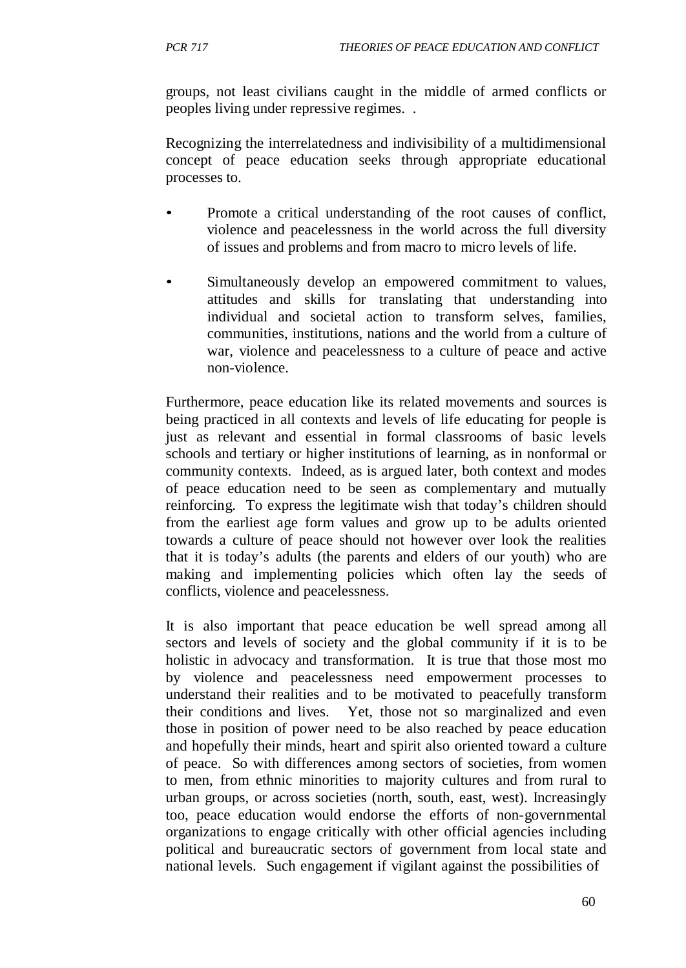groups, not least civilians caught in the middle of armed conflicts or peoples living under repressive regimes. .

Recognizing the interrelatedness and indivisibility of a multidimensional concept of peace education seeks through appropriate educational processes to.

- Promote a critical understanding of the root causes of conflict, violence and peacelessness in the world across the full diversity of issues and problems and from macro to micro levels of life.
- Simultaneously develop an empowered commitment to values, attitudes and skills for translating that understanding into individual and societal action to transform selves, families, communities, institutions, nations and the world from a culture of war, violence and peacelessness to a culture of peace and active non-violence.

Furthermore, peace education like its related movements and sources is being practiced in all contexts and levels of life educating for people is just as relevant and essential in formal classrooms of basic levels schools and tertiary or higher institutions of learning, as in nonformal or community contexts. Indeed, as is argued later, both context and modes of peace education need to be seen as complementary and mutually reinforcing. To express the legitimate wish that today's children should from the earliest age form values and grow up to be adults oriented towards a culture of peace should not however over look the realities that it is today's adults (the parents and elders of our youth) who are making and implementing policies which often lay the seeds of conflicts, violence and peacelessness.

It is also important that peace education be well spread among all sectors and levels of society and the global community if it is to be holistic in advocacy and transformation. It is true that those most mo by violence and peacelessness need empowerment processes to understand their realities and to be motivated to peacefully transform their conditions and lives. Yet, those not so marginalized and even those in position of power need to be also reached by peace education and hopefully their minds, heart and spirit also oriented toward a culture of peace. So with differences among sectors of societies, from women to men, from ethnic minorities to majority cultures and from rural to urban groups, or across societies (north, south, east, west). Increasingly too, peace education would endorse the efforts of non-governmental organizations to engage critically with other official agencies including political and bureaucratic sectors of government from local state and national levels. Such engagement if vigilant against the possibilities of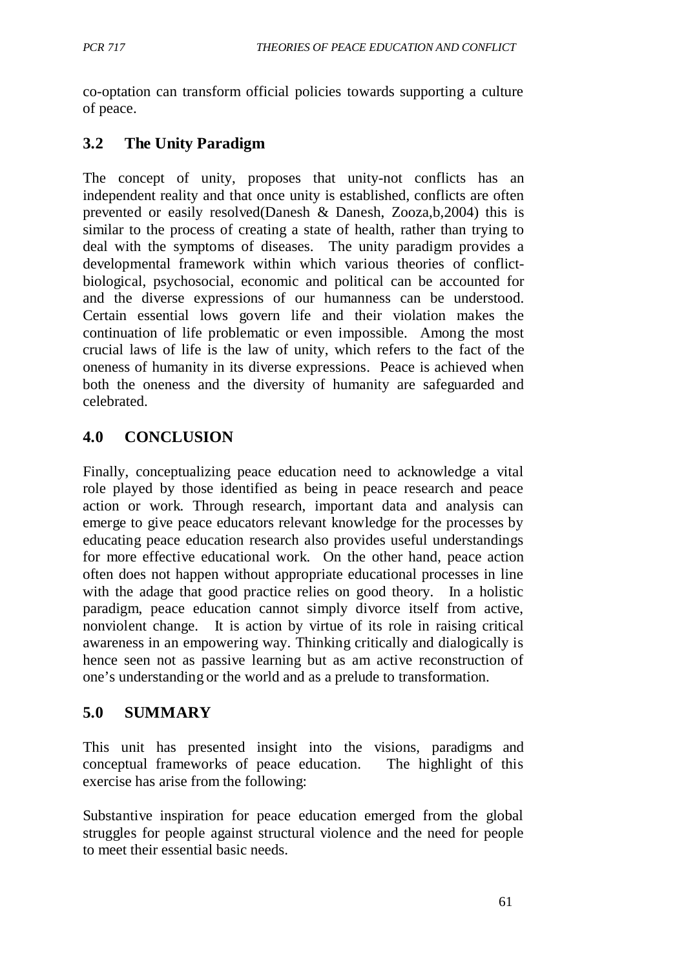co-optation can transform official policies towards supporting a culture of peace.

# **3.2 The Unity Paradigm**

The concept of unity, proposes that unity-not conflicts has an independent reality and that once unity is established, conflicts are often prevented or easily resolved(Danesh & Danesh, Zooza,b,2004) this is similar to the process of creating a state of health, rather than trying to deal with the symptoms of diseases. The unity paradigm provides a developmental framework within which various theories of conflictbiological, psychosocial, economic and political can be accounted for and the diverse expressions of our humanness can be understood. Certain essential lows govern life and their violation makes the continuation of life problematic or even impossible. Among the most crucial laws of life is the law of unity, which refers to the fact of the oneness of humanity in its diverse expressions. Peace is achieved when both the oneness and the diversity of humanity are safeguarded and celebrated.

# **4.0 CONCLUSION**

Finally, conceptualizing peace education need to acknowledge a vital role played by those identified as being in peace research and peace action or work. Through research, important data and analysis can emerge to give peace educators relevant knowledge for the processes by educating peace education research also provides useful understandings for more effective educational work. On the other hand, peace action often does not happen without appropriate educational processes in line with the adage that good practice relies on good theory. In a holistic paradigm, peace education cannot simply divorce itself from active, nonviolent change. It is action by virtue of its role in raising critical awareness in an empowering way. Thinking critically and dialogically is hence seen not as passive learning but as am active reconstruction of one's understanding or the world and as a prelude to transformation.

# **5.0 SUMMARY**

This unit has presented insight into the visions, paradigms and conceptual frameworks of peace education. The highlight of this exercise has arise from the following:

Substantive inspiration for peace education emerged from the global struggles for people against structural violence and the need for people to meet their essential basic needs.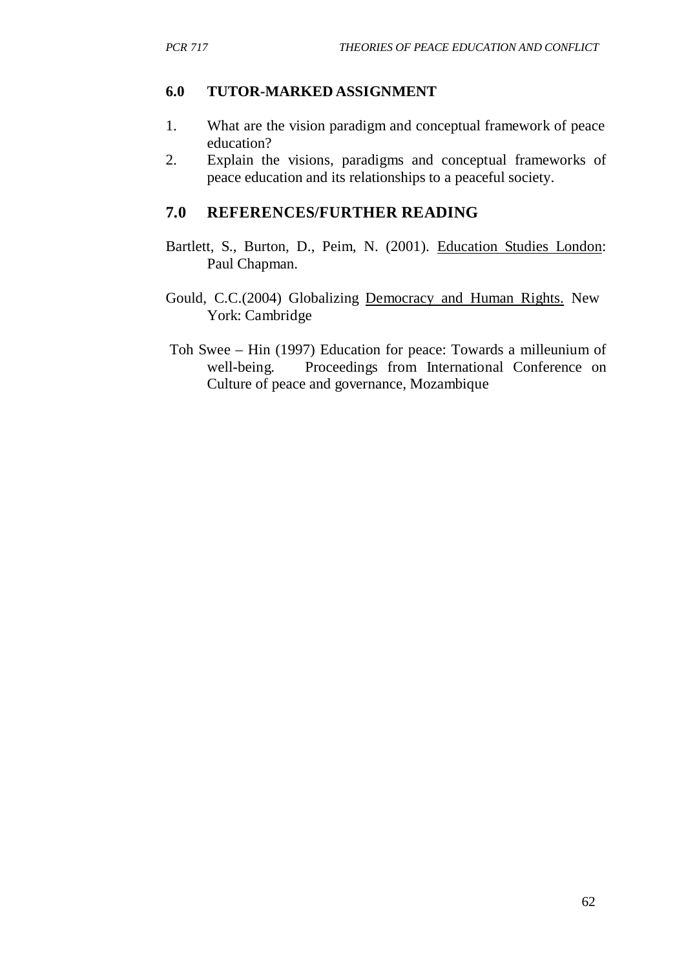#### **6.0 TUTOR-MARKED ASSIGNMENT**

- 1. What are the vision paradigm and conceptual framework of peace education?
- 2. Explain the visions, paradigms and conceptual frameworks of peace education and its relationships to a peaceful society.

#### **7.0 REFERENCES/FURTHER READING**

- Bartlett, S., Burton, D., Peim, N. (2001). Education Studies London: Paul Chapman.
- Gould, C.C.(2004) Globalizing Democracy and Human Rights. New York: Cambridge
- Toh Swee Hin (1997) Education for peace: Towards a milleunium of well-being. Proceedings from International Conference on Culture of peace and governance, Mozambique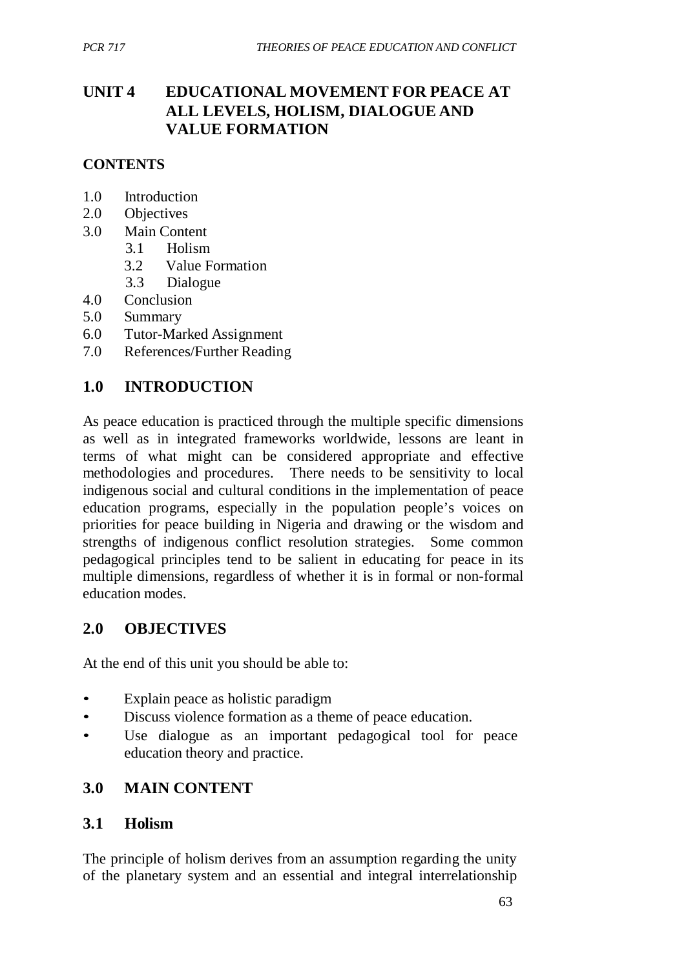# **UNIT 4 EDUCATIONAL MOVEMENT FOR PEACE AT ALL LEVELS, HOLISM, DIALOGUE AND VALUE FORMATION**

#### **CONTENTS**

- 1.0 Introduction
- 2.0 Objectives
- 3.0 Main Content
	- 3.1 Holism
	- 3.2 Value Formation
	- 3.3 Dialogue
- 4.0 Conclusion
- 5.0 Summary
- 6.0 Tutor-Marked Assignment
- 7.0 References/Further Reading

## **1.0 INTRODUCTION**

As peace education is practiced through the multiple specific dimensions as well as in integrated frameworks worldwide, lessons are leant in terms of what might can be considered appropriate and effective methodologies and procedures. There needs to be sensitivity to local indigenous social and cultural conditions in the implementation of peace education programs, especially in the population people's voices on priorities for peace building in Nigeria and drawing or the wisdom and strengths of indigenous conflict resolution strategies. Some common pedagogical principles tend to be salient in educating for peace in its multiple dimensions, regardless of whether it is in formal or non-formal education modes.

## **2.0 OBJECTIVES**

At the end of this unit you should be able to:

- Explain peace as holistic paradigm
- Discuss violence formation as a theme of peace education.
- Use dialogue as an important pedagogical tool for peace education theory and practice.

## **3.0 MAIN CONTENT**

#### **3.1 Holism**

The principle of holism derives from an assumption regarding the unity of the planetary system and an essential and integral interrelationship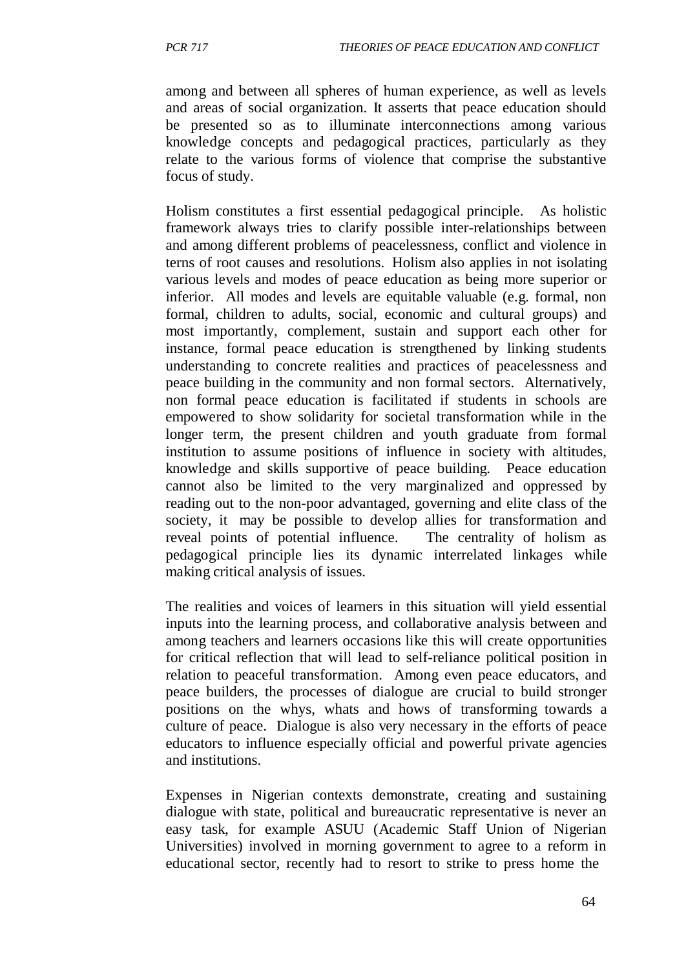among and between all spheres of human experience, as well as levels and areas of social organization. It asserts that peace education should be presented so as to illuminate interconnections among various knowledge concepts and pedagogical practices, particularly as they relate to the various forms of violence that comprise the substantive focus of study.

Holism constitutes a first essential pedagogical principle. As holistic framework always tries to clarify possible inter-relationships between and among different problems of peacelessness, conflict and violence in terns of root causes and resolutions. Holism also applies in not isolating various levels and modes of peace education as being more superior or inferior. All modes and levels are equitable valuable (e.g. formal, non formal, children to adults, social, economic and cultural groups) and most importantly, complement, sustain and support each other for instance, formal peace education is strengthened by linking students understanding to concrete realities and practices of peacelessness and peace building in the community and non formal sectors. Alternatively, non formal peace education is facilitated if students in schools are empowered to show solidarity for societal transformation while in the longer term, the present children and youth graduate from formal institution to assume positions of influence in society with altitudes, knowledge and skills supportive of peace building. Peace education cannot also be limited to the very marginalized and oppressed by reading out to the non-poor advantaged, governing and elite class of the society, it may be possible to develop allies for transformation and reveal points of potential influence. The centrality of holism as pedagogical principle lies its dynamic interrelated linkages while making critical analysis of issues.

The realities and voices of learners in this situation will yield essential inputs into the learning process, and collaborative analysis between and among teachers and learners occasions like this will create opportunities for critical reflection that will lead to self-reliance political position in relation to peaceful transformation. Among even peace educators, and peace builders, the processes of dialogue are crucial to build stronger positions on the whys, whats and hows of transforming towards a culture of peace. Dialogue is also very necessary in the efforts of peace educators to influence especially official and powerful private agencies and institutions.

Expenses in Nigerian contexts demonstrate, creating and sustaining dialogue with state, political and bureaucratic representative is never an easy task, for example ASUU (Academic Staff Union of Nigerian Universities) involved in morning government to agree to a reform in educational sector, recently had to resort to strike to press home the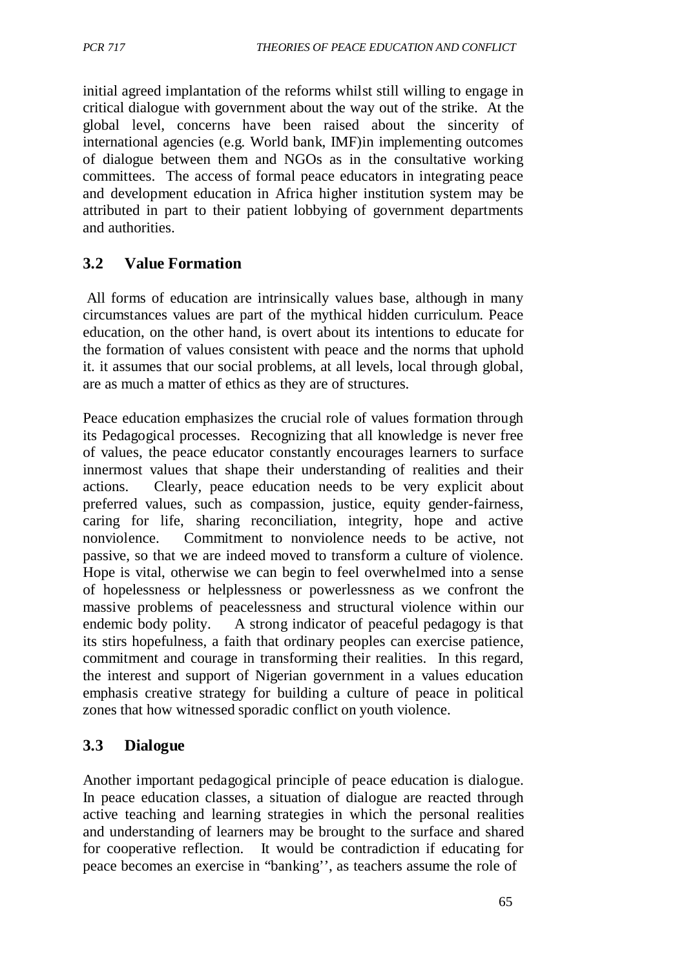initial agreed implantation of the reforms whilst still willing to engage in critical dialogue with government about the way out of the strike. At the global level, concerns have been raised about the sincerity of international agencies (e.g. World bank, IMF)in implementing outcomes of dialogue between them and NGOs as in the consultative working committees. The access of formal peace educators in integrating peace and development education in Africa higher institution system may be attributed in part to their patient lobbying of government departments and authorities.

## **3.2 Value Formation**

All forms of education are intrinsically values base, although in many circumstances values are part of the mythical hidden curriculum. Peace education, on the other hand, is overt about its intentions to educate for the formation of values consistent with peace and the norms that uphold it. it assumes that our social problems, at all levels, local through global, are as much a matter of ethics as they are of structures.

Peace education emphasizes the crucial role of values formation through its Pedagogical processes. Recognizing that all knowledge is never free of values, the peace educator constantly encourages learners to surface innermost values that shape their understanding of realities and their actions. Clearly, peace education needs to be very explicit about preferred values, such as compassion, justice, equity gender-fairness, caring for life, sharing reconciliation, integrity, hope and active nonviolence. Commitment to nonviolence needs to be active, not passive, so that we are indeed moved to transform a culture of violence. Hope is vital, otherwise we can begin to feel overwhelmed into a sense of hopelessness or helplessness or powerlessness as we confront the massive problems of peacelessness and structural violence within our endemic body polity. A strong indicator of peaceful pedagogy is that its stirs hopefulness, a faith that ordinary peoples can exercise patience, commitment and courage in transforming their realities. In this regard, the interest and support of Nigerian government in a values education emphasis creative strategy for building a culture of peace in political zones that how witnessed sporadic conflict on youth violence.

## **3.3 Dialogue**

Another important pedagogical principle of peace education is dialogue. In peace education classes, a situation of dialogue are reacted through active teaching and learning strategies in which the personal realities and understanding of learners may be brought to the surface and shared for cooperative reflection. It would be contradiction if educating for peace becomes an exercise in "banking'', as teachers assume the role of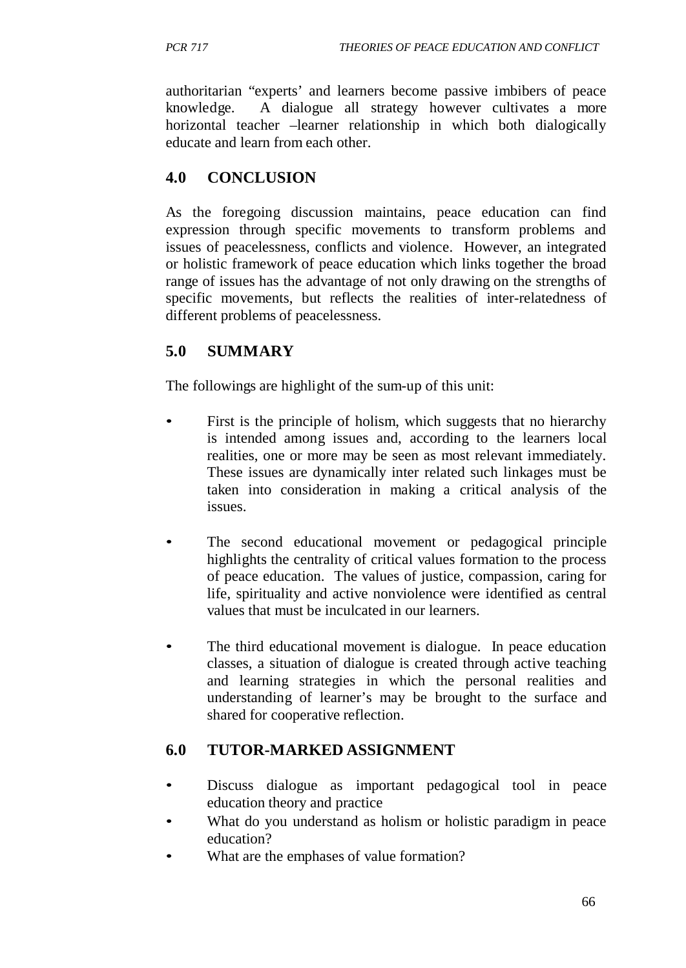authoritarian "experts' and learners become passive imbibers of peace knowledge. A dialogue all strategy however cultivates a more horizontal teacher –learner relationship in which both dialogically educate and learn from each other.

# **4.0 CONCLUSION**

As the foregoing discussion maintains, peace education can find expression through specific movements to transform problems and issues of peacelessness, conflicts and violence. However, an integrated or holistic framework of peace education which links together the broad range of issues has the advantage of not only drawing on the strengths of specific movements, but reflects the realities of inter-relatedness of different problems of peacelessness.

# **5.0 SUMMARY**

The followings are highlight of the sum-up of this unit:

- First is the principle of holism, which suggests that no hierarchy is intended among issues and, according to the learners local realities, one or more may be seen as most relevant immediately. These issues are dynamically inter related such linkages must be taken into consideration in making a critical analysis of the issues.
- The second educational movement or pedagogical principle highlights the centrality of critical values formation to the process of peace education. The values of justice, compassion, caring for life, spirituality and active nonviolence were identified as central values that must be inculcated in our learners.
- The third educational movement is dialogue. In peace education classes, a situation of dialogue is created through active teaching and learning strategies in which the personal realities and understanding of learner's may be brought to the surface and shared for cooperative reflection.

# **6.0 TUTOR-MARKED ASSIGNMENT**

- Discuss dialogue as important pedagogical tool in peace education theory and practice
- What do you understand as holism or holistic paradigm in peace education?
- What are the emphases of value formation?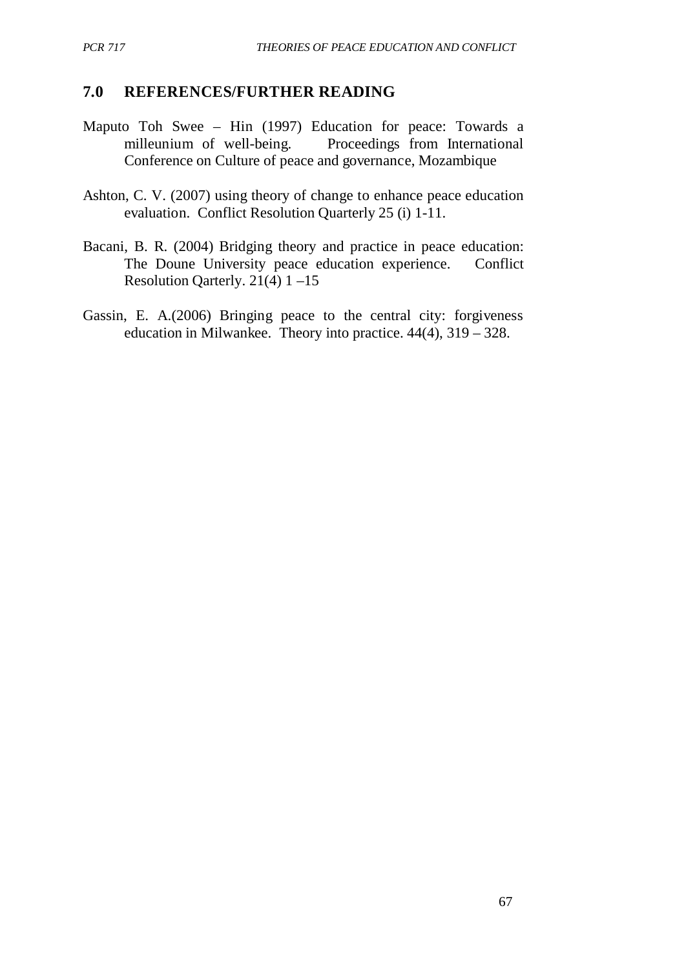## **7.0 REFERENCES/FURTHER READING**

- Maputo Toh Swee Hin (1997) Education for peace: Towards a milleunium of well-being. Proceedings from International Conference on Culture of peace and governance, Mozambique
- Ashton, C. V. (2007) using theory of change to enhance peace education evaluation. Conflict Resolution Quarterly 25 (i) 1-11.
- Bacani, B. R. (2004) Bridging theory and practice in peace education: The Doune University peace education experience. Conflict Resolution Qarterly.  $21(4)$  1 –15
- Gassin, E. A.(2006) Bringing peace to the central city: forgiveness education in Milwankee. Theory into practice. 44(4), 319 – 328.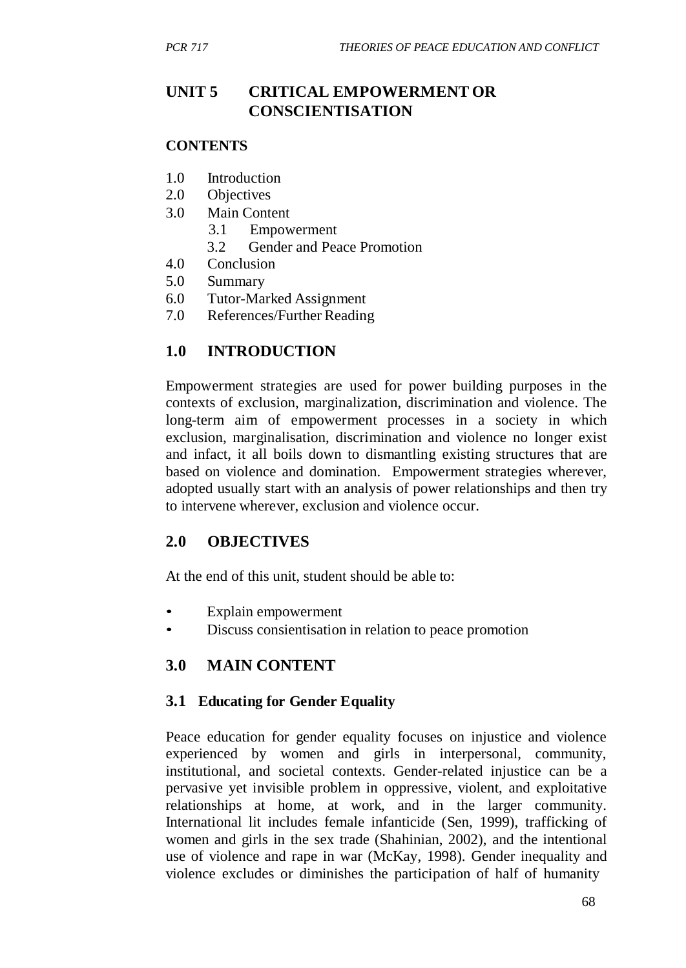# **UNIT 5 CRITICAL EMPOWERMENT OR CONSCIENTISATION**

#### **CONTENTS**

- 1.0 Introduction
- 2.0 Objectives
- 3.0 Main Content
	- 3.1 Empowerment
	- 3.2 Gender and Peace Promotion
- 4.0 Conclusion
- 5.0 Summary
- 6.0 Tutor-Marked Assignment
- 7.0 References/Further Reading

# **1.0 INTRODUCTION**

Empowerment strategies are used for power building purposes in the contexts of exclusion, marginalization, discrimination and violence. The long-term aim of empowerment processes in a society in which exclusion, marginalisation, discrimination and violence no longer exist and infact, it all boils down to dismantling existing structures that are based on violence and domination. Empowerment strategies wherever, adopted usually start with an analysis of power relationships and then try to intervene wherever, exclusion and violence occur.

## **2.0 OBJECTIVES**

At the end of this unit, student should be able to:

- Explain empowerment
- Discuss consientisation in relation to peace promotion

# **3.0 MAIN CONTENT**

#### **3.1 Educating for Gender Equality**

Peace education for gender equality focuses on injustice and violence experienced by women and girls in interpersonal, community, institutional, and societal contexts. Gender-related injustice can be a pervasive yet invisible problem in oppressive, violent, and exploitative relationships at home, at work, and in the larger community. International lit includes female infanticide (Sen, 1999), trafficking of women and girls in the sex trade (Shahinian, 2002), and the intentional use of violence and rape in war (McKay, 1998). Gender inequality and violence excludes or diminishes the participation of half of humanity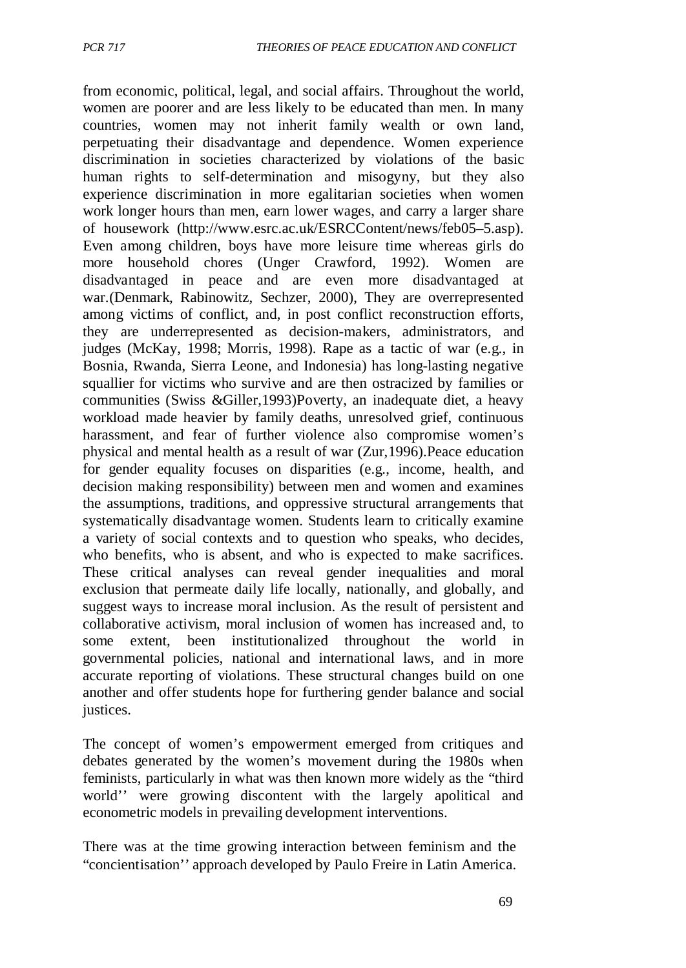from economic, political, legal, and social affairs. Throughout the world, women are poorer and are less likely to be educated than men. In many countries, women may not inherit family wealth or own land, perpetuating their disadvantage and dependence. Women experience discrimination in societies characterized by violations of the basic human rights to self-determination and misogyny, but they also experience discrimination in more egalitarian societies when women work longer hours than men, earn lower wages, and carry a larger share of housework [\(http://www.esrc.ac.uk/ESRCContent/news/feb05–5.asp\).](http://www.esrc.ac.uk/ESRCContent/news/feb05%E2%80%935.asp)) Even among children, boys have more leisure time whereas girls do more household chores (Unger Crawford, 1992). Women are disadvantaged in peace and are even more disadvantaged at war.(Denmark, Rabinowitz, Sechzer, 2000), They are overrepresented among victims of conflict, and, in post conflict reconstruction efforts, they are underrepresented as decision-makers, administrators, and judges (McKay, 1998; Morris, 1998). Rape as a tactic of war (e.g., in Bosnia, Rwanda, Sierra Leone, and Indonesia) has long-lasting negative squallier for victims who survive and are then ostracized by families or communities (Swiss &Giller,1993)Poverty, an inadequate diet, a heavy workload made heavier by family deaths, unresolved grief, continuous harassment, and fear of further violence also compromise women's physical and mental health as a result of war (Zur,1996).Peace education for gender equality focuses on disparities (e.g., income, health, and decision making responsibility) between men and women and examines the assumptions, traditions, and oppressive structural arrangements that systematically disadvantage women. Students learn to critically examine a variety of social contexts and to question who speaks, who decides, who benefits, who is absent, and who is expected to make sacrifices. These critical analyses can reveal gender inequalities and moral exclusion that permeate daily life locally, nationally, and globally, and suggest ways to increase moral inclusion. As the result of persistent and collaborative activism, moral inclusion of women has increased and, to some extent, been institutionalized throughout the world in governmental policies, national and international laws, and in more accurate reporting of violations. These structural changes build on one another and offer students hope for furthering gender balance and social justices.

The concept of women's empowerment emerged from critiques and debates generated by the women's movement during the 1980s when feminists, particularly in what was then known more widely as the "third world'' were growing discontent with the largely apolitical and econometric models in prevailing development interventions.

There was at the time growing interaction between feminism and the "concientisation'' approach developed by Paulo Freire in Latin America.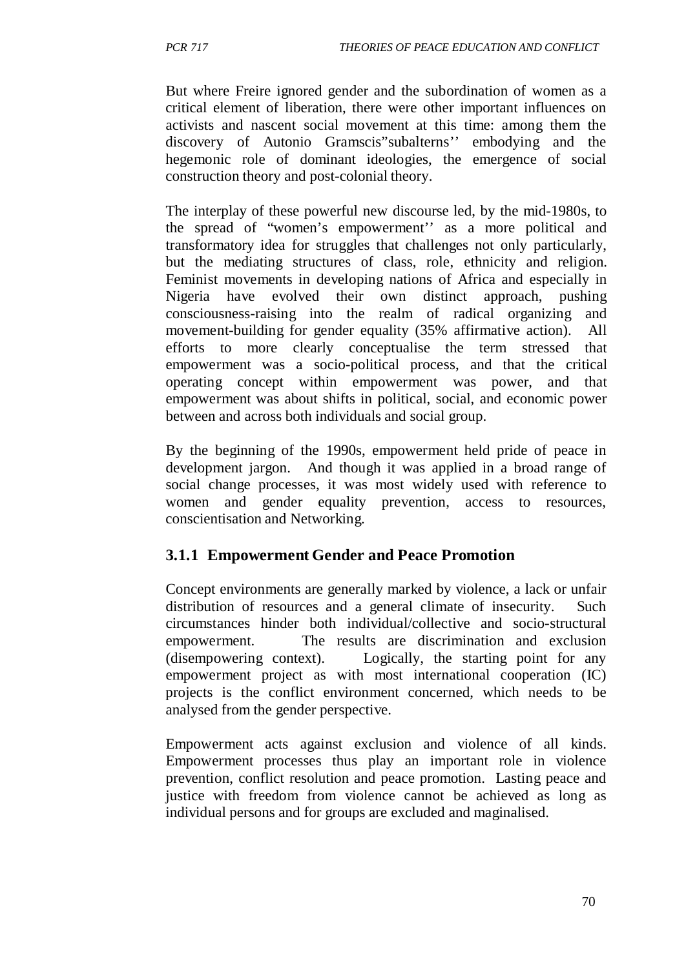But where Freire ignored gender and the subordination of women as a critical element of liberation, there were other important influences on activists and nascent social movement at this time: among them the discovery of Autonio Gramscis"subalterns'' embodying and the hegemonic role of dominant ideologies, the emergence of social construction theory and post-colonial theory.

The interplay of these powerful new discourse led, by the mid-1980s, to the spread of "women's empowerment'' as a more political and transformatory idea for struggles that challenges not only particularly, but the mediating structures of class, role, ethnicity and religion. Feminist movements in developing nations of Africa and especially in Nigeria have evolved their own distinct approach, pushing consciousness-raising into the realm of radical organizing and movement-building for gender equality (35% affirmative action). All efforts to more clearly conceptualise the term stressed that empowerment was a socio-political process, and that the critical operating concept within empowerment was power, and that empowerment was about shifts in political, social, and economic power between and across both individuals and social group.

By the beginning of the 1990s, empowerment held pride of peace in development jargon. And though it was applied in a broad range of social change processes, it was most widely used with reference to women and gender equality prevention, access to resources, conscientisation and Networking.

## **3.1.1 Empowerment Gender and Peace Promotion**

Concept environments are generally marked by violence, a lack or unfair distribution of resources and a general climate of insecurity. Such circumstances hinder both individual/collective and socio-structural empowerment. The results are discrimination and exclusion (disempowering context). Logically, the starting point for any empowerment project as with most international cooperation (IC) projects is the conflict environment concerned, which needs to be analysed from the gender perspective.

Empowerment acts against exclusion and violence of all kinds. Empowerment processes thus play an important role in violence prevention, conflict resolution and peace promotion. Lasting peace and justice with freedom from violence cannot be achieved as long as individual persons and for groups are excluded and maginalised.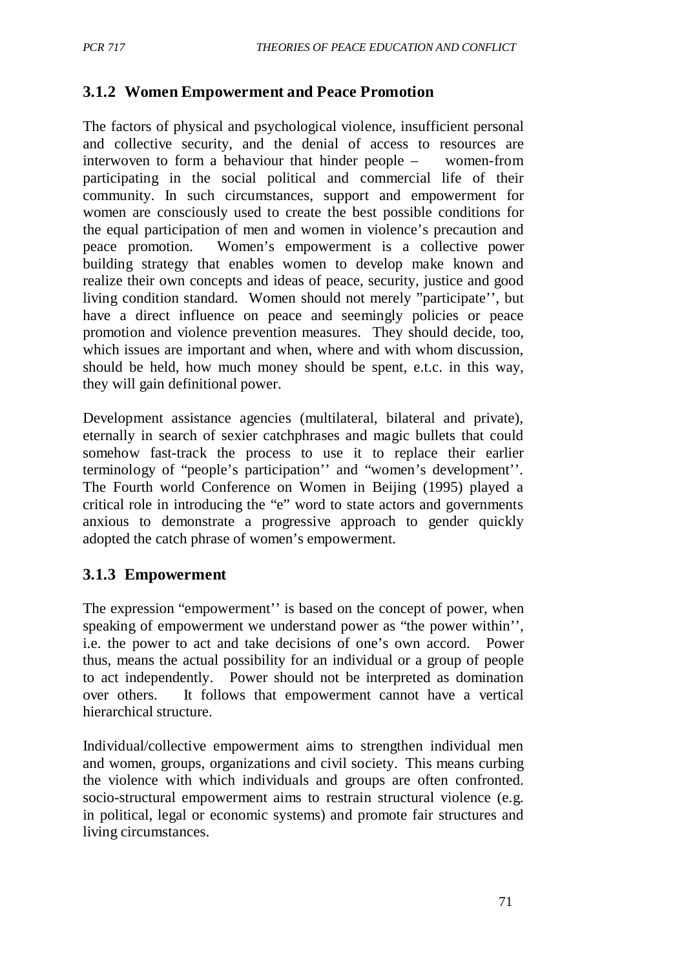## **3.1.2 Women Empowerment and Peace Promotion**

The factors of physical and psychological violence, insufficient personal and collective security, and the denial of access to resources are interwoven to form a behaviour that hinder people – women-from participating in the social political and commercial life of their community. In such circumstances, support and empowerment for women are consciously used to create the best possible conditions for the equal participation of men and women in violence's precaution and peace promotion. Women's empowerment is a collective power building strategy that enables women to develop make known and realize their own concepts and ideas of peace, security, justice and good living condition standard. Women should not merely "participate'', but have a direct influence on peace and seemingly policies or peace promotion and violence prevention measures. They should decide, too, which issues are important and when, where and with whom discussion, should be held, how much money should be spent, e.t.c. in this way, they will gain definitional power.

Development assistance agencies (multilateral, bilateral and private), eternally in search of sexier catchphrases and magic bullets that could somehow fast-track the process to use it to replace their earlier terminology of "people's participation'' and "women's development''. The Fourth world Conference on Women in Beijing (1995) played a critical role in introducing the "e" word to state actors and governments anxious to demonstrate a progressive approach to gender quickly adopted the catch phrase of women's empowerment.

## **3.1.3 Empowerment**

The expression "empowerment'' is based on the concept of power, when speaking of empowerment we understand power as "the power within'', i.e. the power to act and take decisions of one's own accord. Power thus, means the actual possibility for an individual or a group of people to act independently. Power should not be interpreted as domination over others. It follows that empowerment cannot have a vertical hierarchical structure.

Individual/collective empowerment aims to strengthen individual men and women, groups, organizations and civil society. This means curbing the violence with which individuals and groups are often confronted. socio-structural empowerment aims to restrain structural violence (e.g. in political, legal or economic systems) and promote fair structures and living circumstances.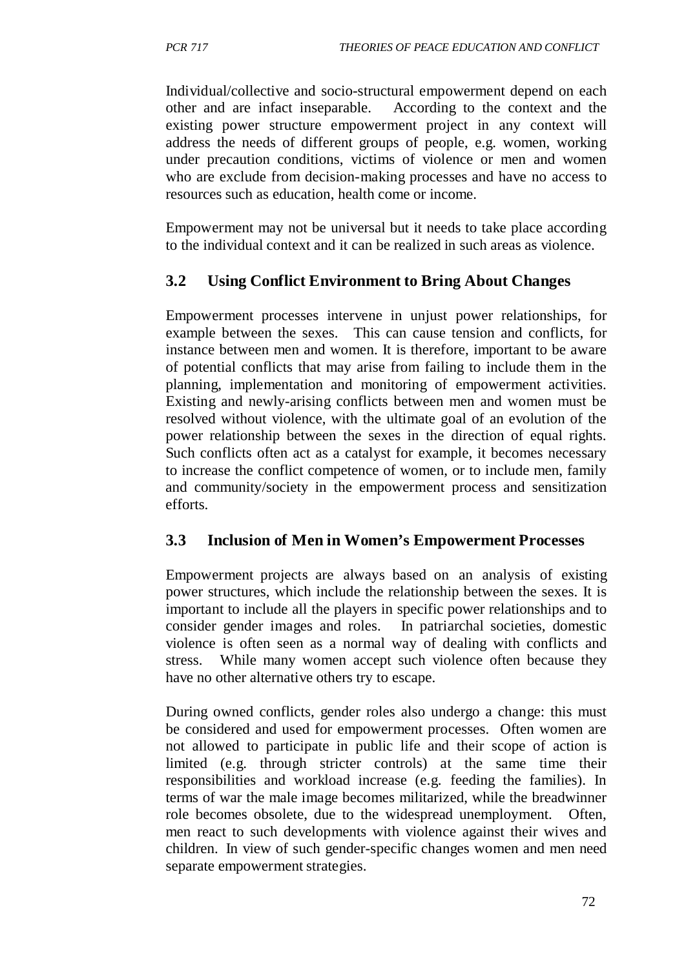Individual/collective and socio-structural empowerment depend on each other and are infact inseparable. According to the context and the existing power structure empowerment project in any context will address the needs of different groups of people, e.g. women, working under precaution conditions, victims of violence or men and women who are exclude from decision-making processes and have no access to resources such as education, health come or income.

Empowerment may not be universal but it needs to take place according to the individual context and it can be realized in such areas as violence.

# **3.2 Using Conflict Environment to Bring About Changes**

Empowerment processes intervene in unjust power relationships, for example between the sexes. This can cause tension and conflicts, for instance between men and women. It is therefore, important to be aware of potential conflicts that may arise from failing to include them in the planning, implementation and monitoring of empowerment activities. Existing and newly-arising conflicts between men and women must be resolved without violence, with the ultimate goal of an evolution of the power relationship between the sexes in the direction of equal rights. Such conflicts often act as a catalyst for example, it becomes necessary to increase the conflict competence of women, or to include men, family and community/society in the empowerment process and sensitization efforts.

## **3.3 Inclusion of Men in Women's Empowerment Processes**

Empowerment projects are always based on an analysis of existing power structures, which include the relationship between the sexes. It is important to include all the players in specific power relationships and to consider gender images and roles. In patriarchal societies, domestic violence is often seen as a normal way of dealing with conflicts and stress. While many women accept such violence often because they have no other alternative others try to escape.

During owned conflicts, gender roles also undergo a change: this must be considered and used for empowerment processes. Often women are not allowed to participate in public life and their scope of action is limited (e.g. through stricter controls) at the same time their responsibilities and workload increase (e.g. feeding the families). In terms of war the male image becomes militarized, while the breadwinner role becomes obsolete, due to the widespread unemployment. Often, men react to such developments with violence against their wives and children. In view of such gender-specific changes women and men need separate empowerment strategies.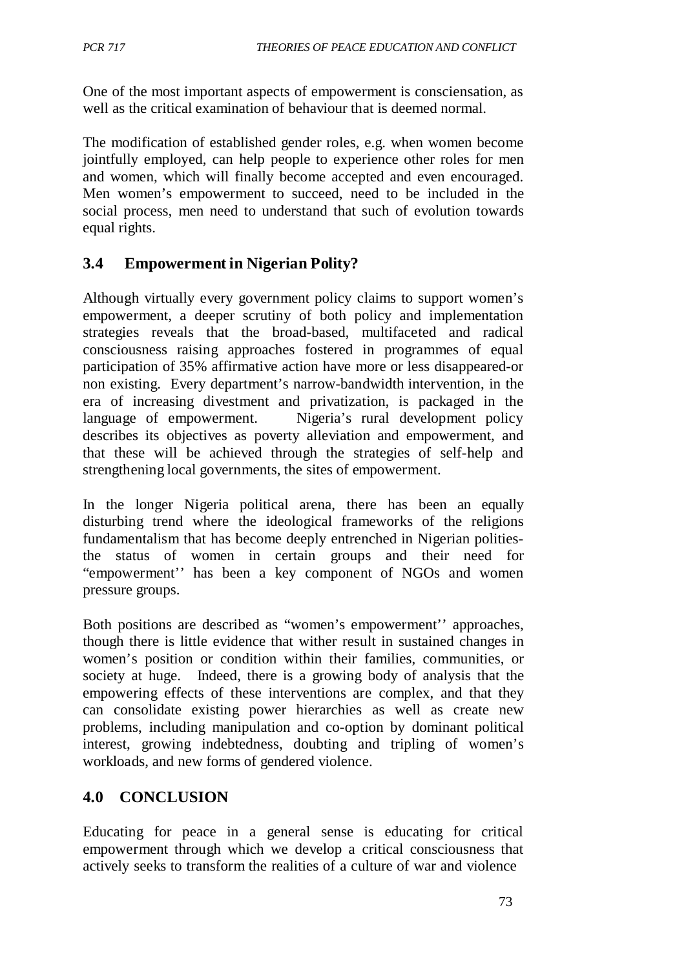One of the most important aspects of empowerment is consciensation, as well as the critical examination of behaviour that is deemed normal.

The modification of established gender roles, e.g. when women become jointfully employed, can help people to experience other roles for men and women, which will finally become accepted and even encouraged. Men women's empowerment to succeed, need to be included in the social process, men need to understand that such of evolution towards equal rights.

## **3.4 Empowerment in Nigerian Polity?**

Although virtually every government policy claims to support women's empowerment, a deeper scrutiny of both policy and implementation strategies reveals that the broad-based, multifaceted and radical consciousness raising approaches fostered in programmes of equal participation of 35% affirmative action have more or less disappeared-or non existing. Every department's narrow-bandwidth intervention, in the era of increasing divestment and privatization, is packaged in the language of empowerment. Nigeria's rural development policy describes its objectives as poverty alleviation and empowerment, and that these will be achieved through the strategies of self-help and strengthening local governments, the sites of empowerment.

In the longer Nigeria political arena, there has been an equally disturbing trend where the ideological frameworks of the religions fundamentalism that has become deeply entrenched in Nigerian politiesthe status of women in certain groups and their need for "empowerment'' has been a key component of NGOs and women pressure groups.

Both positions are described as "women's empowerment'' approaches, though there is little evidence that wither result in sustained changes in women's position or condition within their families, communities, or society at huge. Indeed, there is a growing body of analysis that the empowering effects of these interventions are complex, and that they can consolidate existing power hierarchies as well as create new problems, including manipulation and co-option by dominant political interest, growing indebtedness, doubting and tripling of women's workloads, and new forms of gendered violence.

## **4.0 CONCLUSION**

Educating for peace in a general sense is educating for critical empowerment through which we develop a critical consciousness that actively seeks to transform the realities of a culture of war and violence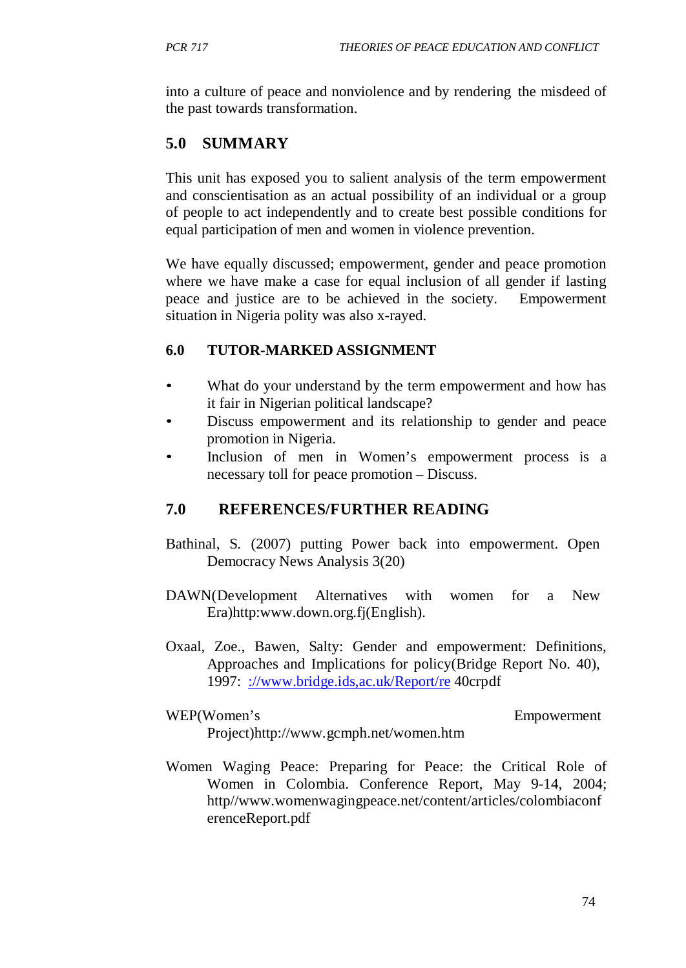into a culture of peace and nonviolence and by rendering the misdeed of the past towards transformation.

# **5.0 SUMMARY**

This unit has exposed you to salient analysis of the term empowerment and conscientisation as an actual possibility of an individual or a group of people to act independently and to create best possible conditions for equal participation of men and women in violence prevention.

We have equally discussed; empowerment, gender and peace promotion where we have make a case for equal inclusion of all gender if lasting peace and justice are to be achieved in the society. Empowerment situation in Nigeria polity was also x-rayed.

#### **6.0 TUTOR-MARKED ASSIGNMENT**

- What do your understand by the term empowerment and how has it fair in Nigerian political landscape?
- Discuss empowerment and its relationship to gender and peace promotion in Nigeria.
- Inclusion of men in Women's empowerment process is a necessary toll for peace promotion – Discuss.

## **7.0 REFERENCES/FURTHER READING**

- Bathinal, S. (2007) putting Power back into empowerment. Open Democracy News Analysis 3(20)
- DAWN(Development Alternatives with women for a New Era)http:www.down.org.fj(English).
- Oxaal, Zoe., Bawen, Salty: Gender and empowerment: Definitions, Approaches and Implications for policy(Bridge Report No. 40), 1997: ://www.bridge.ids,ac.uk/Report/re 40crpdf

#### WEP(Women's Empowerment

[Project\)http://www.g](http://www.gcmph.net/women.htm)cmph[.net/women.htm](http://www.gcmph.net/women.htm)

Women Waging Peace: Preparing for Peace: the Critical Role of Women in Colombia. Conference Report, May 9-14, 2004[;](http://www.womenwagingpeace.net/content/articles/colombiaconf) [http//www.w](http://www.womenwagingpeace.net/content/articles/colombiaconf)o[menwag](http://www.womenwagingpeace.net/content/articles/colombiaconf)i[ngpeace.net/content/articles/colombiaconf](http://www.womenwagingpeace.net/content/articles/colombiaconf) erenceReport.pdf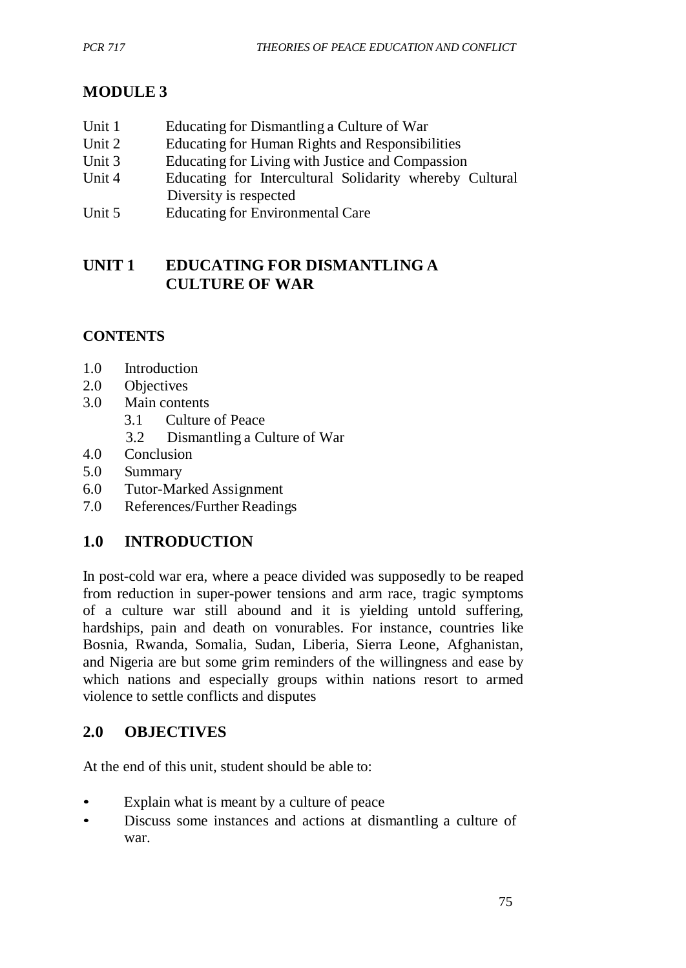# **MODULE 3**

- Unit 1 Educating for Dismantling a Culture of War
- Unit 2 Educating for Human Rights and Responsibilities
- Unit 3 Educating for Living with Justice and Compassion
- Unit 4 Educating for Intercultural Solidarity whereby Cultural Diversity is respected
- Unit 5 Educating for Environmental Care

# **UNIT 1 EDUCATING FOR DISMANTLING A CULTURE OF WAR**

## **CONTENTS**

- 1.0 Introduction
- 2.0 Objectives
- 3.0 Main contents
	- 3.1 Culture of Peace
	- 3.2 Dismantling a Culture of War
- 4.0 Conclusion
- 5.0 Summary
- 6.0 Tutor-Marked Assignment
- 7.0 References/Further Readings

# **1.0 INTRODUCTION**

In post-cold war era, where a peace divided was supposedly to be reaped from reduction in super-power tensions and arm race, tragic symptoms of a culture war still abound and it is yielding untold suffering, hardships, pain and death on vonurables. For instance, countries like Bosnia, Rwanda, Somalia, Sudan, Liberia, Sierra Leone, Afghanistan, and Nigeria are but some grim reminders of the willingness and ease by which nations and especially groups within nations resort to armed violence to settle conflicts and disputes

# **2.0 OBJECTIVES**

At the end of this unit, student should be able to:

- Explain what is meant by a culture of peace
- Discuss some instances and actions at dismantling a culture of war.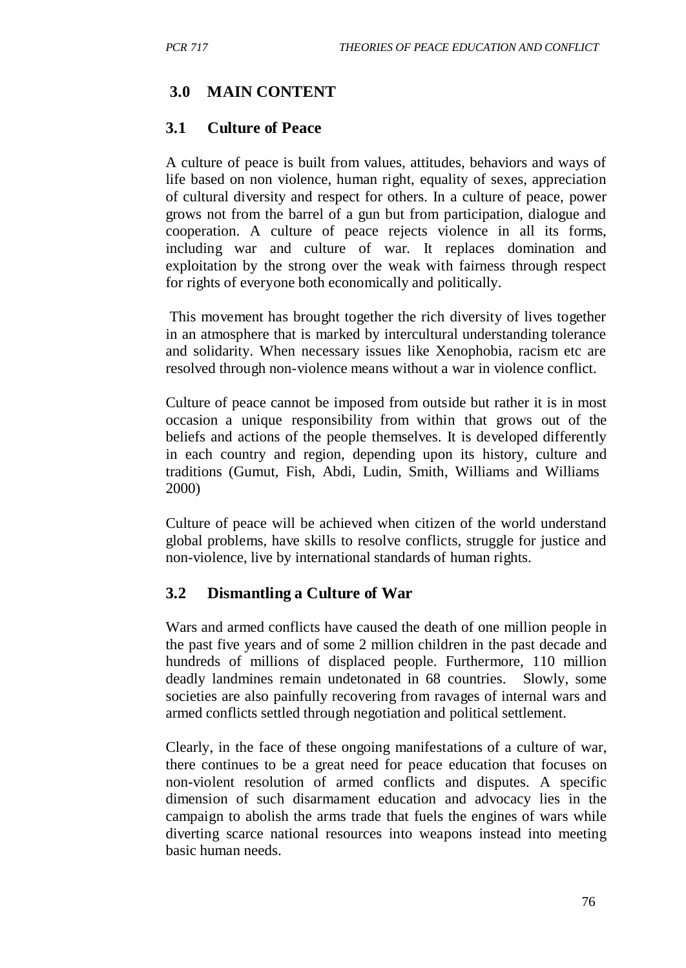## **3.0 MAIN CONTENT**

#### **3.1 Culture of Peace**

A culture of peace is built from values, attitudes, behaviors and ways of life based on non violence, human right, equality of sexes, appreciation of cultural diversity and respect for others. In a culture of peace, power grows not from the barrel of a gun but from participation, dialogue and cooperation. A culture of peace rejects violence in all its forms, including war and culture of war. It replaces domination and exploitation by the strong over the weak with fairness through respect for rights of everyone both economically and politically.

This movement has brought together the rich diversity of lives together in an atmosphere that is marked by intercultural understanding tolerance and solidarity. When necessary issues like Xenophobia, racism etc are resolved through non-violence means without a war in violence conflict.

Culture of peace cannot be imposed from outside but rather it is in most occasion a unique responsibility from within that grows out of the beliefs and actions of the people themselves. It is developed differently in each country and region, depending upon its history, culture and traditions (Gumut, Fish, Abdi, Ludin, Smith, Williams and Williams 2000)

Culture of peace will be achieved when citizen of the world understand global problems, have skills to resolve conflicts, struggle for justice and non-violence, live by international standards of human rights.

## **3.2 Dismantling a Culture of War**

Wars and armed conflicts have caused the death of one million people in the past five years and of some 2 million children in the past decade and hundreds of millions of displaced people. Furthermore, 110 million deadly landmines remain undetonated in 68 countries. Slowly, some societies are also painfully recovering from ravages of internal wars and armed conflicts settled through negotiation and political settlement.

Clearly, in the face of these ongoing manifestations of a culture of war, there continues to be a great need for peace education that focuses on non-violent resolution of armed conflicts and disputes. A specific dimension of such disarmament education and advocacy lies in the campaign to abolish the arms trade that fuels the engines of wars while diverting scarce national resources into weapons instead into meeting basic human needs.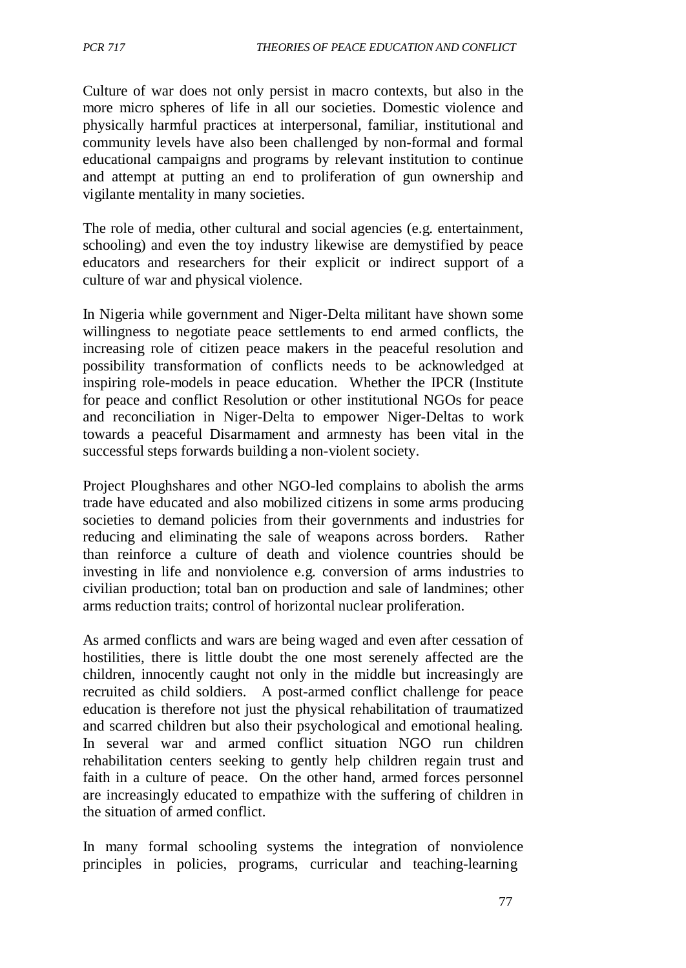Culture of war does not only persist in macro contexts, but also in the more micro spheres of life in all our societies. Domestic violence and physically harmful practices at interpersonal, familiar, institutional and community levels have also been challenged by non-formal and formal educational campaigns and programs by relevant institution to continue and attempt at putting an end to proliferation of gun ownership and vigilante mentality in many societies.

The role of media, other cultural and social agencies (e.g. entertainment, schooling) and even the toy industry likewise are demystified by peace educators and researchers for their explicit or indirect support of a culture of war and physical violence.

In Nigeria while government and Niger-Delta militant have shown some willingness to negotiate peace settlements to end armed conflicts, the increasing role of citizen peace makers in the peaceful resolution and possibility transformation of conflicts needs to be acknowledged at inspiring role-models in peace education. Whether the IPCR (Institute for peace and conflict Resolution or other institutional NGOs for peace and reconciliation in Niger-Delta to empower Niger-Deltas to work towards a peaceful Disarmament and armnesty has been vital in the successful steps forwards building a non-violent society.

Project Ploughshares and other NGO-led complains to abolish the arms trade have educated and also mobilized citizens in some arms producing societies to demand policies from their governments and industries for reducing and eliminating the sale of weapons across borders. Rather than reinforce a culture of death and violence countries should be investing in life and nonviolence e.g. conversion of arms industries to civilian production; total ban on production and sale of landmines; other arms reduction traits; control of horizontal nuclear proliferation.

As armed conflicts and wars are being waged and even after cessation of hostilities, there is little doubt the one most serenely affected are the children, innocently caught not only in the middle but increasingly are recruited as child soldiers. A post-armed conflict challenge for peace education is therefore not just the physical rehabilitation of traumatized and scarred children but also their psychological and emotional healing. In several war and armed conflict situation NGO run children rehabilitation centers seeking to gently help children regain trust and faith in a culture of peace. On the other hand, armed forces personnel are increasingly educated to empathize with the suffering of children in the situation of armed conflict.

In many formal schooling systems the integration of nonviolence principles in policies, programs, curricular and teaching-learning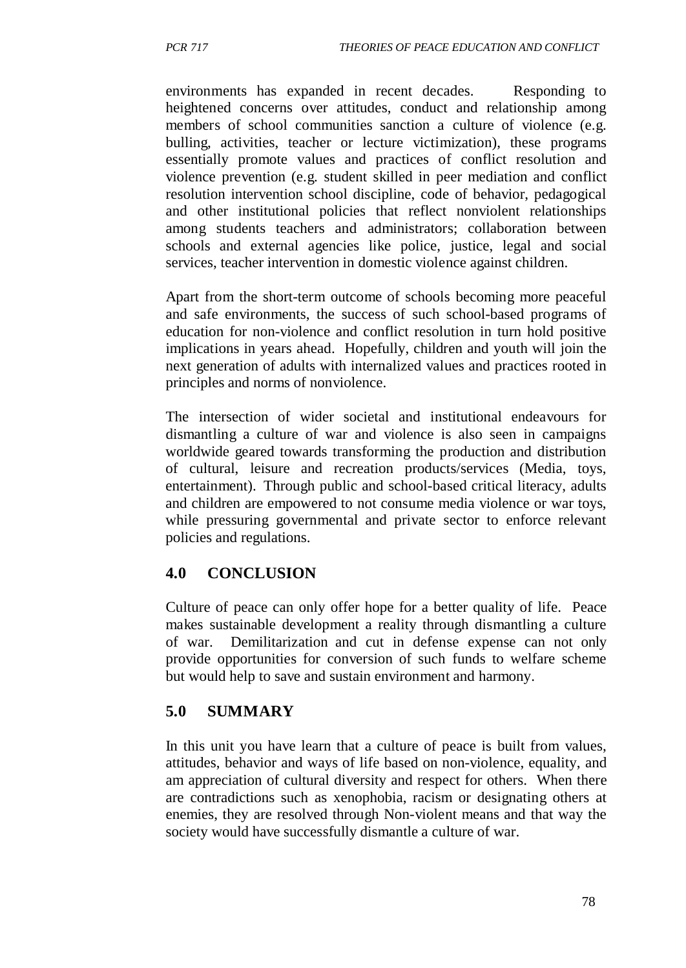environments has expanded in recent decades. Responding to heightened concerns over attitudes, conduct and relationship among members of school communities sanction a culture of violence (e.g. bulling, activities, teacher or lecture victimization), these programs essentially promote values and practices of conflict resolution and violence prevention (e.g. student skilled in peer mediation and conflict resolution intervention school discipline, code of behavior, pedagogical and other institutional policies that reflect nonviolent relationships among students teachers and administrators; collaboration between schools and external agencies like police, justice, legal and social services, teacher intervention in domestic violence against children.

Apart from the short-term outcome of schools becoming more peaceful and safe environments, the success of such school-based programs of education for non-violence and conflict resolution in turn hold positive implications in years ahead. Hopefully, children and youth will join the next generation of adults with internalized values and practices rooted in principles and norms of nonviolence.

The intersection of wider societal and institutional endeavours for dismantling a culture of war and violence is also seen in campaigns worldwide geared towards transforming the production and distribution of cultural, leisure and recreation products/services (Media, toys, entertainment). Through public and school-based critical literacy, adults and children are empowered to not consume media violence or war toys, while pressuring governmental and private sector to enforce relevant policies and regulations.

## **4.0 CONCLUSION**

Culture of peace can only offer hope for a better quality of life. Peace makes sustainable development a reality through dismantling a culture of war. Demilitarization and cut in defense expense can not only provide opportunities for conversion of such funds to welfare scheme but would help to save and sustain environment and harmony.

## **5.0 SUMMARY**

In this unit you have learn that a culture of peace is built from values, attitudes, behavior and ways of life based on non-violence, equality, and am appreciation of cultural diversity and respect for others. When there are contradictions such as xenophobia, racism or designating others at enemies, they are resolved through Non-violent means and that way the society would have successfully dismantle a culture of war.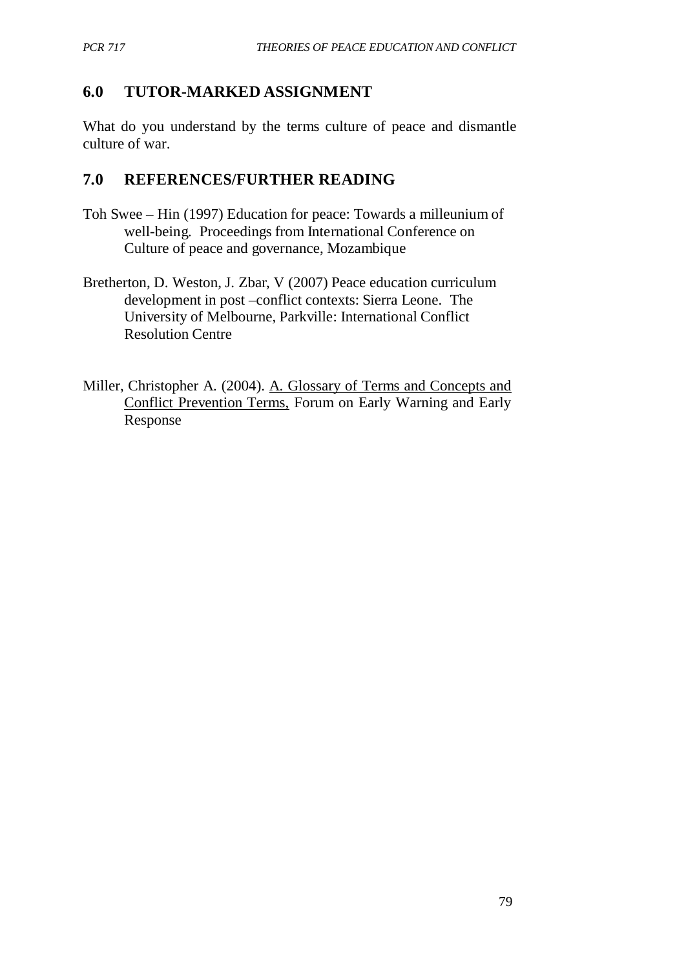# **6.0 TUTOR-MARKED ASSIGNMENT**

What do you understand by the terms culture of peace and dismantle culture of war.

## **7.0 REFERENCES/FURTHER READING**

- Toh Swee Hin (1997) Education for peace: Towards a milleunium of well-being. Proceedings from International Conference on Culture of peace and governance, Mozambique
- Bretherton, D. Weston, J. Zbar, V (2007) Peace education curriculum development in post –conflict contexts: Sierra Leone. The University of Melbourne, Parkville: International Conflict Resolution Centre
- Miller, Christopher A. (2004). A. Glossary of Terms and Concepts and Conflict Prevention Terms, Forum on Early Warning and Early Response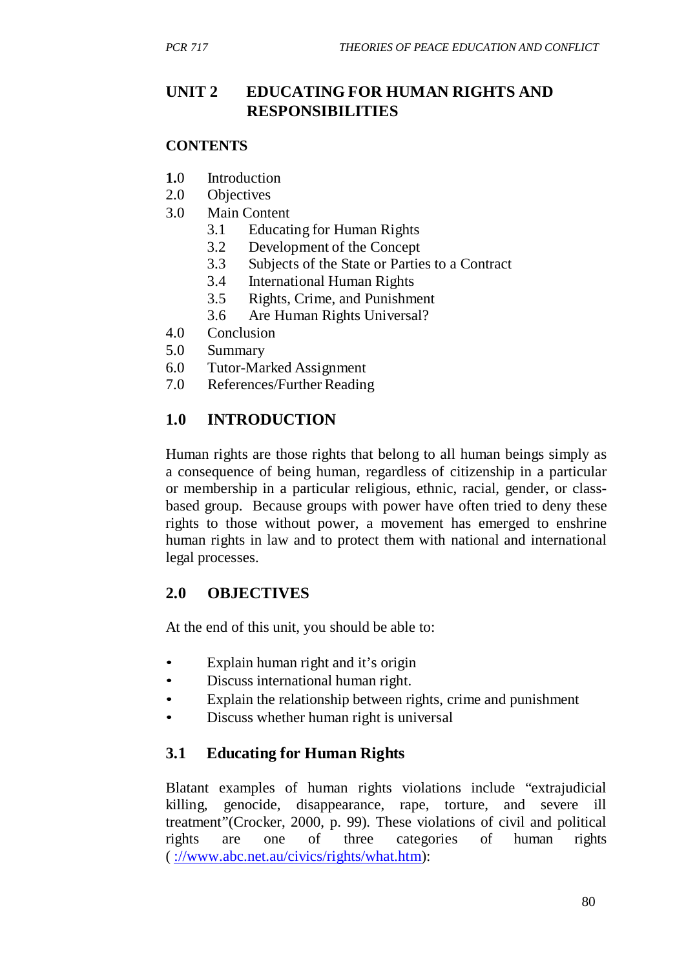## **UNIT 2 EDUCATING FOR HUMAN RIGHTS AND RESPONSIBILITIES**

#### **CONTENTS**

- **1.**0 Introduction
- 2.0 Objectives
- 3.0 Main Content
	- 3.1 Educating for Human Rights
	- 3.2 Development of the Concept
	- 3.3 Subjects of the State or Parties to a Contract
	- 3.4 International Human Rights
	- 3.5 Rights, Crime, and Punishment
	- 3.6 Are Human Rights Universal?
- 4.0 Conclusion
- 5.0 Summary
- 6.0 Tutor-Marked Assignment
- 7.0 References/Further Reading

## **1.0 INTRODUCTION**

Human rights are those rights that belong to all human beings simply as a consequence of being human, regardless of citizenship in a particular or membership in a particular religious, ethnic, racial, gender, or classbased group. Because groups with power have often tried to deny these rights to those without power, a movement has emerged to enshrine human rights in law and to protect them with national and international legal processes.

## **2.0 OBJECTIVES**

At the end of this unit, you should be able to:

- Explain human right and it's origin
- Discuss international human right.
- Explain the relationship between rights, crime and punishment
- Discuss whether human right is universal

# **3.1 Educating for Human Rights**

Blatant examples of human rights violations include "extrajudicial killing, genocide, disappearance, rape, torture, and severe ill treatment"(Crocker, 2000, p. 99). These violations of civil and political rights are one of three categories of human rights ( [://www.abc.net.au/civics/rights/what.htm\)](http://www.abc.net.au/civics/rights/what.htm):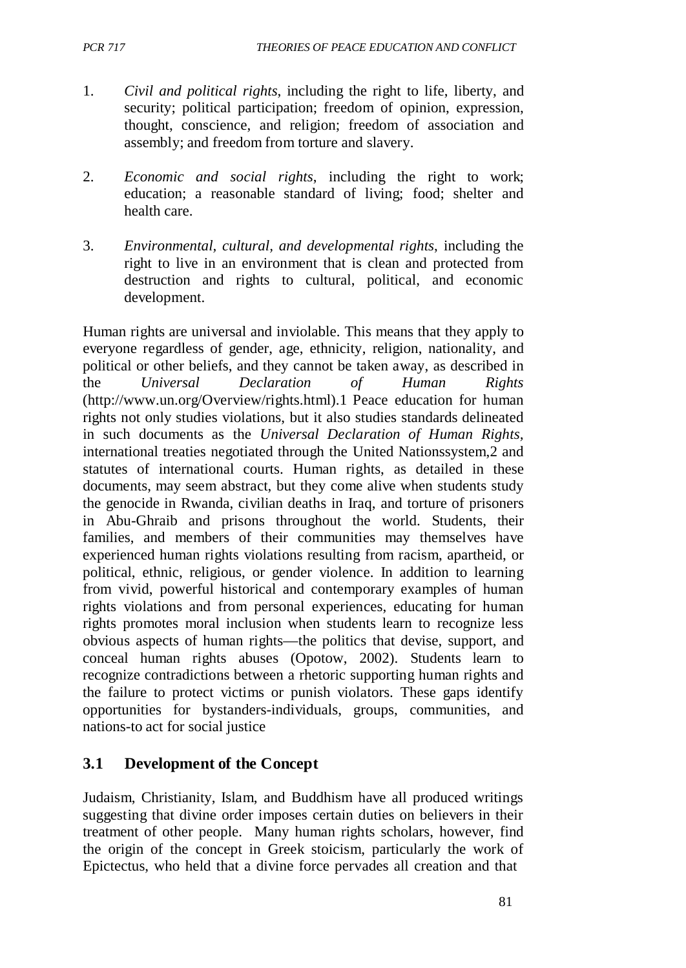- 1. *Civil and political rights*, including the right to life, liberty, and security; political participation; freedom of opinion, expression, thought, conscience, and religion; freedom of association and assembly; and freedom from torture and slavery.
- 2. *Economic and social rights*, including the right to work; education; a reasonable standard of living; food; shelter and health care.
- 3. *Environmental, cultural, and developmental rights*, including the right to live in an environment that is clean and protected from destruction and rights to cultural, political, and economic development.

Human rights are universal and inviolable. This means that they apply to everyone regardless of gender, age, ethnicity, religion, nationality, and political or other beliefs, and they cannot be taken away, as described in the *Universal Declaration of Human Rights*  [\(http://www.u](http://www.un.org/Overview/rights.html).1)n[.org/Overview/rights.html\).1](http://www.un.org/Overview/rights.html).1) Peace education for human rights not only studies violations, but it also studies standards delineated in such documents as the *Universal Declaration of Human Rights,*  international treaties negotiated through the United Nationssystem,2 and statutes of international courts. Human rights, as detailed in these documents, may seem abstract, but they come alive when students study the genocide in Rwanda, civilian deaths in Iraq, and torture of prisoners in Abu-Ghraib and prisons throughout the world. Students, their families, and members of their communities may themselves have experienced human rights violations resulting from racism, apartheid, or political, ethnic, religious, or gender violence. In addition to learning from vivid, powerful historical and contemporary examples of human rights violations and from personal experiences, educating for human rights promotes moral inclusion when students learn to recognize less obvious aspects of human rights—the politics that devise, support, and conceal human rights abuses (Opotow, 2002). Students learn to recognize contradictions between a rhetoric supporting human rights and the failure to protect victims or punish violators. These gaps identify opportunities for bystanders-individuals, groups, communities, and nations-to act for social justice

# **3.1 Development of the Concept**

Judaism, Christianity, Islam, and Buddhism have all produced writings suggesting that divine order imposes certain duties on believers in their treatment of other people. Many human rights scholars, however, find the origin of the concept in Greek stoicism, particularly the work of Epictectus, who held that a divine force pervades all creation and that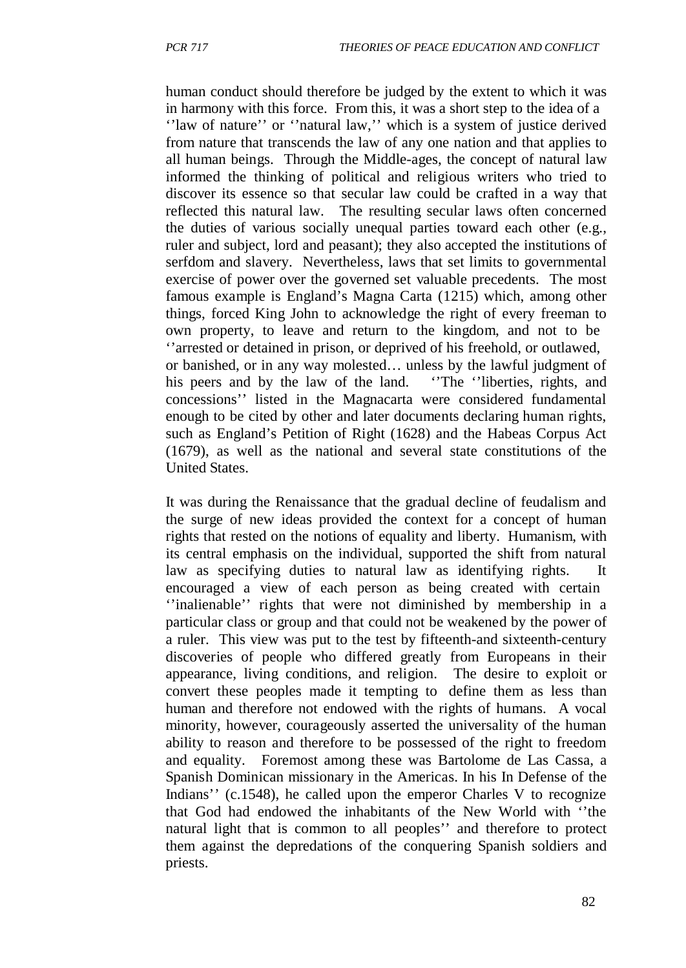human conduct should therefore be judged by the extent to which it was in harmony with this force. From this, it was a short step to the idea of a 'law of nature'' or ''natural law,'' which is a system of justice derived from nature that transcends the law of any one nation and that applies to all human beings. Through the Middle-ages, the concept of natural law informed the thinking of political and religious writers who tried to discover its essence so that secular law could be crafted in a way that reflected this natural law. The resulting secular laws often concerned the duties of various socially unequal parties toward each other (e.g., ruler and subject, lord and peasant); they also accepted the institutions of serfdom and slavery. Nevertheless, laws that set limits to governmental exercise of power over the governed set valuable precedents. The most famous example is England's Magna Carta (1215) which, among other things, forced King John to acknowledge the right of every freeman to own property, to leave and return to the kingdom, and not to be ''arrested or detained in prison, or deprived of his freehold, or outlawed, or banished, or in any way molested… unless by the lawful judgment of his peers and by the law of the land. 'The ''liberties, rights, and concessions'' listed in the Magnacarta were considered fundamental enough to be cited by other and later documents declaring human rights, such as England's Petition of Right (1628) and the Habeas Corpus Act (1679), as well as the national and several state constitutions of the United States.

It was during the Renaissance that the gradual decline of feudalism and the surge of new ideas provided the context for a concept of human rights that rested on the notions of equality and liberty. Humanism, with its central emphasis on the individual, supported the shift from natural law as specifying duties to natural law as identifying rights. It encouraged a view of each person as being created with certain ''inalienable'' rights that were not diminished by membership in a particular class or group and that could not be weakened by the power of a ruler. This view was put to the test by fifteenth-and sixteenth-century discoveries of people who differed greatly from Europeans in their appearance, living conditions, and religion. The desire to exploit or convert these peoples made it tempting to define them as less than human and therefore not endowed with the rights of humans. A vocal minority, however, courageously asserted the universality of the human ability to reason and therefore to be possessed of the right to freedom and equality. Foremost among these was Bartolome de Las Cassa, a Spanish Dominican missionary in the Americas. In his In Defense of the Indians'' (c.1548), he called upon the emperor Charles V to recognize that God had endowed the inhabitants of the New World with ''the natural light that is common to all peoples'' and therefore to protect them against the depredations of the conquering Spanish soldiers and priests.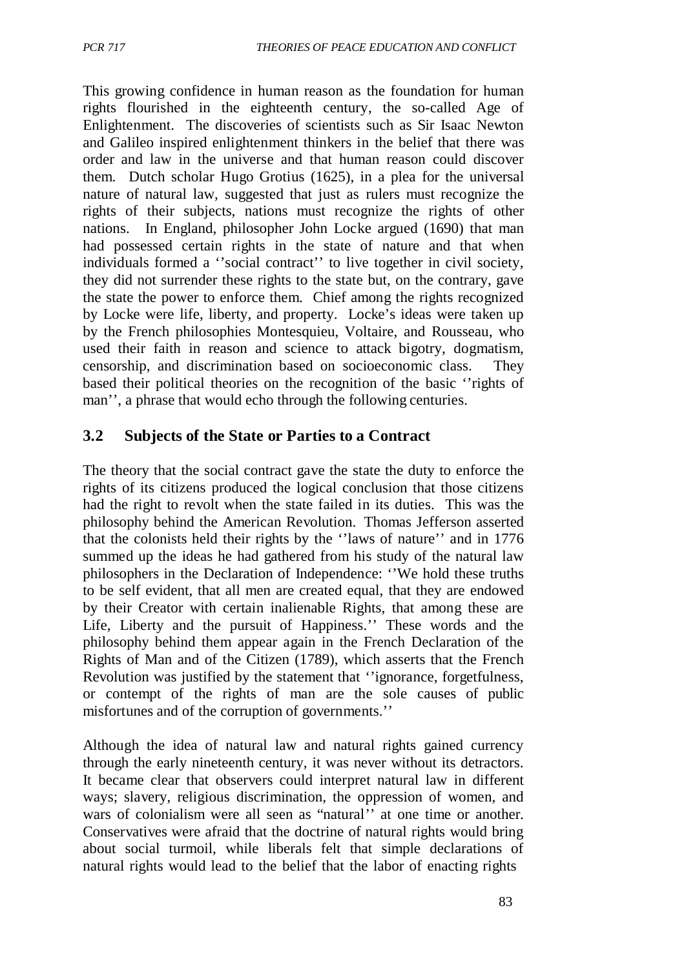This growing confidence in human reason as the foundation for human rights flourished in the eighteenth century, the so-called Age of Enlightenment. The discoveries of scientists such as Sir Isaac Newton and Galileo inspired enlightenment thinkers in the belief that there was order and law in the universe and that human reason could discover them. Dutch scholar Hugo Grotius (1625), in a plea for the universal nature of natural law, suggested that just as rulers must recognize the rights of their subjects, nations must recognize the rights of other nations. In England, philosopher John Locke argued (1690) that man had possessed certain rights in the state of nature and that when individuals formed a ''social contract'' to live together in civil society, they did not surrender these rights to the state but, on the contrary, gave the state the power to enforce them. Chief among the rights recognized by Locke were life, liberty, and property. Locke's ideas were taken up by the French philosophies Montesquieu, Voltaire, and Rousseau, who used their faith in reason and science to attack bigotry, dogmatism, censorship, and discrimination based on socioeconomic class. They based their political theories on the recognition of the basic ''rights of man'', a phrase that would echo through the following centuries.

#### **3.2 Subjects of the State or Parties to a Contract**

The theory that the social contract gave the state the duty to enforce the rights of its citizens produced the logical conclusion that those citizens had the right to revolt when the state failed in its duties. This was the philosophy behind the American Revolution. Thomas Jefferson asserted that the colonists held their rights by the ''laws of nature'' and in 1776 summed up the ideas he had gathered from his study of the natural law philosophers in the Declaration of Independence: ''We hold these truths to be self evident, that all men are created equal, that they are endowed by their Creator with certain inalienable Rights, that among these are Life, Liberty and the pursuit of Happiness.'' These words and the philosophy behind them appear again in the French Declaration of the Rights of Man and of the Citizen (1789), which asserts that the French Revolution was justified by the statement that ''ignorance, forgetfulness, or contempt of the rights of man are the sole causes of public misfortunes and of the corruption of governments.''

Although the idea of natural law and natural rights gained currency through the early nineteenth century, it was never without its detractors. It became clear that observers could interpret natural law in different ways; slavery, religious discrimination, the oppression of women, and wars of colonialism were all seen as "natural'' at one time or another. Conservatives were afraid that the doctrine of natural rights would bring about social turmoil, while liberals felt that simple declarations of natural rights would lead to the belief that the labor of enacting rights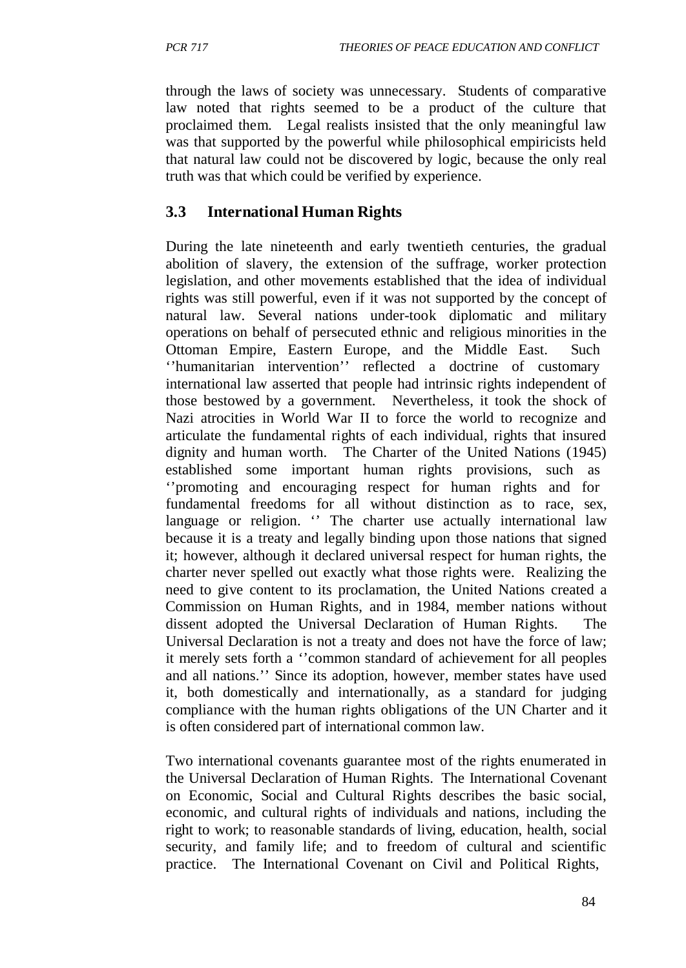through the laws of society was unnecessary. Students of comparative law noted that rights seemed to be a product of the culture that proclaimed them. Legal realists insisted that the only meaningful law was that supported by the powerful while philosophical empiricists held that natural law could not be discovered by logic, because the only real truth was that which could be verified by experience.

# **3.3 International Human Rights**

During the late nineteenth and early twentieth centuries, the gradual abolition of slavery, the extension of the suffrage, worker protection legislation, and other movements established that the idea of individual rights was still powerful, even if it was not supported by the concept of natural law. Several nations under-took diplomatic and military operations on behalf of persecuted ethnic and religious minorities in the Ottoman Empire, Eastern Europe, and the Middle East. Such ''humanitarian intervention'' reflected a doctrine of customary international law asserted that people had intrinsic rights independent of those bestowed by a government. Nevertheless, it took the shock of Nazi atrocities in World War II to force the world to recognize and articulate the fundamental rights of each individual, rights that insured dignity and human worth. The Charter of the United Nations (1945) established some important human rights provisions, such as ''promoting and encouraging respect for human rights and for fundamental freedoms for all without distinction as to race, sex, language or religion. " The charter use actually international law because it is a treaty and legally binding upon those nations that signed it; however, although it declared universal respect for human rights, the charter never spelled out exactly what those rights were. Realizing the need to give content to its proclamation, the United Nations created a Commission on Human Rights, and in 1984, member nations without dissent adopted the Universal Declaration of Human Rights. The Universal Declaration is not a treaty and does not have the force of law; it merely sets forth a ''common standard of achievement for all peoples and all nations.'' Since its adoption, however, member states have used it, both domestically and internationally, as a standard for judging compliance with the human rights obligations of the UN Charter and it is often considered part of international common law.

Two international covenants guarantee most of the rights enumerated in the Universal Declaration of Human Rights. The International Covenant on Economic, Social and Cultural Rights describes the basic social, economic, and cultural rights of individuals and nations, including the right to work; to reasonable standards of living, education, health, social security, and family life; and to freedom of cultural and scientific practice. The International Covenant on Civil and Political Rights,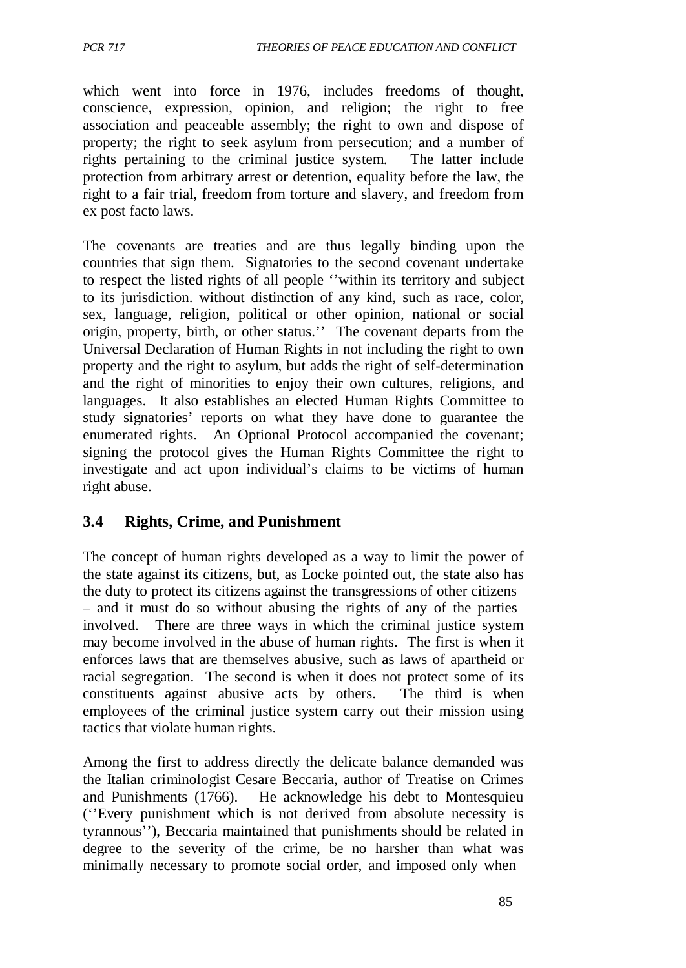which went into force in 1976, includes freedoms of thought, conscience, expression, opinion, and religion; the right to free association and peaceable assembly; the right to own and dispose of property; the right to seek asylum from persecution; and a number of rights pertaining to the criminal justice system. The latter include protection from arbitrary arrest or detention, equality before the law, the right to a fair trial, freedom from torture and slavery, and freedom from ex post facto laws.

The covenants are treaties and are thus legally binding upon the countries that sign them. Signatories to the second covenant undertake to respect the listed rights of all people ''within its territory and subject to its jurisdiction. without distinction of any kind, such as race, color, sex, language, religion, political or other opinion, national or social origin, property, birth, or other status.'' The covenant departs from the Universal Declaration of Human Rights in not including the right to own property and the right to asylum, but adds the right of self-determination and the right of minorities to enjoy their own cultures, religions, and languages. It also establishes an elected Human Rights Committee to study signatories' reports on what they have done to guarantee the enumerated rights. An Optional Protocol accompanied the covenant; signing the protocol gives the Human Rights Committee the right to investigate and act upon individual's claims to be victims of human right abuse.

## **3.4 Rights, Crime, and Punishment**

The concept of human rights developed as a way to limit the power of the state against its citizens, but, as Locke pointed out, the state also has the duty to protect its citizens against the transgressions of other citizens – and it must do so without abusing the rights of any of the parties involved. There are three ways in which the criminal justice system may become involved in the abuse of human rights. The first is when it enforces laws that are themselves abusive, such as laws of apartheid or racial segregation. The second is when it does not protect some of its constituents against abusive acts by others. The third is when employees of the criminal justice system carry out their mission using tactics that violate human rights.

Among the first to address directly the delicate balance demanded was the Italian criminologist Cesare Beccaria, author of Treatise on Crimes and Punishments (1766). He acknowledge his debt to Montesquieu (''Every punishment which is not derived from absolute necessity is tyrannous''), Beccaria maintained that punishments should be related in degree to the severity of the crime, be no harsher than what was minimally necessary to promote social order, and imposed only when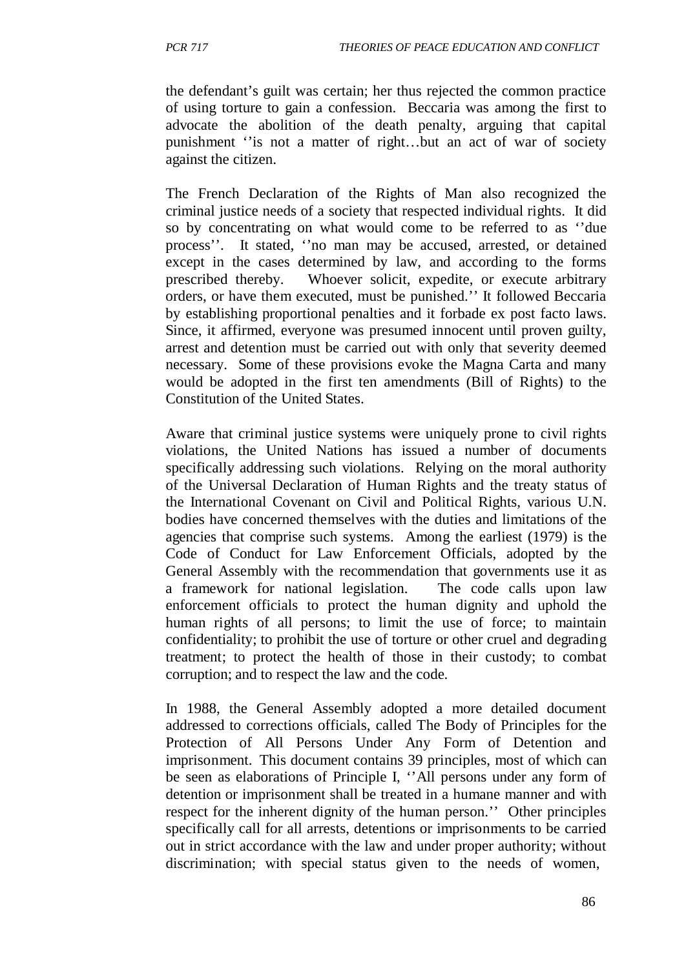the defendant's guilt was certain; her thus rejected the common practice of using torture to gain a confession. Beccaria was among the first to advocate the abolition of the death penalty, arguing that capital punishment ''is not a matter of right…but an act of war of society against the citizen.

The French Declaration of the Rights of Man also recognized the criminal justice needs of a society that respected individual rights. It did so by concentrating on what would come to be referred to as ''due process''. It stated, ''no man may be accused, arrested, or detained except in the cases determined by law, and according to the forms prescribed thereby. Whoever solicit, expedite, or execute arbitrary orders, or have them executed, must be punished.'' It followed Beccaria by establishing proportional penalties and it forbade ex post facto laws. Since, it affirmed, everyone was presumed innocent until proven guilty, arrest and detention must be carried out with only that severity deemed necessary. Some of these provisions evoke the Magna Carta and many would be adopted in the first ten amendments (Bill of Rights) to the Constitution of the United States.

Aware that criminal justice systems were uniquely prone to civil rights violations, the United Nations has issued a number of documents specifically addressing such violations. Relying on the moral authority of the Universal Declaration of Human Rights and the treaty status of the International Covenant on Civil and Political Rights, various U.N. bodies have concerned themselves with the duties and limitations of the agencies that comprise such systems. Among the earliest (1979) is the Code of Conduct for Law Enforcement Officials, adopted by the General Assembly with the recommendation that governments use it as a framework for national legislation. The code calls upon law enforcement officials to protect the human dignity and uphold the human rights of all persons; to limit the use of force; to maintain confidentiality; to prohibit the use of torture or other cruel and degrading treatment; to protect the health of those in their custody; to combat corruption; and to respect the law and the code.

In 1988, the General Assembly adopted a more detailed document addressed to corrections officials, called The Body of Principles for the Protection of All Persons Under Any Form of Detention and imprisonment. This document contains 39 principles, most of which can be seen as elaborations of Principle I, ''All persons under any form of detention or imprisonment shall be treated in a humane manner and with respect for the inherent dignity of the human person.'' Other principles specifically call for all arrests, detentions or imprisonments to be carried out in strict accordance with the law and under proper authority; without discrimination; with special status given to the needs of women,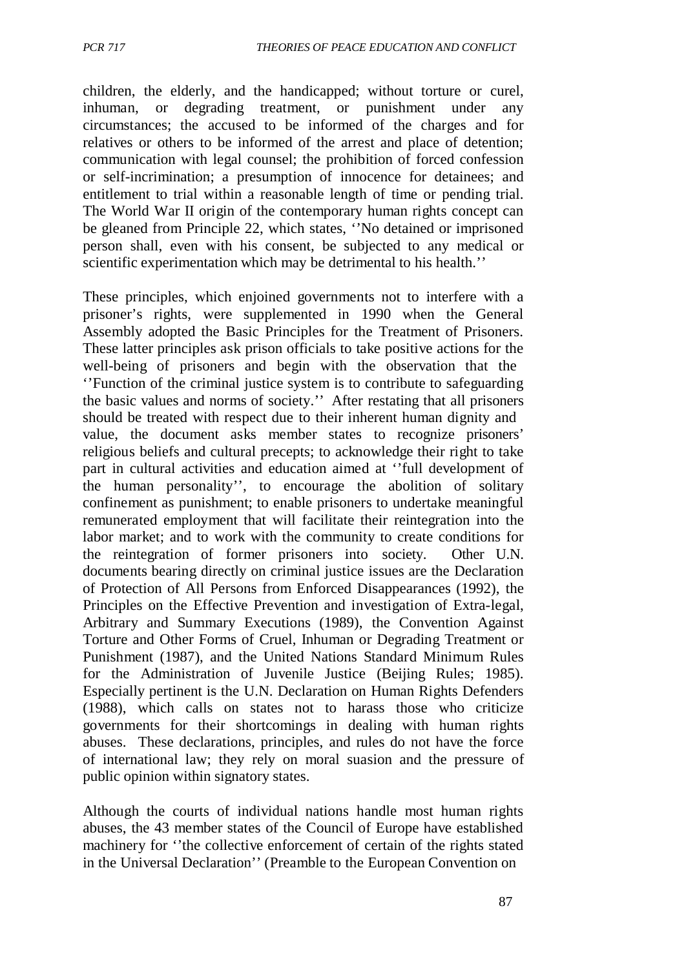children, the elderly, and the handicapped; without torture or curel, inhuman, or degrading treatment, or punishment under any circumstances; the accused to be informed of the charges and for relatives or others to be informed of the arrest and place of detention; communication with legal counsel; the prohibition of forced confession or self-incrimination; a presumption of innocence for detainees; and entitlement to trial within a reasonable length of time or pending trial. The World War II origin of the contemporary human rights concept can be gleaned from Principle 22, which states, ''No detained or imprisoned person shall, even with his consent, be subjected to any medical or scientific experimentation which may be detrimental to his health.''

These principles, which enjoined governments not to interfere with a prisoner's rights, were supplemented in 1990 when the General Assembly adopted the Basic Principles for the Treatment of Prisoners. These latter principles ask prison officials to take positive actions for the well-being of prisoners and begin with the observation that the ''Function of the criminal justice system is to contribute to safeguarding the basic values and norms of society.'' After restating that all prisoners should be treated with respect due to their inherent human dignity and value, the document asks member states to recognize prisoners' religious beliefs and cultural precepts; to acknowledge their right to take part in cultural activities and education aimed at ''full development of the human personality'', to encourage the abolition of solitary confinement as punishment; to enable prisoners to undertake meaningful remunerated employment that will facilitate their reintegration into the labor market; and to work with the community to create conditions for the reintegration of former prisoners into society. Other U.N. documents bearing directly on criminal justice issues are the Declaration of Protection of All Persons from Enforced Disappearances (1992), the Principles on the Effective Prevention and investigation of Extra-legal, Arbitrary and Summary Executions (1989), the Convention Against Torture and Other Forms of Cruel, Inhuman or Degrading Treatment or Punishment (1987), and the United Nations Standard Minimum Rules for the Administration of Juvenile Justice (Beijing Rules; 1985). Especially pertinent is the U.N. Declaration on Human Rights Defenders (1988), which calls on states not to harass those who criticize governments for their shortcomings in dealing with human rights abuses. These declarations, principles, and rules do not have the force of international law; they rely on moral suasion and the pressure of public opinion within signatory states.

Although the courts of individual nations handle most human rights abuses, the 43 member states of the Council of Europe have established machinery for ''the collective enforcement of certain of the rights stated in the Universal Declaration'' (Preamble to the European Convention on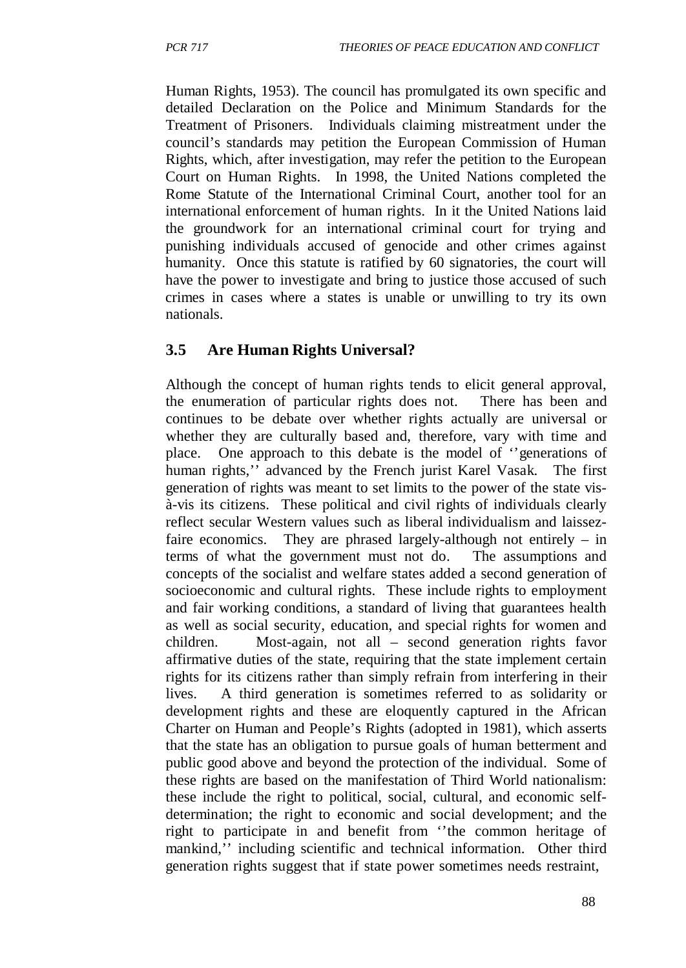Human Rights, 1953). The council has promulgated its own specific and detailed Declaration on the Police and Minimum Standards for the Treatment of Prisoners. Individuals claiming mistreatment under the council's standards may petition the European Commission of Human Rights, which, after investigation, may refer the petition to the European Court on Human Rights. In 1998, the United Nations completed the Rome Statute of the International Criminal Court, another tool for an international enforcement of human rights. In it the United Nations laid the groundwork for an international criminal court for trying and punishing individuals accused of genocide and other crimes against humanity. Once this statute is ratified by 60 signatories, the court will have the power to investigate and bring to justice those accused of such crimes in cases where a states is unable or unwilling to try its own nationals.

## **3.5 Are Human Rights Universal?**

Although the concept of human rights tends to elicit general approval, the enumeration of particular rights does not. There has been and continues to be debate over whether rights actually are universal or whether they are culturally based and, therefore, vary with time and place. One approach to this debate is the model of ''generations of human rights,'' advanced by the French jurist Karel Vasak. The first generation of rights was meant to set limits to the power of the state visà-vis its citizens. These political and civil rights of individuals clearly reflect secular Western values such as liberal individualism and laissezfaire economics. They are phrased largely-although not entirely – in terms of what the government must not do. The assumptions and concepts of the socialist and welfare states added a second generation of socioeconomic and cultural rights. These include rights to employment and fair working conditions, a standard of living that guarantees health as well as social security, education, and special rights for women and children. Most-again, not all – second generation rights favor affirmative duties of the state, requiring that the state implement certain rights for its citizens rather than simply refrain from interfering in their lives. A third generation is sometimes referred to as solidarity or development rights and these are eloquently captured in the African Charter on Human and People's Rights (adopted in 1981), which asserts that the state has an obligation to pursue goals of human betterment and public good above and beyond the protection of the individual. Some of these rights are based on the manifestation of Third World nationalism: these include the right to political, social, cultural, and economic selfdetermination; the right to economic and social development; and the right to participate in and benefit from ''the common heritage of mankind,'' including scientific and technical information. Other third generation rights suggest that if state power sometimes needs restraint,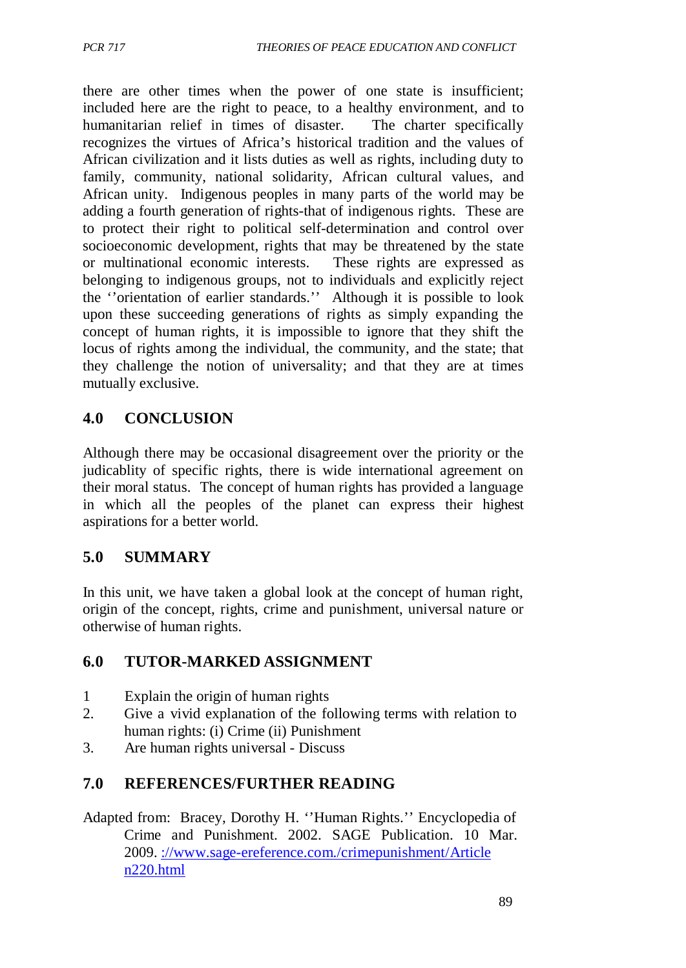there are other times when the power of one state is insufficient; included here are the right to peace, to a healthy environment, and to humanitarian relief in times of disaster. The charter specifically recognizes the virtues of Africa's historical tradition and the values of African civilization and it lists duties as well as rights, including duty to family, community, national solidarity, African cultural values, and African unity. Indigenous peoples in many parts of the world may be adding a fourth generation of rights-that of indigenous rights. These are to protect their right to political self-determination and control over socioeconomic development, rights that may be threatened by the state or multinational economic interests. These rights are expressed as belonging to indigenous groups, not to individuals and explicitly reject the ''orientation of earlier standards.'' Although it is possible to look upon these succeeding generations of rights as simply expanding the concept of human rights, it is impossible to ignore that they shift the locus of rights among the individual, the community, and the state; that they challenge the notion of universality; and that they are at times mutually exclusive.

## **4.0 CONCLUSION**

Although there may be occasional disagreement over the priority or the judicablity of specific rights, there is wide international agreement on their moral status. The concept of human rights has provided a language in which all the peoples of the planet can express their highest aspirations for a better world.

## **5.0 SUMMARY**

In this unit, we have taken a global look at the concept of human right, origin of the concept, rights, crime and punishment, universal nature or otherwise of human rights.

## **6.0 TUTOR-MARKED ASSIGNMENT**

- 1 Explain the origin of human rights
- 2. Give a vivid explanation of the following terms with relation to human rights: (i) Crime (ii) Punishment
- 3. Are human rights universal Discuss

## **7.0 REFERENCES/FURTHER READING**

Adapted from: Bracey, Dorothy H. ''Human Rights.'' Encyclopedia of Crime and Punishment. 2002. SAGE Publication. 10 Mar. 2009. [://www.sage-ereference.com./crimepunishment/Article](http://www.sage-ereference.com./crimepunishment/Article%20n220.html) [n220.html](http://www.sage-ereference.com./crimepunishment/Article%20n220.html)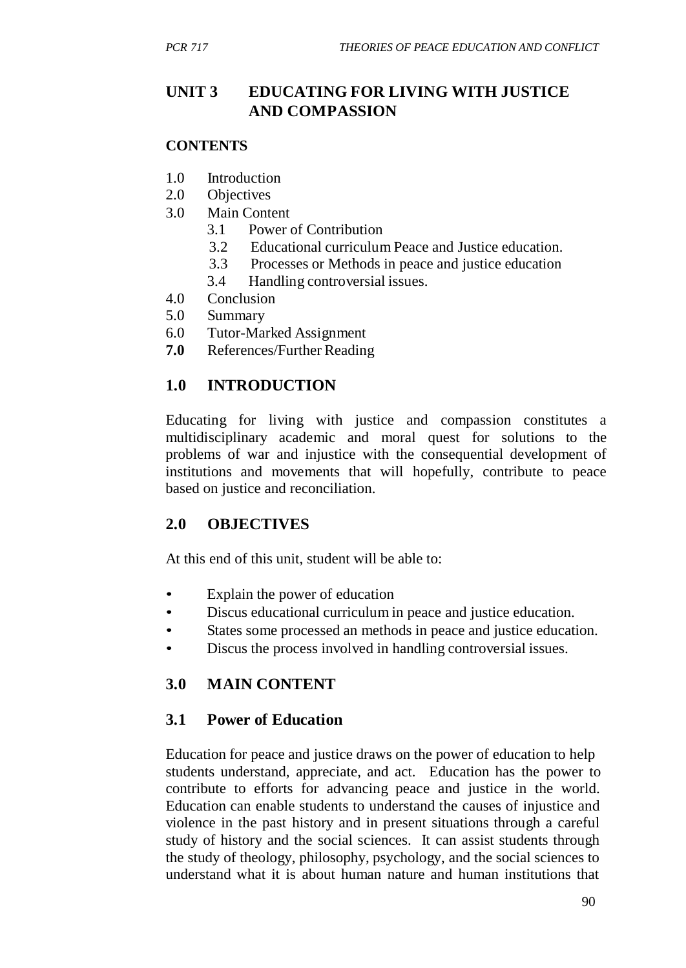# **UNIT 3 EDUCATING FOR LIVING WITH JUSTICE AND COMPASSION**

#### **CONTENTS**

- 1.0 Introduction
- 2.0 Objectives
- 3.0 Main Content
	- 3.1 Power of Contribution
	- 3.2 Educational curriculum Peace and Justice education.
	- 3.3 Processes or Methods in peace and justice education
	- 3.4 Handling controversial issues.
- 4.0 Conclusion
- 5.0 Summary
- 6.0 Tutor-Marked Assignment
- **7.0** References/Further Reading

#### **1.0 INTRODUCTION**

Educating for living with justice and compassion constitutes a multidisciplinary academic and moral quest for solutions to the problems of war and injustice with the consequential development of institutions and movements that will hopefully, contribute to peace based on justice and reconciliation.

#### **2.0 OBJECTIVES**

At this end of this unit, student will be able to:

- Explain the power of education
- Discus educational curriculum in peace and justice education.
- States some processed an methods in peace and justice education.
- Discus the process involved in handling controversial issues.

## **3.0 MAIN CONTENT**

#### **3.1 Power of Education**

Education for peace and justice draws on the power of education to help students understand, appreciate, and act. Education has the power to contribute to efforts for advancing peace and justice in the world. Education can enable students to understand the causes of injustice and violence in the past history and in present situations through a careful study of history and the social sciences. It can assist students through the study of theology, philosophy, psychology, and the social sciences to understand what it is about human nature and human institutions that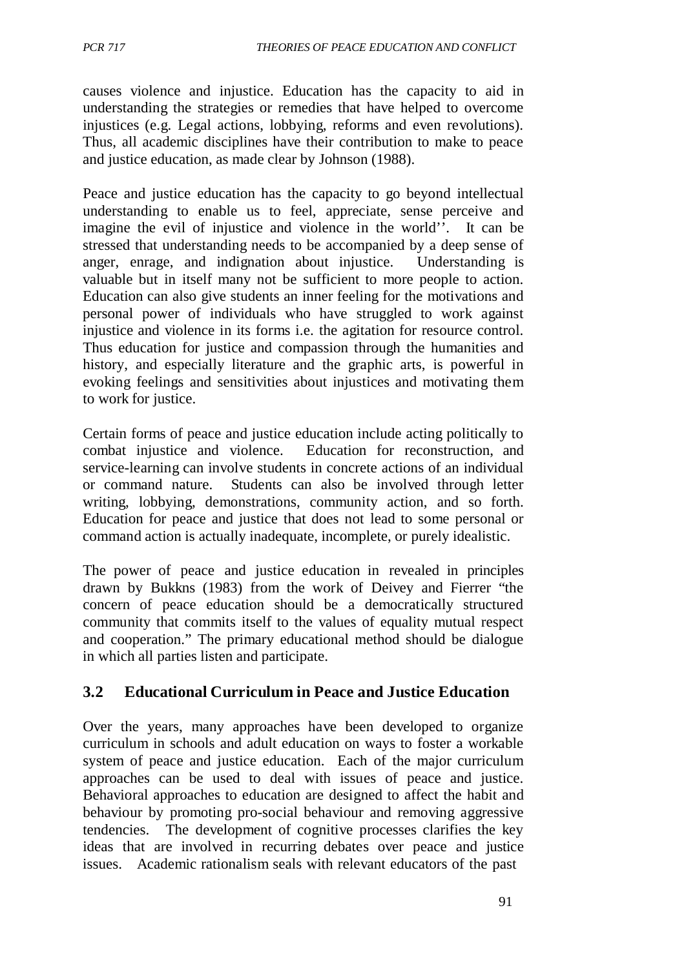causes violence and injustice. Education has the capacity to aid in understanding the strategies or remedies that have helped to overcome injustices (e.g. Legal actions, lobbying, reforms and even revolutions). Thus, all academic disciplines have their contribution to make to peace and justice education, as made clear by Johnson (1988).

Peace and justice education has the capacity to go beyond intellectual understanding to enable us to feel, appreciate, sense perceive and imagine the evil of injustice and violence in the world''. It can be stressed that understanding needs to be accompanied by a deep sense of anger, enrage, and indignation about injustice. Understanding is valuable but in itself many not be sufficient to more people to action. Education can also give students an inner feeling for the motivations and personal power of individuals who have struggled to work against injustice and violence in its forms i.e. the agitation for resource control. Thus education for justice and compassion through the humanities and history, and especially literature and the graphic arts, is powerful in evoking feelings and sensitivities about injustices and motivating them to work for justice.

Certain forms of peace and justice education include acting politically to combat injustice and violence. Education for reconstruction, and service-learning can involve students in concrete actions of an individual or command nature. Students can also be involved through letter writing, lobbying, demonstrations, community action, and so forth. Education for peace and justice that does not lead to some personal or command action is actually inadequate, incomplete, or purely idealistic.

The power of peace and justice education in revealed in principles drawn by Bukkns (1983) from the work of Deivey and Fierrer "the concern of peace education should be a democratically structured community that commits itself to the values of equality mutual respect and cooperation." The primary educational method should be dialogue in which all parties listen and participate.

## **3.2 Educational Curriculum in Peace and Justice Education**

Over the years, many approaches have been developed to organize curriculum in schools and adult education on ways to foster a workable system of peace and justice education. Each of the major curriculum approaches can be used to deal with issues of peace and justice. Behavioral approaches to education are designed to affect the habit and behaviour by promoting pro-social behaviour and removing aggressive tendencies. The development of cognitive processes clarifies the key ideas that are involved in recurring debates over peace and justice issues. Academic rationalism seals with relevant educators of the past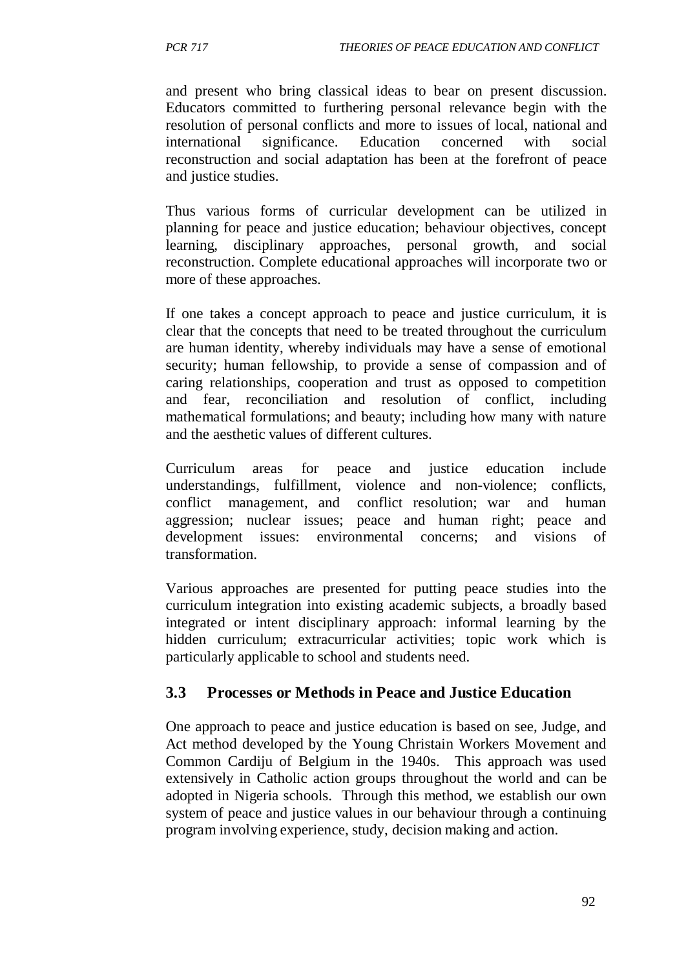and present who bring classical ideas to bear on present discussion. Educators committed to furthering personal relevance begin with the resolution of personal conflicts and more to issues of local, national and international significance. Education concerned with social reconstruction and social adaptation has been at the forefront of peace and justice studies.

Thus various forms of curricular development can be utilized in planning for peace and justice education; behaviour objectives, concept learning, disciplinary approaches, personal growth, and social reconstruction. Complete educational approaches will incorporate two or more of these approaches.

If one takes a concept approach to peace and justice curriculum, it is clear that the concepts that need to be treated throughout the curriculum are human identity, whereby individuals may have a sense of emotional security; human fellowship, to provide a sense of compassion and of caring relationships, cooperation and trust as opposed to competition and fear, reconciliation and resolution of conflict, including mathematical formulations; and beauty; including how many with nature and the aesthetic values of different cultures.

Curriculum areas for peace and justice education include understandings, fulfillment, violence and non-violence; conflicts, conflict management, and conflict resolution; war and human aggression; nuclear issues; peace and human right; peace and development issues: environmental concerns; and visions of transformation.

Various approaches are presented for putting peace studies into the curriculum integration into existing academic subjects, a broadly based integrated or intent disciplinary approach: informal learning by the hidden curriculum; extracurricular activities; topic work which is particularly applicable to school and students need.

## **3.3 Processes or Methods in Peace and Justice Education**

One approach to peace and justice education is based on see, Judge, and Act method developed by the Young Christain Workers Movement and Common Cardiju of Belgium in the 1940s. This approach was used extensively in Catholic action groups throughout the world and can be adopted in Nigeria schools. Through this method, we establish our own system of peace and justice values in our behaviour through a continuing program involving experience, study, decision making and action.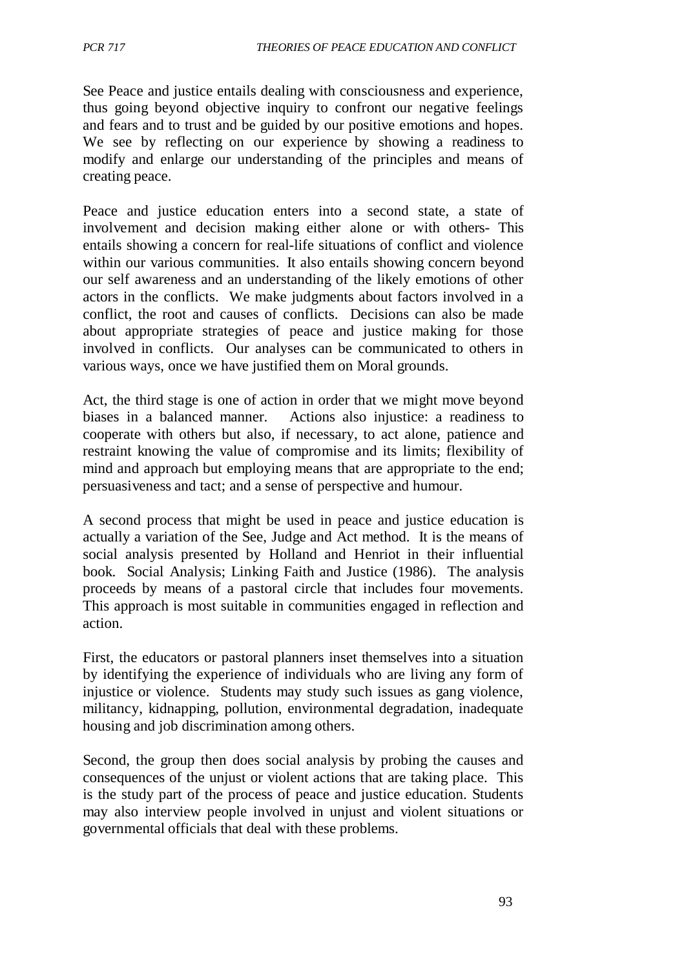See Peace and justice entails dealing with consciousness and experience, thus going beyond objective inquiry to confront our negative feelings and fears and to trust and be guided by our positive emotions and hopes. We see by reflecting on our experience by showing a readiness to modify and enlarge our understanding of the principles and means of creating peace.

Peace and justice education enters into a second state, a state of involvement and decision making either alone or with others- This entails showing a concern for real-life situations of conflict and violence within our various communities. It also entails showing concern beyond our self awareness and an understanding of the likely emotions of other actors in the conflicts. We make judgments about factors involved in a conflict, the root and causes of conflicts. Decisions can also be made about appropriate strategies of peace and justice making for those involved in conflicts. Our analyses can be communicated to others in various ways, once we have justified them on Moral grounds.

Act, the third stage is one of action in order that we might move beyond biases in a balanced manner. Actions also injustice: a readiness to cooperate with others but also, if necessary, to act alone, patience and restraint knowing the value of compromise and its limits; flexibility of mind and approach but employing means that are appropriate to the end; persuasiveness and tact; and a sense of perspective and humour.

A second process that might be used in peace and justice education is actually a variation of the See, Judge and Act method. It is the means of social analysis presented by Holland and Henriot in their influential book. Social Analysis; Linking Faith and Justice (1986). The analysis proceeds by means of a pastoral circle that includes four movements. This approach is most suitable in communities engaged in reflection and action.

First, the educators or pastoral planners inset themselves into a situation by identifying the experience of individuals who are living any form of injustice or violence. Students may study such issues as gang violence, militancy, kidnapping, pollution, environmental degradation, inadequate housing and job discrimination among others.

Second, the group then does social analysis by probing the causes and consequences of the unjust or violent actions that are taking place. This is the study part of the process of peace and justice education. Students may also interview people involved in unjust and violent situations or governmental officials that deal with these problems.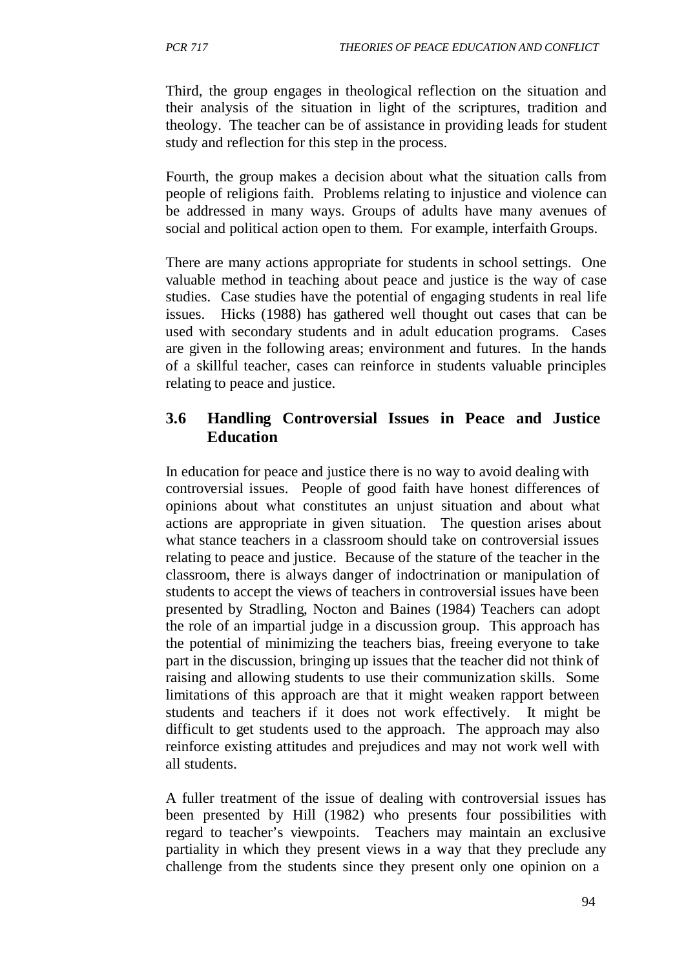Third, the group engages in theological reflection on the situation and their analysis of the situation in light of the scriptures, tradition and theology. The teacher can be of assistance in providing leads for student study and reflection for this step in the process.

Fourth, the group makes a decision about what the situation calls from people of religions faith. Problems relating to injustice and violence can be addressed in many ways. Groups of adults have many avenues of social and political action open to them. For example, interfaith Groups.

There are many actions appropriate for students in school settings. One valuable method in teaching about peace and justice is the way of case studies. Case studies have the potential of engaging students in real life issues. Hicks (1988) has gathered well thought out cases that can be used with secondary students and in adult education programs. Cases are given in the following areas; environment and futures. In the hands of a skillful teacher, cases can reinforce in students valuable principles relating to peace and justice.

# **3.6 Handling Controversial Issues in Peace and Justice Education**

In education for peace and justice there is no way to avoid dealing with controversial issues. People of good faith have honest differences of opinions about what constitutes an unjust situation and about what actions are appropriate in given situation. The question arises about what stance teachers in a classroom should take on controversial issues relating to peace and justice. Because of the stature of the teacher in the classroom, there is always danger of indoctrination or manipulation of students to accept the views of teachers in controversial issues have been presented by Stradling, Nocton and Baines (1984) Teachers can adopt the role of an impartial judge in a discussion group. This approach has the potential of minimizing the teachers bias, freeing everyone to take part in the discussion, bringing up issues that the teacher did not think of raising and allowing students to use their communization skills. Some limitations of this approach are that it might weaken rapport between students and teachers if it does not work effectively. It might be difficult to get students used to the approach. The approach may also reinforce existing attitudes and prejudices and may not work well with all students.

A fuller treatment of the issue of dealing with controversial issues has been presented by Hill (1982) who presents four possibilities with regard to teacher's viewpoints. Teachers may maintain an exclusive partiality in which they present views in a way that they preclude any challenge from the students since they present only one opinion on a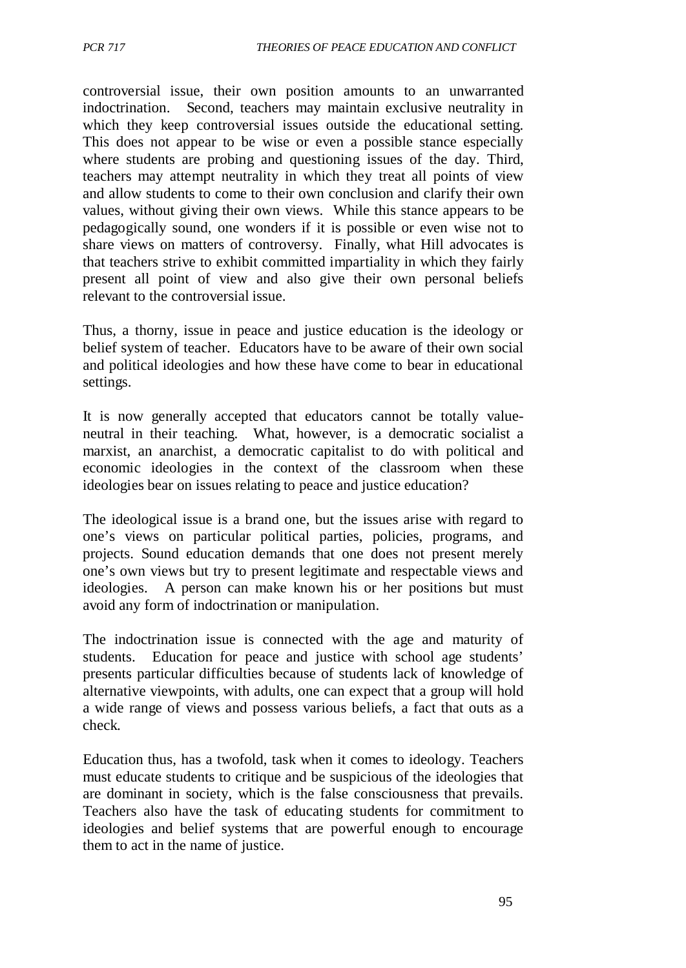controversial issue, their own position amounts to an unwarranted indoctrination. Second, teachers may maintain exclusive neutrality in which they keep controversial issues outside the educational setting. This does not appear to be wise or even a possible stance especially where students are probing and questioning issues of the day. Third, teachers may attempt neutrality in which they treat all points of view and allow students to come to their own conclusion and clarify their own values, without giving their own views. While this stance appears to be pedagogically sound, one wonders if it is possible or even wise not to share views on matters of controversy. Finally, what Hill advocates is that teachers strive to exhibit committed impartiality in which they fairly present all point of view and also give their own personal beliefs relevant to the controversial issue.

Thus, a thorny, issue in peace and justice education is the ideology or belief system of teacher. Educators have to be aware of their own social and political ideologies and how these have come to bear in educational settings.

It is now generally accepted that educators cannot be totally valueneutral in their teaching. What, however, is a democratic socialist a marxist, an anarchist, a democratic capitalist to do with political and economic ideologies in the context of the classroom when these ideologies bear on issues relating to peace and justice education?

The ideological issue is a brand one, but the issues arise with regard to one's views on particular political parties, policies, programs, and projects. Sound education demands that one does not present merely one's own views but try to present legitimate and respectable views and ideologies. A person can make known his or her positions but must avoid any form of indoctrination or manipulation.

The indoctrination issue is connected with the age and maturity of students. Education for peace and justice with school age students' presents particular difficulties because of students lack of knowledge of alternative viewpoints, with adults, one can expect that a group will hold a wide range of views and possess various beliefs, a fact that outs as a check.

Education thus, has a twofold, task when it comes to ideology. Teachers must educate students to critique and be suspicious of the ideologies that are dominant in society, which is the false consciousness that prevails. Teachers also have the task of educating students for commitment to ideologies and belief systems that are powerful enough to encourage them to act in the name of justice.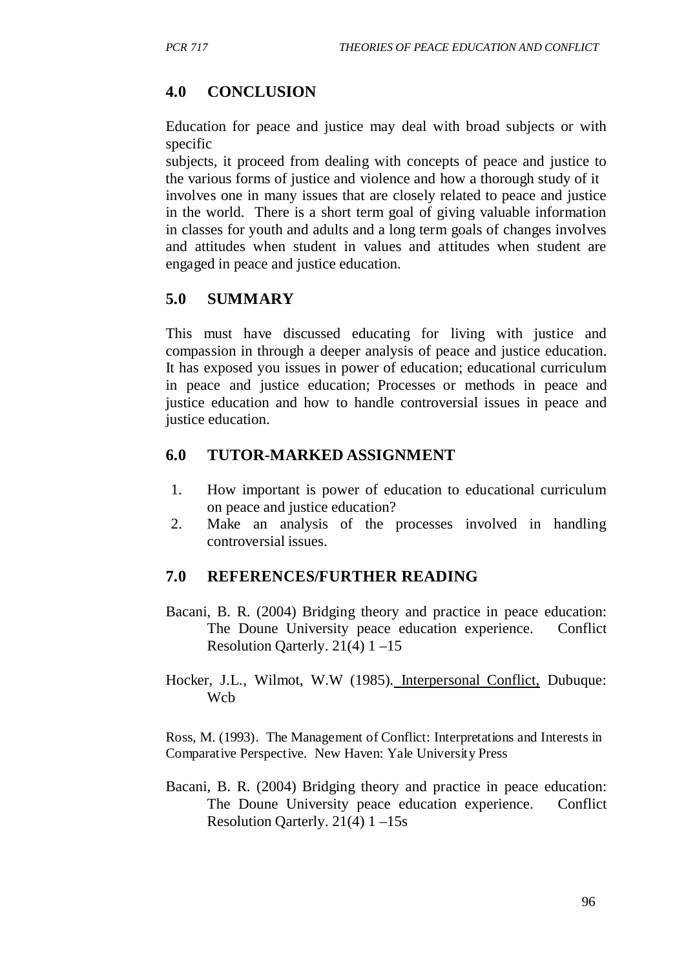# **4.0 CONCLUSION**

Education for peace and justice may deal with broad subjects or with specific

subjects, it proceed from dealing with concepts of peace and justice to the various forms of justice and violence and how a thorough study of it involves one in many issues that are closely related to peace and justice in the world. There is a short term goal of giving valuable information in classes for youth and adults and a long term goals of changes involves and attitudes when student in values and attitudes when student are engaged in peace and justice education.

# **5.0 SUMMARY**

This must have discussed educating for living with justice and compassion in through a deeper analysis of peace and justice education. It has exposed you issues in power of education; educational curriculum in peace and justice education; Processes or methods in peace and justice education and how to handle controversial issues in peace and justice education.

# **6.0 TUTOR-MARKED ASSIGNMENT**

- 1. How important is power of education to educational curriculum on peace and justice education?
- 2. Make an analysis of the processes involved in handling controversial issues.

## **7.0 REFERENCES/FURTHER READING**

- Bacani, B. R. (2004) Bridging theory and practice in peace education: The Doune University peace education experience. Conflict Resolution Qarterly. 21(4) 1 –15
- Hocker, J.L., Wilmot, W.W (1985). Interpersonal Conflict, Dubuque: Wcb

Ross, M. (1993). The Management of Conflict: Interpretations and Interests in Comparative Perspective. New Haven: Yale University Press

Bacani, B. R. (2004) Bridging theory and practice in peace education: The Doune University peace education experience. Conflict Resolution Qarterly. 21(4) 1 –15s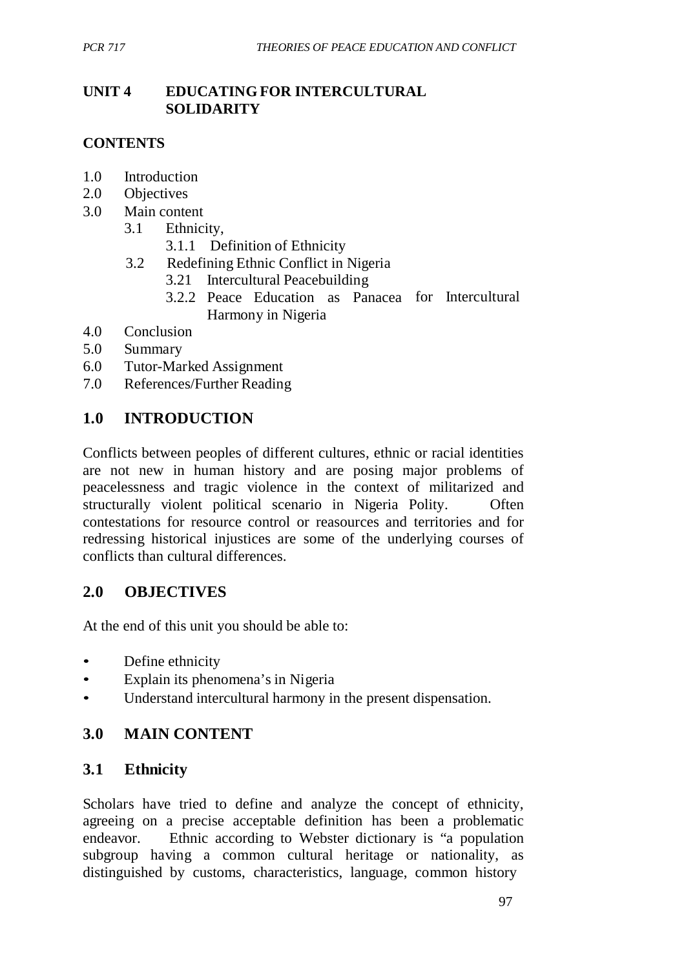#### **UNIT 4 EDUCATING FOR INTERCULTURAL SOLIDARITY**

### **CONTENTS**

- 1.0 Introduction
- 2.0 Objectives
- 3.0 Main content
	- 3.1 Ethnicity,
		- 3.1.1 Definition of Ethnicity
	- 3.2 Redefining Ethnic Conflict in Nigeria
		- 3.21 Intercultural Peacebuilding
		- 3.2.2 Peace Education as Panacea for Intercultural Harmony in Nigeria
- 4.0 Conclusion
- 5.0 Summary
- 6.0 Tutor-Marked Assignment
- 7.0 References/Further Reading

## **1.0 INTRODUCTION**

Conflicts between peoples of different cultures, ethnic or racial identities are not new in human history and are posing major problems of peacelessness and tragic violence in the context of militarized and structurally violent political scenario in Nigeria Polity. Often contestations for resource control or reasources and territories and for redressing historical injustices are some of the underlying courses of conflicts than cultural differences.

## **2.0 OBJECTIVES**

At the end of this unit you should be able to:

- Define ethnicity
- Explain its phenomena's in Nigeria
- Understand intercultural harmony in the present dispensation.

## **3.0 MAIN CONTENT**

#### **3.1 Ethnicity**

Scholars have tried to define and analyze the concept of ethnicity, agreeing on a precise acceptable definition has been a problematic endeavor. Ethnic according to Webster dictionary is "a population subgroup having a common cultural heritage or nationality, as distinguished by customs, characteristics, language, common history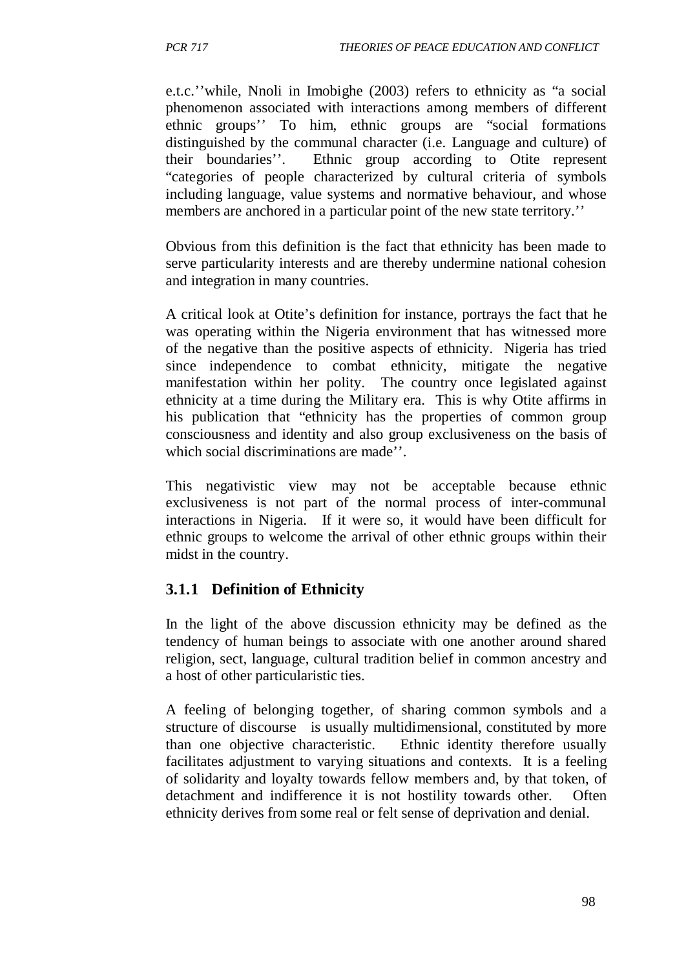e.t.c.''while, Nnoli in Imobighe (2003) refers to ethnicity as "a social phenomenon associated with interactions among members of different ethnic groups'' To him, ethnic groups are "social formations distinguished by the communal character (i.e. Language and culture) of their boundaries''. Ethnic group according to Otite represent "categories of people characterized by cultural criteria of symbols including language, value systems and normative behaviour, and whose members are anchored in a particular point of the new state territory.''

Obvious from this definition is the fact that ethnicity has been made to serve particularity interests and are thereby undermine national cohesion and integration in many countries.

A critical look at Otite's definition for instance, portrays the fact that he was operating within the Nigeria environment that has witnessed more of the negative than the positive aspects of ethnicity. Nigeria has tried since independence to combat ethnicity, mitigate the negative manifestation within her polity. The country once legislated against ethnicity at a time during the Military era. This is why Otite affirms in his publication that "ethnicity has the properties of common group consciousness and identity and also group exclusiveness on the basis of which social discriminations are made''.

This negativistic view may not be acceptable because ethnic exclusiveness is not part of the normal process of inter-communal interactions in Nigeria. If it were so, it would have been difficult for ethnic groups to welcome the arrival of other ethnic groups within their midst in the country.

## **3.1.1 Definition of Ethnicity**

In the light of the above discussion ethnicity may be defined as the tendency of human beings to associate with one another around shared religion, sect, language, cultural tradition belief in common ancestry and a host of other particularistic ties.

A feeling of belonging together, of sharing common symbols and a structure of discourse is usually multidimensional, constituted by more than one objective characteristic. Ethnic identity therefore usually facilitates adjustment to varying situations and contexts. It is a feeling of solidarity and loyalty towards fellow members and, by that token, of detachment and indifference it is not hostility towards other. Often ethnicity derives from some real or felt sense of deprivation and denial.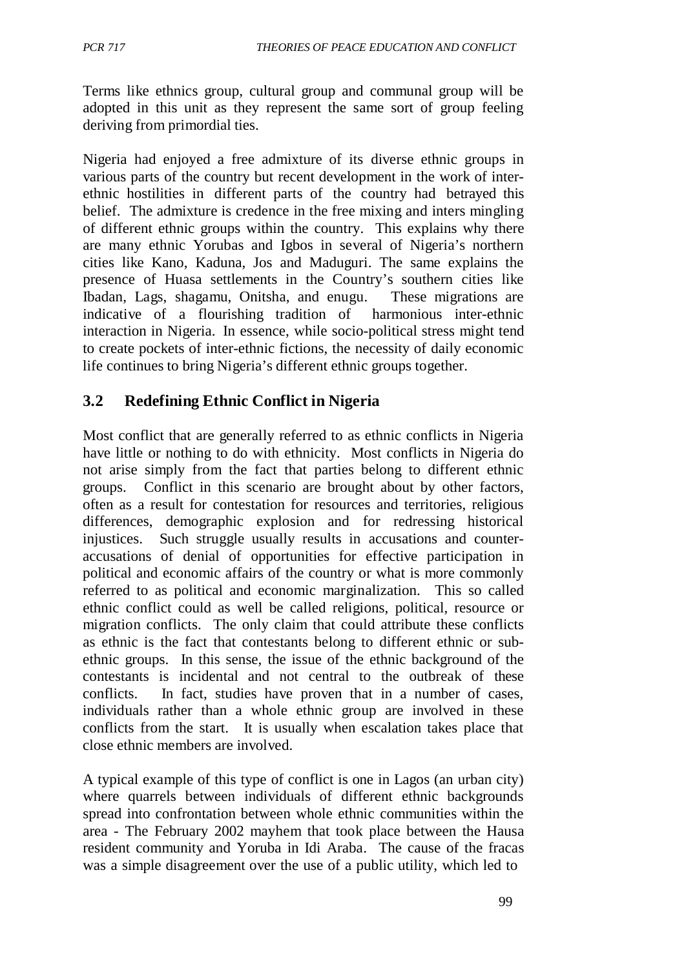Terms like ethnics group, cultural group and communal group will be adopted in this unit as they represent the same sort of group feeling deriving from primordial ties.

Nigeria had enjoyed a free admixture of its diverse ethnic groups in various parts of the country but recent development in the work of interethnic hostilities in different parts of the country had betrayed this belief. The admixture is credence in the free mixing and inters mingling of different ethnic groups within the country. This explains why there are many ethnic Yorubas and Igbos in several of Nigeria's northern cities like Kano, Kaduna, Jos and Maduguri. The same explains the presence of Huasa settlements in the Country's southern cities like Ibadan, Lags, shagamu, Onitsha, and enugu. These migrations are indicative of a flourishing tradition of harmonious inter-ethnic interaction in Nigeria. In essence, while socio-political stress might tend to create pockets of inter-ethnic fictions, the necessity of daily economic life continues to bring Nigeria's different ethnic groups together.

# **3.2 Redefining Ethnic Conflict in Nigeria**

Most conflict that are generally referred to as ethnic conflicts in Nigeria have little or nothing to do with ethnicity. Most conflicts in Nigeria do not arise simply from the fact that parties belong to different ethnic groups. Conflict in this scenario are brought about by other factors, often as a result for contestation for resources and territories, religious differences, demographic explosion and for redressing historical injustices. Such struggle usually results in accusations and counteraccusations of denial of opportunities for effective participation in political and economic affairs of the country or what is more commonly referred to as political and economic marginalization. This so called ethnic conflict could as well be called religions, political, resource or migration conflicts. The only claim that could attribute these conflicts as ethnic is the fact that contestants belong to different ethnic or subethnic groups. In this sense, the issue of the ethnic background of the contestants is incidental and not central to the outbreak of these conflicts. In fact, studies have proven that in a number of cases, individuals rather than a whole ethnic group are involved in these conflicts from the start. It is usually when escalation takes place that close ethnic members are involved.

A typical example of this type of conflict is one in Lagos (an urban city) where quarrels between individuals of different ethnic backgrounds spread into confrontation between whole ethnic communities within the area - The February 2002 mayhem that took place between the Hausa resident community and Yoruba in Idi Araba. The cause of the fracas was a simple disagreement over the use of a public utility, which led to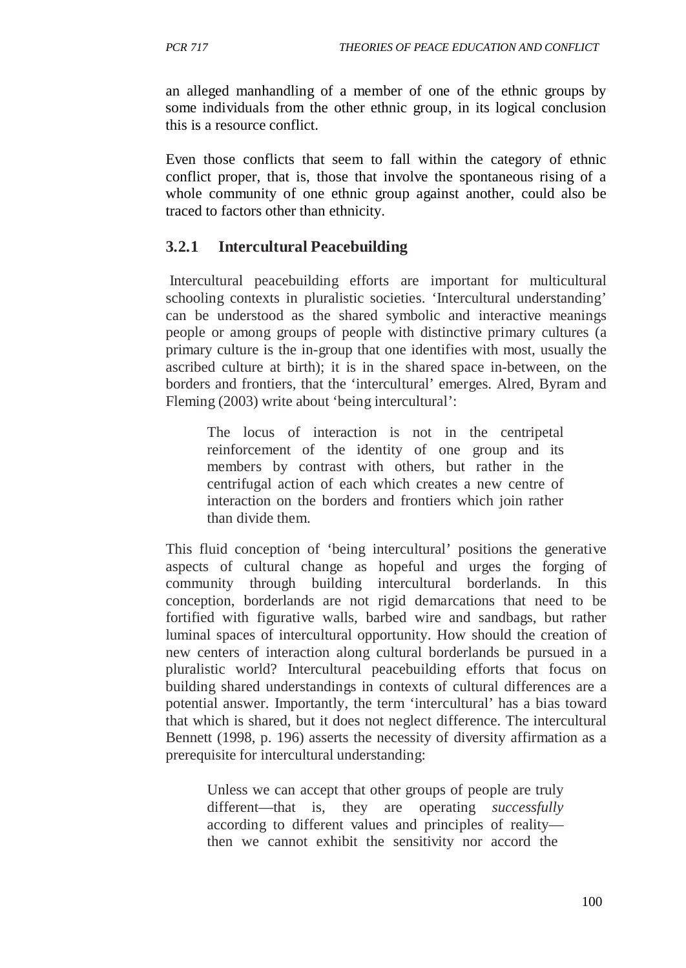an alleged manhandling of a member of one of the ethnic groups by some individuals from the other ethnic group, in its logical conclusion this is a resource conflict.

Even those conflicts that seem to fall within the category of ethnic conflict proper, that is, those that involve the spontaneous rising of a whole community of one ethnic group against another, could also be traced to factors other than ethnicity.

## **3.2.1 Intercultural Peacebuilding**

Intercultural peacebuilding efforts are important for multicultural schooling contexts in pluralistic societies. 'Intercultural understanding' can be understood as the shared symbolic and interactive meanings people or among groups of people with distinctive primary cultures (a primary culture is the in-group that one identifies with most, usually the ascribed culture at birth); it is in the shared space in-between, on the borders and frontiers, that the 'intercultural' emerges. Alred, Byram and Fleming (2003) write about 'being intercultural':

The locus of interaction is not in the centripetal reinforcement of the identity of one group and its members by contrast with others, but rather in the centrifugal action of each which creates a new centre of interaction on the borders and frontiers which join rather than divide them.

This fluid conception of 'being intercultural' positions the generative aspects of cultural change as hopeful and urges the forging of community through building intercultural borderlands. In this conception, borderlands are not rigid demarcations that need to be fortified with figurative walls, barbed wire and sandbags, but rather luminal spaces of intercultural opportunity. How should the creation of new centers of interaction along cultural borderlands be pursued in a pluralistic world? Intercultural peacebuilding efforts that focus on building shared understandings in contexts of cultural differences are a potential answer. Importantly, the term 'intercultural' has a bias toward that which is shared, but it does not neglect difference. The intercultural Bennett (1998, p. 196) asserts the necessity of diversity affirmation as a prerequisite for intercultural understanding:

Unless we can accept that other groups of people are truly different—that is, they are operating *successfully*  according to different values and principles of reality then we cannot exhibit the sensitivity nor accord the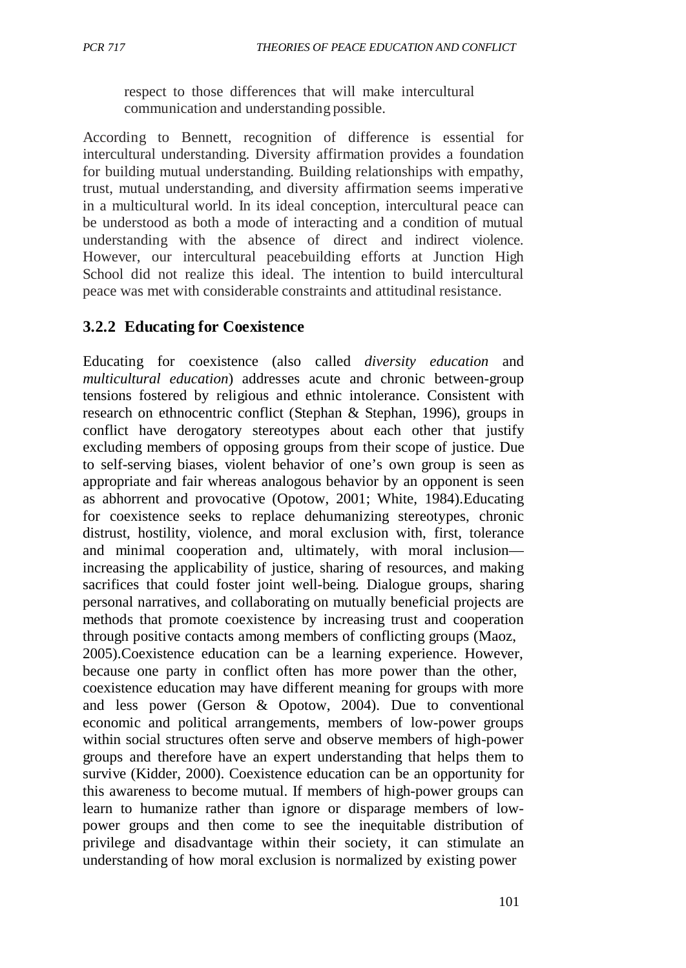respect to those differences that will make intercultural communication and understanding possible.

According to Bennett, recognition of difference is essential for intercultural understanding. Diversity affirmation provides a foundation for building mutual understanding. Building relationships with empathy, trust, mutual understanding, and diversity affirmation seems imperative in a multicultural world. In its ideal conception, intercultural peace can be understood as both a mode of interacting and a condition of mutual understanding with the absence of direct and indirect violence. However, our intercultural peacebuilding efforts at Junction High School did not realize this ideal. The intention to build intercultural peace was met with considerable constraints and attitudinal resistance.

## **3.2.2 Educating for Coexistence**

Educating for coexistence (also called *diversity education* and *multicultural education*) addresses acute and chronic between-group tensions fostered by religious and ethnic intolerance. Consistent with research on ethnocentric conflict (Stephan & Stephan, 1996), groups in conflict have derogatory stereotypes about each other that justify excluding members of opposing groups from their scope of justice. Due to self-serving biases, violent behavior of one's own group is seen as appropriate and fair whereas analogous behavior by an opponent is seen as abhorrent and provocative (Opotow, 2001; White, 1984).Educating for coexistence seeks to replace dehumanizing stereotypes, chronic distrust, hostility, violence, and moral exclusion with, first, tolerance and minimal cooperation and, ultimately, with moral inclusion increasing the applicability of justice, sharing of resources, and making sacrifices that could foster joint well-being. Dialogue groups, sharing personal narratives, and collaborating on mutually beneficial projects are methods that promote coexistence by increasing trust and cooperation through positive contacts among members of conflicting groups (Maoz, 2005).Coexistence education can be a learning experience. However, because one party in conflict often has more power than the other, coexistence education may have different meaning for groups with more and less power (Gerson & Opotow, 2004). Due to conventional economic and political arrangements, members of low-power groups within social structures often serve and observe members of high-power groups and therefore have an expert understanding that helps them to survive (Kidder, 2000). Coexistence education can be an opportunity for this awareness to become mutual. If members of high-power groups can learn to humanize rather than ignore or disparage members of lowpower groups and then come to see the inequitable distribution of privilege and disadvantage within their society, it can stimulate an understanding of how moral exclusion is normalized by existing power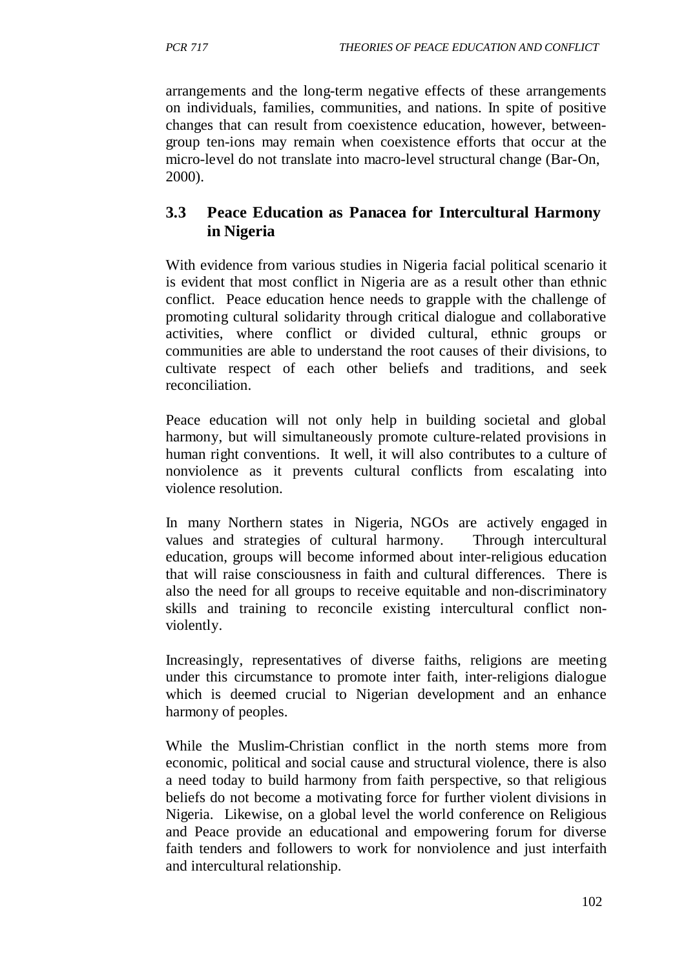arrangements and the long-term negative effects of these arrangements on individuals, families, communities, and nations. In spite of positive changes that can result from coexistence education, however, betweengroup ten-ions may remain when coexistence efforts that occur at the micro-level do not translate into macro-level structural change (Bar-On, 2000).

# **3.3 Peace Education as Panacea for Intercultural Harmony in Nigeria**

With evidence from various studies in Nigeria facial political scenario it is evident that most conflict in Nigeria are as a result other than ethnic conflict. Peace education hence needs to grapple with the challenge of promoting cultural solidarity through critical dialogue and collaborative activities, where conflict or divided cultural, ethnic groups or communities are able to understand the root causes of their divisions, to cultivate respect of each other beliefs and traditions, and seek reconciliation.

Peace education will not only help in building societal and global harmony, but will simultaneously promote culture-related provisions in human right conventions. It well, it will also contributes to a culture of nonviolence as it prevents cultural conflicts from escalating into violence resolution.

In many Northern states in Nigeria, NGOs are actively engaged in values and strategies of cultural harmony. Through intercultural education, groups will become informed about inter-religious education that will raise consciousness in faith and cultural differences. There is also the need for all groups to receive equitable and non-discriminatory skills and training to reconcile existing intercultural conflict nonviolently.

Increasingly, representatives of diverse faiths, religions are meeting under this circumstance to promote inter faith, inter-religions dialogue which is deemed crucial to Nigerian development and an enhance harmony of peoples.

While the Muslim-Christian conflict in the north stems more from economic, political and social cause and structural violence, there is also a need today to build harmony from faith perspective, so that religious beliefs do not become a motivating force for further violent divisions in Nigeria. Likewise, on a global level the world conference on Religious and Peace provide an educational and empowering forum for diverse faith tenders and followers to work for nonviolence and just interfaith and intercultural relationship.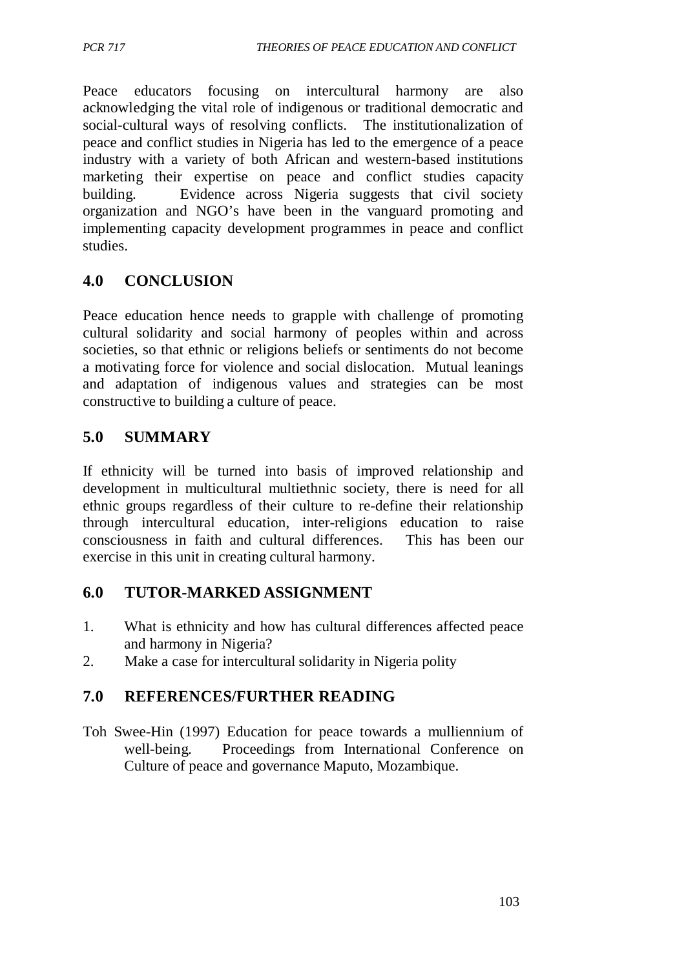Peace educators focusing on intercultural harmony are also acknowledging the vital role of indigenous or traditional democratic and social-cultural ways of resolving conflicts. The institutionalization of peace and conflict studies in Nigeria has led to the emergence of a peace industry with a variety of both African and western-based institutions marketing their expertise on peace and conflict studies capacity building. Evidence across Nigeria suggests that civil society organization and NGO's have been in the vanguard promoting and implementing capacity development programmes in peace and conflict studies.

# **4.0 CONCLUSION**

Peace education hence needs to grapple with challenge of promoting cultural solidarity and social harmony of peoples within and across societies, so that ethnic or religions beliefs or sentiments do not become a motivating force for violence and social dislocation. Mutual leanings and adaptation of indigenous values and strategies can be most constructive to building a culture of peace.

# **5.0 SUMMARY**

If ethnicity will be turned into basis of improved relationship and development in multicultural multiethnic society, there is need for all ethnic groups regardless of their culture to re-define their relationship through intercultural education, inter-religions education to raise consciousness in faith and cultural differences. This has been our exercise in this unit in creating cultural harmony.

## **6.0 TUTOR-MARKED ASSIGNMENT**

- 1. What is ethnicity and how has cultural differences affected peace and harmony in Nigeria?
- 2. Make a case for intercultural solidarity in Nigeria polity

# **7.0 REFERENCES/FURTHER READING**

Toh Swee-Hin (1997) Education for peace towards a mulliennium of well-being. Proceedings from International Conference on Culture of peace and governance Maputo, Mozambique.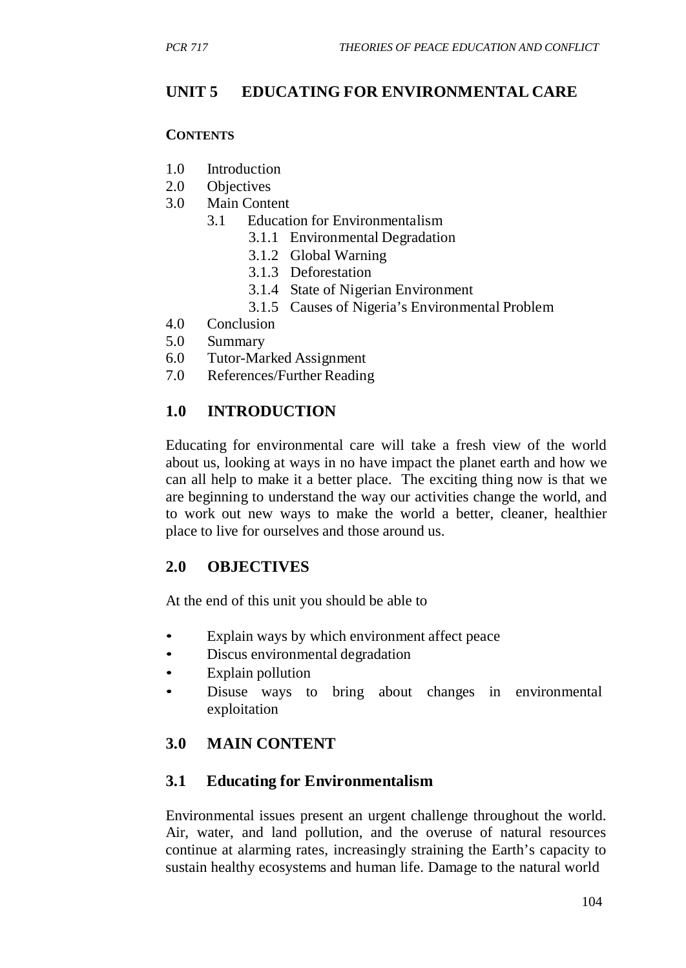# **UNIT 5 EDUCATING FOR ENVIRONMENTAL CARE**

#### **CONTENTS**

- 1.0 Introduction
- 2.0 Objectives
- 3.0 Main Content
	- 3.1 Education for Environmentalism
		- 3.1.1 Environmental Degradation
			- 3.1.2 Global Warning
			- 3.1.3 Deforestation
			- 3.1.4 State of Nigerian Environment
			- 3.1.5 Causes of Nigeria's Environmental Problem
- 4.0 Conclusion
- 5.0 Summary
- 6.0 Tutor-Marked Assignment
- 7.0 References/Further Reading

# **1.0 INTRODUCTION**

Educating for environmental care will take a fresh view of the world about us, looking at ways in no have impact the planet earth and how we can all help to make it a better place. The exciting thing now is that we are beginning to understand the way our activities change the world, and to work out new ways to make the world a better, cleaner, healthier place to live for ourselves and those around us.

## **2.0 OBJECTIVES**

At the end of this unit you should be able to

- Explain ways by which environment affect peace
- Discus environmental degradation
- Explain pollution
- Disuse ways to bring about changes in environmental exploitation

# **3.0 MAIN CONTENT**

## **3.1 Educating for Environmentalism**

Environmental issues present an urgent challenge throughout the world. Air, water, and land pollution, and the overuse of natural resources continue at alarming rates, increasingly straining the Earth's capacity to sustain healthy ecosystems and human life. Damage to the natural world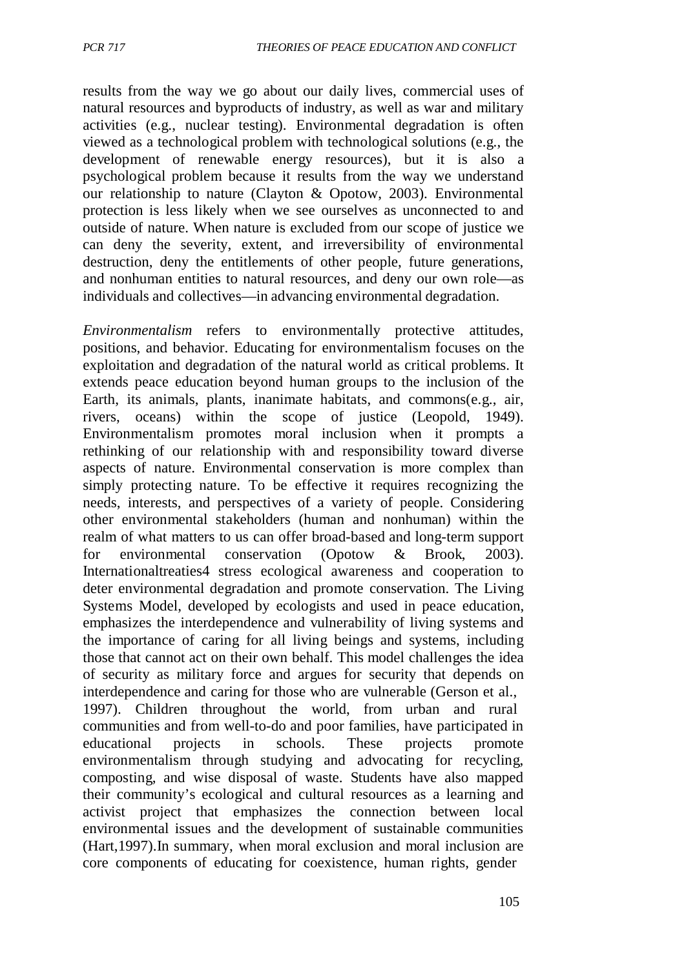results from the way we go about our daily lives, commercial uses of natural resources and byproducts of industry, as well as war and military activities (e.g., nuclear testing). Environmental degradation is often viewed as a technological problem with technological solutions (e.g., the development of renewable energy resources), but it is also a psychological problem because it results from the way we understand our relationship to nature (Clayton & Opotow, 2003). Environmental protection is less likely when we see ourselves as unconnected to and outside of nature. When nature is excluded from our scope of justice we can deny the severity, extent, and irreversibility of environmental destruction, deny the entitlements of other people, future generations, and nonhuman entities to natural resources, and deny our own role—as individuals and collectives—in advancing environmental degradation.

*Environmentalism* refers to environmentally protective attitudes, positions, and behavior. Educating for environmentalism focuses on the exploitation and degradation of the natural world as critical problems. It extends peace education beyond human groups to the inclusion of the Earth, its animals, plants, inanimate habitats, and commons(e.g., air, rivers, oceans) within the scope of justice (Leopold, 1949). Environmentalism promotes moral inclusion when it prompts a rethinking of our relationship with and responsibility toward diverse aspects of nature. Environmental conservation is more complex than simply protecting nature. To be effective it requires recognizing the needs, interests, and perspectives of a variety of people. Considering other environmental stakeholders (human and nonhuman) within the realm of what matters to us can offer broad-based and long-term support for environmental conservation (Opotow & Brook, 2003). Internationaltreaties4 stress ecological awareness and cooperation to deter environmental degradation and promote conservation. The Living Systems Model, developed by ecologists and used in peace education, emphasizes the interdependence and vulnerability of living systems and the importance of caring for all living beings and systems, including those that cannot act on their own behalf. This model challenges the idea of security as military force and argues for security that depends on interdependence and caring for those who are vulnerable (Gerson et al., 1997). Children throughout the world, from urban and rural communities and from well-to-do and poor families, have participated in educational projects in schools. These projects promote environmentalism through studying and advocating for recycling, composting, and wise disposal of waste. Students have also mapped their community's ecological and cultural resources as a learning and activist project that emphasizes the connection between local environmental issues and the development of sustainable communities (Hart,1997).In summary, when moral exclusion and moral inclusion are core components of educating for coexistence, human rights, gender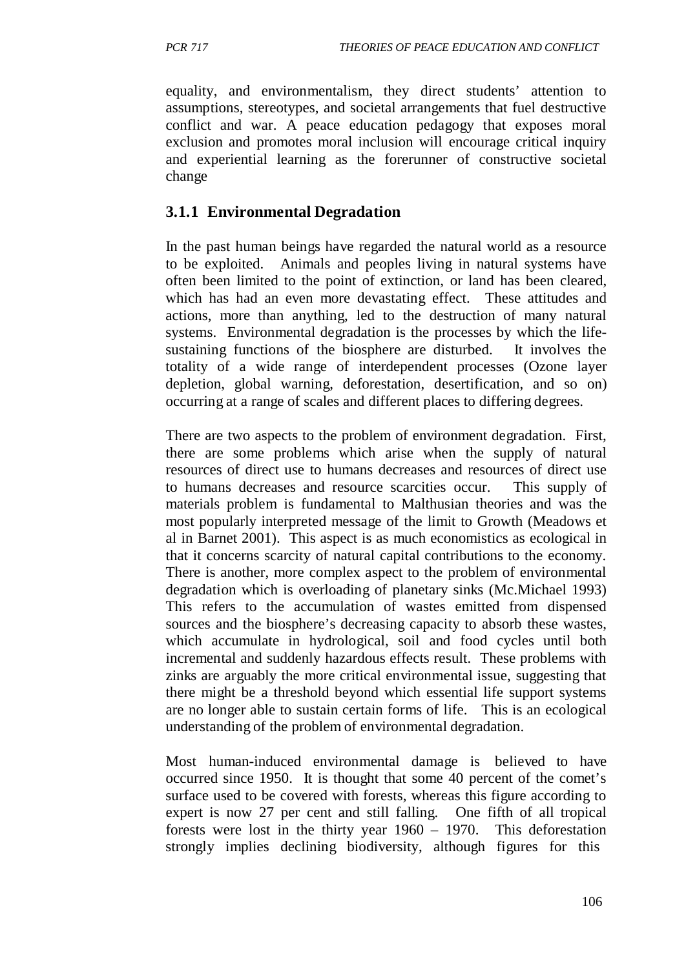equality, and environmentalism, they direct students' attention to assumptions, stereotypes, and societal arrangements that fuel destructive conflict and war. A peace education pedagogy that exposes moral exclusion and promotes moral inclusion will encourage critical inquiry and experiential learning as the forerunner of constructive societal change

## **3.1.1 Environmental Degradation**

In the past human beings have regarded the natural world as a resource to be exploited. Animals and peoples living in natural systems have often been limited to the point of extinction, or land has been cleared, which has had an even more devastating effect. These attitudes and actions, more than anything, led to the destruction of many natural systems. Environmental degradation is the processes by which the lifesustaining functions of the biosphere are disturbed. It involves the totality of a wide range of interdependent processes (Ozone layer depletion, global warning, deforestation, desertification, and so on) occurring at a range of scales and different places to differing degrees.

There are two aspects to the problem of environment degradation. First, there are some problems which arise when the supply of natural resources of direct use to humans decreases and resources of direct use to humans decreases and resource scarcities occur. This supply of materials problem is fundamental to Malthusian theories and was the most popularly interpreted message of the limit to Growth (Meadows et al in Barnet 2001). This aspect is as much economistics as ecological in that it concerns scarcity of natural capital contributions to the economy. There is another, more complex aspect to the problem of environmental degradation which is overloading of planetary sinks (Mc.Michael 1993) This refers to the accumulation of wastes emitted from dispensed sources and the biosphere's decreasing capacity to absorb these wastes, which accumulate in hydrological, soil and food cycles until both incremental and suddenly hazardous effects result. These problems with zinks are arguably the more critical environmental issue, suggesting that there might be a threshold beyond which essential life support systems are no longer able to sustain certain forms of life. This is an ecological understanding of the problem of environmental degradation.

Most human-induced environmental damage is believed to have occurred since 1950. It is thought that some 40 percent of the comet's surface used to be covered with forests, whereas this figure according to expert is now 27 per cent and still falling. One fifth of all tropical forests were lost in the thirty year 1960 – 1970. This deforestation strongly implies declining biodiversity, although figures for this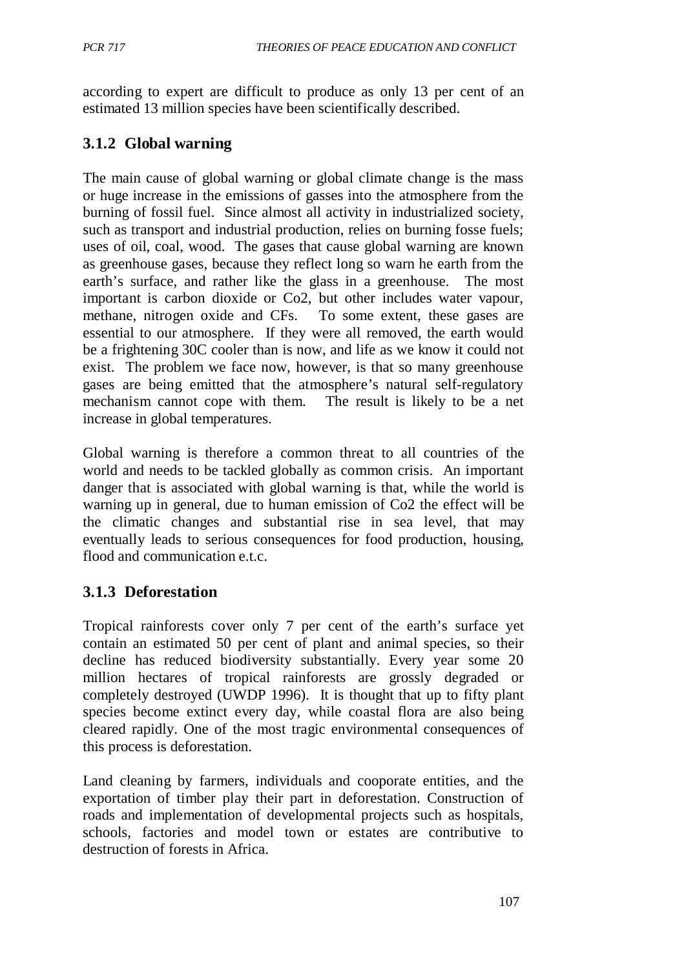according to expert are difficult to produce as only 13 per cent of an estimated 13 million species have been scientifically described.

# **3.1.2 Global warning**

The main cause of global warning or global climate change is the mass or huge increase in the emissions of gasses into the atmosphere from the burning of fossil fuel. Since almost all activity in industrialized society, such as transport and industrial production, relies on burning fosse fuels; uses of oil, coal, wood. The gases that cause global warning are known as greenhouse gases, because they reflect long so warn he earth from the earth's surface, and rather like the glass in a greenhouse. The most important is carbon dioxide or Co2, but other includes water vapour, methane, nitrogen oxide and CFs. To some extent, these gases are essential to our atmosphere. If they were all removed, the earth would be a frightening 30C cooler than is now, and life as we know it could not exist. The problem we face now, however, is that so many greenhouse gases are being emitted that the atmosphere's natural self-regulatory mechanism cannot cope with them. The result is likely to be a net increase in global temperatures.

Global warning is therefore a common threat to all countries of the world and needs to be tackled globally as common crisis. An important danger that is associated with global warning is that, while the world is warning up in general, due to human emission of Co2 the effect will be the climatic changes and substantial rise in sea level, that may eventually leads to serious consequences for food production, housing, flood and communication e.t.c.

# **3.1.3 Deforestation**

Tropical rainforests cover only 7 per cent of the earth's surface yet contain an estimated 50 per cent of plant and animal species, so their decline has reduced biodiversity substantially. Every year some 20 million hectares of tropical rainforests are grossly degraded or completely destroyed (UWDP 1996). It is thought that up to fifty plant species become extinct every day, while coastal flora are also being cleared rapidly. One of the most tragic environmental consequences of this process is deforestation.

Land cleaning by farmers, individuals and cooporate entities, and the exportation of timber play their part in deforestation. Construction of roads and implementation of developmental projects such as hospitals, schools, factories and model town or estates are contributive to destruction of forests in Africa.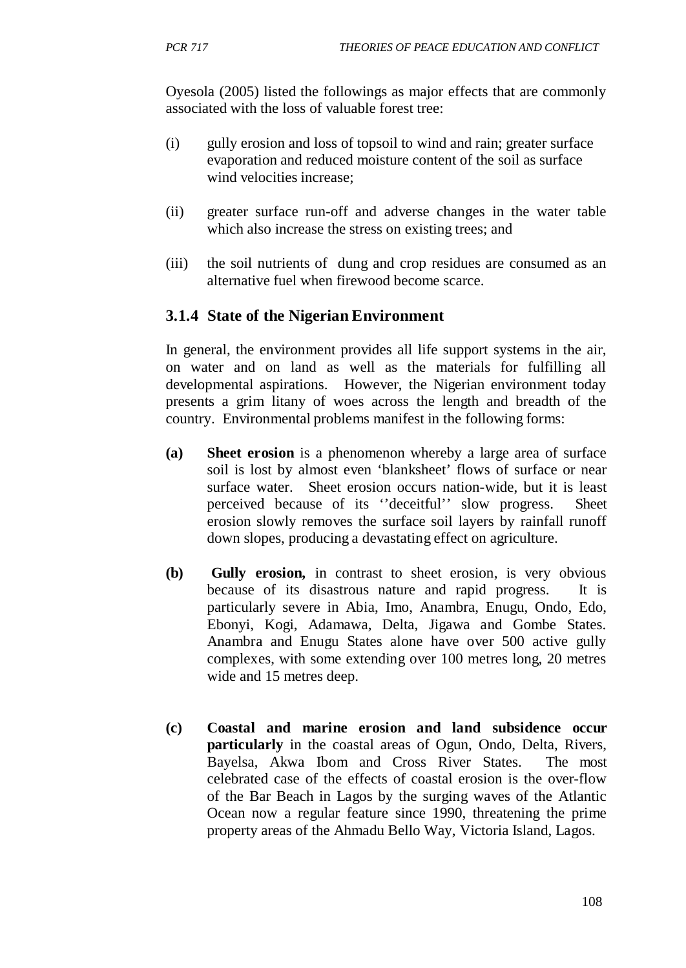Oyesola (2005) listed the followings as major effects that are commonly associated with the loss of valuable forest tree:

- (i) gully erosion and loss of topsoil to wind and rain; greater surface evaporation and reduced moisture content of the soil as surface wind velocities increase;
- (ii) greater surface run-off and adverse changes in the water table which also increase the stress on existing trees; and
- (iii) the soil nutrients of dung and crop residues are consumed as an alternative fuel when firewood become scarce.

## **3.1.4 State of the Nigerian Environment**

In general, the environment provides all life support systems in the air, on water and on land as well as the materials for fulfilling all developmental aspirations. However, the Nigerian environment today presents a grim litany of woes across the length and breadth of the country. Environmental problems manifest in the following forms:

- **(a) Sheet erosion** is a phenomenon whereby a large area of surface soil is lost by almost even 'blanksheet' flows of surface or near surface water. Sheet erosion occurs nation-wide, but it is least perceived because of its ''deceitful'' slow progress. Sheet erosion slowly removes the surface soil layers by rainfall runoff down slopes, producing a devastating effect on agriculture.
- **(b) Gully erosion,** in contrast to sheet erosion, is very obvious because of its disastrous nature and rapid progress. It is particularly severe in Abia, Imo, Anambra, Enugu, Ondo, Edo, Ebonyi, Kogi, Adamawa, Delta, Jigawa and Gombe States. Anambra and Enugu States alone have over 500 active gully complexes, with some extending over 100 metres long, 20 metres wide and 15 metres deep.
- **(c) Coastal and marine erosion and land subsidence occur particularly** in the coastal areas of Ogun, Ondo, Delta, Rivers, Bayelsa, Akwa Ibom and Cross River States. The most celebrated case of the effects of coastal erosion is the over-flow of the Bar Beach in Lagos by the surging waves of the Atlantic Ocean now a regular feature since 1990, threatening the prime property areas of the Ahmadu Bello Way, Victoria Island, Lagos.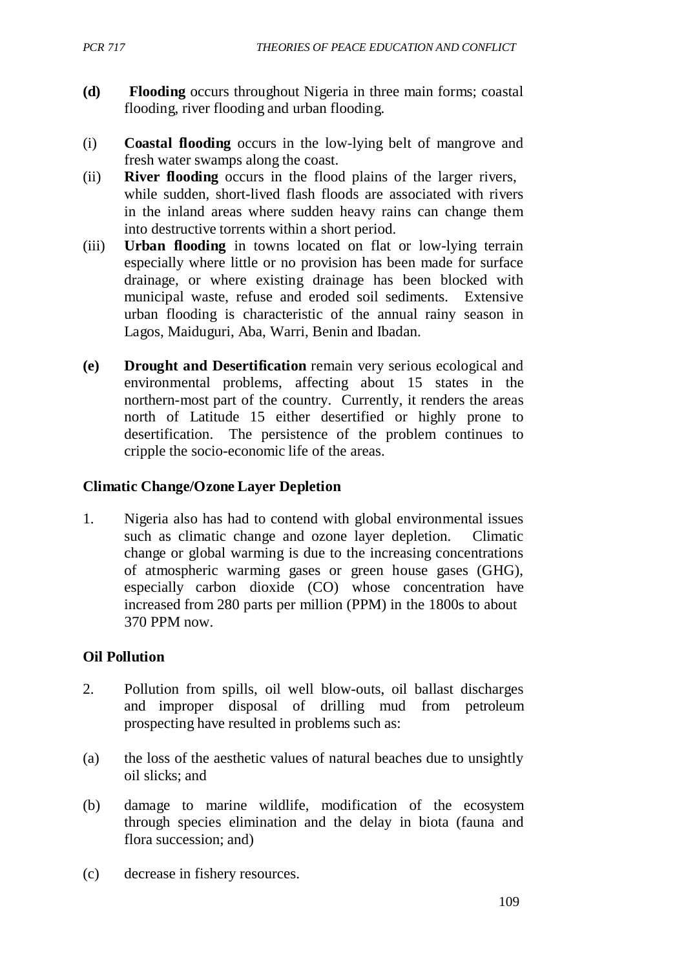- **(d) Flooding** occurs throughout Nigeria in three main forms; coastal flooding, river flooding and urban flooding.
- (i) **Coastal flooding** occurs in the low-lying belt of mangrove and fresh water swamps along the coast.
- (ii) **River flooding** occurs in the flood plains of the larger rivers, while sudden, short-lived flash floods are associated with rivers in the inland areas where sudden heavy rains can change them into destructive torrents within a short period.
- (iii) **Urban flooding** in towns located on flat or low-lying terrain especially where little or no provision has been made for surface drainage, or where existing drainage has been blocked with municipal waste, refuse and eroded soil sediments. Extensive urban flooding is characteristic of the annual rainy season in Lagos, Maiduguri, Aba, Warri, Benin and Ibadan.
- **(e) Drought and Desertification** remain very serious ecological and environmental problems, affecting about 15 states in the northern-most part of the country. Currently, it renders the areas north of Latitude 15 either desertified or highly prone to desertification. The persistence of the problem continues to cripple the socio-economic life of the areas.

### **Climatic Change/Ozone Layer Depletion**

1. Nigeria also has had to contend with global environmental issues such as climatic change and ozone layer depletion. Climatic change or global warming is due to the increasing concentrations of atmospheric warming gases or green house gases (GHG), especially carbon dioxide (CO) whose concentration have increased from 280 parts per million (PPM) in the 1800s to about 370 PPM now.

#### **Oil Pollution**

- 2. Pollution from spills, oil well blow-outs, oil ballast discharges and improper disposal of drilling mud from petroleum prospecting have resulted in problems such as:
- (a) the loss of the aesthetic values of natural beaches due to unsightly oil slicks; and
- (b) damage to marine wildlife, modification of the ecosystem through species elimination and the delay in biota (fauna and flora succession; and)
- (c) decrease in fishery resources.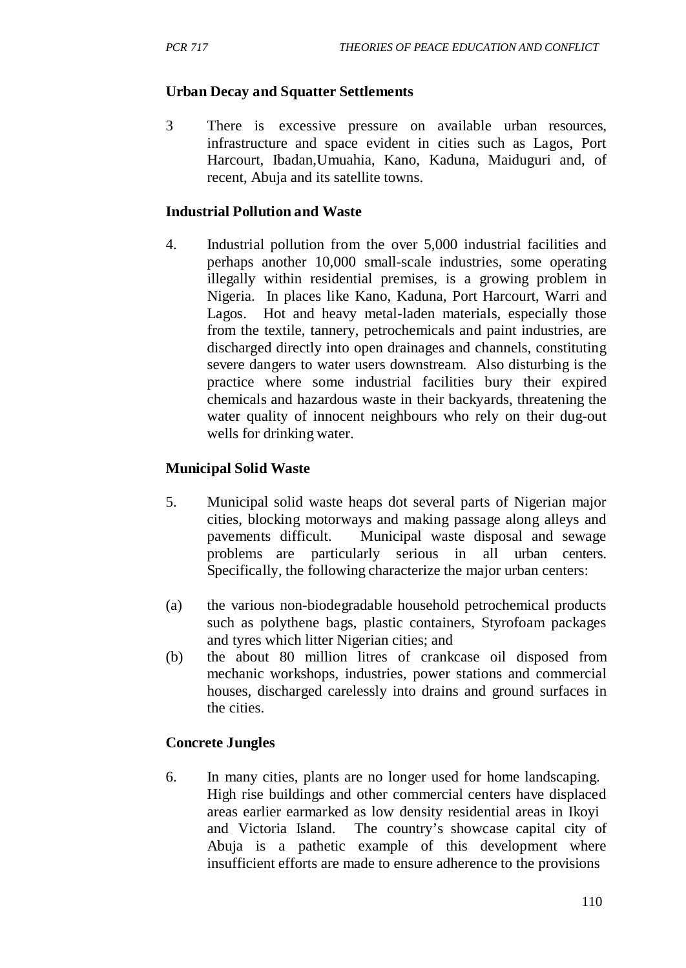#### **Urban Decay and Squatter Settlements**

3 There is excessive pressure on available urban resources, infrastructure and space evident in cities such as Lagos, Port Harcourt, Ibadan,Umuahia, Kano, Kaduna, Maiduguri and, of recent, Abuja and its satellite towns.

#### **Industrial Pollution and Waste**

4. Industrial pollution from the over 5,000 industrial facilities and perhaps another 10,000 small-scale industries, some operating illegally within residential premises, is a growing problem in Nigeria. In places like Kano, Kaduna, Port Harcourt, Warri and Lagos. Hot and heavy metal-laden materials, especially those from the textile, tannery, petrochemicals and paint industries, are discharged directly into open drainages and channels, constituting severe dangers to water users downstream. Also disturbing is the practice where some industrial facilities bury their expired chemicals and hazardous waste in their backyards, threatening the water quality of innocent neighbours who rely on their dug-out wells for drinking water.

#### **Municipal Solid Waste**

- 5. Municipal solid waste heaps dot several parts of Nigerian major cities, blocking motorways and making passage along alleys and pavements difficult. Municipal waste disposal and sewage problems are particularly serious in all urban centers. Specifically, the following characterize the major urban centers:
- (a) the various non-biodegradable household petrochemical products such as polythene bags, plastic containers, Styrofoam packages and tyres which litter Nigerian cities; and
- (b) the about 80 million litres of crankcase oil disposed from mechanic workshops, industries, power stations and commercial houses, discharged carelessly into drains and ground surfaces in the cities.

## **Concrete Jungles**

6. In many cities, plants are no longer used for home landscaping. High rise buildings and other commercial centers have displaced areas earlier earmarked as low density residential areas in Ikoyi and Victoria Island. The country's showcase capital city of Abuja is a pathetic example of this development where insufficient efforts are made to ensure adherence to the provisions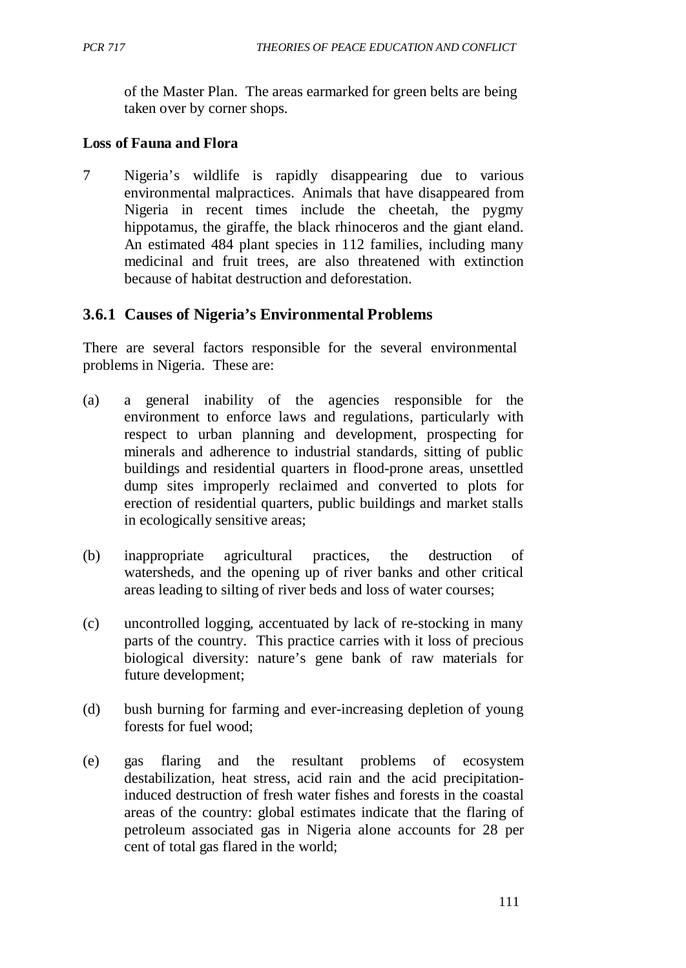of the Master Plan. The areas earmarked for green belts are being taken over by corner shops.

#### **Loss of Fauna and Flora**

7 Nigeria's wildlife is rapidly disappearing due to various environmental malpractices. Animals that have disappeared from Nigeria in recent times include the cheetah, the pygmy hippotamus, the giraffe, the black rhinoceros and the giant eland. An estimated 484 plant species in 112 families, including many medicinal and fruit trees, are also threatened with extinction because of habitat destruction and deforestation.

#### **3.6.1 Causes of Nigeria's Environmental Problems**

There are several factors responsible for the several environmental problems in Nigeria. These are:

- (a) a general inability of the agencies responsible for the environment to enforce laws and regulations, particularly with respect to urban planning and development, prospecting for minerals and adherence to industrial standards, sitting of public buildings and residential quarters in flood-prone areas, unsettled dump sites improperly reclaimed and converted to plots for erection of residential quarters, public buildings and market stalls in ecologically sensitive areas;
- (b) inappropriate agricultural practices, the destruction of watersheds, and the opening up of river banks and other critical areas leading to silting of river beds and loss of water courses;
- (c) uncontrolled logging, accentuated by lack of re-stocking in many parts of the country. This practice carries with it loss of precious biological diversity: nature's gene bank of raw materials for future development;
- (d) bush burning for farming and ever-increasing depletion of young forests for fuel wood;
- (e) gas flaring and the resultant problems of ecosystem destabilization, heat stress, acid rain and the acid precipitationinduced destruction of fresh water fishes and forests in the coastal areas of the country: global estimates indicate that the flaring of petroleum associated gas in Nigeria alone accounts for 28 per cent of total gas flared in the world;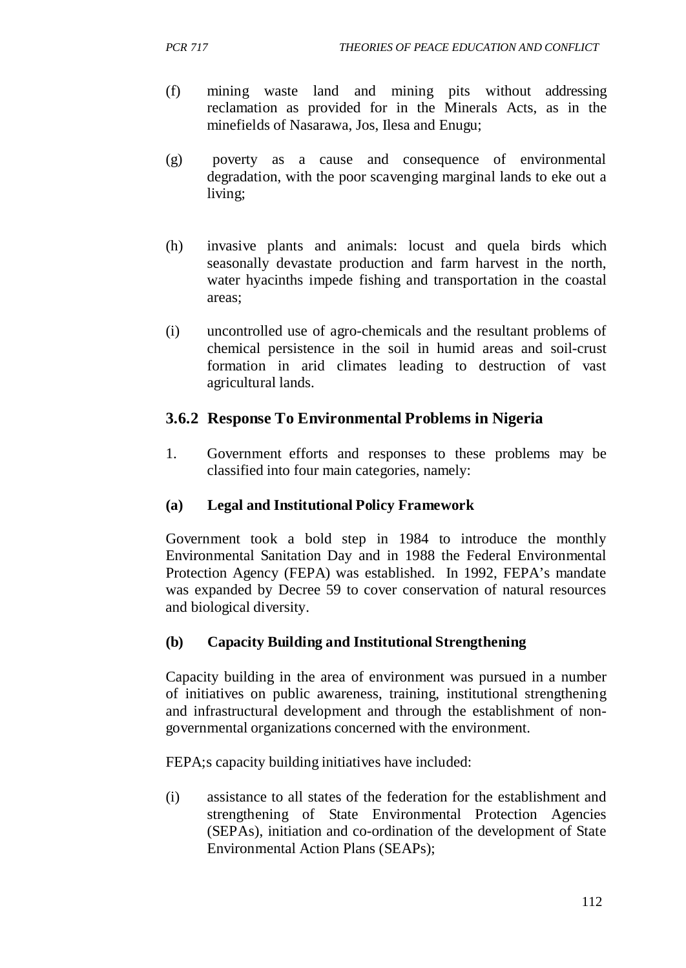- (f) mining waste land and mining pits without addressing reclamation as provided for in the Minerals Acts, as in the minefields of Nasarawa, Jos, Ilesa and Enugu;
- (g) poverty as a cause and consequence of environmental degradation, with the poor scavenging marginal lands to eke out a living;
- (h) invasive plants and animals: locust and quela birds which seasonally devastate production and farm harvest in the north, water hyacinths impede fishing and transportation in the coastal areas;
- (i) uncontrolled use of agro-chemicals and the resultant problems of chemical persistence in the soil in humid areas and soil-crust formation in arid climates leading to destruction of vast agricultural lands.

# **3.6.2 Response To Environmental Problems in Nigeria**

1. Government efforts and responses to these problems may be classified into four main categories, namely:

#### **(a) Legal and Institutional Policy Framework**

Government took a bold step in 1984 to introduce the monthly Environmental Sanitation Day and in 1988 the Federal Environmental Protection Agency (FEPA) was established. In 1992, FEPA's mandate was expanded by Decree 59 to cover conservation of natural resources and biological diversity.

#### **(b) Capacity Building and Institutional Strengthening**

Capacity building in the area of environment was pursued in a number of initiatives on public awareness, training, institutional strengthening and infrastructural development and through the establishment of nongovernmental organizations concerned with the environment.

FEPA;s capacity building initiatives have included:

(i) assistance to all states of the federation for the establishment and strengthening of State Environmental Protection Agencies (SEPAs), initiation and co-ordination of the development of State Environmental Action Plans (SEAPs);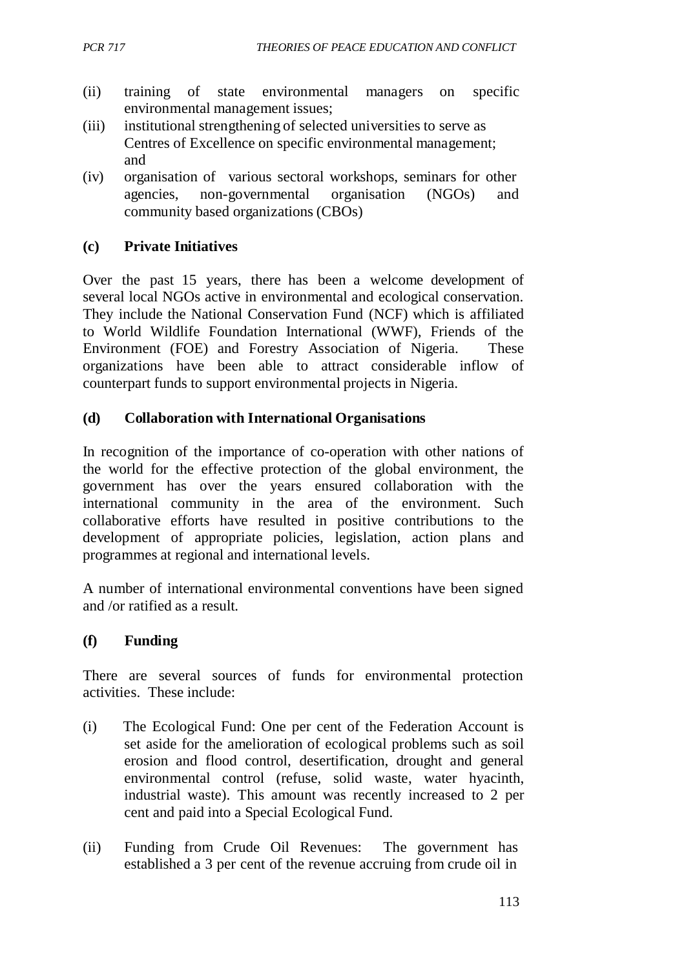- (ii) training of state environmental managers on specific environmental management issues;
- (iii) institutional strengthening of selected universities to serve as Centres of Excellence on specific environmental management; and
- (iv) organisation of various sectoral workshops, seminars for other agencies, non-governmental organisation (NGOs) and community based organizations (CBOs)

#### **(c) Private Initiatives**

Over the past 15 years, there has been a welcome development of several local NGOs active in environmental and ecological conservation. They include the National Conservation Fund (NCF) which is affiliated to World Wildlife Foundation International (WWF), Friends of the Environment (FOE) and Forestry Association of Nigeria. These organizations have been able to attract considerable inflow of counterpart funds to support environmental projects in Nigeria.

#### **(d) Collaboration with International Organisations**

In recognition of the importance of co-operation with other nations of the world for the effective protection of the global environment, the government has over the years ensured collaboration with the international community in the area of the environment. Such collaborative efforts have resulted in positive contributions to the development of appropriate policies, legislation, action plans and programmes at regional and international levels.

A number of international environmental conventions have been signed and /or ratified as a result.

#### **(f) Funding**

There are several sources of funds for environmental protection activities. These include:

- (i) The Ecological Fund: One per cent of the Federation Account is set aside for the amelioration of ecological problems such as soil erosion and flood control, desertification, drought and general environmental control (refuse, solid waste, water hyacinth, industrial waste). This amount was recently increased to 2 per cent and paid into a Special Ecological Fund.
- (ii) Funding from Crude Oil Revenues: The government has established a 3 per cent of the revenue accruing from crude oil in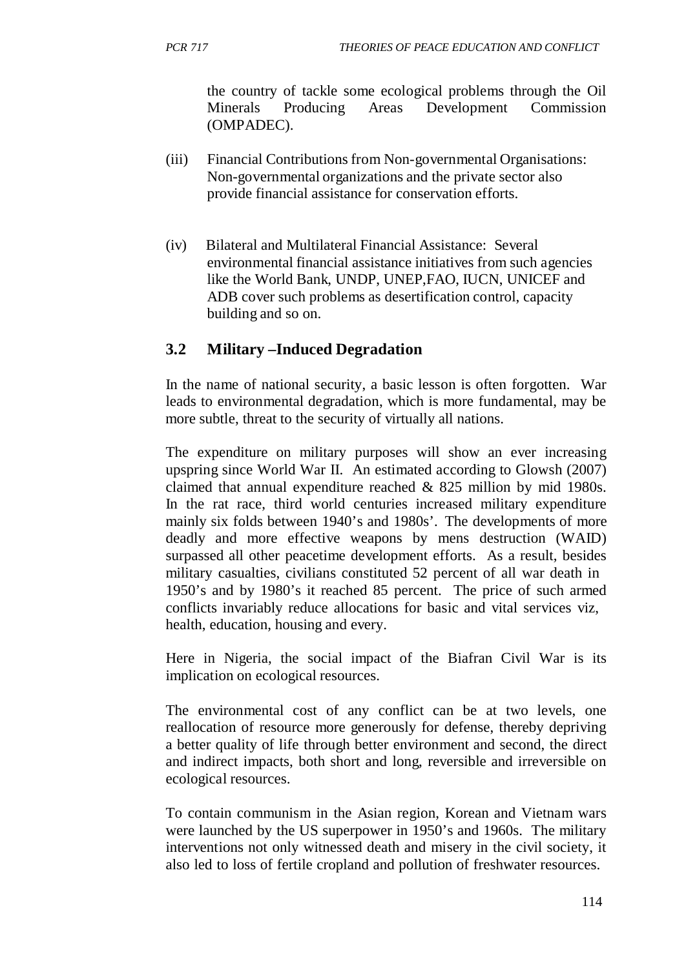the country of tackle some ecological problems through the Oil Minerals Producing Areas Development Commission (OMPADEC).

- (iii) Financial Contributions from Non-governmental Organisations: Non-governmental organizations and the private sector also provide financial assistance for conservation efforts.
- (iv) Bilateral and Multilateral Financial Assistance: Several environmental financial assistance initiatives from such agencies like the World Bank, UNDP, UNEP,FAO, IUCN, UNICEF and ADB cover such problems as desertification control, capacity building and so on.

# **3.2 Military –Induced Degradation**

In the name of national security, a basic lesson is often forgotten. War leads to environmental degradation, which is more fundamental, may be more subtle, threat to the security of virtually all nations.

The expenditure on military purposes will show an ever increasing upspring since World War II. An estimated according to Glowsh (2007) claimed that annual expenditure reached & 825 million by mid 1980s. In the rat race, third world centuries increased military expenditure mainly six folds between 1940's and 1980s'. The developments of more deadly and more effective weapons by mens destruction (WAID) surpassed all other peacetime development efforts. As a result, besides military casualties, civilians constituted 52 percent of all war death in 1950's and by 1980's it reached 85 percent. The price of such armed conflicts invariably reduce allocations for basic and vital services viz, health, education, housing and every.

Here in Nigeria, the social impact of the Biafran Civil War is its implication on ecological resources.

The environmental cost of any conflict can be at two levels, one reallocation of resource more generously for defense, thereby depriving a better quality of life through better environment and second, the direct and indirect impacts, both short and long, reversible and irreversible on ecological resources.

To contain communism in the Asian region, Korean and Vietnam wars were launched by the US superpower in 1950's and 1960s. The military interventions not only witnessed death and misery in the civil society, it also led to loss of fertile cropland and pollution of freshwater resources.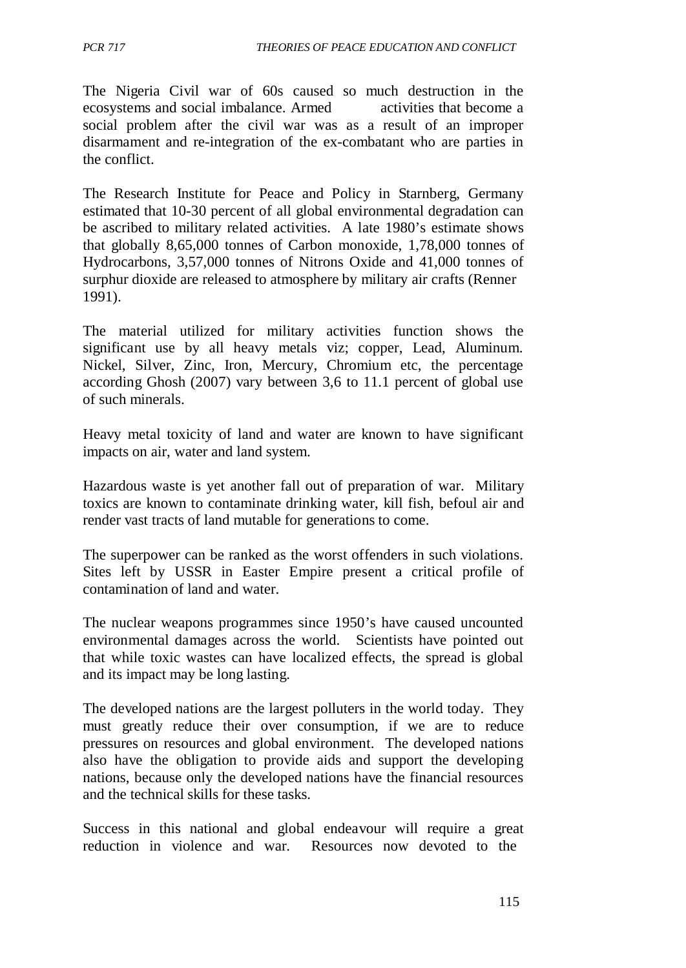The Nigeria Civil war of 60s caused so much destruction in the ecosystems and social imbalance. Armed activities that become a social problem after the civil war was as a result of an improper disarmament and re-integration of the ex-combatant who are parties in the conflict.

The Research Institute for Peace and Policy in Starnberg, Germany estimated that 10-30 percent of all global environmental degradation can be ascribed to military related activities. A late 1980's estimate shows that globally 8,65,000 tonnes of Carbon monoxide, 1,78,000 tonnes of Hydrocarbons, 3,57,000 tonnes of Nitrons Oxide and 41,000 tonnes of surphur dioxide are released to atmosphere by military air crafts (Renner 1991).

The material utilized for military activities function shows the significant use by all heavy metals viz; copper, Lead, Aluminum. Nickel, Silver, Zinc, Iron, Mercury, Chromium etc, the percentage according Ghosh (2007) vary between 3,6 to 11.1 percent of global use of such minerals.

Heavy metal toxicity of land and water are known to have significant impacts on air, water and land system.

Hazardous waste is yet another fall out of preparation of war. Military toxics are known to contaminate drinking water, kill fish, befoul air and render vast tracts of land mutable for generations to come.

The superpower can be ranked as the worst offenders in such violations. Sites left by USSR in Easter Empire present a critical profile of contamination of land and water.

The nuclear weapons programmes since 1950's have caused uncounted environmental damages across the world. Scientists have pointed out that while toxic wastes can have localized effects, the spread is global and its impact may be long lasting.

The developed nations are the largest polluters in the world today. They must greatly reduce their over consumption, if we are to reduce pressures on resources and global environment. The developed nations also have the obligation to provide aids and support the developing nations, because only the developed nations have the financial resources and the technical skills for these tasks.

Success in this national and global endeavour will require a great reduction in violence and war. Resources now devoted to the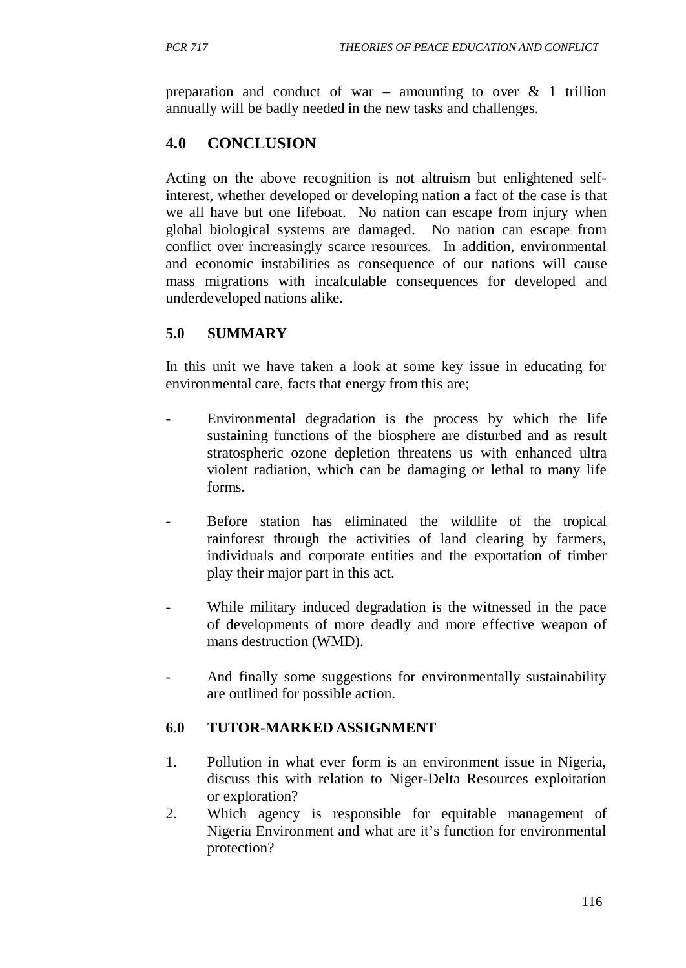preparation and conduct of war – amounting to over  $\&$  1 trillion annually will be badly needed in the new tasks and challenges.

# **4.0 CONCLUSION**

Acting on the above recognition is not altruism but enlightened selfinterest, whether developed or developing nation a fact of the case is that we all have but one lifeboat. No nation can escape from injury when global biological systems are damaged. No nation can escape from conflict over increasingly scarce resources. In addition, environmental and economic instabilities as consequence of our nations will cause mass migrations with incalculable consequences for developed and underdeveloped nations alike.

## **5.0 SUMMARY**

In this unit we have taken a look at some key issue in educating for environmental care, facts that energy from this are;

- Environmental degradation is the process by which the life sustaining functions of the biosphere are disturbed and as result stratospheric ozone depletion threatens us with enhanced ultra violent radiation, which can be damaging or lethal to many life forms.
- Before station has eliminated the wildlife of the tropical rainforest through the activities of land clearing by farmers, individuals and corporate entities and the exportation of timber play their major part in this act.
- While military induced degradation is the witnessed in the pace of developments of more deadly and more effective weapon of mans destruction (WMD).
- And finally some suggestions for environmentally sustainability are outlined for possible action.

#### **6.0 TUTOR-MARKED ASSIGNMENT**

- 1. Pollution in what ever form is an environment issue in Nigeria, discuss this with relation to Niger-Delta Resources exploitation or exploration?
- 2. Which agency is responsible for equitable management of Nigeria Environment and what are it's function for environmental protection?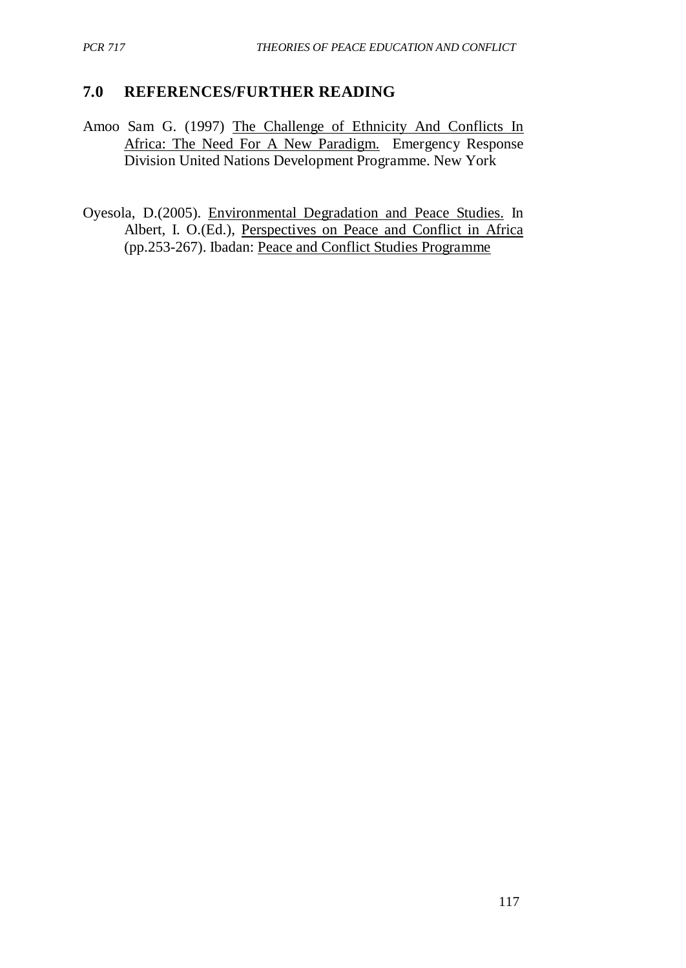## **7.0 REFERENCES/FURTHER READING**

- Amoo Sam G. (1997) The Challenge of Ethnicity And Conflicts In Africa: The Need For A New Paradigm. Emergency Response Division United Nations Development Programme. New York
- Oyesola, D.(2005). Environmental Degradation and Peace Studies. In Albert, I. O.(Ed.), Perspectives on Peace and Conflict in Africa (pp.253-267). Ibadan: Peace and Conflict Studies Programme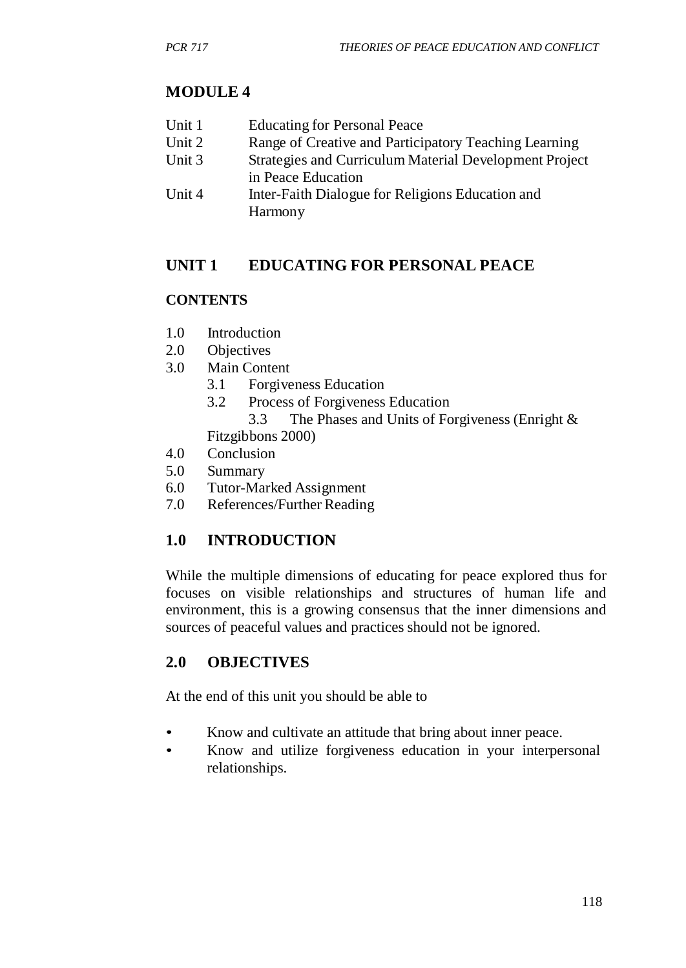# **MODULE 4**

| Unit 1 | <b>Educating for Personal Peace</b> |
|--------|-------------------------------------|
|--------|-------------------------------------|

- Unit 2 Range of Creative and Participatory Teaching Learning
- Unit 3 Strategies and Curriculum Material Development Project in Peace Education
- Unit 4 Inter-Faith Dialogue for Religions Education and Harmony

# **UNIT 1 EDUCATING FOR PERSONAL PEACE**

## **CONTENTS**

- 1.0 Introduction
- 2.0 Objectives
- 3.0 Main Content
	- 3.1 Forgiveness Education
	- 3.2 Process of Forgiveness Education

3.3 The Phases and Units of Forgiveness (Enright &

Fitzgibbons 2000)

- 4.0 Conclusion
- 5.0 Summary
- 6.0 Tutor-Marked Assignment
- 7.0 References/Further Reading

# **1.0 INTRODUCTION**

While the multiple dimensions of educating for peace explored thus for focuses on visible relationships and structures of human life and environment, this is a growing consensus that the inner dimensions and sources of peaceful values and practices should not be ignored.

# **2.0 OBJECTIVES**

At the end of this unit you should be able to

- Know and cultivate an attitude that bring about inner peace.
- Know and utilize forgiveness education in your interpersonal relationships.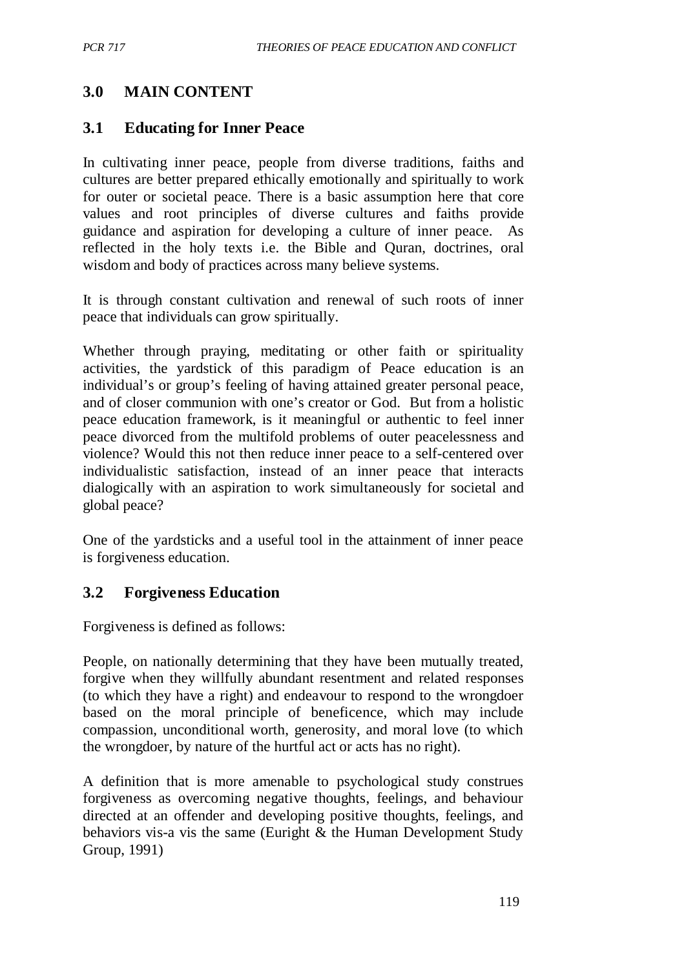# **3.0 MAIN CONTENT**

# **3.1 Educating for Inner Peace**

In cultivating inner peace, people from diverse traditions, faiths and cultures are better prepared ethically emotionally and spiritually to work for outer or societal peace. There is a basic assumption here that core values and root principles of diverse cultures and faiths provide guidance and aspiration for developing a culture of inner peace. As reflected in the holy texts i.e. the Bible and Quran, doctrines, oral wisdom and body of practices across many believe systems.

It is through constant cultivation and renewal of such roots of inner peace that individuals can grow spiritually.

Whether through praying, meditating or other faith or spirituality activities, the yardstick of this paradigm of Peace education is an individual's or group's feeling of having attained greater personal peace, and of closer communion with one's creator or God. But from a holistic peace education framework, is it meaningful or authentic to feel inner peace divorced from the multifold problems of outer peacelessness and violence? Would this not then reduce inner peace to a self-centered over individualistic satisfaction, instead of an inner peace that interacts dialogically with an aspiration to work simultaneously for societal and global peace?

One of the yardsticks and a useful tool in the attainment of inner peace is forgiveness education.

# **3.2 Forgiveness Education**

Forgiveness is defined as follows:

People, on nationally determining that they have been mutually treated, forgive when they willfully abundant resentment and related responses (to which they have a right) and endeavour to respond to the wrongdoer based on the moral principle of beneficence, which may include compassion, unconditional worth, generosity, and moral love (to which the wrongdoer, by nature of the hurtful act or acts has no right).

A definition that is more amenable to psychological study construes forgiveness as overcoming negative thoughts, feelings, and behaviour directed at an offender and developing positive thoughts, feelings, and behaviors vis-a vis the same (Euright  $\&$  the Human Development Study Group, 1991)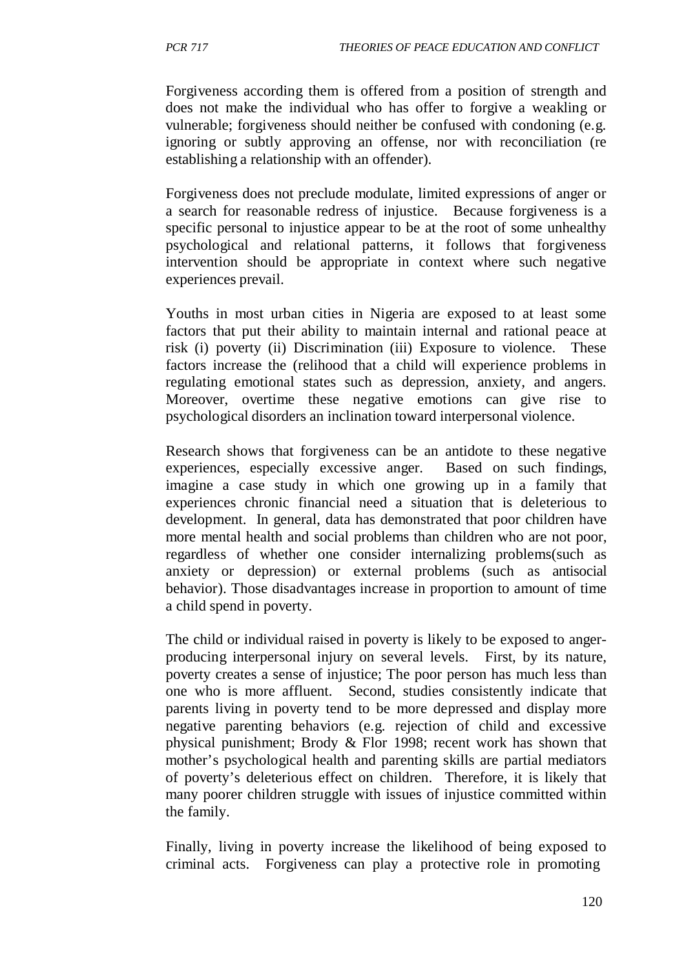Forgiveness according them is offered from a position of strength and does not make the individual who has offer to forgive a weakling or vulnerable; forgiveness should neither be confused with condoning (e.g. ignoring or subtly approving an offense, nor with reconciliation (re establishing a relationship with an offender).

Forgiveness does not preclude modulate, limited expressions of anger or a search for reasonable redress of injustice. Because forgiveness is a specific personal to injustice appear to be at the root of some unhealthy psychological and relational patterns, it follows that forgiveness intervention should be appropriate in context where such negative experiences prevail.

Youths in most urban cities in Nigeria are exposed to at least some factors that put their ability to maintain internal and rational peace at risk (i) poverty (ii) Discrimination (iii) Exposure to violence. These factors increase the (relihood that a child will experience problems in regulating emotional states such as depression, anxiety, and angers. Moreover, overtime these negative emotions can give rise to psychological disorders an inclination toward interpersonal violence.

Research shows that forgiveness can be an antidote to these negative experiences, especially excessive anger. Based on such findings, imagine a case study in which one growing up in a family that experiences chronic financial need a situation that is deleterious to development. In general, data has demonstrated that poor children have more mental health and social problems than children who are not poor, regardless of whether one consider internalizing problems(such as anxiety or depression) or external problems (such as antisocial behavior). Those disadvantages increase in proportion to amount of time a child spend in poverty.

The child or individual raised in poverty is likely to be exposed to angerproducing interpersonal injury on several levels. First, by its nature, poverty creates a sense of injustice; The poor person has much less than one who is more affluent. Second, studies consistently indicate that parents living in poverty tend to be more depressed and display more negative parenting behaviors (e.g. rejection of child and excessive physical punishment; Brody & Flor 1998; recent work has shown that mother's psychological health and parenting skills are partial mediators of poverty's deleterious effect on children. Therefore, it is likely that many poorer children struggle with issues of injustice committed within the family.

Finally, living in poverty increase the likelihood of being exposed to criminal acts. Forgiveness can play a protective role in promoting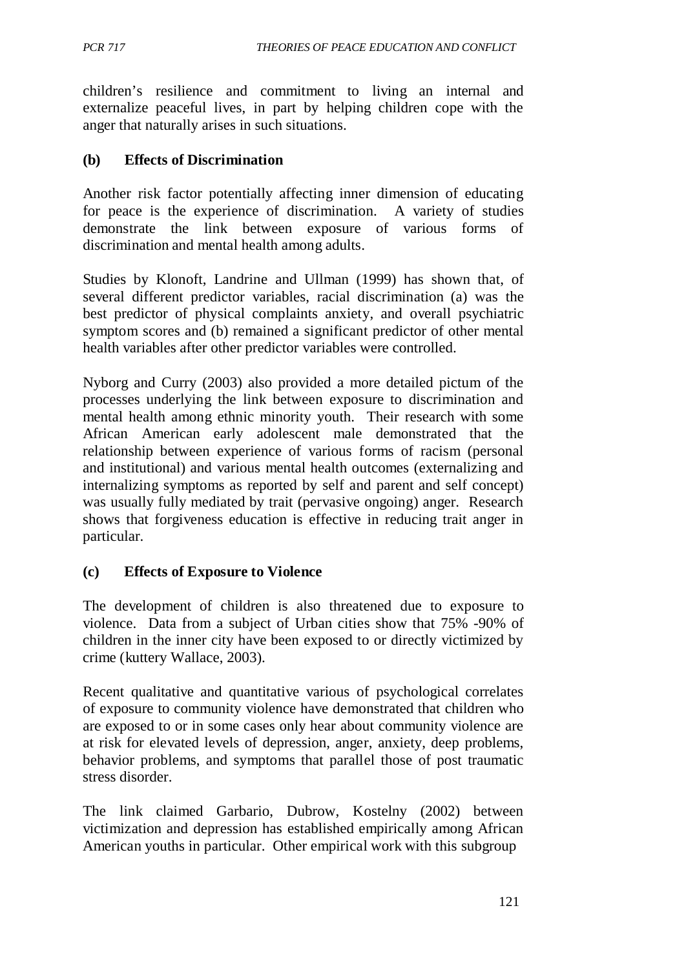children's resilience and commitment to living an internal and externalize peaceful lives, in part by helping children cope with the anger that naturally arises in such situations.

#### **(b) Effects of Discrimination**

Another risk factor potentially affecting inner dimension of educating for peace is the experience of discrimination. A variety of studies demonstrate the link between exposure of various forms of discrimination and mental health among adults.

Studies by Klonoft, Landrine and Ullman (1999) has shown that, of several different predictor variables, racial discrimination (a) was the best predictor of physical complaints anxiety, and overall psychiatric symptom scores and (b) remained a significant predictor of other mental health variables after other predictor variables were controlled.

Nyborg and Curry (2003) also provided a more detailed pictum of the processes underlying the link between exposure to discrimination and mental health among ethnic minority youth. Their research with some African American early adolescent male demonstrated that the relationship between experience of various forms of racism (personal and institutional) and various mental health outcomes (externalizing and internalizing symptoms as reported by self and parent and self concept) was usually fully mediated by trait (pervasive ongoing) anger. Research shows that forgiveness education is effective in reducing trait anger in particular.

#### **(c) Effects of Exposure to Violence**

The development of children is also threatened due to exposure to violence. Data from a subject of Urban cities show that 75% -90% of children in the inner city have been exposed to or directly victimized by crime (kuttery Wallace, 2003).

Recent qualitative and quantitative various of psychological correlates of exposure to community violence have demonstrated that children who are exposed to or in some cases only hear about community violence are at risk for elevated levels of depression, anger, anxiety, deep problems, behavior problems, and symptoms that parallel those of post traumatic stress disorder.

The link claimed Garbario, Dubrow, Kostelny (2002) between victimization and depression has established empirically among African American youths in particular. Other empirical work with this subgroup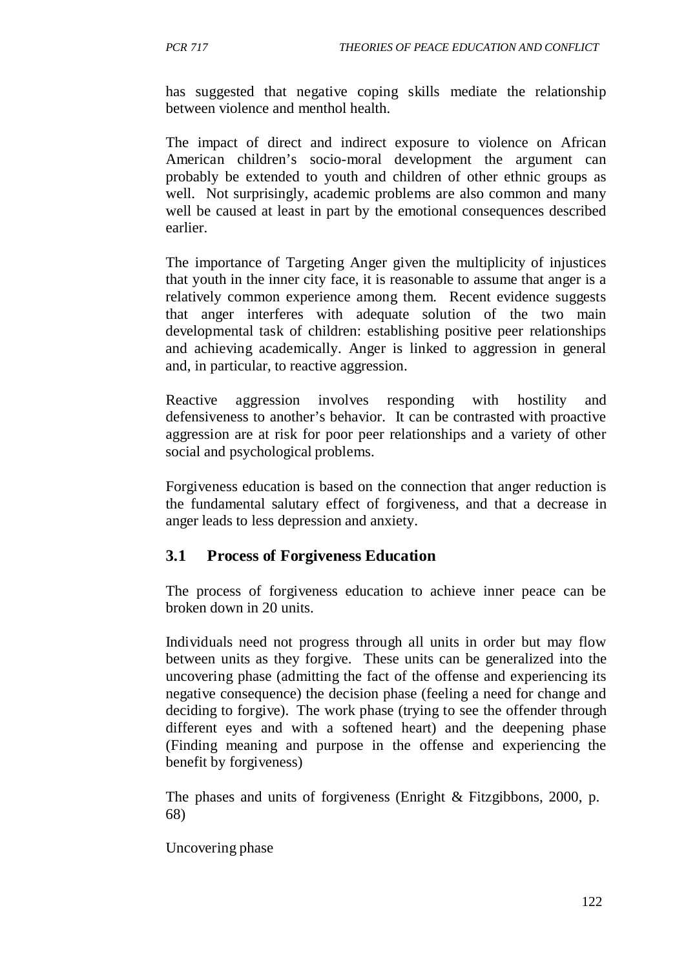has suggested that negative coping skills mediate the relationship between violence and menthol health.

The impact of direct and indirect exposure to violence on African American children's socio-moral development the argument can probably be extended to youth and children of other ethnic groups as well. Not surprisingly, academic problems are also common and many well be caused at least in part by the emotional consequences described earlier.

The importance of Targeting Anger given the multiplicity of injustices that youth in the inner city face, it is reasonable to assume that anger is a relatively common experience among them. Recent evidence suggests that anger interferes with adequate solution of the two main developmental task of children: establishing positive peer relationships and achieving academically. Anger is linked to aggression in general and, in particular, to reactive aggression.

Reactive aggression involves responding with hostility and defensiveness to another's behavior. It can be contrasted with proactive aggression are at risk for poor peer relationships and a variety of other social and psychological problems.

Forgiveness education is based on the connection that anger reduction is the fundamental salutary effect of forgiveness, and that a decrease in anger leads to less depression and anxiety.

## **3.1 Process of Forgiveness Education**

The process of forgiveness education to achieve inner peace can be broken down in 20 units.

Individuals need not progress through all units in order but may flow between units as they forgive. These units can be generalized into the uncovering phase (admitting the fact of the offense and experiencing its negative consequence) the decision phase (feeling a need for change and deciding to forgive). The work phase (trying to see the offender through different eyes and with a softened heart) and the deepening phase (Finding meaning and purpose in the offense and experiencing the benefit by forgiveness)

The phases and units of forgiveness (Enright & Fitzgibbons, 2000, p. 68)

Uncovering phase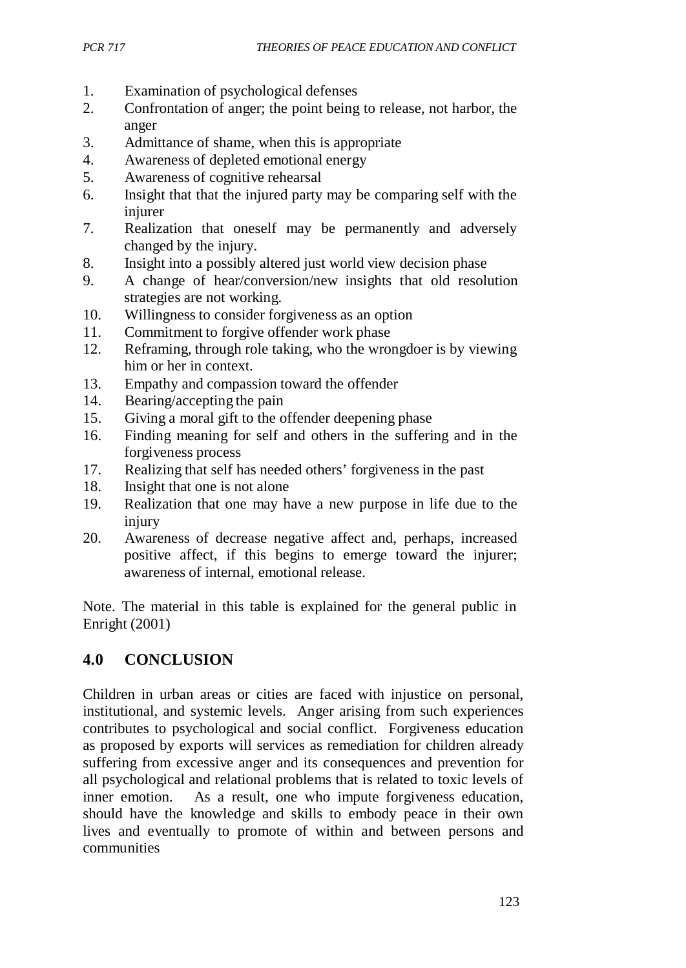- 1. Examination of psychological defenses
- 2. Confrontation of anger; the point being to release, not harbor, the anger
- 3. Admittance of shame, when this is appropriate
- 4. Awareness of depleted emotional energy
- 5. Awareness of cognitive rehearsal
- 6. Insight that that the injured party may be comparing self with the injurer
- 7. Realization that oneself may be permanently and adversely changed by the injury.
- 8. Insight into a possibly altered just world view decision phase
- 9. A change of hear/conversion/new insights that old resolution strategies are not working.
- 10. Willingness to consider forgiveness as an option
- 11. Commitment to forgive offender work phase
- 12. Reframing, through role taking, who the wrongdoer is by viewing him or her in context.
- 13. Empathy and compassion toward the offender
- 14. Bearing/accepting the pain
- 15. Giving a moral gift to the offender deepening phase
- 16. Finding meaning for self and others in the suffering and in the forgiveness process
- 17. Realizing that self has needed others' forgiveness in the past
- 18. Insight that one is not alone
- 19. Realization that one may have a new purpose in life due to the injury
- 20. Awareness of decrease negative affect and, perhaps, increased positive affect, if this begins to emerge toward the injurer; awareness of internal, emotional release.

Note. The material in this table is explained for the general public in Enright (2001)

# **4.0 CONCLUSION**

Children in urban areas or cities are faced with injustice on personal, institutional, and systemic levels. Anger arising from such experiences contributes to psychological and social conflict. Forgiveness education as proposed by exports will services as remediation for children already suffering from excessive anger and its consequences and prevention for all psychological and relational problems that is related to toxic levels of inner emotion. As a result, one who impute forgiveness education, should have the knowledge and skills to embody peace in their own lives and eventually to promote of within and between persons and communities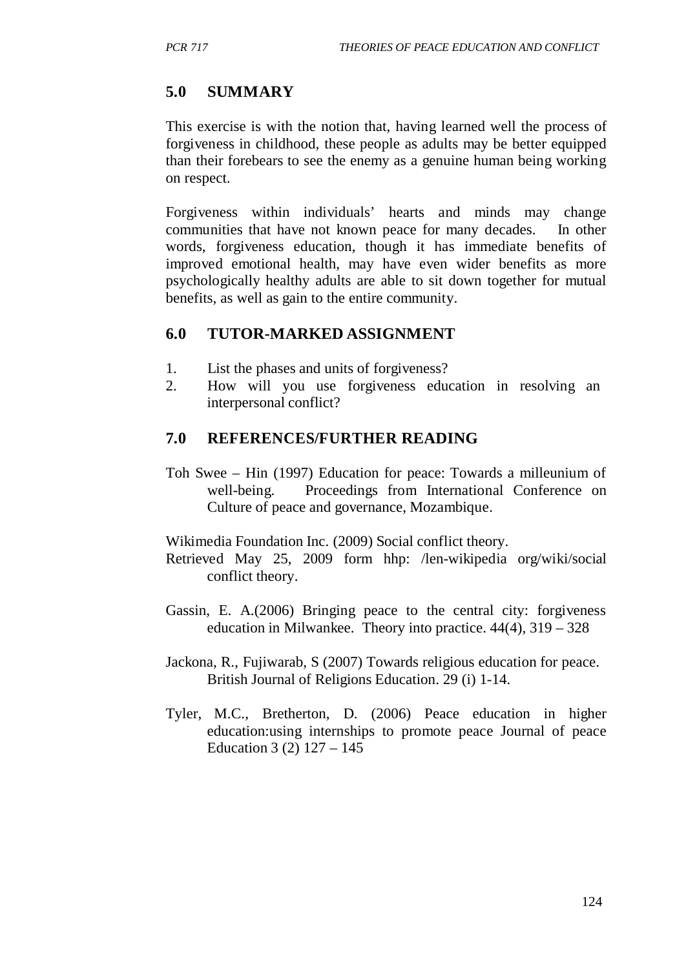# **5.0 SUMMARY**

This exercise is with the notion that, having learned well the process of forgiveness in childhood, these people as adults may be better equipped than their forebears to see the enemy as a genuine human being working on respect.

Forgiveness within individuals' hearts and minds may change communities that have not known peace for many decades. In other words, forgiveness education, though it has immediate benefits of improved emotional health, may have even wider benefits as more psychologically healthy adults are able to sit down together for mutual benefits, as well as gain to the entire community.

## **6.0 TUTOR-MARKED ASSIGNMENT**

- 1. List the phases and units of forgiveness?
- 2. How will you use forgiveness education in resolving an interpersonal conflict?

## **7.0 REFERENCES/FURTHER READING**

Toh Swee – Hin (1997) Education for peace: Towards a milleunium of well-being. Proceedings from International Conference on Culture of peace and governance, Mozambique.

Wikimedia Foundation Inc. (2009) Social conflict theory.

Retrieved May 25, 2009 form hhp: /len-wikipedia org/wiki/social conflict theory.

- Gassin, E. A.(2006) Bringing peace to the central city: forgiveness education in Milwankee. Theory into practice.  $44(4)$ ,  $319 - 328$
- Jackona, R., Fujiwarab, S (2007) Towards religious education for peace. British Journal of Religions Education. 29 (i) 1-14.
- Tyler, M.C., Bretherton, D. (2006) Peace education in higher education:using internships to promote peace Journal of peace Education 3 (2) 127 – 145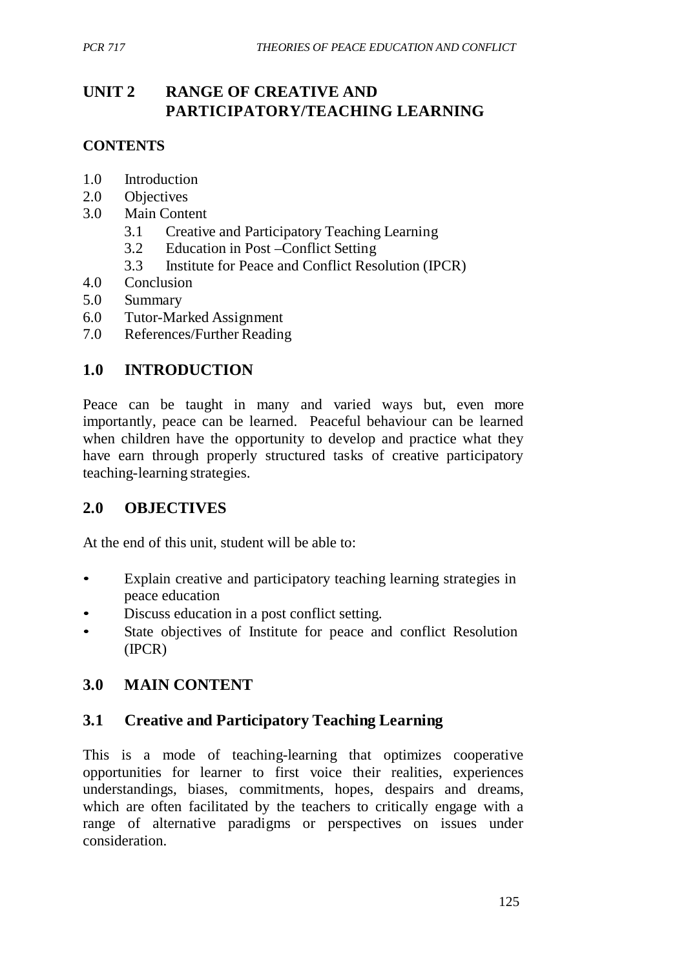# **UNIT 2 RANGE OF CREATIVE AND PARTICIPATORY/TEACHING LEARNING**

#### **CONTENTS**

- 1.0 Introduction
- 2.0 Objectives
- 3.0 Main Content
	- 3.1 Creative and Participatory Teaching Learning
	- 3.2 Education in Post –Conflict Setting
	- 3.3 Institute for Peace and Conflict Resolution (IPCR)
- 4.0 Conclusion
- 5.0 Summary
- 6.0 Tutor-Marked Assignment
- 7.0 References/Further Reading

# **1.0 INTRODUCTION**

Peace can be taught in many and varied ways but, even more importantly, peace can be learned. Peaceful behaviour can be learned when children have the opportunity to develop and practice what they have earn through properly structured tasks of creative participatory teaching-learning strategies.

## **2.0 OBJECTIVES**

At the end of this unit, student will be able to:

- Explain creative and participatory teaching learning strategies in peace education
- Discuss education in a post conflict setting.
- State objectives of Institute for peace and conflict Resolution (IPCR)

## **3.0 MAIN CONTENT**

## **3.1 Creative and Participatory Teaching Learning**

This is a mode of teaching-learning that optimizes cooperative opportunities for learner to first voice their realities, experiences understandings, biases, commitments, hopes, despairs and dreams, which are often facilitated by the teachers to critically engage with a range of alternative paradigms or perspectives on issues under consideration.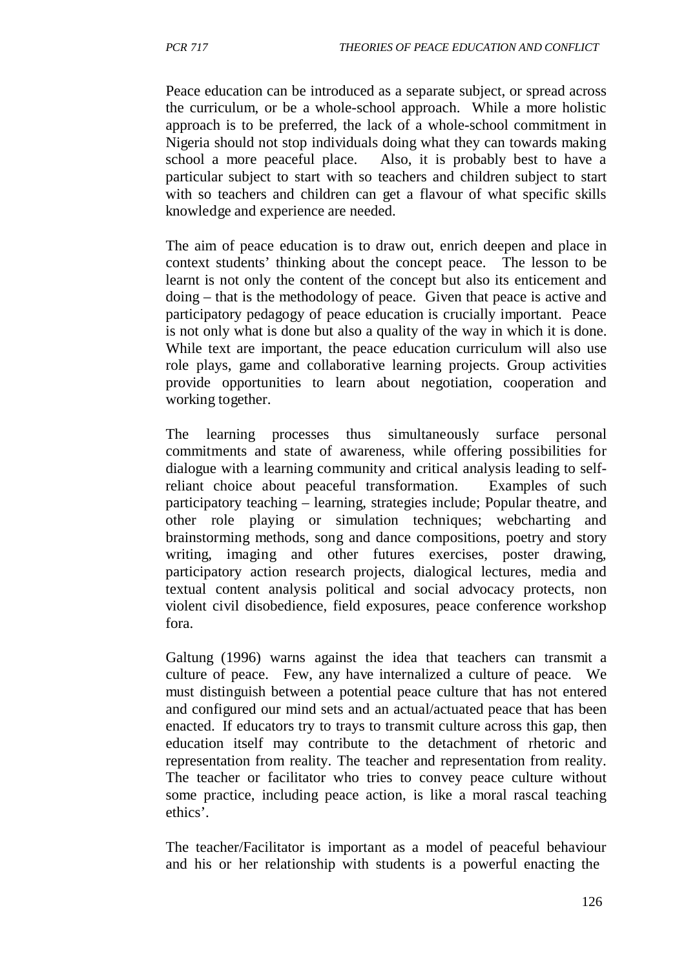Peace education can be introduced as a separate subject, or spread across the curriculum, or be a whole-school approach. While a more holistic approach is to be preferred, the lack of a whole-school commitment in Nigeria should not stop individuals doing what they can towards making school a more peaceful place. Also, it is probably best to have a particular subject to start with so teachers and children subject to start with so teachers and children can get a flavour of what specific skills knowledge and experience are needed.

The aim of peace education is to draw out, enrich deepen and place in context students' thinking about the concept peace. The lesson to be learnt is not only the content of the concept but also its enticement and doing – that is the methodology of peace. Given that peace is active and participatory pedagogy of peace education is crucially important. Peace is not only what is done but also a quality of the way in which it is done. While text are important, the peace education curriculum will also use role plays, game and collaborative learning projects. Group activities provide opportunities to learn about negotiation, cooperation and working together.

The learning processes thus simultaneously surface personal commitments and state of awareness, while offering possibilities for dialogue with a learning community and critical analysis leading to selfreliant choice about peaceful transformation. Examples of such participatory teaching – learning, strategies include; Popular theatre, and other role playing or simulation techniques; webcharting and brainstorming methods, song and dance compositions, poetry and story writing, imaging and other futures exercises, poster drawing, participatory action research projects, dialogical lectures, media and textual content analysis political and social advocacy protects, non violent civil disobedience, field exposures, peace conference workshop fora.

Galtung (1996) warns against the idea that teachers can transmit a culture of peace. Few, any have internalized a culture of peace. We must distinguish between a potential peace culture that has not entered and configured our mind sets and an actual/actuated peace that has been enacted. If educators try to trays to transmit culture across this gap, then education itself may contribute to the detachment of rhetoric and representation from reality. The teacher and representation from reality. The teacher or facilitator who tries to convey peace culture without some practice, including peace action, is like a moral rascal teaching ethics'.

The teacher/Facilitator is important as a model of peaceful behaviour and his or her relationship with students is a powerful enacting the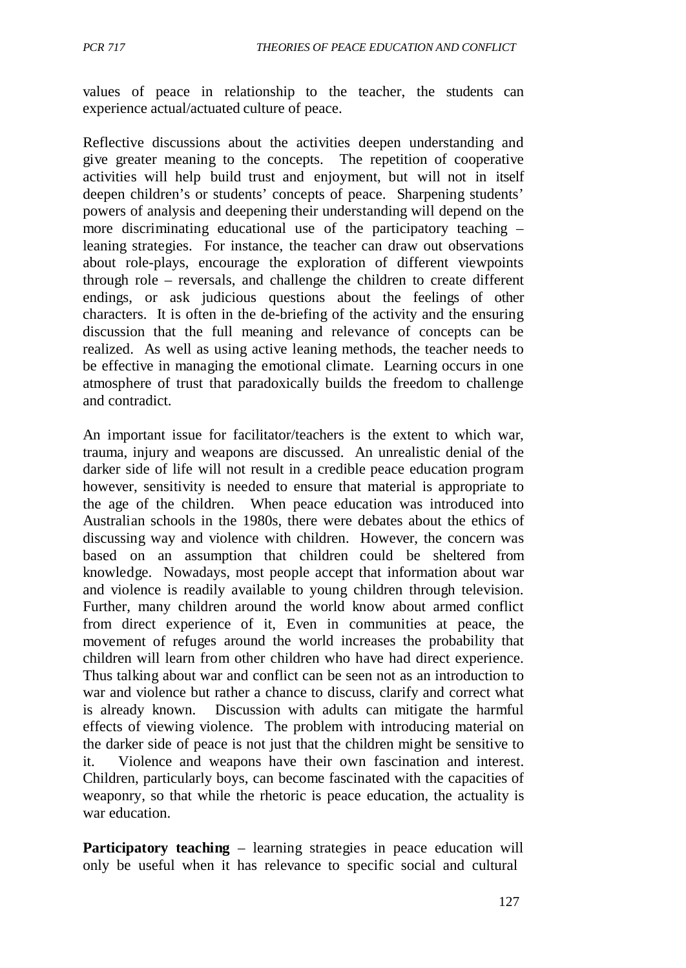values of peace in relationship to the teacher, the students can experience actual/actuated culture of peace.

Reflective discussions about the activities deepen understanding and give greater meaning to the concepts. The repetition of cooperative activities will help build trust and enjoyment, but will not in itself deepen children's or students' concepts of peace. Sharpening students' powers of analysis and deepening their understanding will depend on the more discriminating educational use of the participatory teaching – leaning strategies. For instance, the teacher can draw out observations about role-plays, encourage the exploration of different viewpoints through role – reversals, and challenge the children to create different endings, or ask judicious questions about the feelings of other characters. It is often in the de-briefing of the activity and the ensuring discussion that the full meaning and relevance of concepts can be realized. As well as using active leaning methods, the teacher needs to be effective in managing the emotional climate. Learning occurs in one atmosphere of trust that paradoxically builds the freedom to challenge and contradict.

An important issue for facilitator/teachers is the extent to which war, trauma, injury and weapons are discussed. An unrealistic denial of the darker side of life will not result in a credible peace education program however, sensitivity is needed to ensure that material is appropriate to the age of the children. When peace education was introduced into Australian schools in the 1980s, there were debates about the ethics of discussing way and violence with children. However, the concern was based on an assumption that children could be sheltered from knowledge. Nowadays, most people accept that information about war and violence is readily available to young children through television. Further, many children around the world know about armed conflict from direct experience of it, Even in communities at peace, the movement of refuges around the world increases the probability that children will learn from other children who have had direct experience. Thus talking about war and conflict can be seen not as an introduction to war and violence but rather a chance to discuss, clarify and correct what is already known. Discussion with adults can mitigate the harmful effects of viewing violence. The problem with introducing material on the darker side of peace is not just that the children might be sensitive to it. Violence and weapons have their own fascination and interest. Children, particularly boys, can become fascinated with the capacities of weaponry, so that while the rhetoric is peace education, the actuality is war education.

**Participatory teaching** – learning strategies in peace education will only be useful when it has relevance to specific social and cultural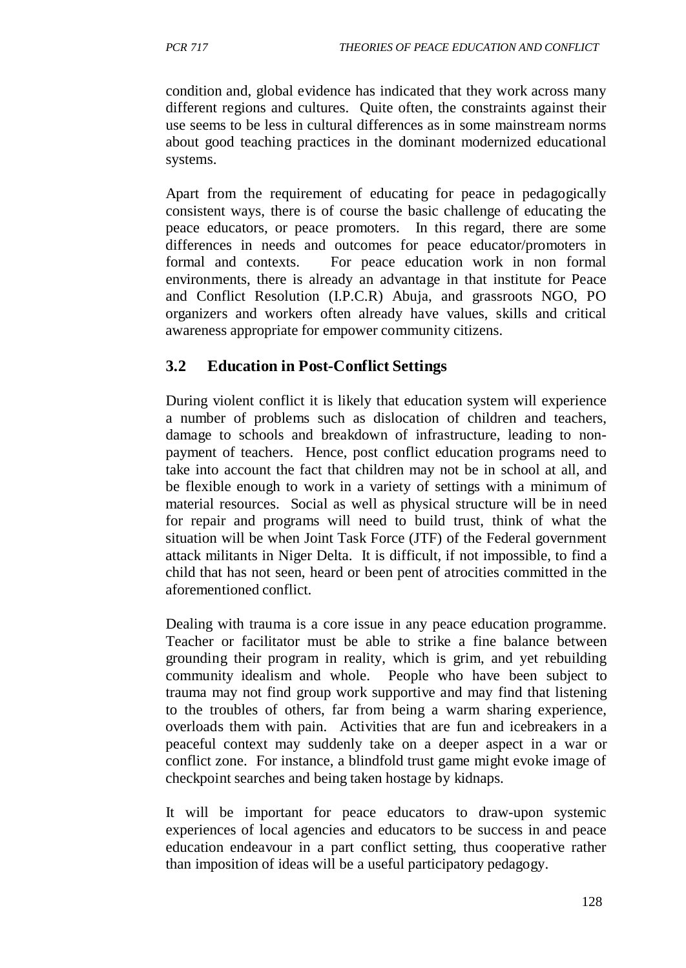condition and, global evidence has indicated that they work across many different regions and cultures. Quite often, the constraints against their use seems to be less in cultural differences as in some mainstream norms about good teaching practices in the dominant modernized educational systems.

Apart from the requirement of educating for peace in pedagogically consistent ways, there is of course the basic challenge of educating the peace educators, or peace promoters. In this regard, there are some differences in needs and outcomes for peace educator/promoters in formal and contexts. For peace education work in non formal environments, there is already an advantage in that institute for Peace and Conflict Resolution (I.P.C.R) Abuja, and grassroots NGO, PO organizers and workers often already have values, skills and critical awareness appropriate for empower community citizens.

## **3.2 Education in Post-Conflict Settings**

During violent conflict it is likely that education system will experience a number of problems such as dislocation of children and teachers, damage to schools and breakdown of infrastructure, leading to nonpayment of teachers. Hence, post conflict education programs need to take into account the fact that children may not be in school at all, and be flexible enough to work in a variety of settings with a minimum of material resources. Social as well as physical structure will be in need for repair and programs will need to build trust, think of what the situation will be when Joint Task Force (JTF) of the Federal government attack militants in Niger Delta. It is difficult, if not impossible, to find a child that has not seen, heard or been pent of atrocities committed in the aforementioned conflict.

Dealing with trauma is a core issue in any peace education programme. Teacher or facilitator must be able to strike a fine balance between grounding their program in reality, which is grim, and yet rebuilding community idealism and whole. People who have been subject to trauma may not find group work supportive and may find that listening to the troubles of others, far from being a warm sharing experience, overloads them with pain. Activities that are fun and icebreakers in a peaceful context may suddenly take on a deeper aspect in a war or conflict zone. For instance, a blindfold trust game might evoke image of checkpoint searches and being taken hostage by kidnaps.

It will be important for peace educators to draw-upon systemic experiences of local agencies and educators to be success in and peace education endeavour in a part conflict setting, thus cooperative rather than imposition of ideas will be a useful participatory pedagogy.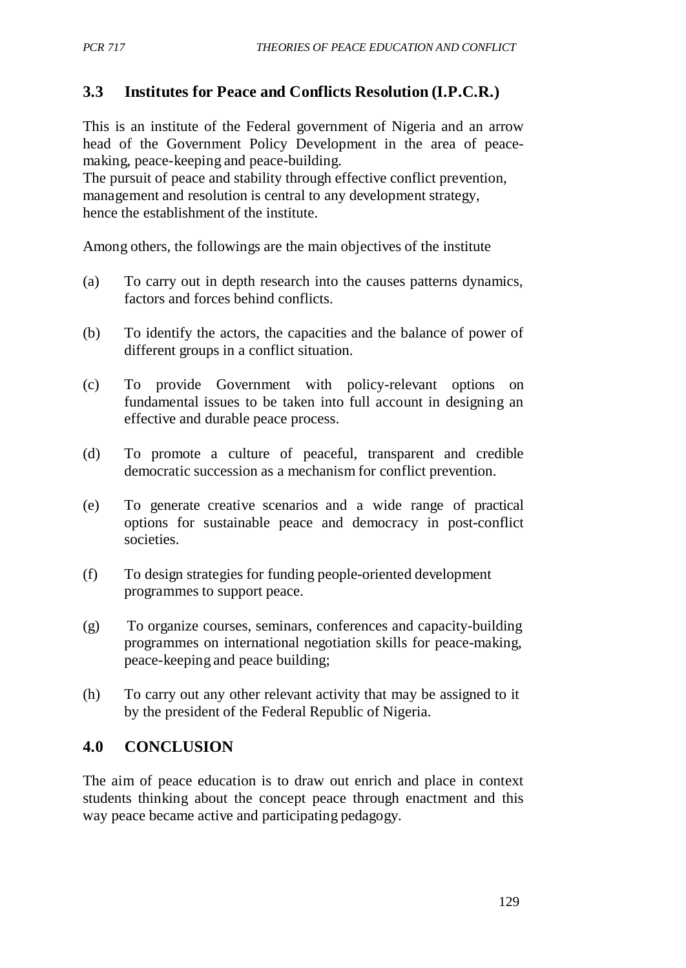## **3.3 Institutes for Peace and Conflicts Resolution (I.P.C.R.)**

This is an institute of the Federal government of Nigeria and an arrow head of the Government Policy Development in the area of peacemaking, peace-keeping and peace-building.

The pursuit of peace and stability through effective conflict prevention, management and resolution is central to any development strategy, hence the establishment of the institute.

Among others, the followings are the main objectives of the institute

- (a) To carry out in depth research into the causes patterns dynamics, factors and forces behind conflicts.
- (b) To identify the actors, the capacities and the balance of power of different groups in a conflict situation.
- (c) To provide Government with policy-relevant options on fundamental issues to be taken into full account in designing an effective and durable peace process.
- (d) To promote a culture of peaceful, transparent and credible democratic succession as a mechanism for conflict prevention.
- (e) To generate creative scenarios and a wide range of practical options for sustainable peace and democracy in post-conflict societies.
- (f) To design strategies for funding people-oriented development programmes to support peace.
- (g) To organize courses, seminars, conferences and capacity-building programmes on international negotiation skills for peace-making, peace-keeping and peace building;
- (h) To carry out any other relevant activity that may be assigned to it by the president of the Federal Republic of Nigeria.

# **4.0 CONCLUSION**

The aim of peace education is to draw out enrich and place in context students thinking about the concept peace through enactment and this way peace became active and participating pedagogy.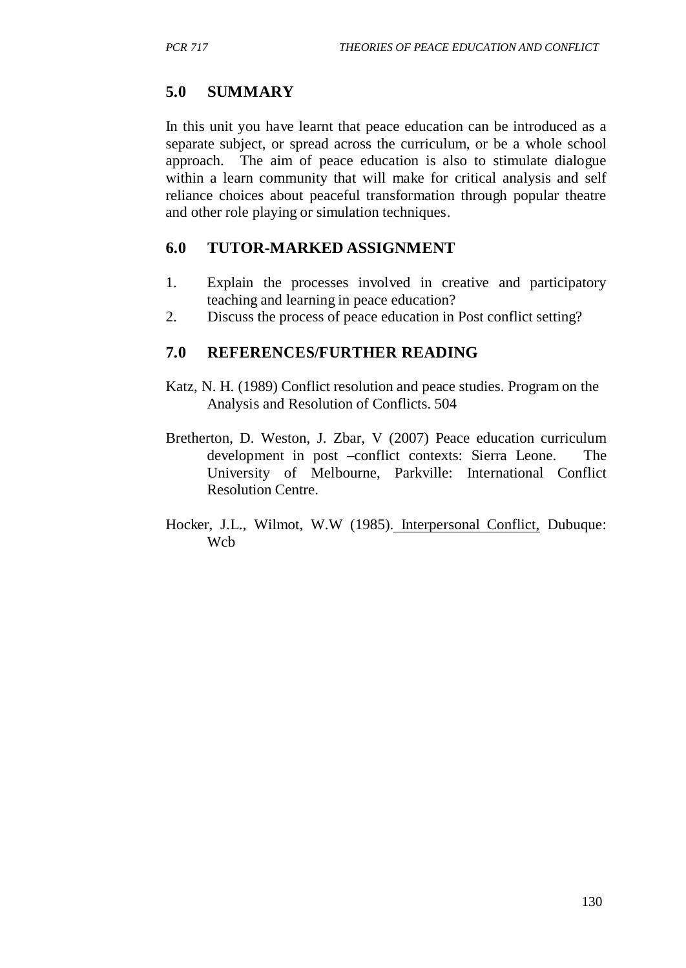# **5.0 SUMMARY**

In this unit you have learnt that peace education can be introduced as a separate subject, or spread across the curriculum, or be a whole school approach. The aim of peace education is also to stimulate dialogue within a learn community that will make for critical analysis and self reliance choices about peaceful transformation through popular theatre and other role playing or simulation techniques.

## **6.0 TUTOR-MARKED ASSIGNMENT**

- 1. Explain the processes involved in creative and participatory teaching and learning in peace education?
- 2. Discuss the process of peace education in Post conflict setting?

## **7.0 REFERENCES/FURTHER READING**

- Katz, N. H. (1989) Conflict resolution and peace studies. Program on the Analysis and Resolution of Conflicts. 504
- Bretherton, D. Weston, J. Zbar, V (2007) Peace education curriculum development in post –conflict contexts: Sierra Leone. The University of Melbourne, Parkville: International Conflict Resolution Centre.
- Hocker, J.L., Wilmot, W.W (1985). Interpersonal Conflict, Dubuque: **Wch**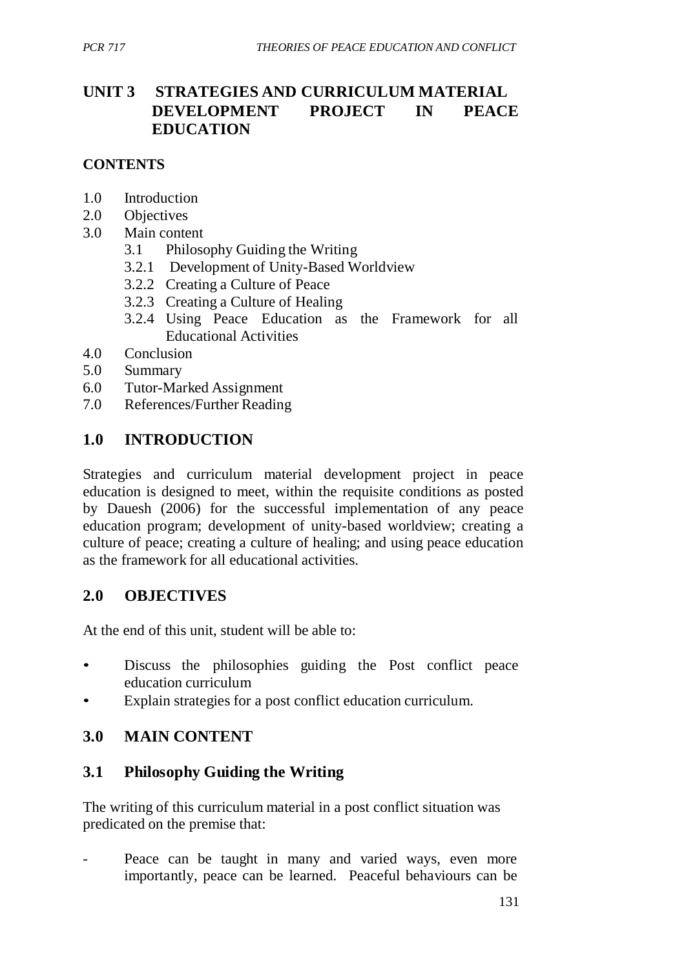# **UNIT 3 STRATEGIES AND CURRICULUM MATERIAL DEVELOPMENT PROJECT IN PEACE EDUCATION**

### **CONTENTS**

- 1.0 Introduction
- 2.0 Objectives
- 3.0 Main content
	- 3.1 Philosophy Guiding the Writing
	- 3.2.1 Development of Unity-Based Worldview
	- 3.2.2 Creating a Culture of Peace
	- 3.2.3 Creating a Culture of Healing
	- 3.2.4 Using Peace Education as the Framework for all Educational Activities
- 4.0 Conclusion
- 5.0 Summary
- 6.0 Tutor-Marked Assignment
- 7.0 References/Further Reading

### **1.0 INTRODUCTION**

Strategies and curriculum material development project in peace education is designed to meet, within the requisite conditions as posted by Dauesh (2006) for the successful implementation of any peace education program; development of unity-based worldview; creating a culture of peace; creating a culture of healing; and using peace education as the framework for all educational activities.

#### **2.0 OBJECTIVES**

At the end of this unit, student will be able to:

- Discuss the philosophies guiding the Post conflict peace education curriculum
- Explain strategies for a post conflict education curriculum.

#### **3.0 MAIN CONTENT**

#### **3.1 Philosophy Guiding the Writing**

The writing of this curriculum material in a post conflict situation was predicated on the premise that:

Peace can be taught in many and varied ways, even more importantly, peace can be learned. Peaceful behaviours can be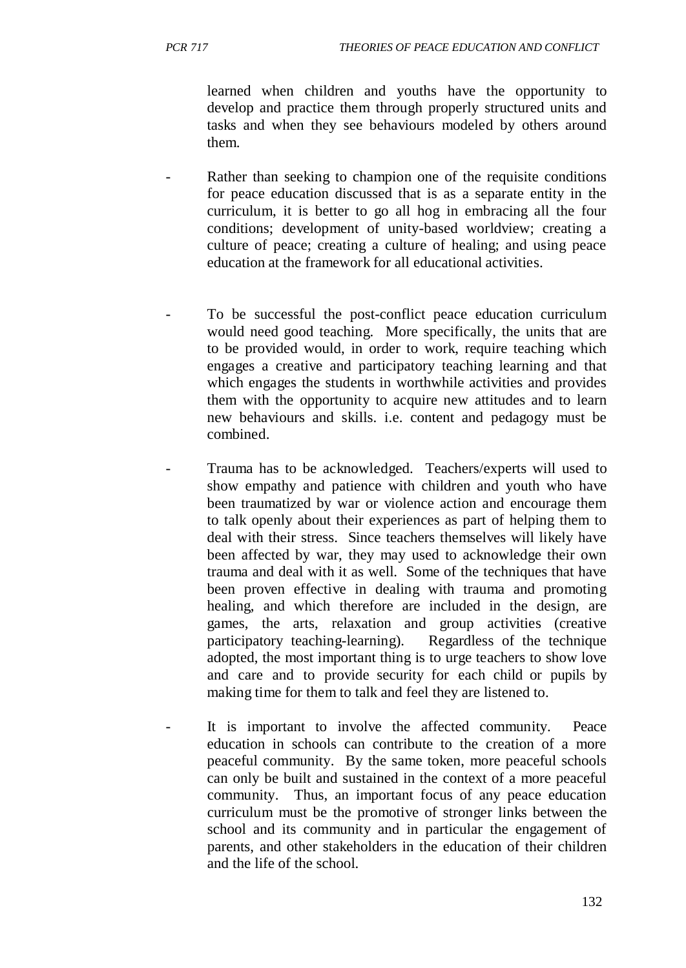learned when children and youths have the opportunity to develop and practice them through properly structured units and tasks and when they see behaviours modeled by others around them.

- Rather than seeking to champion one of the requisite conditions for peace education discussed that is as a separate entity in the curriculum, it is better to go all hog in embracing all the four conditions; development of unity-based worldview; creating a culture of peace; creating a culture of healing; and using peace education at the framework for all educational activities.
- To be successful the post-conflict peace education curriculum would need good teaching. More specifically, the units that are to be provided would, in order to work, require teaching which engages a creative and participatory teaching learning and that which engages the students in worthwhile activities and provides them with the opportunity to acquire new attitudes and to learn new behaviours and skills. i.e. content and pedagogy must be combined.
	- Trauma has to be acknowledged. Teachers/experts will used to show empathy and patience with children and youth who have been traumatized by war or violence action and encourage them to talk openly about their experiences as part of helping them to deal with their stress. Since teachers themselves will likely have been affected by war, they may used to acknowledge their own trauma and deal with it as well. Some of the techniques that have been proven effective in dealing with trauma and promoting healing, and which therefore are included in the design, are games, the arts, relaxation and group activities (creative participatory teaching-learning). Regardless of the technique adopted, the most important thing is to urge teachers to show love and care and to provide security for each child or pupils by making time for them to talk and feel they are listened to.
- It is important to involve the affected community. Peace education in schools can contribute to the creation of a more peaceful community. By the same token, more peaceful schools can only be built and sustained in the context of a more peaceful community. Thus, an important focus of any peace education curriculum must be the promotive of stronger links between the school and its community and in particular the engagement of parents, and other stakeholders in the education of their children and the life of the school.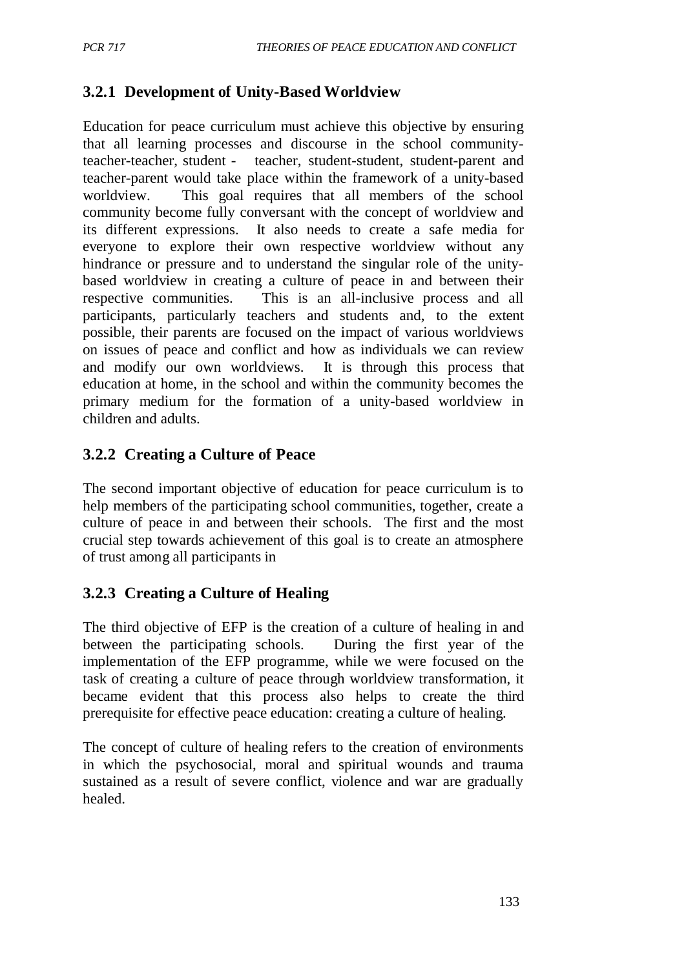## **3.2.1 Development of Unity-Based Worldview**

Education for peace curriculum must achieve this objective by ensuring that all learning processes and discourse in the school communityteacher-teacher, student - teacher, student-student, student-parent and teacher-parent would take place within the framework of a unity-based worldview. This goal requires that all members of the school community become fully conversant with the concept of worldview and its different expressions. It also needs to create a safe media for everyone to explore their own respective worldview without any hindrance or pressure and to understand the singular role of the unitybased worldview in creating a culture of peace in and between their respective communities. This is an all-inclusive process and all participants, particularly teachers and students and, to the extent possible, their parents are focused on the impact of various worldviews on issues of peace and conflict and how as individuals we can review and modify our own worldviews. It is through this process that education at home, in the school and within the community becomes the primary medium for the formation of a unity-based worldview in children and adults.

## **3.2.2 Creating a Culture of Peace**

The second important objective of education for peace curriculum is to help members of the participating school communities, together, create a culture of peace in and between their schools. The first and the most crucial step towards achievement of this goal is to create an atmosphere of trust among all participants in

# **3.2.3 Creating a Culture of Healing**

The third objective of EFP is the creation of a culture of healing in and between the participating schools. During the first year of the implementation of the EFP programme, while we were focused on the task of creating a culture of peace through worldview transformation, it became evident that this process also helps to create the third prerequisite for effective peace education: creating a culture of healing.

The concept of culture of healing refers to the creation of environments in which the psychosocial, moral and spiritual wounds and trauma sustained as a result of severe conflict, violence and war are gradually healed.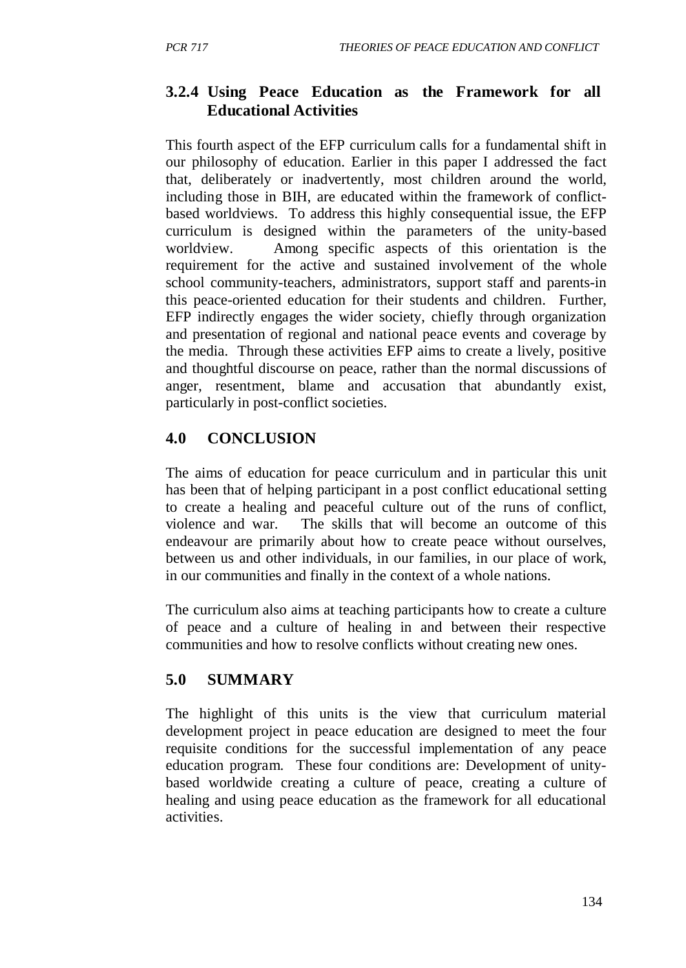### **3.2.4 Using Peace Education as the Framework for all Educational Activities**

This fourth aspect of the EFP curriculum calls for a fundamental shift in our philosophy of education. Earlier in this paper I addressed the fact that, deliberately or inadvertently, most children around the world, including those in BIH, are educated within the framework of conflictbased worldviews. To address this highly consequential issue, the EFP curriculum is designed within the parameters of the unity-based worldview. Among specific aspects of this orientation is the requirement for the active and sustained involvement of the whole school community-teachers, administrators, support staff and parents-in this peace-oriented education for their students and children. Further, EFP indirectly engages the wider society, chiefly through organization and presentation of regional and national peace events and coverage by the media. Through these activities EFP aims to create a lively, positive and thoughtful discourse on peace, rather than the normal discussions of anger, resentment, blame and accusation that abundantly exist, particularly in post-conflict societies.

## **4.0 CONCLUSION**

The aims of education for peace curriculum and in particular this unit has been that of helping participant in a post conflict educational setting to create a healing and peaceful culture out of the runs of conflict, violence and war. The skills that will become an outcome of this endeavour are primarily about how to create peace without ourselves, between us and other individuals, in our families, in our place of work, in our communities and finally in the context of a whole nations.

The curriculum also aims at teaching participants how to create a culture of peace and a culture of healing in and between their respective communities and how to resolve conflicts without creating new ones.

## **5.0 SUMMARY**

The highlight of this units is the view that curriculum material development project in peace education are designed to meet the four requisite conditions for the successful implementation of any peace education program. These four conditions are: Development of unitybased worldwide creating a culture of peace, creating a culture of healing and using peace education as the framework for all educational activities.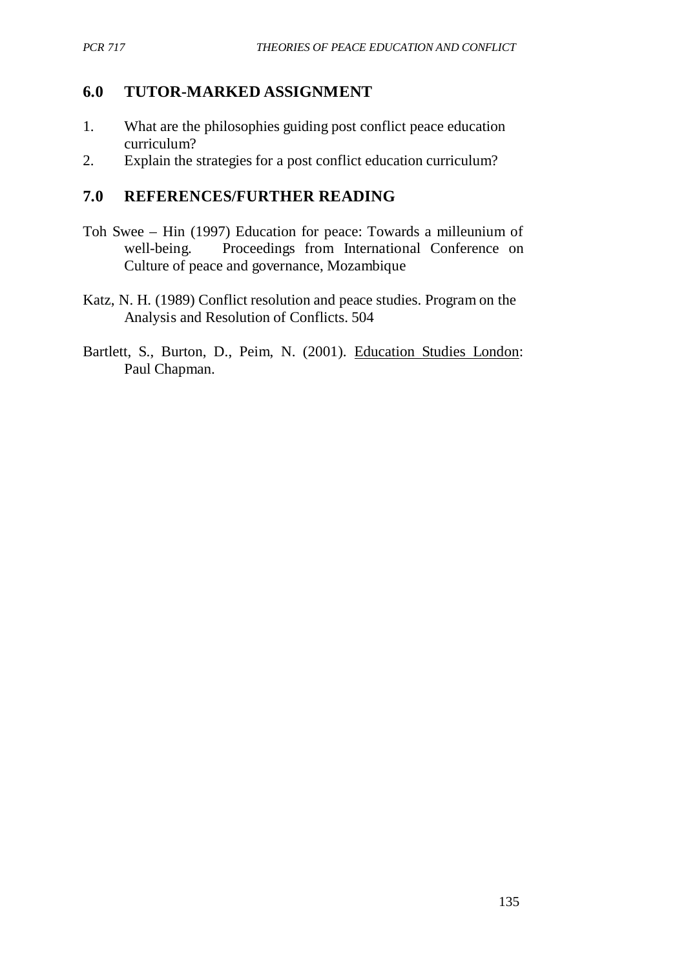### **6.0 TUTOR-MARKED ASSIGNMENT**

- 1. What are the philosophies guiding post conflict peace education curriculum?
- 2. Explain the strategies for a post conflict education curriculum?

## **7.0 REFERENCES/FURTHER READING**

- Toh Swee Hin (1997) Education for peace: Towards a milleunium of well-being. Proceedings from International Conference on Culture of peace and governance, Mozambique
- Katz, N. H. (1989) Conflict resolution and peace studies. Program on the Analysis and Resolution of Conflicts. 504
- Bartlett, S., Burton, D., Peim, N. (2001). Education Studies London: Paul Chapman.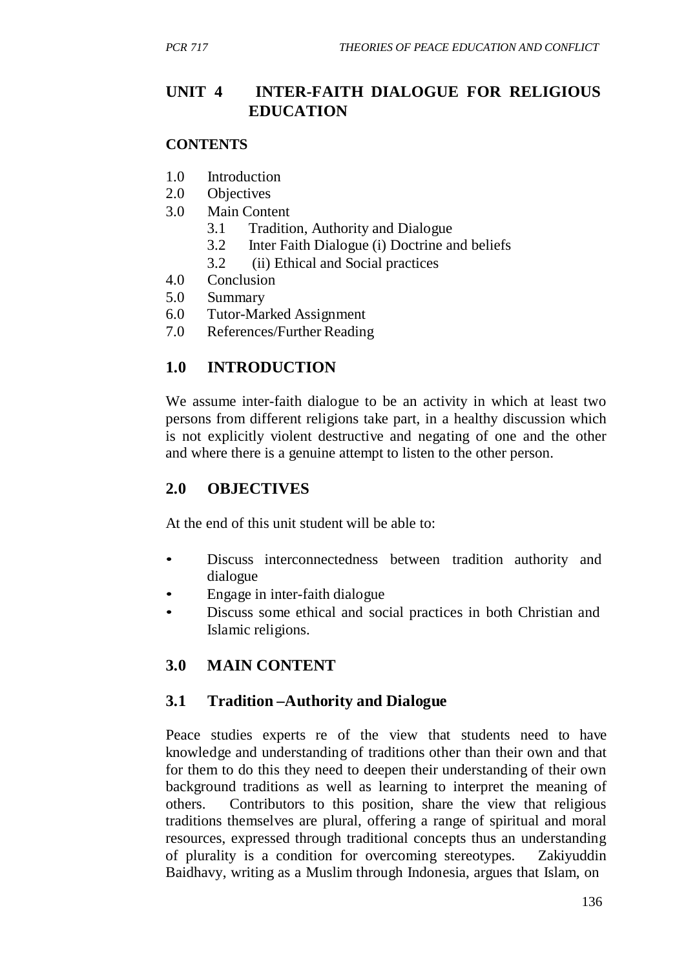## **UNIT 4 INTER-FAITH DIALOGUE FOR RELIGIOUS EDUCATION**

#### **CONTENTS**

- 1.0 Introduction
- 2.0 Objectives
- 3.0 Main Content
	- 3.1 Tradition, Authority and Dialogue
	- 3.2 Inter Faith Dialogue (i) Doctrine and beliefs
	- 3.2 (ii) Ethical and Social practices
- 4.0 Conclusion
- 5.0 Summary
- 6.0 Tutor-Marked Assignment
- 7.0 References/Further Reading

## **1.0 INTRODUCTION**

We assume inter-faith dialogue to be an activity in which at least two persons from different religions take part, in a healthy discussion which is not explicitly violent destructive and negating of one and the other and where there is a genuine attempt to listen to the other person.

#### **2.0 OBJECTIVES**

At the end of this unit student will be able to:

- Discuss interconnectedness between tradition authority and dialogue
- Engage in inter-faith dialogue
- Discuss some ethical and social practices in both Christian and Islamic religions.

## **3.0 MAIN CONTENT**

#### **3.1 Tradition –Authority and Dialogue**

Peace studies experts re of the view that students need to have knowledge and understanding of traditions other than their own and that for them to do this they need to deepen their understanding of their own background traditions as well as learning to interpret the meaning of others. Contributors to this position, share the view that religious traditions themselves are plural, offering a range of spiritual and moral resources, expressed through traditional concepts thus an understanding of plurality is a condition for overcoming stereotypes. Zakiyuddin Baidhavy, writing as a Muslim through Indonesia, argues that Islam, on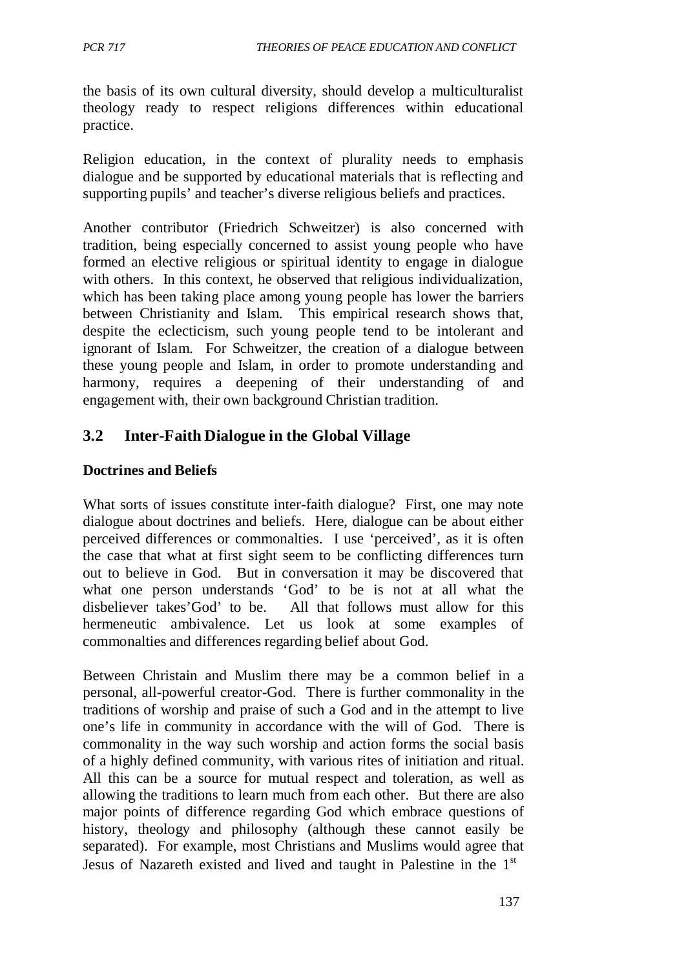the basis of its own cultural diversity, should develop a multiculturalist theology ready to respect religions differences within educational practice.

Religion education, in the context of plurality needs to emphasis dialogue and be supported by educational materials that is reflecting and supporting pupils' and teacher's diverse religious beliefs and practices.

Another contributor (Friedrich Schweitzer) is also concerned with tradition, being especially concerned to assist young people who have formed an elective religious or spiritual identity to engage in dialogue with others. In this context, he observed that religious individualization, which has been taking place among young people has lower the barriers between Christianity and Islam. This empirical research shows that, despite the eclecticism, such young people tend to be intolerant and ignorant of Islam. For Schweitzer, the creation of a dialogue between these young people and Islam, in order to promote understanding and harmony, requires a deepening of their understanding of and engagement with, their own background Christian tradition.

## **3.2 Inter-Faith Dialogue in the Global Village**

#### **Doctrines and Beliefs**

What sorts of issues constitute inter-faith dialogue? First, one may note dialogue about doctrines and beliefs. Here, dialogue can be about either perceived differences or commonalties. I use 'perceived', as it is often the case that what at first sight seem to be conflicting differences turn out to believe in God. But in conversation it may be discovered that what one person understands 'God' to be is not at all what the disbeliever takes'God' to be. All that follows must allow for this hermeneutic ambivalence. Let us look at some examples of commonalties and differences regarding belief about God.

Between Christain and Muslim there may be a common belief in a personal, all-powerful creator-God. There is further commonality in the traditions of worship and praise of such a God and in the attempt to live one's life in community in accordance with the will of God. There is commonality in the way such worship and action forms the social basis of a highly defined community, with various rites of initiation and ritual. All this can be a source for mutual respect and toleration, as well as allowing the traditions to learn much from each other. But there are also major points of difference regarding God which embrace questions of history, theology and philosophy (although these cannot easily be separated). For example, most Christians and Muslims would agree that Jesus of Nazareth existed and lived and taught in Palestine in the 1<sup>st</sup>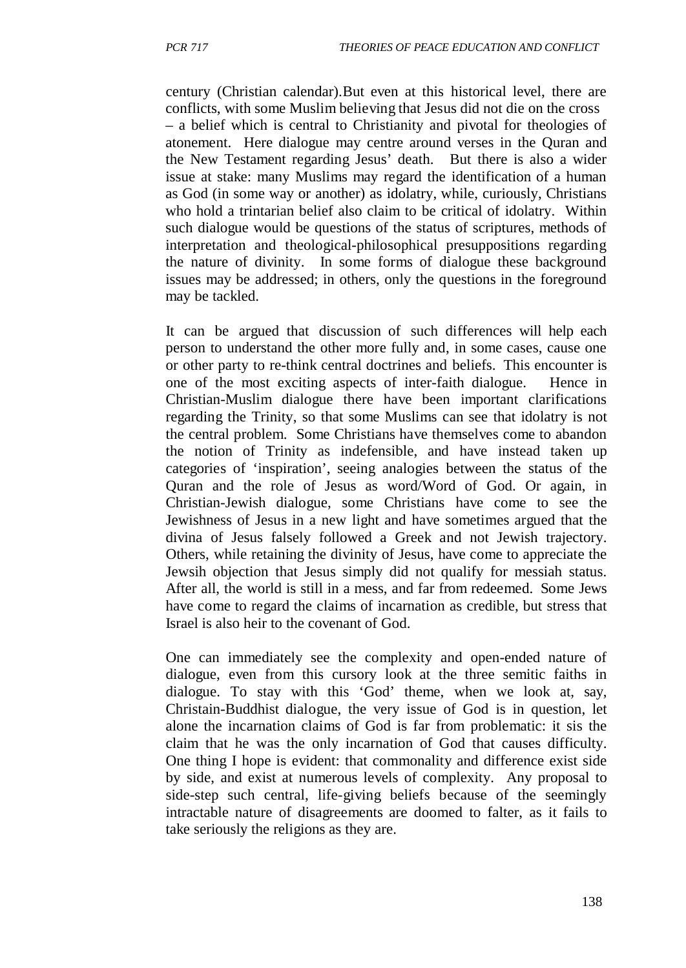century (Christian calendar).But even at this historical level, there are conflicts, with some Muslim believing that Jesus did not die on the cross – a belief which is central to Christianity and pivotal for theologies of atonement. Here dialogue may centre around verses in the Quran and the New Testament regarding Jesus' death. But there is also a wider issue at stake: many Muslims may regard the identification of a human as God (in some way or another) as idolatry, while, curiously, Christians who hold a trintarian belief also claim to be critical of idolatry. Within such dialogue would be questions of the status of scriptures, methods of interpretation and theological-philosophical presuppositions regarding the nature of divinity. In some forms of dialogue these background issues may be addressed; in others, only the questions in the foreground may be tackled.

It can be argued that discussion of such differences will help each person to understand the other more fully and, in some cases, cause one or other party to re-think central doctrines and beliefs. This encounter is one of the most exciting aspects of inter-faith dialogue. Hence in Christian-Muslim dialogue there have been important clarifications regarding the Trinity, so that some Muslims can see that idolatry is not the central problem. Some Christians have themselves come to abandon the notion of Trinity as indefensible, and have instead taken up categories of 'inspiration', seeing analogies between the status of the Quran and the role of Jesus as word/Word of God. Or again, in Christian-Jewish dialogue, some Christians have come to see the Jewishness of Jesus in a new light and have sometimes argued that the divina of Jesus falsely followed a Greek and not Jewish trajectory. Others, while retaining the divinity of Jesus, have come to appreciate the Jewsih objection that Jesus simply did not qualify for messiah status. After all, the world is still in a mess, and far from redeemed. Some Jews have come to regard the claims of incarnation as credible, but stress that Israel is also heir to the covenant of God.

One can immediately see the complexity and open-ended nature of dialogue, even from this cursory look at the three semitic faiths in dialogue. To stay with this 'God' theme, when we look at, say, Christain-Buddhist dialogue, the very issue of God is in question, let alone the incarnation claims of God is far from problematic: it sis the claim that he was the only incarnation of God that causes difficulty. One thing I hope is evident: that commonality and difference exist side by side, and exist at numerous levels of complexity. Any proposal to side-step such central, life-giving beliefs because of the seemingly intractable nature of disagreements are doomed to falter, as it fails to take seriously the religions as they are.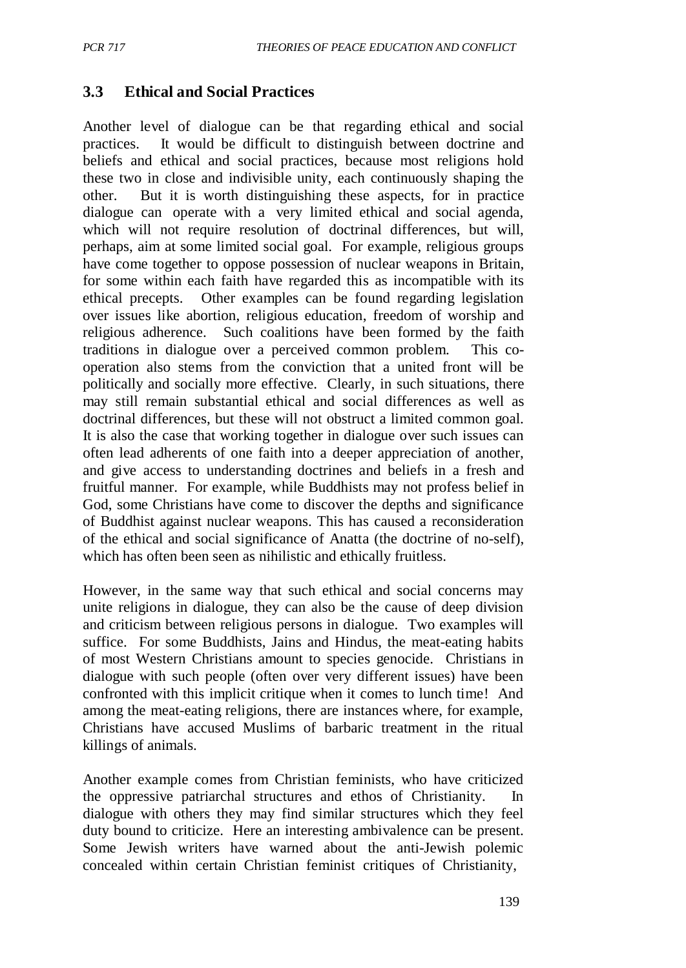## **3.3 Ethical and Social Practices**

Another level of dialogue can be that regarding ethical and social practices. It would be difficult to distinguish between doctrine and beliefs and ethical and social practices, because most religions hold these two in close and indivisible unity, each continuously shaping the other. But it is worth distinguishing these aspects, for in practice dialogue can operate with a very limited ethical and social agenda, which will not require resolution of doctrinal differences, but will, perhaps, aim at some limited social goal. For example, religious groups have come together to oppose possession of nuclear weapons in Britain, for some within each faith have regarded this as incompatible with its ethical precepts. Other examples can be found regarding legislation over issues like abortion, religious education, freedom of worship and religious adherence. Such coalitions have been formed by the faith traditions in dialogue over a perceived common problem. This cooperation also stems from the conviction that a united front will be politically and socially more effective. Clearly, in such situations, there may still remain substantial ethical and social differences as well as doctrinal differences, but these will not obstruct a limited common goal. It is also the case that working together in dialogue over such issues can often lead adherents of one faith into a deeper appreciation of another, and give access to understanding doctrines and beliefs in a fresh and fruitful manner. For example, while Buddhists may not profess belief in God, some Christians have come to discover the depths and significance of Buddhist against nuclear weapons. This has caused a reconsideration of the ethical and social significance of Anatta (the doctrine of no-self), which has often been seen as nihilistic and ethically fruitless.

However, in the same way that such ethical and social concerns may unite religions in dialogue, they can also be the cause of deep division and criticism between religious persons in dialogue. Two examples will suffice. For some Buddhists, Jains and Hindus, the meat-eating habits of most Western Christians amount to species genocide. Christians in dialogue with such people (often over very different issues) have been confronted with this implicit critique when it comes to lunch time! And among the meat-eating religions, there are instances where, for example, Christians have accused Muslims of barbaric treatment in the ritual killings of animals.

Another example comes from Christian feminists, who have criticized the oppressive patriarchal structures and ethos of Christianity. In dialogue with others they may find similar structures which they feel duty bound to criticize. Here an interesting ambivalence can be present. Some Jewish writers have warned about the anti-Jewish polemic concealed within certain Christian feminist critiques of Christianity,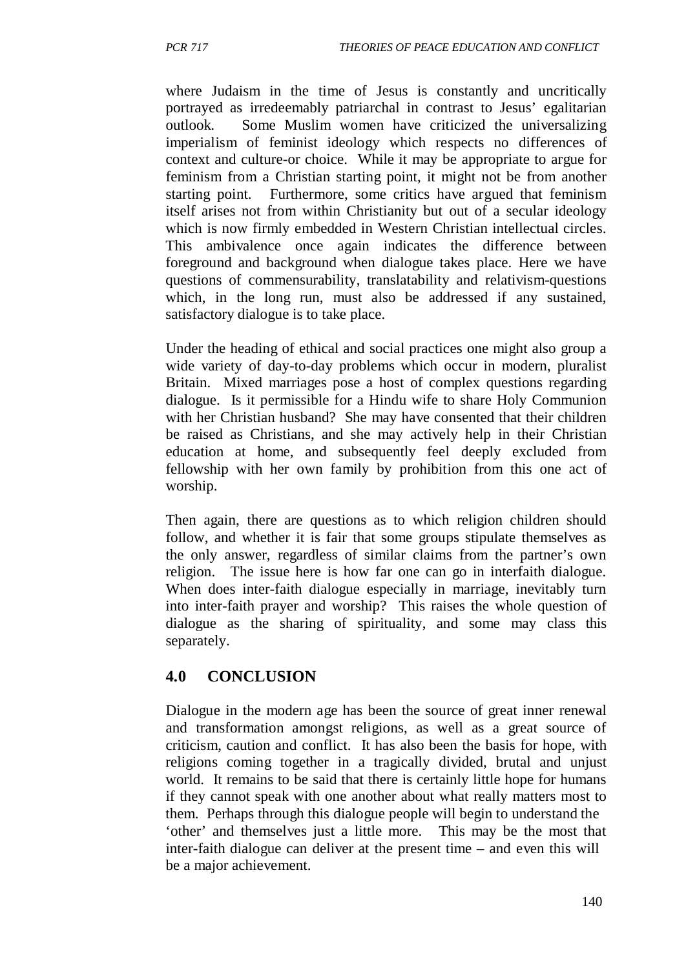where Judaism in the time of Jesus is constantly and uncritically portrayed as irredeemably patriarchal in contrast to Jesus' egalitarian outlook. Some Muslim women have criticized the universalizing imperialism of feminist ideology which respects no differences of context and culture-or choice. While it may be appropriate to argue for feminism from a Christian starting point, it might not be from another starting point. Furthermore, some critics have argued that feminism itself arises not from within Christianity but out of a secular ideology which is now firmly embedded in Western Christian intellectual circles. This ambivalence once again indicates the difference between foreground and background when dialogue takes place. Here we have questions of commensurability, translatability and relativism-questions which, in the long run, must also be addressed if any sustained, satisfactory dialogue is to take place.

Under the heading of ethical and social practices one might also group a wide variety of day-to-day problems which occur in modern, pluralist Britain. Mixed marriages pose a host of complex questions regarding dialogue. Is it permissible for a Hindu wife to share Holy Communion with her Christian husband? She may have consented that their children be raised as Christians, and she may actively help in their Christian education at home, and subsequently feel deeply excluded from fellowship with her own family by prohibition from this one act of worship.

Then again, there are questions as to which religion children should follow, and whether it is fair that some groups stipulate themselves as the only answer, regardless of similar claims from the partner's own religion. The issue here is how far one can go in interfaith dialogue. When does inter-faith dialogue especially in marriage, inevitably turn into inter-faith prayer and worship? This raises the whole question of dialogue as the sharing of spirituality, and some may class this separately.

## **4.0 CONCLUSION**

Dialogue in the modern age has been the source of great inner renewal and transformation amongst religions, as well as a great source of criticism, caution and conflict. It has also been the basis for hope, with religions coming together in a tragically divided, brutal and unjust world. It remains to be said that there is certainly little hope for humans if they cannot speak with one another about what really matters most to them. Perhaps through this dialogue people will begin to understand the 'other' and themselves just a little more. This may be the most that inter-faith dialogue can deliver at the present time – and even this will be a major achievement.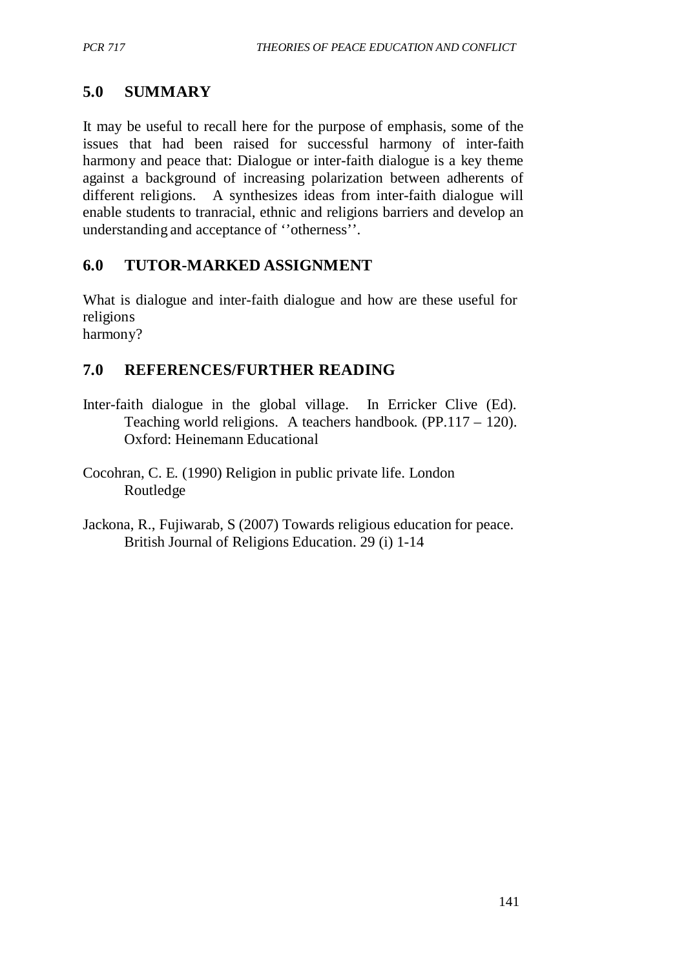## **5.0 SUMMARY**

It may be useful to recall here for the purpose of emphasis, some of the issues that had been raised for successful harmony of inter-faith harmony and peace that: Dialogue or inter-faith dialogue is a key theme against a background of increasing polarization between adherents of different religions. A synthesizes ideas from inter-faith dialogue will enable students to tranracial, ethnic and religions barriers and develop an understanding and acceptance of ''otherness''.

## **6.0 TUTOR-MARKED ASSIGNMENT**

What is dialogue and inter-faith dialogue and how are these useful for religions harmony?

# **7.0 REFERENCES/FURTHER READING**

- Inter-faith dialogue in the global village. In Erricker Clive (Ed). Teaching world religions. A teachers handbook. (PP.117 – 120). Oxford: Heinemann Educational
- Cocohran, C. E. (1990) Religion in public private life. London Routledge
- Jackona, R., Fujiwarab, S (2007) Towards religious education for peace. British Journal of Religions Education. 29 (i) 1-14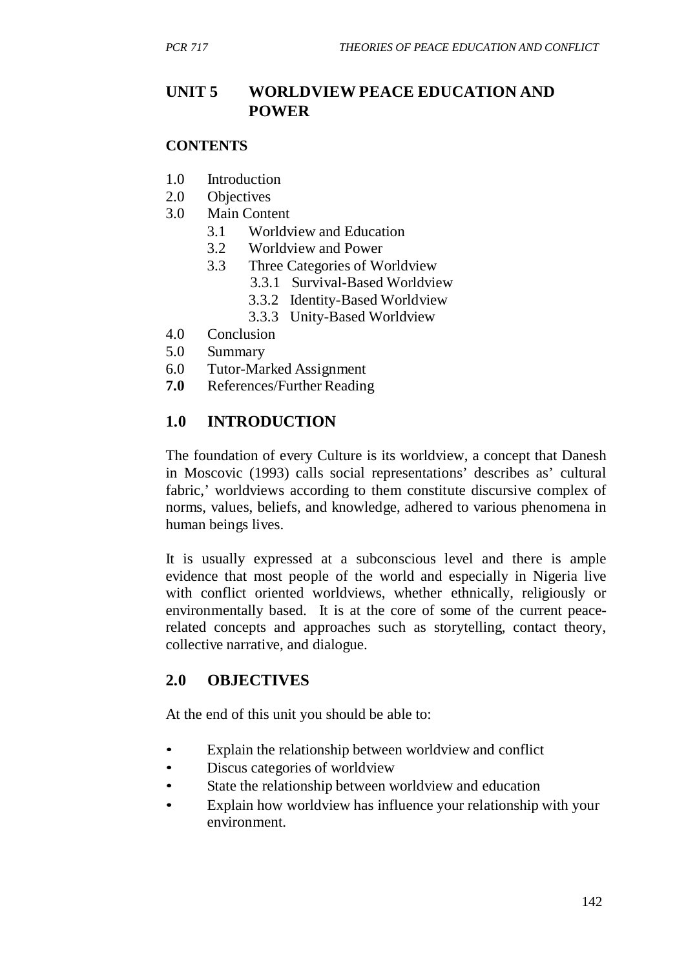## **UNIT 5 WORLDVIEW PEACE EDUCATION AND POWER**

#### **CONTENTS**

- 1.0 Introduction
- 2.0 Objectives
- 3.0 Main Content
	- 3.1 Worldview and Education
	- 3.2 Worldview and Power
	- 3.3 Three Categories of Worldview
		- 3.3.1 Survival-Based Worldview
		- 3.3.2 Identity-Based Worldview
		- 3.3.3 Unity-Based Worldview
- 4.0 Conclusion
- 5.0 Summary
- 6.0 Tutor-Marked Assignment
- **7.0** References/Further Reading

## **1.0 INTRODUCTION**

The foundation of every Culture is its worldview, a concept that Danesh in Moscovic (1993) calls social representations' describes as' cultural fabric,' worldviews according to them constitute discursive complex of norms, values, beliefs, and knowledge, adhered to various phenomena in human beings lives.

It is usually expressed at a subconscious level and there is ample evidence that most people of the world and especially in Nigeria live with conflict oriented worldviews, whether ethnically, religiously or environmentally based. It is at the core of some of the current peacerelated concepts and approaches such as storytelling, contact theory, collective narrative, and dialogue.

## **2.0 OBJECTIVES**

At the end of this unit you should be able to:

- Explain the relationship between worldview and conflict
- Discus categories of worldview
- State the relationship between worldview and education
- Explain how worldview has influence your relationship with your environment.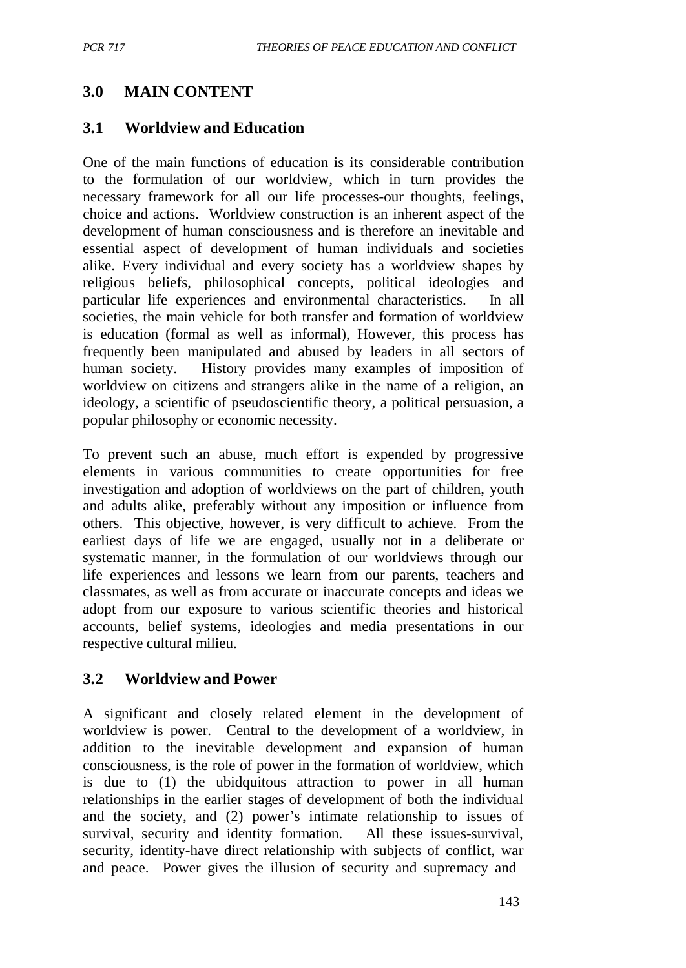## **3.0 MAIN CONTENT**

#### **3.1 Worldview and Education**

One of the main functions of education is its considerable contribution to the formulation of our worldview, which in turn provides the necessary framework for all our life processes-our thoughts, feelings, choice and actions. Worldview construction is an inherent aspect of the development of human consciousness and is therefore an inevitable and essential aspect of development of human individuals and societies alike. Every individual and every society has a worldview shapes by religious beliefs, philosophical concepts, political ideologies and particular life experiences and environmental characteristics. In all societies, the main vehicle for both transfer and formation of worldview is education (formal as well as informal), However, this process has frequently been manipulated and abused by leaders in all sectors of human society. History provides many examples of imposition of worldview on citizens and strangers alike in the name of a religion, an ideology, a scientific of pseudoscientific theory, a political persuasion, a popular philosophy or economic necessity.

To prevent such an abuse, much effort is expended by progressive elements in various communities to create opportunities for free investigation and adoption of worldviews on the part of children, youth and adults alike, preferably without any imposition or influence from others. This objective, however, is very difficult to achieve. From the earliest days of life we are engaged, usually not in a deliberate or systematic manner, in the formulation of our worldviews through our life experiences and lessons we learn from our parents, teachers and classmates, as well as from accurate or inaccurate concepts and ideas we adopt from our exposure to various scientific theories and historical accounts, belief systems, ideologies and media presentations in our respective cultural milieu.

#### **3.2 Worldview and Power**

A significant and closely related element in the development of worldview is power. Central to the development of a worldview, in addition to the inevitable development and expansion of human consciousness, is the role of power in the formation of worldview, which is due to (1) the ubidquitous attraction to power in all human relationships in the earlier stages of development of both the individual and the society, and (2) power's intimate relationship to issues of survival, security and identity formation. All these issues-survival, security, identity-have direct relationship with subjects of conflict, war and peace. Power gives the illusion of security and supremacy and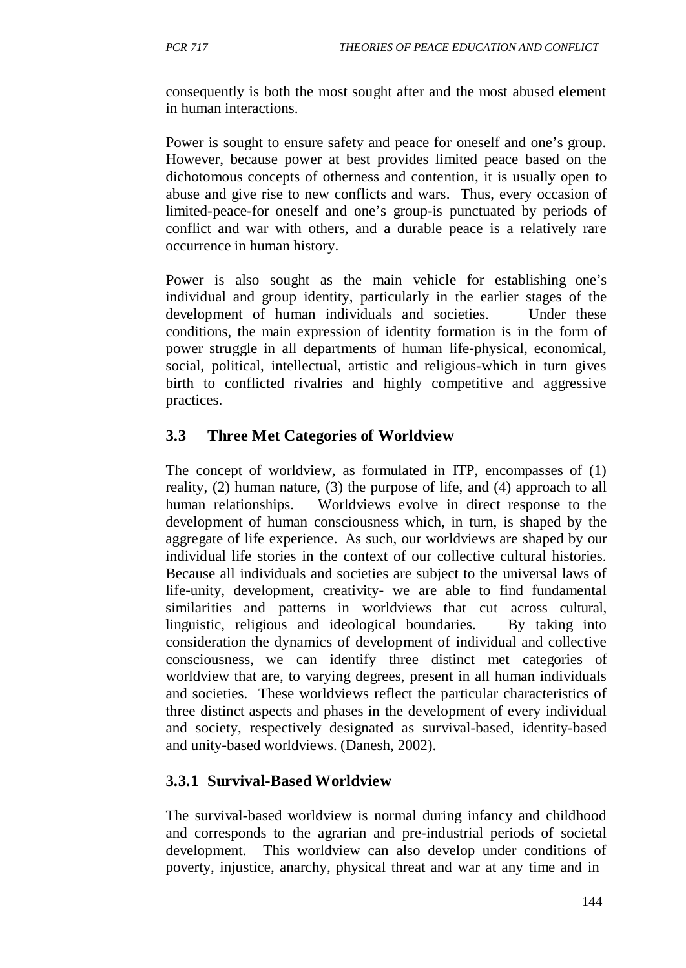consequently is both the most sought after and the most abused element in human interactions.

Power is sought to ensure safety and peace for oneself and one's group. However, because power at best provides limited peace based on the dichotomous concepts of otherness and contention, it is usually open to abuse and give rise to new conflicts and wars. Thus, every occasion of limited-peace-for oneself and one's group-is punctuated by periods of conflict and war with others, and a durable peace is a relatively rare occurrence in human history.

Power is also sought as the main vehicle for establishing one's individual and group identity, particularly in the earlier stages of the development of human individuals and societies. Under these conditions, the main expression of identity formation is in the form of power struggle in all departments of human life-physical, economical, social, political, intellectual, artistic and religious-which in turn gives birth to conflicted rivalries and highly competitive and aggressive practices.

### **3.3 Three Met Categories of Worldview**

The concept of worldview, as formulated in ITP, encompasses of (1) reality, (2) human nature, (3) the purpose of life, and (4) approach to all human relationships. Worldviews evolve in direct response to the development of human consciousness which, in turn, is shaped by the aggregate of life experience. As such, our worldviews are shaped by our individual life stories in the context of our collective cultural histories. Because all individuals and societies are subject to the universal laws of life-unity, development, creativity- we are able to find fundamental similarities and patterns in worldviews that cut across cultural, linguistic, religious and ideological boundaries. By taking into consideration the dynamics of development of individual and collective consciousness, we can identify three distinct met categories of worldview that are, to varying degrees, present in all human individuals and societies. These worldviews reflect the particular characteristics of three distinct aspects and phases in the development of every individual and society, respectively designated as survival-based, identity-based and unity-based worldviews. (Danesh, 2002).

#### **3.3.1 Survival-Based Worldview**

The survival-based worldview is normal during infancy and childhood and corresponds to the agrarian and pre-industrial periods of societal development. This worldview can also develop under conditions of poverty, injustice, anarchy, physical threat and war at any time and in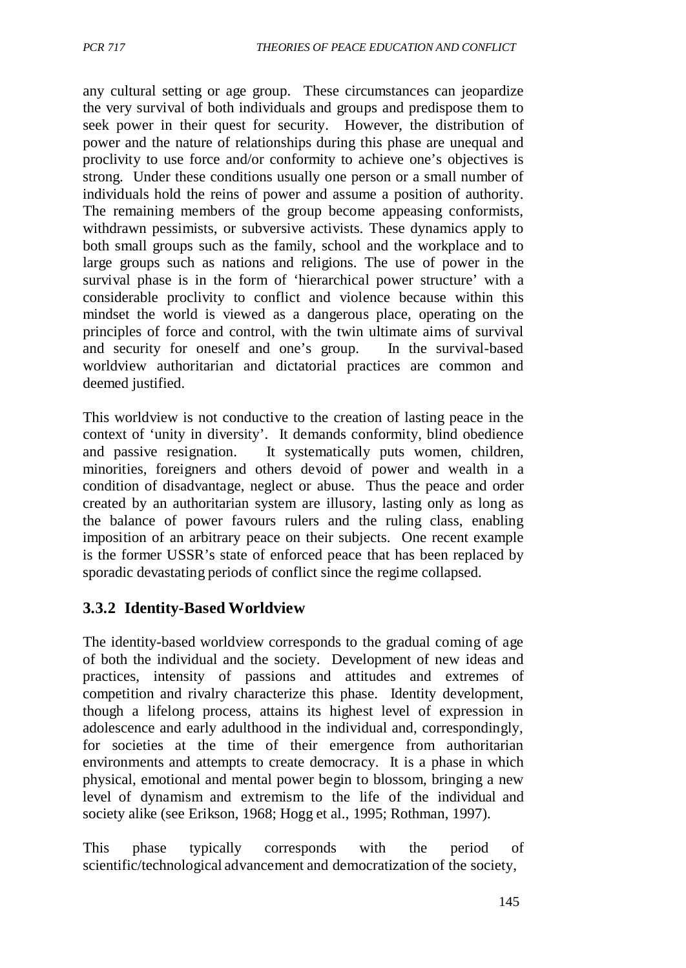any cultural setting or age group. These circumstances can jeopardize the very survival of both individuals and groups and predispose them to seek power in their quest for security. However, the distribution of power and the nature of relationships during this phase are unequal and proclivity to use force and/or conformity to achieve one's objectives is strong. Under these conditions usually one person or a small number of individuals hold the reins of power and assume a position of authority. The remaining members of the group become appeasing conformists, withdrawn pessimists, or subversive activists. These dynamics apply to both small groups such as the family, school and the workplace and to large groups such as nations and religions. The use of power in the survival phase is in the form of 'hierarchical power structure' with a considerable proclivity to conflict and violence because within this mindset the world is viewed as a dangerous place, operating on the principles of force and control, with the twin ultimate aims of survival and security for oneself and one's group. In the survival-based worldview authoritarian and dictatorial practices are common and deemed justified.

This worldview is not conductive to the creation of lasting peace in the context of 'unity in diversity'. It demands conformity, blind obedience and passive resignation. It systematically puts women, children, minorities, foreigners and others devoid of power and wealth in a condition of disadvantage, neglect or abuse. Thus the peace and order created by an authoritarian system are illusory, lasting only as long as the balance of power favours rulers and the ruling class, enabling imposition of an arbitrary peace on their subjects. One recent example is the former USSR's state of enforced peace that has been replaced by sporadic devastating periods of conflict since the regime collapsed.

# **3.3.2 Identity-Based Worldview**

The identity-based worldview corresponds to the gradual coming of age of both the individual and the society. Development of new ideas and practices, intensity of passions and attitudes and extremes of competition and rivalry characterize this phase. Identity development, though a lifelong process, attains its highest level of expression in adolescence and early adulthood in the individual and, correspondingly, for societies at the time of their emergence from authoritarian environments and attempts to create democracy. It is a phase in which physical, emotional and mental power begin to blossom, bringing a new level of dynamism and extremism to the life of the individual and society alike (see Erikson, 1968; Hogg et al., 1995; Rothman, 1997).

This phase typically corresponds with the period of scientific/technological advancement and democratization of the society,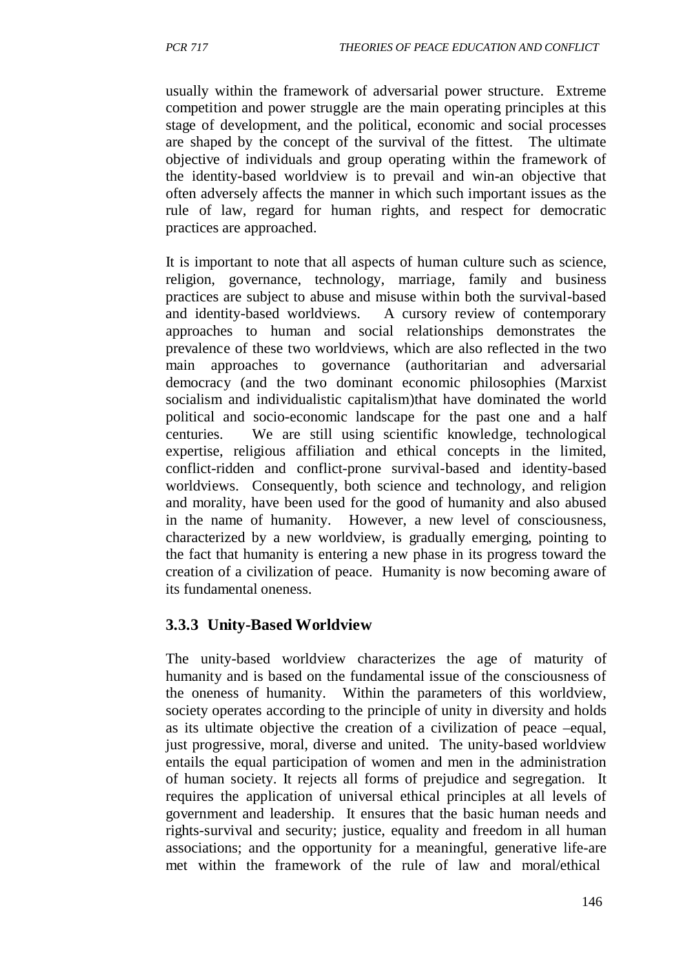usually within the framework of adversarial power structure. Extreme competition and power struggle are the main operating principles at this stage of development, and the political, economic and social processes are shaped by the concept of the survival of the fittest. The ultimate objective of individuals and group operating within the framework of the identity-based worldview is to prevail and win-an objective that often adversely affects the manner in which such important issues as the rule of law, regard for human rights, and respect for democratic practices are approached.

It is important to note that all aspects of human culture such as science, religion, governance, technology, marriage, family and business practices are subject to abuse and misuse within both the survival-based and identity-based worldviews. A cursory review of contemporary approaches to human and social relationships demonstrates the prevalence of these two worldviews, which are also reflected in the two main approaches to governance (authoritarian and adversarial democracy (and the two dominant economic philosophies (Marxist socialism and individualistic capitalism)that have dominated the world political and socio-economic landscape for the past one and a half centuries. We are still using scientific knowledge, technological expertise, religious affiliation and ethical concepts in the limited, conflict-ridden and conflict-prone survival-based and identity-based worldviews. Consequently, both science and technology, and religion and morality, have been used for the good of humanity and also abused in the name of humanity. However, a new level of consciousness, characterized by a new worldview, is gradually emerging, pointing to the fact that humanity is entering a new phase in its progress toward the creation of a civilization of peace. Humanity is now becoming aware of its fundamental oneness.

## **3.3.3 Unity-Based Worldview**

The unity-based worldview characterizes the age of maturity of humanity and is based on the fundamental issue of the consciousness of the oneness of humanity. Within the parameters of this worldview, society operates according to the principle of unity in diversity and holds as its ultimate objective the creation of a civilization of peace –equal, just progressive, moral, diverse and united. The unity-based worldview entails the equal participation of women and men in the administration of human society. It rejects all forms of prejudice and segregation. It requires the application of universal ethical principles at all levels of government and leadership. It ensures that the basic human needs and rights-survival and security; justice, equality and freedom in all human associations; and the opportunity for a meaningful, generative life-are met within the framework of the rule of law and moral/ethical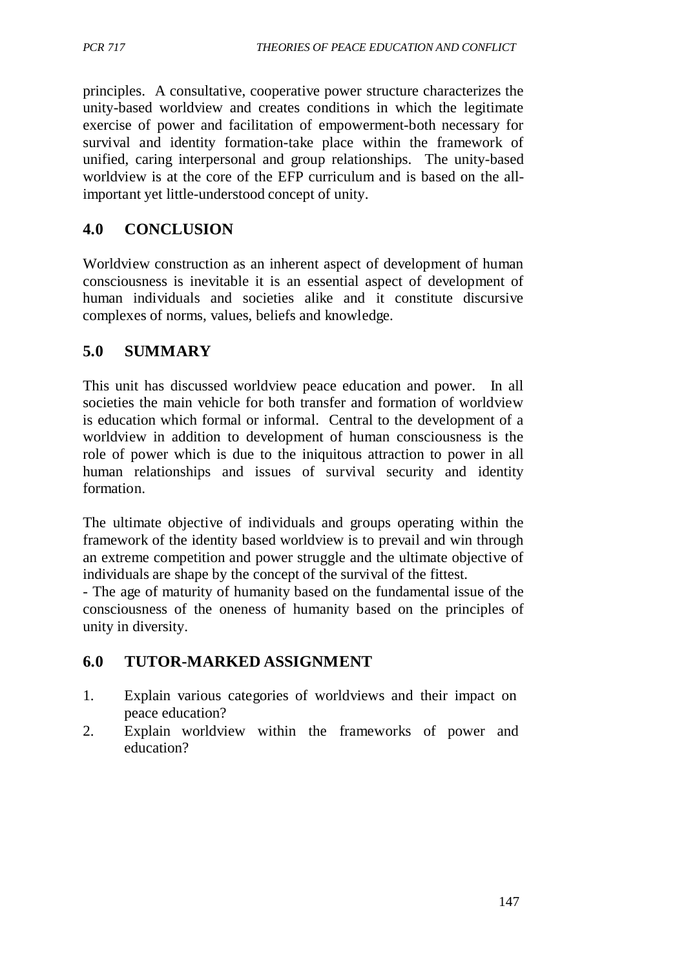principles. A consultative, cooperative power structure characterizes the unity-based worldview and creates conditions in which the legitimate exercise of power and facilitation of empowerment-both necessary for survival and identity formation-take place within the framework of unified, caring interpersonal and group relationships. The unity-based worldview is at the core of the EFP curriculum and is based on the allimportant yet little-understood concept of unity.

## **4.0 CONCLUSION**

Worldview construction as an inherent aspect of development of human consciousness is inevitable it is an essential aspect of development of human individuals and societies alike and it constitute discursive complexes of norms, values, beliefs and knowledge.

## **5.0 SUMMARY**

This unit has discussed worldview peace education and power. In all societies the main vehicle for both transfer and formation of worldview is education which formal or informal. Central to the development of a worldview in addition to development of human consciousness is the role of power which is due to the iniquitous attraction to power in all human relationships and issues of survival security and identity formation.

The ultimate objective of individuals and groups operating within the framework of the identity based worldview is to prevail and win through an extreme competition and power struggle and the ultimate objective of individuals are shape by the concept of the survival of the fittest.

- The age of maturity of humanity based on the fundamental issue of the consciousness of the oneness of humanity based on the principles of unity in diversity.

## **6.0 TUTOR-MARKED ASSIGNMENT**

- 1. Explain various categories of worldviews and their impact on peace education?
- 2. Explain worldview within the frameworks of power and education?